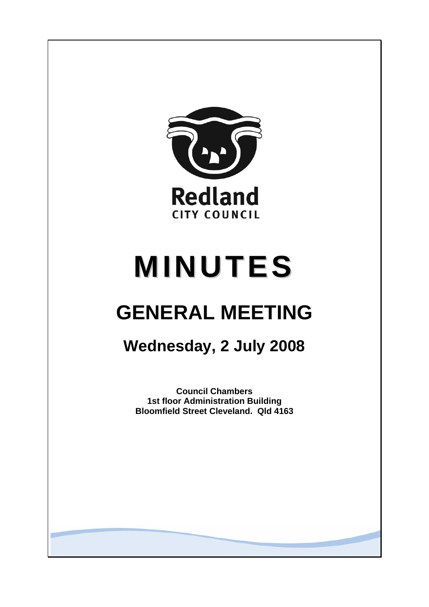

# **MINUTES**

# **GENERAL MEETING**

## **Wednesday, 2 July 2008**

**Council Chambers 1st floor Administration Building Bloomfield Street Cleveland. Qld 4163**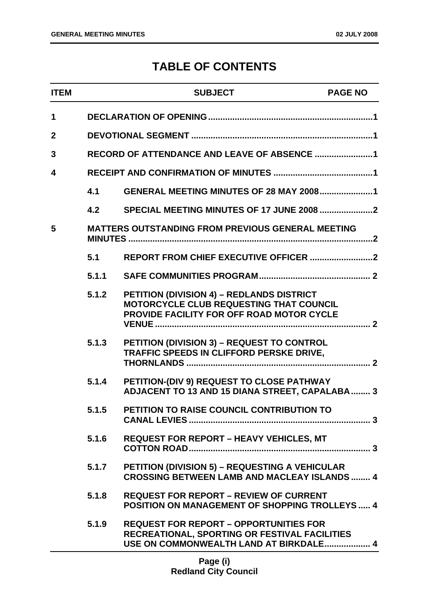### **TABLE OF CONTENTS**

| <b>ITEM</b>  |       | <b>SUBJECT</b>                                                                                                                           | <b>PAGE NO</b> |
|--------------|-------|------------------------------------------------------------------------------------------------------------------------------------------|----------------|
| 1            |       |                                                                                                                                          |                |
| $\mathbf{2}$ |       |                                                                                                                                          |                |
| 3            |       | RECORD OF ATTENDANCE AND LEAVE OF ABSENCE 1                                                                                              |                |
| 4            |       |                                                                                                                                          |                |
|              | 4.1   | <b>GENERAL MEETING MINUTES OF 28 MAY 20081</b>                                                                                           |                |
|              | 4.2   | SPECIAL MEETING MINUTES OF 17 JUNE 2008 2                                                                                                |                |
| 5            |       | <b>MATTERS OUTSTANDING FROM PREVIOUS GENERAL MEETING</b>                                                                                 |                |
|              | 5.1   |                                                                                                                                          |                |
|              | 5.1.1 |                                                                                                                                          |                |
|              | 5.1.2 | PETITION (DIVISION 4) - REDLANDS DISTRICT<br>MOTORCYCLE CLUB REQUESTING THAT COUNCIL<br><b>PROVIDE FACILITY FOR OFF ROAD MOTOR CYCLE</b> |                |
|              | 5.1.3 | PETITION (DIVISION 3) - REQUEST TO CONTROL<br>TRAFFIC SPEEDS IN CLIFFORD PERSKE DRIVE,                                                   |                |
|              | 5.1.4 | PETITION-(DIV 9) REQUEST TO CLOSE PATHWAY<br>ADJACENT TO 13 AND 15 DIANA STREET, CAPALABA  3                                             |                |
|              | 5.1.5 | PETITION TO RAISE COUNCIL CONTRIBUTION TO                                                                                                |                |
|              | 5.1.6 | <b>REQUEST FOR REPORT - HEAVY VEHICLES, MT</b>                                                                                           |                |
|              | 5.1.7 | <b>PETITION (DIVISION 5) - REQUESTING A VEHICULAR</b><br><b>CROSSING BETWEEN LAMB AND MACLEAY ISLANDS  4</b>                             |                |
|              | 5.1.8 | <b>REQUEST FOR REPORT - REVIEW OF CURRENT</b><br><b>POSITION ON MANAGEMENT OF SHOPPING TROLLEYS  4</b>                                   |                |
|              | 5.1.9 | <b>REQUEST FOR REPORT - OPPORTUNITIES FOR</b><br>RECREATIONAL, SPORTING OR FESTIVAL FACILITIES<br>USE ON COMMONWEALTH LAND AT BIRKDALE 4 |                |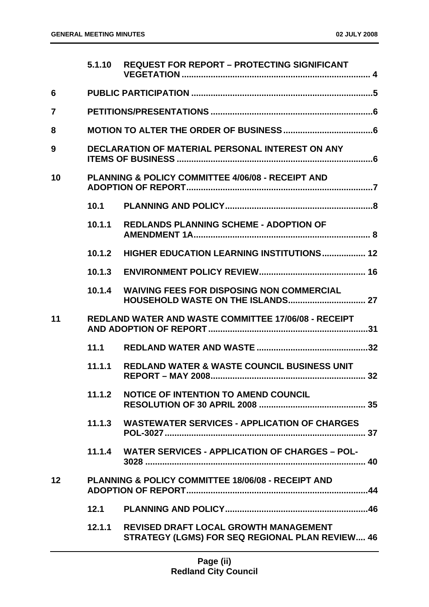|                | 5.1.10 | <b>REQUEST FOR REPORT - PROTECTING SIGNIFICANT</b>                                                     |
|----------------|--------|--------------------------------------------------------------------------------------------------------|
| 6              |        |                                                                                                        |
| $\overline{7}$ |        |                                                                                                        |
| 8              |        |                                                                                                        |
| 9              |        | <b>DECLARATION OF MATERIAL PERSONAL INTEREST ON ANY</b>                                                |
| 10             |        | <b>PLANNING &amp; POLICY COMMITTEE 4/06/08 - RECEIPT AND</b>                                           |
|                | 10.1   |                                                                                                        |
|                | 10.1.1 | <b>REDLANDS PLANNING SCHEME - ADOPTION OF</b>                                                          |
|                | 10.1.2 | <b>HIGHER EDUCATION LEARNING INSTITUTIONS 12</b>                                                       |
|                | 10.1.3 |                                                                                                        |
|                | 10.1.4 | <b>WAIVING FEES FOR DISPOSING NON COMMERCIAL</b>                                                       |
| 11             |        | <b>REDLAND WATER AND WASTE COMMITTEE 17/06/08 - RECEIPT</b>                                            |
|                | 11.1   |                                                                                                        |
|                | 11.1.1 | <b>REDLAND WATER &amp; WASTE COUNCIL BUSINESS UNIT</b>                                                 |
|                | 11.1.2 | <b>NOTICE OF INTENTION TO AMEND COUNCIL</b>                                                            |
|                |        | 11.1.3 WASTEWATER SERVICES - APPLICATION OF CHARGES                                                    |
|                |        | 11.1.4 WATER SERVICES - APPLICATION OF CHARGES - POL-                                                  |
| 12             |        | <b>PLANNING &amp; POLICY COMMITTEE 18/06/08 - RECEIPT AND</b>                                          |
|                |        |                                                                                                        |
|                | 12.1.1 | <b>REVISED DRAFT LOCAL GROWTH MANAGEMENT</b><br><b>STRATEGY (LGMS) FOR SEQ REGIONAL PLAN REVIEW 46</b> |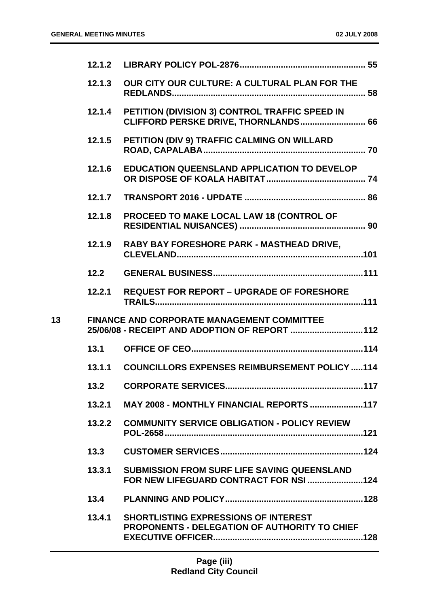|    | 12.1,2 |                                                                                                     |
|----|--------|-----------------------------------------------------------------------------------------------------|
|    | 12.1.3 | OUR CITY OUR CULTURE: A CULTURAL PLAN FOR THE                                                       |
|    | 12.1.4 | PETITION (DIVISION 3) CONTROL TRAFFIC SPEED IN<br>CLIFFORD PERSKE DRIVE, THORNLANDS 66              |
|    | 12.1.5 | PETITION (DIV 9) TRAFFIC CALMING ON WILLARD                                                         |
|    | 12.1.6 | <b>EDUCATION QUEENSLAND APPLICATION TO DEVELOP</b>                                                  |
|    | 12.1.7 |                                                                                                     |
|    | 12.1.8 | PROCEED TO MAKE LOCAL LAW 18 (CONTROL OF                                                            |
|    | 12.1.9 | RABY BAY FORESHORE PARK - MASTHEAD DRIVE,                                                           |
|    | 12.2   |                                                                                                     |
|    |        | 12.2.1 REQUEST FOR REPORT - UPGRADE OF FORESHORE                                                    |
| 13 |        | FINANCE AND CORPORATE MANAGEMENT COMMITTEE<br>25/06/08 - RECEIPT AND ADOPTION OF REPORT 112         |
|    | 13.1   |                                                                                                     |
|    | 13.1.1 | <b>COUNCILLORS EXPENSES REIMBURSEMENT POLICY 114</b>                                                |
|    | 13.2   |                                                                                                     |
|    | 13.2.1 | MAY 2008 - MONTHLY FINANCIAL REPORTS 117                                                            |
|    | 13.2.2 | <b>COMMUNITY SERVICE OBLIGATION - POLICY REVIEW</b>                                                 |
|    | 13.3   |                                                                                                     |
|    | 13.3.1 | <b>SUBMISSION FROM SURF LIFE SAVING QUEENSLAND</b>                                                  |
|    | 13.4   |                                                                                                     |
|    | 13.4.1 | <b>SHORTLISTING EXPRESSIONS OF INTEREST</b><br><b>PROPONENTS - DELEGATION OF AUTHORITY TO CHIEF</b> |
|    |        |                                                                                                     |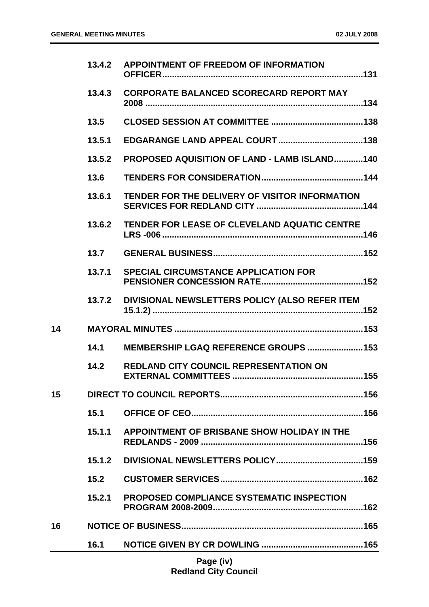|    | 13.4.2 | <b>APPOINTMENT OF FREEDOM OF INFORMATION</b>        |
|----|--------|-----------------------------------------------------|
|    | 13.4.3 | <b>CORPORATE BALANCED SCORECARD REPORT MAY</b>      |
|    | 13.5   |                                                     |
|    | 13.5.1 |                                                     |
|    | 13.5.2 | <b>PROPOSED AQUISITION OF LAND - LAMB ISLAND140</b> |
|    | 13.6   |                                                     |
|    | 13.6.1 | TENDER FOR THE DELIVERY OF VISITOR INFORMATION      |
|    | 13.6.2 | <b>TENDER FOR LEASE OF CLEVELAND AQUATIC CENTRE</b> |
|    | 13.7   |                                                     |
|    | 13.7.1 | <b>SPECIAL CIRCUMSTANCE APPLICATION FOR</b>         |
|    | 13.7.2 | DIVISIONAL NEWSLETTERS POLICY (ALSO REFER ITEM      |
| 14 |        |                                                     |
|    | 14.1   | MEMBERSHIP LGAQ REFERENCE GROUPS  153               |
|    | 14.2   | <b>REDLAND CITY COUNCIL REPRESENTATION ON</b>       |
| 15 |        |                                                     |
|    | 15.1   |                                                     |
|    | 15.1.1 | APPOINTMENT OF BRISBANE SHOW HOLIDAY IN THE         |
|    | 15.1.2 |                                                     |
|    | 15.2   |                                                     |
|    | 15.2.1 | <b>PROPOSED COMPLIANCE SYSTEMATIC INSPECTION</b>    |
| 16 |        |                                                     |
|    | 16.1   |                                                     |
|    |        |                                                     |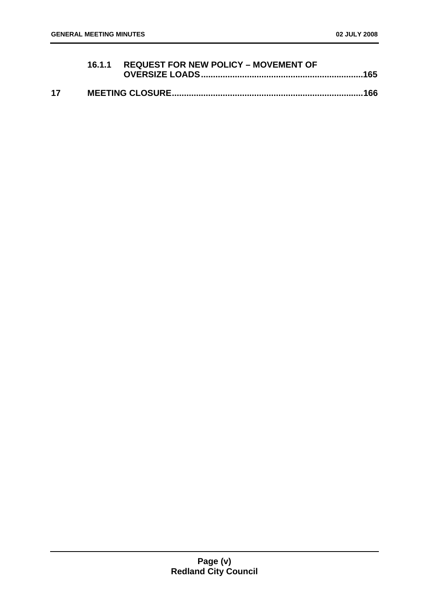|    | 16.1.1 REQUEST FOR NEW POLICY - MOVEMENT OF |  |
|----|---------------------------------------------|--|
| 17 |                                             |  |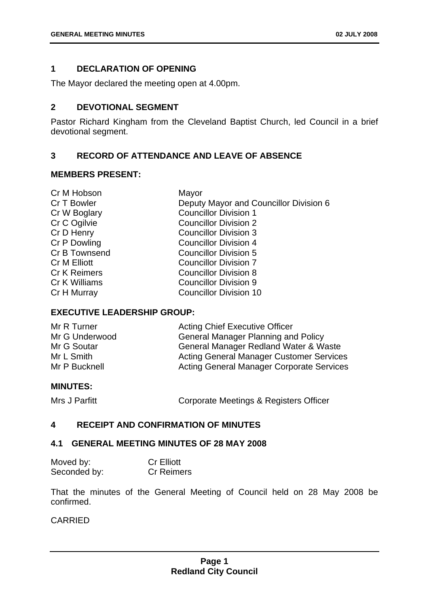#### <span id="page-6-0"></span>**1 DECLARATION OF OPENING**

The Mayor declared the meeting open at 4.00pm.

#### <span id="page-6-1"></span>**2 DEVOTIONAL SEGMENT**

Pastor Richard Kingham from the Cleveland Baptist Church, led Council in a brief devotional segment.

#### <span id="page-6-2"></span>**3 RECORD OF ATTENDANCE AND LEAVE OF ABSENCE**

#### **MEMBERS PRESENT:**

| Cr M Hobson         | Mayor                                  |
|---------------------|----------------------------------------|
| Cr T Bowler         | Deputy Mayor and Councillor Division 6 |
| Cr W Boglary        | <b>Councillor Division 1</b>           |
| Cr C Ogilvie        | <b>Councillor Division 2</b>           |
| Cr D Henry          | <b>Councillor Division 3</b>           |
| Cr P Dowling        | <b>Councillor Division 4</b>           |
| Cr B Townsend       | <b>Councillor Division 5</b>           |
| <b>Cr M Elliott</b> | <b>Councillor Division 7</b>           |
| <b>Cr K Reimers</b> | <b>Councillor Division 8</b>           |
| Cr K Williams       | <b>Councillor Division 9</b>           |
| Cr H Murray         | <b>Councillor Division 10</b>          |
|                     |                                        |

#### **EXECUTIVE LEADERSHIP GROUP:**

| Mr R Turner    | <b>Acting Chief Executive Officer</b>            |
|----------------|--------------------------------------------------|
| Mr G Underwood | <b>General Manager Planning and Policy</b>       |
| Mr G Soutar    | General Manager Redland Water & Waste            |
| Mr L Smith     | <b>Acting General Manager Customer Services</b>  |
| Mr P Bucknell  | <b>Acting General Manager Corporate Services</b> |

#### **MINUTES:**

Mrs J Parfitt **Corporate Meetings & Registers Officer** 

#### <span id="page-6-3"></span>**4 RECEIPT AND CONFIRMATION OF MINUTES**

#### <span id="page-6-4"></span>**4.1 GENERAL MEETING MINUTES OF 28 MAY 2008**

| Moved by:    | <b>Cr Elliott</b> |
|--------------|-------------------|
| Seconded by: | <b>Cr Reimers</b> |

That the minutes of the General Meeting of Council held on 28 May 2008 be confirmed.

#### CARRIED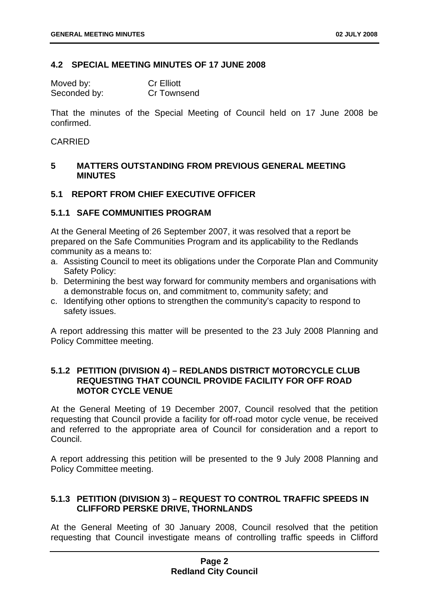#### <span id="page-7-0"></span>**4.2 SPECIAL MEETING MINUTES OF 17 JUNE 2008**

| Moved by:    | <b>Cr Elliott</b> |
|--------------|-------------------|
| Seconded by: | Cr Townsend       |

That the minutes of the Special Meeting of Council held on 17 June 2008 be confirmed.

#### CARRIED

#### <span id="page-7-1"></span>**5 MATTERS OUTSTANDING FROM PREVIOUS GENERAL MEETING MINUTES**

#### <span id="page-7-2"></span>**5.1 REPORT FROM CHIEF EXECUTIVE OFFICER**

#### <span id="page-7-3"></span>**5.1.1 SAFE COMMUNITIES PROGRAM**

At the General Meeting of 26 September 2007, it was resolved that a report be prepared on the Safe Communities Program and its applicability to the Redlands community as a means to:

- a. Assisting Council to meet its obligations under the Corporate Plan and Community Safety Policy:
- b. Determining the best way forward for community members and organisations with a demonstrable focus on, and commitment to, community safety; and
- c. Identifying other options to strengthen the community's capacity to respond to safety issues.

A report addressing this matter will be presented to the 23 July 2008 Planning and Policy Committee meeting.

#### <span id="page-7-4"></span>**5.1.2 PETITION (DIVISION 4) – REDLANDS DISTRICT MOTORCYCLE CLUB REQUESTING THAT COUNCIL PROVIDE FACILITY FOR OFF ROAD MOTOR CYCLE VENUE**

At the General Meeting of 19 December 2007, Council resolved that the petition requesting that Council provide a facility for off-road motor cycle venue, be received and referred to the appropriate area of Council for consideration and a report to Council.

A report addressing this petition will be presented to the 9 July 2008 Planning and Policy Committee meeting.

#### <span id="page-7-5"></span>**5.1.3 PETITION (DIVISION 3) – REQUEST TO CONTROL TRAFFIC SPEEDS IN CLIFFORD PERSKE DRIVE, THORNLANDS**

At the General Meeting of 30 January 2008, Council resolved that the petition requesting that Council investigate means of controlling traffic speeds in Clifford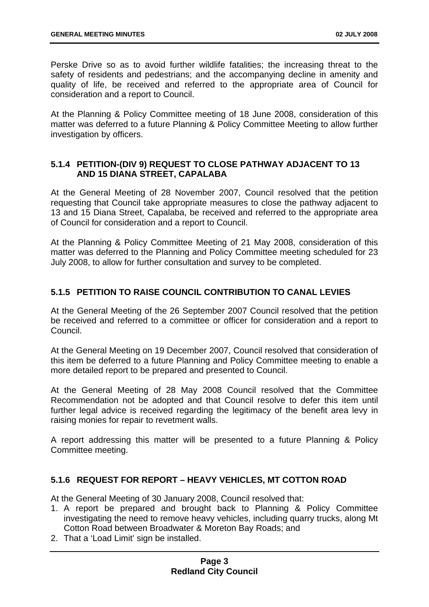Perske Drive so as to avoid further wildlife fatalities; the increasing threat to the safety of residents and pedestrians; and the accompanying decline in amenity and quality of life, be received and referred to the appropriate area of Council for consideration and a report to Council.

At the Planning & Policy Committee meeting of 18 June 2008, consideration of this matter was deferred to a future Planning & Policy Committee Meeting to allow further investigation by officers.

#### <span id="page-8-0"></span>**5.1.4 PETITION-(DIV 9) REQUEST TO CLOSE PATHWAY ADJACENT TO 13 AND 15 DIANA STREET, CAPALABA**

At the General Meeting of 28 November 2007, Council resolved that the petition requesting that Council take appropriate measures to close the pathway adjacent to 13 and 15 Diana Street, Capalaba, be received and referred to the appropriate area of Council for consideration and a report to Council.

At the Planning & Policy Committee Meeting of 21 May 2008, consideration of this matter was deferred to the Planning and Policy Committee meeting scheduled for 23 July 2008, to allow for further consultation and survey to be completed.

#### <span id="page-8-1"></span>**5.1.5 PETITION TO RAISE COUNCIL CONTRIBUTION TO CANAL LEVIES**

At the General Meeting of the 26 September 2007 Council resolved that the petition be received and referred to a committee or officer for consideration and a report to Council.

At the General Meeting on 19 December 2007, Council resolved that consideration of this item be deferred to a future Planning and Policy Committee meeting to enable a more detailed report to be prepared and presented to Council.

At the General Meeting of 28 May 2008 Council resolved that the Committee Recommendation not be adopted and that Council resolve to defer this item until further legal advice is received regarding the legitimacy of the benefit area levy in raising monies for repair to revetment walls.

A report addressing this matter will be presented to a future Planning & Policy Committee meeting.

#### <span id="page-8-2"></span>**5.1.6 REQUEST FOR REPORT – HEAVY VEHICLES, MT COTTON ROAD**

At the General Meeting of 30 January 2008, Council resolved that:

- 1. A report be prepared and brought back to Planning & Policy Committee investigating the need to remove heavy vehicles, including quarry trucks, along Mt Cotton Road between Broadwater & Moreton Bay Roads; and
- 2. That a 'Load Limit' sign be installed.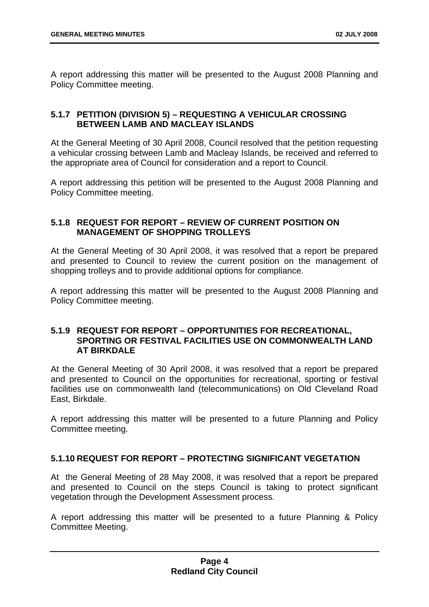A report addressing this matter will be presented to the August 2008 Planning and Policy Committee meeting.

#### <span id="page-9-0"></span>**5.1.7 PETITION (DIVISION 5) – REQUESTING A VEHICULAR CROSSING BETWEEN LAMB AND MACLEAY ISLANDS**

At the General Meeting of 30 April 2008, Council resolved that the petition requesting a vehicular crossing between Lamb and Macleay Islands, be received and referred to the appropriate area of Council for consideration and a report to Council.

A report addressing this petition will be presented to the August 2008 Planning and Policy Committee meeting.

#### <span id="page-9-1"></span>**5.1.8 REQUEST FOR REPORT – REVIEW OF CURRENT POSITION ON MANAGEMENT OF SHOPPING TROLLEYS**

At the General Meeting of 30 April 2008, it was resolved that a report be prepared and presented to Council to review the current position on the management of shopping trolleys and to provide additional options for compliance.

A report addressing this matter will be presented to the August 2008 Planning and Policy Committee meeting.

#### <span id="page-9-2"></span>**5.1.9 REQUEST FOR REPORT – OPPORTUNITIES FOR RECREATIONAL, SPORTING OR FESTIVAL FACILITIES USE ON COMMONWEALTH LAND AT BIRKDALE**

At the General Meeting of 30 April 2008, it was resolved that a report be prepared and presented to Council on the opportunities for recreational, sporting or festival facilities use on commonwealth land (telecommunications) on Old Cleveland Road East, Birkdale.

A report addressing this matter will be presented to a future Planning and Policy Committee meeting.

#### <span id="page-9-3"></span>**5.1.10 REQUEST FOR REPORT – PROTECTING SIGNIFICANT VEGETATION**

At the General Meeting of 28 May 2008, it was resolved that a report be prepared and presented to Council on the steps Council is taking to protect significant vegetation through the Development Assessment process.

A report addressing this matter will be presented to a future Planning & Policy Committee Meeting.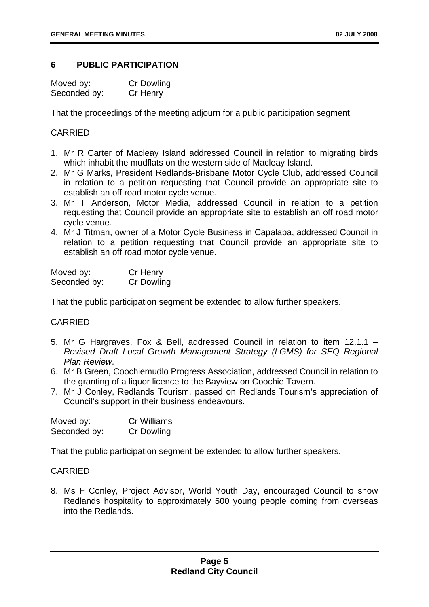#### <span id="page-10-0"></span>**6 PUBLIC PARTICIPATION**

| Moved by:    | Cr Dowling |
|--------------|------------|
| Seconded by: | Cr Henry   |

That the proceedings of the meeting adjourn for a public participation segment.

#### CARRIED

- 1. Mr R Carter of Macleay Island addressed Council in relation to migrating birds which inhabit the mudflats on the western side of Macleay Island.
- 2. Mr G Marks, President Redlands-Brisbane Motor Cycle Club, addressed Council in relation to a petition requesting that Council provide an appropriate site to establish an off road motor cycle venue.
- 3. Mr T Anderson, Motor Media, addressed Council in relation to a petition requesting that Council provide an appropriate site to establish an off road motor cycle venue.
- 4. Mr J Titman, owner of a Motor Cycle Business in Capalaba, addressed Council in relation to a petition requesting that Council provide an appropriate site to establish an off road motor cycle venue.

| Moved by:    | Cr Henry   |
|--------------|------------|
| Seconded by: | Cr Dowling |

That the public participation segment be extended to allow further speakers.

#### CARRIED

- 5. Mr G Hargraves, Fox & Bell, addressed Council in relation to item 12.1.1 *Revised Draft Local Growth Management Strategy (LGMS) for SEQ Regional Plan Review*.
- 6. Mr B Green, Coochiemudlo Progress Association, addressed Council in relation to the granting of a liquor licence to the Bayview on Coochie Tavern.
- 7. Mr J Conley, Redlands Tourism, passed on Redlands Tourism's appreciation of Council's support in their business endeavours.

| Moved by:    | Cr Williams       |
|--------------|-------------------|
| Seconded by: | <b>Cr Dowling</b> |

That the public participation segment be extended to allow further speakers.

#### CARRIED

8. Ms F Conley, Project Advisor, World Youth Day, encouraged Council to show Redlands hospitality to approximately 500 young people coming from overseas into the Redlands.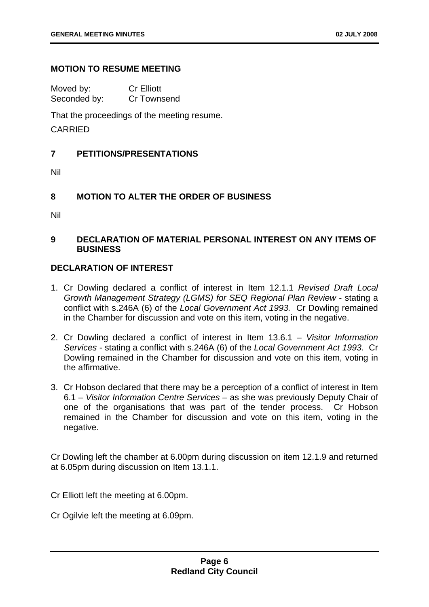#### **MOTION TO RESUME MEETING**

Moved by: Cr Elliott Seconded by: Cr Townsend

That the proceedings of the meeting resume.

CARRIED

#### <span id="page-11-0"></span>**7 PETITIONS/PRESENTATIONS**

Nil

#### <span id="page-11-1"></span>**8 MOTION TO ALTER THE ORDER OF BUSINESS**

Nil

#### <span id="page-11-2"></span>**9 DECLARATION OF MATERIAL PERSONAL INTEREST ON ANY ITEMS OF BUSINESS**

#### **DECLARATION OF INTEREST**

- 1. Cr Dowling declared a conflict of interest in Item 12.1.1 *Revised Draft Local Growth Management Strategy (LGMS) for SEQ Regional Plan Review* - stating a conflict with s.246A (6) of the *Local Government Act 1993.* Cr Dowling remained in the Chamber for discussion and vote on this item, voting in the negative.
- 2. Cr Dowling declared a conflict of interest in Item 13.6.1 *Visitor Information Services* - stating a conflict with s.246A (6) of the *Local Government Act 1993.* Cr Dowling remained in the Chamber for discussion and vote on this item, voting in the affirmative.
- 3. Cr Hobson declared that there may be a perception of a conflict of interest in Item 6.1 – *Visitor Information Centre Services –* as she was previously Deputy Chair of one of the organisations that was part of the tender process. Cr Hobson remained in the Chamber for discussion and vote on this item, voting in the negative.

Cr Dowling left the chamber at 6.00pm during discussion on item 12.1.9 and returned at 6.05pm during discussion on Item 13.1.1.

Cr Elliott left the meeting at 6.00pm.

Cr Ogilvie left the meeting at 6.09pm.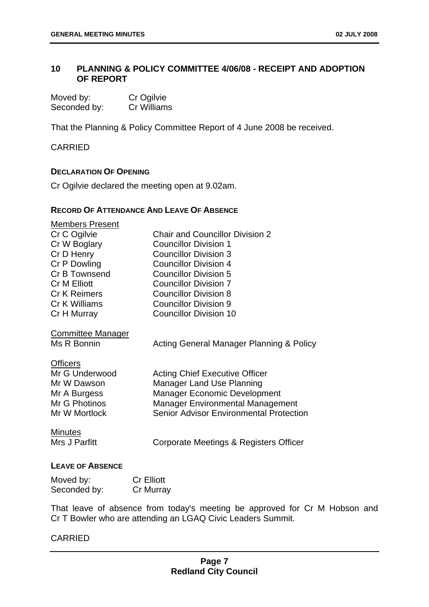#### <span id="page-12-0"></span>**10 PLANNING & POLICY COMMITTEE 4/06/08 - RECEIPT AND ADOPTION OF REPORT**

| Moved by:    | Cr Ogilvie  |
|--------------|-------------|
| Seconded by: | Cr Williams |

That the Planning & Policy Committee Report of 4 June 2008 be received.

CARRIED

#### **DECLARATION OF OPENING**

Cr Ogilvie declared the meeting open at 9.02am.

#### **RECORD OF ATTENDANCE AND LEAVE OF ABSENCE**

| <b>Members Present</b>   |                                                |
|--------------------------|------------------------------------------------|
| Cr C Ogilvie             | <b>Chair and Councillor Division 2</b>         |
| Cr W Boglary             | <b>Councillor Division 1</b>                   |
| Cr D Henry               | <b>Councillor Division 3</b>                   |
| Cr P Dowling             | <b>Councillor Division 4</b>                   |
| Cr B Townsend            | <b>Councillor Division 5</b>                   |
| <b>Cr M Elliott</b>      | <b>Councillor Division 7</b>                   |
| <b>Cr K Reimers</b>      | <b>Councillor Division 8</b>                   |
| Cr K Williams            | <b>Councillor Division 9</b>                   |
| Cr H Murray              | <b>Councillor Division 10</b>                  |
| <b>Committee Manager</b> |                                                |
| Ms R Bonnin              | Acting General Manager Planning & Policy       |
| <b>Officers</b>          |                                                |
| Mr G Underwood           | <b>Acting Chief Executive Officer</b>          |
| Mr W Dawson              | <b>Manager Land Use Planning</b>               |
| Mr A Burgess             | <b>Manager Economic Development</b>            |
| Mr G Photinos            | <b>Manager Environmental Management</b>        |
| Mr W Mortlock            | <b>Senior Advisor Environmental Protection</b> |
| <b>Minutes</b>           |                                                |
| Mrs J Parfitt            | Corporate Meetings & Registers Officer         |
|                          |                                                |
| LEAVE OF ARSENCE         |                                                |

#### **LEAVE OF ABSENCE**

| Moved by:    | <b>Cr Elliott</b> |
|--------------|-------------------|
| Seconded by: | Cr Murray         |

That leave of absence from today's meeting be approved for Cr M Hobson and Cr T Bowler who are attending an LGAQ Civic Leaders Summit.

#### CARRIED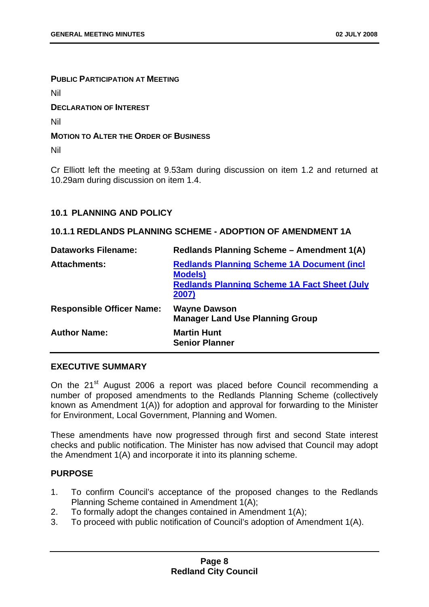#### **PUBLIC PARTICIPATION AT MEETING**

Nil

**DECLARATION OF INTEREST**

Nil

#### **MOTION TO ALTER THE ORDER OF BUSINESS**

Nil

Cr Elliott left the meeting at 9.53am during discussion on item 1.2 and returned at 10.29am during discussion on item 1.4.

#### <span id="page-13-0"></span>**10.1 PLANNING AND POLICY**

#### <span id="page-13-1"></span>**10.1.1 REDLANDS PLANNING SCHEME - ADOPTION OF AMENDMENT 1A**

| <b>Dataworks Filename:</b>       | Redlands Planning Scheme - Amendment 1(A)                                                                                             |
|----------------------------------|---------------------------------------------------------------------------------------------------------------------------------------|
| <b>Attachments:</b>              | <b>Redlands Planning Scheme 1A Document (incl.</b><br><b>Models</b> )<br><b>Redlands Planning Scheme 1A Fact Sheet (July</b><br>2007) |
| <b>Responsible Officer Name:</b> | <b>Wayne Dawson</b><br><b>Manager Land Use Planning Group</b>                                                                         |
| <b>Author Name:</b>              | <b>Martin Hunt</b><br><b>Senior Planner</b>                                                                                           |

#### **EXECUTIVE SUMMARY**

On the 21<sup>st</sup> August 2006 a report was placed before Council recommending a number of proposed amendments to the Redlands Planning Scheme (collectively known as Amendment 1(A)) for adoption and approval for forwarding to the Minister for Environment, Local Government, Planning and Women.

These amendments have now progressed through first and second State interest checks and public notification. The Minister has now advised that Council may adopt the Amendment 1(A) and incorporate it into its planning scheme.

#### **PURPOSE**

- 1. To confirm Council's acceptance of the proposed changes to the Redlands Planning Scheme contained in Amendment 1(A);
- 2. To formally adopt the changes contained in Amendment 1(A);
- 3. To proceed with public notification of Council's adoption of Amendment 1(A).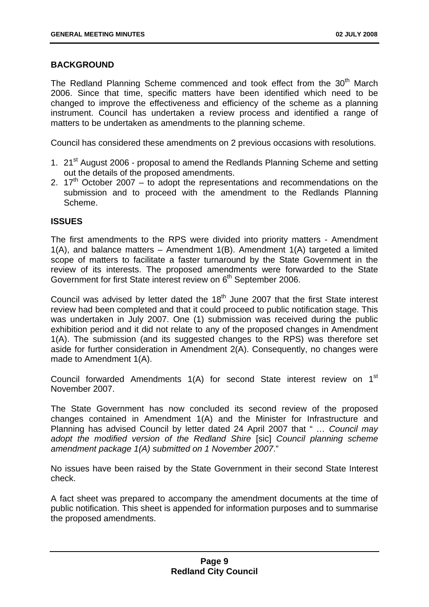#### **BACKGROUND**

The Redland Planning Scheme commenced and took effect from the 30<sup>th</sup> March 2006. Since that time, specific matters have been identified which need to be changed to improve the effectiveness and efficiency of the scheme as a planning instrument. Council has undertaken a review process and identified a range of matters to be undertaken as amendments to the planning scheme.

Council has considered these amendments on 2 previous occasions with resolutions.

- 1. 21<sup>st</sup> August 2006 proposal to amend the Redlands Planning Scheme and setting out the details of the proposed amendments.
- 2.  $17<sup>th</sup>$  October 2007 to adopt the representations and recommendations on the submission and to proceed with the amendment to the Redlands Planning Scheme.

#### **ISSUES**

The first amendments to the RPS were divided into priority matters - Amendment 1(A), and balance matters – Amendment 1(B). Amendment 1(A) targeted a limited scope of matters to facilitate a faster turnaround by the State Government in the review of its interests. The proposed amendments were forwarded to the State Government for first State interest review on 6<sup>th</sup> September 2006.

Council was advised by letter dated the  $18<sup>th</sup>$  June 2007 that the first State interest review had been completed and that it could proceed to public notification stage. This was undertaken in July 2007. One (1) submission was received during the public exhibition period and it did not relate to any of the proposed changes in Amendment 1(A). The submission (and its suggested changes to the RPS) was therefore set aside for further consideration in Amendment 2(A). Consequently, no changes were made to Amendment 1(A).

Council forwarded Amendments 1(A) for second State interest review on 1<sup>st</sup> November 2007.

The State Government has now concluded its second review of the proposed changes contained in Amendment 1(A) and the Minister for Infrastructure and Planning has advised Council by letter dated 24 April 2007 that " *… Council may adopt the modified version of the Redland Shire* [sic] *Council planning scheme amendment package 1(A) submitted on 1 November 2007*."

No issues have been raised by the State Government in their second State Interest check.

A fact sheet was prepared to accompany the amendment documents at the time of public notification. This sheet is appended for information purposes and to summarise the proposed amendments.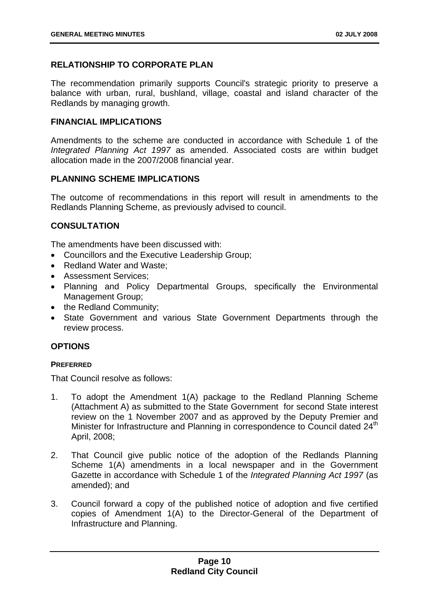#### **RELATIONSHIP TO CORPORATE PLAN**

The recommendation primarily supports Council's strategic priority to preserve a balance with urban, rural, bushland, village, coastal and island character of the Redlands by managing growth.

#### **FINANCIAL IMPLICATIONS**

Amendments to the scheme are conducted in accordance with Schedule 1 of the *Integrated Planning Act 1997* as amended. Associated costs are within budget allocation made in the 2007/2008 financial year.

#### **PLANNING SCHEME IMPLICATIONS**

The outcome of recommendations in this report will result in amendments to the Redlands Planning Scheme, as previously advised to council.

#### **CONSULTATION**

The amendments have been discussed with:

- Councillors and the Executive Leadership Group;
- Redland Water and Waste;
- Assessment Services;
- Planning and Policy Departmental Groups, specifically the Environmental Management Group;
- the Redland Community;
- State Government and various State Government Departments through the review process.

#### **OPTIONS**

#### **PREFERRED**

That Council resolve as follows:

- 1. To adopt the Amendment 1(A) package to the Redland Planning Scheme (Attachment A) as submitted to the State Government for second State interest review on the 1 November 2007 and as approved by the Deputy Premier and Minister for Infrastructure and Planning in correspondence to Council dated 24<sup>th</sup> April, 2008;
- 2. That Council give public notice of the adoption of the Redlands Planning Scheme 1(A) amendments in a local newspaper and in the Government Gazette in accordance with Schedule 1 of the *Integrated Planning Act 1997* (as amended); and
- 3. Council forward a copy of the published notice of adoption and five certified copies of Amendment 1(A) to the Director-General of the Department of Infrastructure and Planning.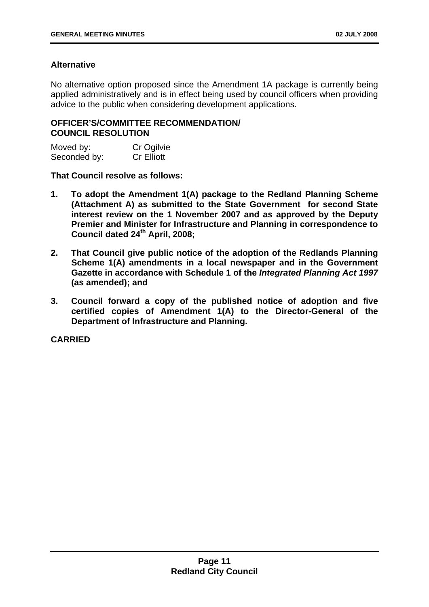#### **Alternative**

No alternative option proposed since the Amendment 1A package is currently being applied administratively and is in effect being used by council officers when providing advice to the public when considering development applications.

#### **OFFICER'S/COMMITTEE RECOMMENDATION/ COUNCIL RESOLUTION**

| Moved by:    | Cr Ogilvie        |
|--------------|-------------------|
| Seconded by: | <b>Cr Elliott</b> |

**That Council resolve as follows:** 

- **1. To adopt the Amendment 1(A) package to the Redland Planning Scheme (Attachment A) as submitted to the State Government for second State interest review on the 1 November 2007 and as approved by the Deputy Premier and Minister for Infrastructure and Planning in correspondence to Council dated 24th April, 2008;**
- **2. That Council give public notice of the adoption of the Redlands Planning Scheme 1(A) amendments in a local newspaper and in the Government Gazette in accordance with Schedule 1 of the** *Integrated Planning Act 1997* **(as amended); and**
- **3. Council forward a copy of the published notice of adoption and five certified copies of Amendment 1(A) to the Director-General of the Department of Infrastructure and Planning.**

**CARRIED**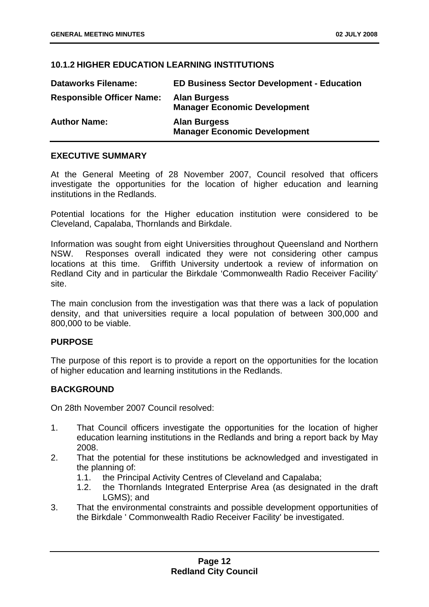#### <span id="page-17-0"></span>**10.1.2 HIGHER EDUCATION LEARNING INSTITUTIONS**

| <b>Dataworks Filename:</b>       | <b>ED Business Sector Development - Education</b>          |
|----------------------------------|------------------------------------------------------------|
| <b>Responsible Officer Name:</b> | <b>Alan Burgess</b><br><b>Manager Economic Development</b> |
| <b>Author Name:</b>              | <b>Alan Burgess</b><br><b>Manager Economic Development</b> |

#### **EXECUTIVE SUMMARY**

At the General Meeting of 28 November 2007, Council resolved that officers investigate the opportunities for the location of higher education and learning institutions in the Redlands.

Potential locations for the Higher education institution were considered to be Cleveland, Capalaba, Thornlands and Birkdale.

Information was sought from eight Universities throughout Queensland and Northern NSW. Responses overall indicated they were not considering other campus locations at this time. Griffith University undertook a review of information on Redland City and in particular the Birkdale 'Commonwealth Radio Receiver Facility' site.

The main conclusion from the investigation was that there was a lack of population density, and that universities require a local population of between 300,000 and 800,000 to be viable.

#### **PURPOSE**

The purpose of this report is to provide a report on the opportunities for the location of higher education and learning institutions in the Redlands.

#### **BACKGROUND**

On 28th November 2007 Council resolved:

- 1. That Council officers investigate the opportunities for the location of higher education learning institutions in the Redlands and bring a report back by May 2008.
- 2. That the potential for these institutions be acknowledged and investigated in the planning of:
	- 1.1. the Principal Activity Centres of Cleveland and Capalaba;
	- 1.2. the Thornlands Integrated Enterprise Area (as designated in the draft LGMS); and
- 3. That the environmental constraints and possible development opportunities of the Birkdale ' Commonwealth Radio Receiver Facility' be investigated.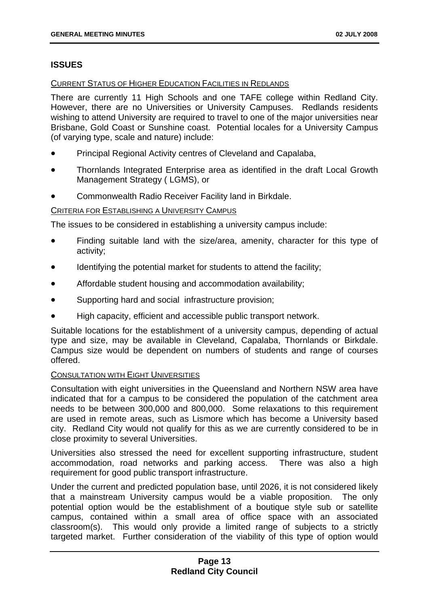#### **ISSUES**

#### CURRENT STATUS OF HIGHER EDUCATION FACILITIES IN REDLANDS

There are currently 11 High Schools and one TAFE college within Redland City. However, there are no Universities or University Campuses. Redlands residents wishing to attend University are required to travel to one of the major universities near Brisbane, Gold Coast or Sunshine coast. Potential locales for a University Campus (of varying type, scale and nature) include:

- Principal Regional Activity centres of Cleveland and Capalaba,
- Thornlands Integrated Enterprise area as identified in the draft Local Growth Management Strategy ( LGMS), or
- Commonwealth Radio Receiver Facility land in Birkdale.

#### CRITERIA FOR ESTABLISHING A UNIVERSITY CAMPUS

The issues to be considered in establishing a university campus include:

- Finding suitable land with the size/area, amenity, character for this type of activity;
- Identifying the potential market for students to attend the facility;
- Affordable student housing and accommodation availability;
- Supporting hard and social infrastructure provision;
- High capacity, efficient and accessible public transport network.

Suitable locations for the establishment of a university campus, depending of actual type and size, may be available in Cleveland, Capalaba, Thornlands or Birkdale. Campus size would be dependent on numbers of students and range of courses offered.

#### CONSULTATION WITH EIGHT UNIVERSITIES

Consultation with eight universities in the Queensland and Northern NSW area have indicated that for a campus to be considered the population of the catchment area needs to be between 300,000 and 800,000. Some relaxations to this requirement are used in remote areas, such as Lismore which has become a University based city. Redland City would not qualify for this as we are currently considered to be in close proximity to several Universities.

Universities also stressed the need for excellent supporting infrastructure, student accommodation, road networks and parking access. There was also a high requirement for good public transport infrastructure.

Under the current and predicted population base, until 2026, it is not considered likely that a mainstream University campus would be a viable proposition. The only potential option would be the establishment of a boutique style sub or satellite campus, contained within a small area of office space with an associated classroom(s). This would only provide a limited range of subjects to a strictly targeted market. Further consideration of the viability of this type of option would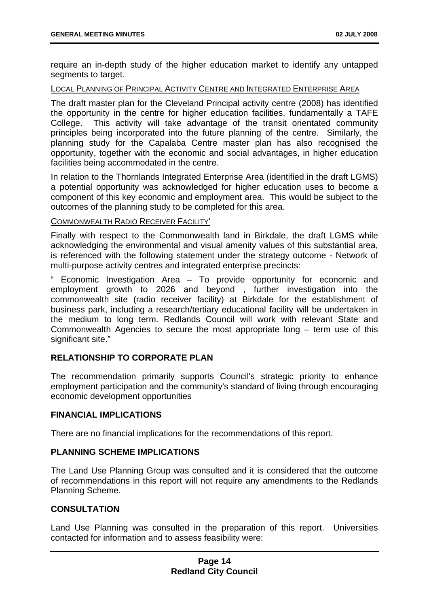require an in-depth study of the higher education market to identify any untapped segments to target.

#### LOCAL PLANNING OF PRINCIPAL ACTIVITY CENTRE AND INTEGRATED ENTERPRISE AREA

The draft master plan for the Cleveland Principal activity centre (2008) has identified the opportunity in the centre for higher education facilities, fundamentally a TAFE College. This activity will take advantage of the transit orientated community principles being incorporated into the future planning of the centre. Similarly, the planning study for the Capalaba Centre master plan has also recognised the opportunity, together with the economic and social advantages, in higher education facilities being accommodated in the centre.

In relation to the Thornlands Integrated Enterprise Area (identified in the draft LGMS) a potential opportunity was acknowledged for higher education uses to become a component of this key economic and employment area. This would be subject to the outcomes of the planning study to be completed for this area.

#### COMMONWEALTH RADIO RECEIVER FACILITY'

Finally with respect to the Commonwealth land in Birkdale, the draft LGMS while acknowledging the environmental and visual amenity values of this substantial area, is referenced with the following statement under the strategy outcome - Network of multi-purpose activity centres and integrated enterprise precincts:

" Economic Investigation Area – To provide opportunity for economic and employment growth to 2026 and beyond , further investigation into the commonwealth site (radio receiver facility) at Birkdale for the establishment of business park, including a research/tertiary educational facility will be undertaken in the medium to long term. Redlands Council will work with relevant State and Commonwealth Agencies to secure the most appropriate long – term use of this significant site."

#### **RELATIONSHIP TO CORPORATE PLAN**

The recommendation primarily supports Council's strategic priority to enhance employment participation and the community's standard of living through encouraging economic development opportunities

#### **FINANCIAL IMPLICATIONS**

There are no financial implications for the recommendations of this report.

#### **PLANNING SCHEME IMPLICATIONS**

The Land Use Planning Group was consulted and it is considered that the outcome of recommendations in this report will not require any amendments to the Redlands Planning Scheme.

#### **CONSULTATION**

Land Use Planning was consulted in the preparation of this report. Universities contacted for information and to assess feasibility were: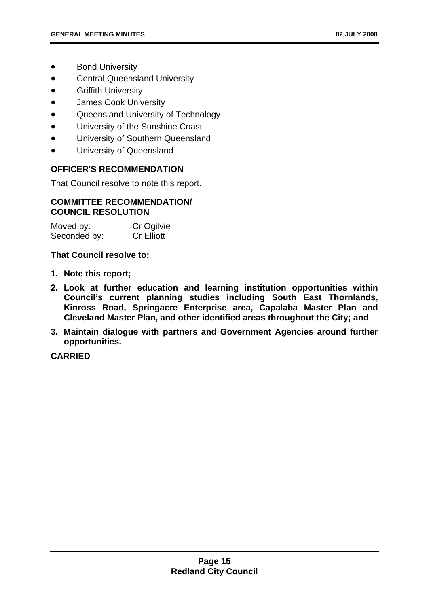- **Bond University**
- Central Queensland University
- Griffith University
- James Cook University
- Queensland University of Technology
- University of the Sunshine Coast
- University of Southern Queensland
- University of Queensland

#### **OFFICER'S RECOMMENDATION**

That Council resolve to note this report.

#### **COMMITTEE RECOMMENDATION/ COUNCIL RESOLUTION**

| Moved by:    | Cr Ogilvie        |
|--------------|-------------------|
| Seconded by: | <b>Cr Elliott</b> |

**That Council resolve to:** 

- **1. Note this report;**
- **2. Look at further education and learning institution opportunities within Council's current planning studies including South East Thornlands, Kinross Road, Springacre Enterprise area, Capalaba Master Plan and Cleveland Master Plan, and other identified areas throughout the City; and**
- **3. Maintain dialogue with partners and Government Agencies around further opportunities.**

**CARRIED**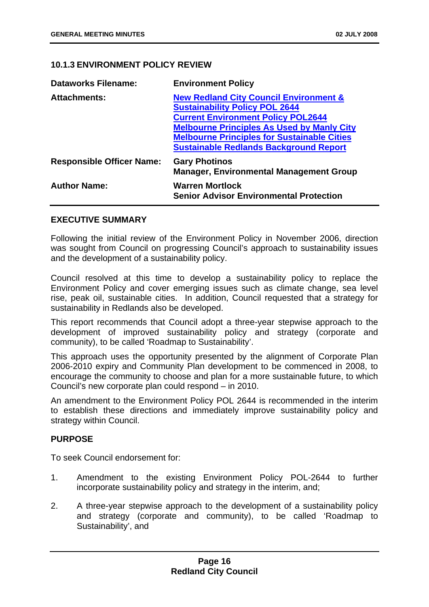#### <span id="page-21-0"></span>**10.1.3 ENVIRONMENT POLICY REVIEW**

| <b>Dataworks Filename:</b>       | <b>Environment Policy</b>                                                |
|----------------------------------|--------------------------------------------------------------------------|
| <b>Attachments:</b>              | <b>New Redland City Council Environment &amp;</b>                        |
|                                  | <b>Sustainability Policy POL 2644</b>                                    |
|                                  | <b>Current Environment Policy POL2644</b>                                |
|                                  | <b>Melbourne Principles As Used by Manly City</b>                        |
|                                  | <b>Melbourne Principles for Sustainable Cities</b>                       |
|                                  | <b>Sustainable Redlands Background Report</b>                            |
| <b>Responsible Officer Name:</b> | <b>Gary Photinos</b><br><b>Manager, Environmental Management Group</b>   |
| <b>Author Name:</b>              | <b>Warren Mortlock</b><br><b>Senior Advisor Environmental Protection</b> |

#### **EXECUTIVE SUMMARY**

Following the initial review of the Environment Policy in November 2006, direction was sought from Council on progressing Council's approach to sustainability issues and the development of a sustainability policy.

Council resolved at this time to develop a sustainability policy to replace the Environment Policy and cover emerging issues such as climate change, sea level rise, peak oil, sustainable cities. In addition, Council requested that a strategy for sustainability in Redlands also be developed.

This report recommends that Council adopt a three-year stepwise approach to the development of improved sustainability policy and strategy (corporate and community), to be called 'Roadmap to Sustainability'.

This approach uses the opportunity presented by the alignment of Corporate Plan 2006-2010 expiry and Community Plan development to be commenced in 2008, to encourage the community to choose and plan for a more sustainable future, to which Council's new corporate plan could respond – in 2010.

An amendment to the Environment Policy POL 2644 is recommended in the interim to establish these directions and immediately improve sustainability policy and strategy within Council.

#### **PURPOSE**

To seek Council endorsement for:

- 1. Amendment to the existing Environment Policy POL-2644 to further incorporate sustainability policy and strategy in the interim, and;
- 2. A three-year stepwise approach to the development of a sustainability policy and strategy (corporate and community), to be called 'Roadmap to Sustainability', and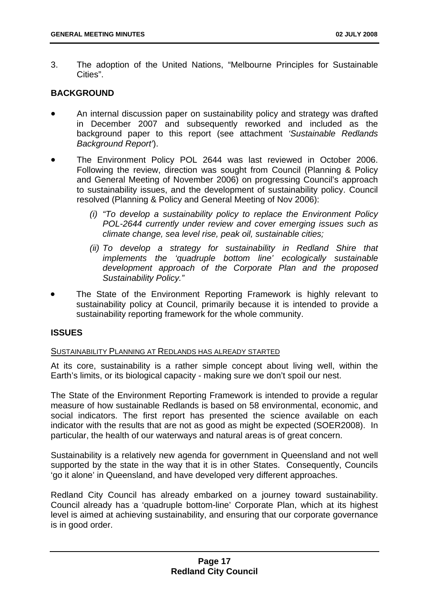3. The adoption of the United Nations, "Melbourne Principles for Sustainable Cities".

#### **BACKGROUND**

- An internal discussion paper on sustainability policy and strategy was drafted in December 2007 and subsequently reworked and included as the background paper to this report (see attachment *'Sustainable Redlands Background Report'*).
- The Environment Policy POL 2644 was last reviewed in October 2006. Following the review, direction was sought from Council (Planning & Policy and General Meeting of November 2006) on progressing Council's approach to sustainability issues, and the development of sustainability policy. Council resolved (Planning & Policy and General Meeting of Nov 2006):
	- *(i) "To develop a sustainability policy to replace the Environment Policy POL-2644 currently under review and cover emerging issues such as climate change, sea level rise, peak oil, sustainable cities;*
	- *(ii) To develop a strategy for sustainability in Redland Shire that implements the 'quadruple bottom line' ecologically sustainable development approach of the Corporate Plan and the proposed Sustainability Policy."*
- The State of the Environment Reporting Framework is highly relevant to sustainability policy at Council, primarily because it is intended to provide a sustainability reporting framework for the whole community.

#### **ISSUES**

#### SUSTAINABILITY PLANNING AT REDLANDS HAS ALREADY STARTED

At its core, sustainability is a rather simple concept about living well, within the Earth's limits, or its biological capacity - making sure we don't spoil our nest.

The State of the Environment Reporting Framework is intended to provide a regular measure of how sustainable Redlands is based on 58 environmental, economic, and social indicators. The first report has presented the science available on each indicator with the results that are not as good as might be expected (SOER2008). In particular, the health of our waterways and natural areas is of great concern.

Sustainability is a relatively new agenda for government in Queensland and not well supported by the state in the way that it is in other States. Consequently, Councils 'go it alone' in Queensland, and have developed very different approaches.

Redland City Council has already embarked on a journey toward sustainability. Council already has a 'quadruple bottom-line' Corporate Plan, which at its highest level is aimed at achieving sustainability, and ensuring that our corporate governance is in good order.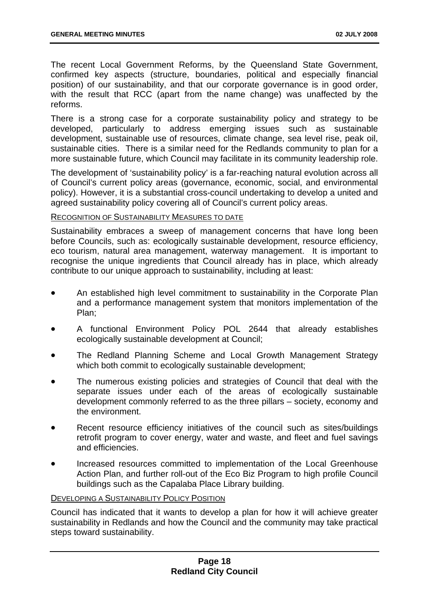The recent Local Government Reforms, by the Queensland State Government, confirmed key aspects (structure, boundaries, political and especially financial position) of our sustainability, and that our corporate governance is in good order, with the result that RCC (apart from the name change) was unaffected by the reforms.

There is a strong case for a corporate sustainability policy and strategy to be developed, particularly to address emerging issues such as sustainable development, sustainable use of resources, climate change, sea level rise, peak oil, sustainable cities. There is a similar need for the Redlands community to plan for a more sustainable future, which Council may facilitate in its community leadership role.

The development of 'sustainability policy' is a far-reaching natural evolution across all of Council's current policy areas (governance, economic, social, and environmental policy). However, it is a substantial cross-council undertaking to develop a united and agreed sustainability policy covering all of Council's current policy areas.

#### RECOGNITION OF SUSTAINABILITY MEASURES TO DATE

Sustainability embraces a sweep of management concerns that have long been before Councils, such as: ecologically sustainable development, resource efficiency, eco tourism, natural area management, waterway management. It is important to recognise the unique ingredients that Council already has in place, which already contribute to our unique approach to sustainability, including at least:

- An established high level commitment to sustainability in the Corporate Plan and a performance management system that monitors implementation of the Plan;
- A functional Environment Policy POL 2644 that already establishes ecologically sustainable development at Council;
- The Redland Planning Scheme and Local Growth Management Strategy which both commit to ecologically sustainable development;
- The numerous existing policies and strategies of Council that deal with the separate issues under each of the areas of ecologically sustainable development commonly referred to as the three pillars – society, economy and the environment.
- Recent resource efficiency initiatives of the council such as sites/buildings retrofit program to cover energy, water and waste, and fleet and fuel savings and efficiencies.
- Increased resources committed to implementation of the Local Greenhouse Action Plan, and further roll-out of the Eco Biz Program to high profile Council buildings such as the Capalaba Place Library building.

#### DEVELOPING A SUSTAINABILITY POLICY POSITION

Council has indicated that it wants to develop a plan for how it will achieve greater sustainability in Redlands and how the Council and the community may take practical steps toward sustainability.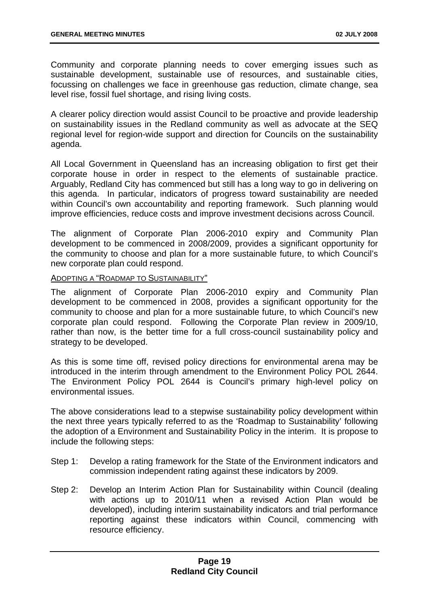Community and corporate planning needs to cover emerging issues such as sustainable development, sustainable use of resources, and sustainable cities, focussing on challenges we face in greenhouse gas reduction, climate change, sea level rise, fossil fuel shortage, and rising living costs.

A clearer policy direction would assist Council to be proactive and provide leadership on sustainability issues in the Redland community as well as advocate at the SEQ regional level for region-wide support and direction for Councils on the sustainability agenda.

All Local Government in Queensland has an increasing obligation to first get their corporate house in order in respect to the elements of sustainable practice. Arguably, Redland City has commenced but still has a long way to go in delivering on this agenda. In particular, indicators of progress toward sustainability are needed within Council's own accountability and reporting framework. Such planning would improve efficiencies, reduce costs and improve investment decisions across Council.

The alignment of Corporate Plan 2006-2010 expiry and Community Plan development to be commenced in 2008/2009, provides a significant opportunity for the community to choose and plan for a more sustainable future, to which Council's new corporate plan could respond.

#### ADOPTING A "ROADMAP TO SUSTAINABILITY"

The alignment of Corporate Plan 2006-2010 expiry and Community Plan development to be commenced in 2008, provides a significant opportunity for the community to choose and plan for a more sustainable future, to which Council's new corporate plan could respond. Following the Corporate Plan review in 2009/10, rather than now, is the better time for a full cross-council sustainability policy and strategy to be developed.

As this is some time off, revised policy directions for environmental arena may be introduced in the interim through amendment to the Environment Policy POL 2644. The Environment Policy POL 2644 is Council's primary high-level policy on environmental issues.

The above considerations lead to a stepwise sustainability policy development within the next three years typically referred to as the 'Roadmap to Sustainability' following the adoption of a Environment and Sustainability Policy in the interim. It is propose to include the following steps:

- Step 1: Develop a rating framework for the State of the Environment indicators and commission independent rating against these indicators by 2009.
- Step 2: Develop an Interim Action Plan for Sustainability within Council (dealing with actions up to 2010/11 when a revised Action Plan would be developed), including interim sustainability indicators and trial performance reporting against these indicators within Council, commencing with resource efficiency.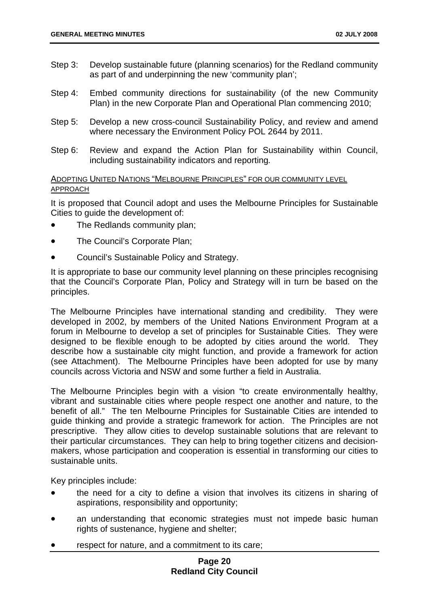- Step 3: Develop sustainable future (planning scenarios) for the Redland community as part of and underpinning the new 'community plan';
- Step 4: Embed community directions for sustainability (of the new Community Plan) in the new Corporate Plan and Operational Plan commencing 2010;
- Step 5: Develop a new cross-council Sustainability Policy, and review and amend where necessary the Environment Policy POL 2644 by 2011.
- Step 6: Review and expand the Action Plan for Sustainability within Council, including sustainability indicators and reporting*.*

#### ADOPTING UNITED NATIONS "MELBOURNE PRINCIPLES" FOR OUR COMMUNITY LEVEL APPROACH

It is proposed that Council adopt and uses the Melbourne Principles for Sustainable Cities to guide the development of:

- The Redlands community plan;
- The Council's Corporate Plan;
- Council's Sustainable Policy and Strategy.

It is appropriate to base our community level planning on these principles recognising that the Council's Corporate Plan, Policy and Strategy will in turn be based on the principles.

The Melbourne Principles have international standing and credibility. They were developed in 2002, by members of the United Nations Environment Program at a forum in Melbourne to develop a set of principles for Sustainable Cities. They were designed to be flexible enough to be adopted by cities around the world. They describe how a sustainable city might function, and provide a framework for action (see Attachment). The Melbourne Principles have been adopted for use by many councils across Victoria and NSW and some further a field in Australia.

The Melbourne Principles begin with a vision "to create environmentally healthy, vibrant and sustainable cities where people respect one another and nature, to the benefit of all." The ten Melbourne Principles for Sustainable Cities are intended to guide thinking and provide a strategic framework for action. The Principles are not prescriptive. They allow cities to develop sustainable solutions that are relevant to their particular circumstances. They can help to bring together citizens and decisionmakers, whose participation and cooperation is essential in transforming our cities to sustainable units.

Key principles include:

- the need for a city to define a vision that involves its citizens in sharing of aspirations, responsibility and opportunity;
- an understanding that economic strategies must not impede basic human rights of sustenance, hygiene and shelter;
- respect for nature, and a commitment to its care;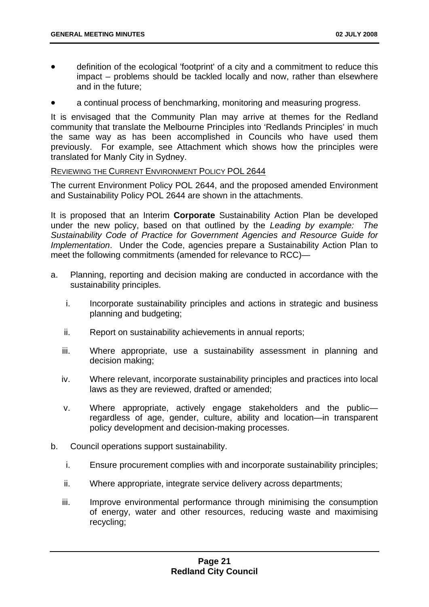- definition of the ecological 'footprint' of a city and a commitment to reduce this impact – problems should be tackled locally and now, rather than elsewhere and in the future;
- a continual process of benchmarking, monitoring and measuring progress.

It is envisaged that the Community Plan may arrive at themes for the Redland community that translate the Melbourne Principles into 'Redlands Principles' in much the same way as has been accomplished in Councils who have used them previously. For example, see Attachment which shows how the principles were translated for Manly City in Sydney.

#### REVIEWING THE CURRENT ENVIRONMENT POLICY POL 2644

The current Environment Policy POL 2644, and the proposed amended Environment and Sustainability Policy POL 2644 are shown in the attachments.

It is proposed that an Interim **Corporate** Sustainability Action Plan be developed under the new policy, based on that outlined by the *Leading by example: The Sustainability Code of Practice for Government Agencies and Resource Guide for Implementation*. Under the Code, agencies prepare a Sustainability Action Plan to meet the following commitments (amended for relevance to RCC)—

- a. Planning, reporting and decision making are conducted in accordance with the sustainability principles.
	- i. Incorporate sustainability principles and actions in strategic and business planning and budgeting;
	- ii. Report on sustainability achievements in annual reports;
	- iii. Where appropriate, use a sustainability assessment in planning and decision making;
	- iv. Where relevant, incorporate sustainability principles and practices into local laws as they are reviewed, drafted or amended;
	- v. Where appropriate, actively engage stakeholders and the public regardless of age, gender, culture, ability and location—in transparent policy development and decision-making processes.
- b. Council operations support sustainability.
	- i. Ensure procurement complies with and incorporate sustainability principles;
	- ii. Where appropriate, integrate service delivery across departments;
	- iii. Improve environmental performance through minimising the consumption of energy, water and other resources, reducing waste and maximising recycling;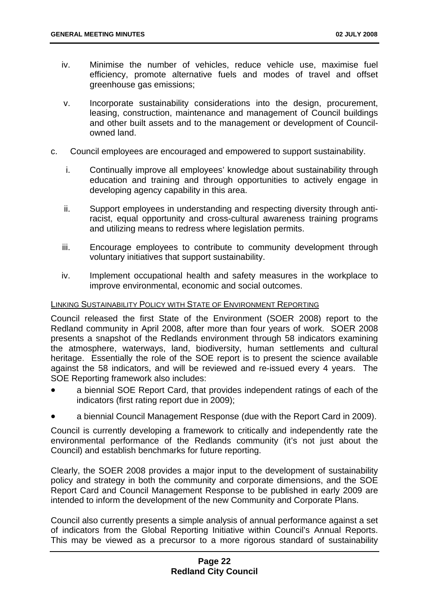- iv. Minimise the number of vehicles, reduce vehicle use, maximise fuel efficiency, promote alternative fuels and modes of travel and offset greenhouse gas emissions;
- v. Incorporate sustainability considerations into the design, procurement, leasing, construction, maintenance and management of Council buildings and other built assets and to the management or development of Councilowned land.
- c. Council employees are encouraged and empowered to support sustainability.
	- i. Continually improve all employees' knowledge about sustainability through education and training and through opportunities to actively engage in developing agency capability in this area.
	- ii. Support employees in understanding and respecting diversity through antiracist, equal opportunity and cross-cultural awareness training programs and utilizing means to redress where legislation permits.
	- iii. Encourage employees to contribute to community development through voluntary initiatives that support sustainability.
	- iv. Implement occupational health and safety measures in the workplace to improve environmental, economic and social outcomes.

#### LINKING SUSTAINABILITY POLICY WITH STATE OF ENVIRONMENT REPORTING

Council released the first State of the Environment (SOER 2008) report to the Redland community in April 2008, after more than four years of work. SOER 2008 presents a snapshot of the Redlands environment through 58 indicators examining the atmosphere, waterways, land, biodiversity, human settlements and cultural heritage. Essentially the role of the SOE report is to present the science available against the 58 indicators, and will be reviewed and re-issued every 4 years. The SOE Reporting framework also includes:

- a biennial SOE Report Card, that provides independent ratings of each of the indicators (first rating report due in 2009);
- a biennial Council Management Response (due with the Report Card in 2009).

Council is currently developing a framework to critically and independently rate the environmental performance of the Redlands community (it's not just about the Council) and establish benchmarks for future reporting.

Clearly, the SOER 2008 provides a major input to the development of sustainability policy and strategy in both the community and corporate dimensions, and the SOE Report Card and Council Management Response to be published in early 2009 are intended to inform the development of the new Community and Corporate Plans.

Council also currently presents a simple analysis of annual performance against a set of indicators from the Global Reporting Initiative within Council's Annual Reports. This may be viewed as a precursor to a more rigorous standard of sustainability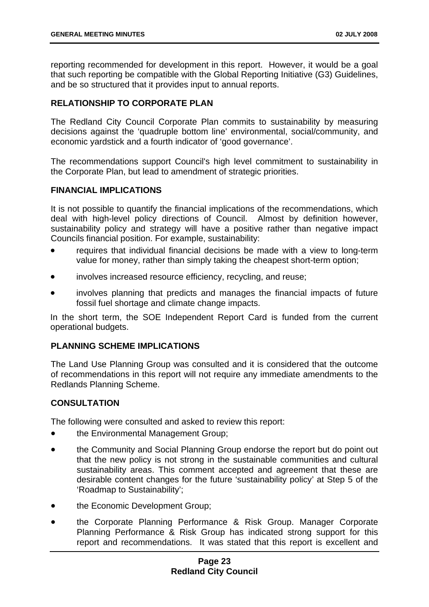reporting recommended for development in this report. However, it would be a goal that such reporting be compatible with the Global Reporting Initiative (G3) Guidelines, and be so structured that it provides input to annual reports.

#### **RELATIONSHIP TO CORPORATE PLAN**

The Redland City Council Corporate Plan commits to sustainability by measuring decisions against the 'quadruple bottom line' environmental, social/community, and economic yardstick and a fourth indicator of 'good governance'.

The recommendations support Council's high level commitment to sustainability in the Corporate Plan, but lead to amendment of strategic priorities.

#### **FINANCIAL IMPLICATIONS**

It is not possible to quantify the financial implications of the recommendations, which deal with high-level policy directions of Council. Almost by definition however, sustainability policy and strategy will have a positive rather than negative impact Councils financial position. For example, sustainability:

- requires that individual financial decisions be made with a view to long-term value for money, rather than simply taking the cheapest short-term option;
- involves increased resource efficiency, recycling, and reuse;
- involves planning that predicts and manages the financial impacts of future fossil fuel shortage and climate change impacts.

In the short term, the SOE Independent Report Card is funded from the current operational budgets.

#### **PLANNING SCHEME IMPLICATIONS**

The Land Use Planning Group was consulted and it is considered that the outcome of recommendations in this report will not require any immediate amendments to the Redlands Planning Scheme.

#### **CONSULTATION**

The following were consulted and asked to review this report:

- the Environmental Management Group;
- the Community and Social Planning Group endorse the report but do point out that the new policy is not strong in the sustainable communities and cultural sustainability areas. This comment accepted and agreement that these are desirable content changes for the future 'sustainability policy' at Step 5 of the 'Roadmap to Sustainability';
- the Economic Development Group;
- the Corporate Planning Performance & Risk Group. Manager Corporate Planning Performance & Risk Group has indicated strong support for this report and recommendations. It was stated that this report is excellent and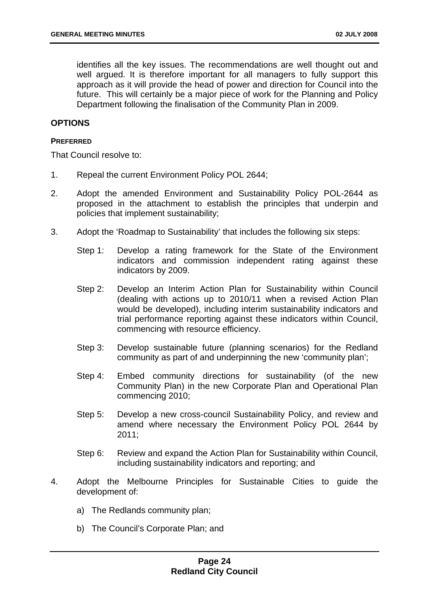identifies all the key issues. The recommendations are well thought out and well argued. It is therefore important for all managers to fully support this approach as it will provide the head of power and direction for Council into the future. This will certainly be a major piece of work for the Planning and Policy Department following the finalisation of the Community Plan in 2009.

#### **OPTIONS**

#### **PREFERRED**

That Council resolve to:

- 1. Repeal the current Environment Policy POL 2644;
- 2. Adopt the amended Environment and Sustainability Policy POL-2644 as proposed in the attachment to establish the principles that underpin and policies that implement sustainability;
- 3. Adopt the 'Roadmap to Sustainability' that includes the following six steps:
	- Step 1: Develop a rating framework for the State of the Environment indicators and commission independent rating against these indicators by 2009.
	- Step 2: Develop an Interim Action Plan for Sustainability within Council (dealing with actions up to 2010/11 when a revised Action Plan would be developed), including interim sustainability indicators and trial performance reporting against these indicators within Council, commencing with resource efficiency.
	- Step 3: Develop sustainable future (planning scenarios) for the Redland community as part of and underpinning the new 'community plan';
	- Step 4: Embed community directions for sustainability (of the new Community Plan) in the new Corporate Plan and Operational Plan commencing 2010;
	- Step 5: Develop a new cross-council Sustainability Policy, and review and amend where necessary the Environment Policy POL 2644 by 2011;
	- Step 6: Review and expand the Action Plan for Sustainability within Council, including sustainability indicators and reporting; and
- 4. Adopt the Melbourne Principles for Sustainable Cities to guide the development of:
	- a) The Redlands community plan;
	- b) The Council's Corporate Plan; and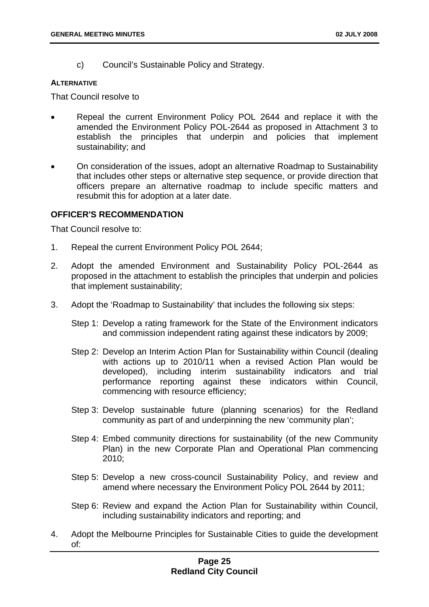c) Council's Sustainable Policy and Strategy.

#### **ALTERNATIVE**

That Council resolve to

- Repeal the current Environment Policy POL 2644 and replace it with the amended the Environment Policy POL-2644 as proposed in Attachment 3 to establish the principles that underpin and policies that implement sustainability; and
- On consideration of the issues, adopt an alternative Roadmap to Sustainability that includes other steps or alternative step sequence, or provide direction that officers prepare an alternative roadmap to include specific matters and resubmit this for adoption at a later date.

#### **OFFICER'S RECOMMENDATION**

That Council resolve to:

- 1. Repeal the current Environment Policy POL 2644;
- 2. Adopt the amended Environment and Sustainability Policy POL-2644 as proposed in the attachment to establish the principles that underpin and policies that implement sustainability;
- 3. Adopt the 'Roadmap to Sustainability' that includes the following six steps:
	- Step 1: Develop a rating framework for the State of the Environment indicators and commission independent rating against these indicators by 2009;
	- Step 2: Develop an Interim Action Plan for Sustainability within Council (dealing with actions up to 2010/11 when a revised Action Plan would be developed), including interim sustainability indicators and trial performance reporting against these indicators within Council, commencing with resource efficiency;
	- Step 3: Develop sustainable future (planning scenarios) for the Redland community as part of and underpinning the new 'community plan';
	- Step 4: Embed community directions for sustainability (of the new Community Plan) in the new Corporate Plan and Operational Plan commencing 2010;
	- Step 5: Develop a new cross-council Sustainability Policy, and review and amend where necessary the Environment Policy POL 2644 by 2011;
	- Step 6: Review and expand the Action Plan for Sustainability within Council, including sustainability indicators and reporting; and
- 4. Adopt the Melbourne Principles for Sustainable Cities to guide the development of: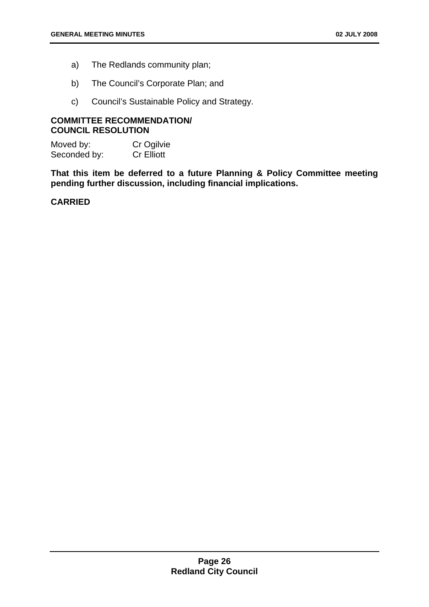- a) The Redlands community plan;
- b) The Council's Corporate Plan; and
- c) Council's Sustainable Policy and Strategy.

#### **COMMITTEE RECOMMENDATION/ COUNCIL RESOLUTION**

Moved by: Cr Ogilvie Seconded by: Cr Elliott

**That this item be deferred to a future Planning & Policy Committee meeting pending further discussion, including financial implications.** 

#### **CARRIED**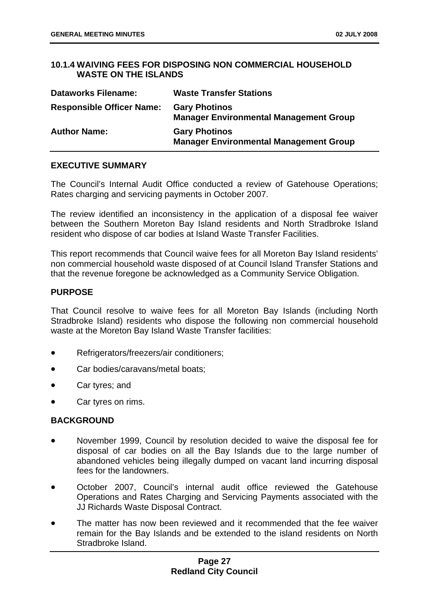#### <span id="page-32-0"></span>**10.1.4 WAIVING FEES FOR DISPOSING NON COMMERCIAL HOUSEHOLD WASTE ON THE ISLANDS**

| <b>Dataworks Filename:</b>       | <b>Waste Transfer Stations</b>                                        |
|----------------------------------|-----------------------------------------------------------------------|
| <b>Responsible Officer Name:</b> | <b>Gary Photinos</b><br><b>Manager Environmental Management Group</b> |
| <b>Author Name:</b>              | <b>Gary Photinos</b><br><b>Manager Environmental Management Group</b> |

#### **EXECUTIVE SUMMARY**

The Council's Internal Audit Office conducted a review of Gatehouse Operations; Rates charging and servicing payments in October 2007.

The review identified an inconsistency in the application of a disposal fee waiver between the Southern Moreton Bay Island residents and North Stradbroke Island resident who dispose of car bodies at Island Waste Transfer Facilities.

This report recommends that Council waive fees for all Moreton Bay Island residents' non commercial household waste disposed of at Council Island Transfer Stations and that the revenue foregone be acknowledged as a Community Service Obligation.

#### **PURPOSE**

That Council resolve to waive fees for all Moreton Bay Islands (including North Stradbroke Island) residents who dispose the following non commercial household waste at the Moreton Bay Island Waste Transfer facilities:

- Refrigerators/freezers/air conditioners;
- Car bodies/caravans/metal boats:
- Car tyres; and
- Car tyres on rims.

#### **BACKGROUND**

- November 1999, Council by resolution decided to waive the disposal fee for disposal of car bodies on all the Bay Islands due to the large number of abandoned vehicles being illegally dumped on vacant land incurring disposal fees for the landowners.
- October 2007, Council's internal audit office reviewed the Gatehouse Operations and Rates Charging and Servicing Payments associated with the JJ Richards Waste Disposal Contract.
- The matter has now been reviewed and it recommended that the fee waiver remain for the Bay Islands and be extended to the island residents on North Stradbroke Island.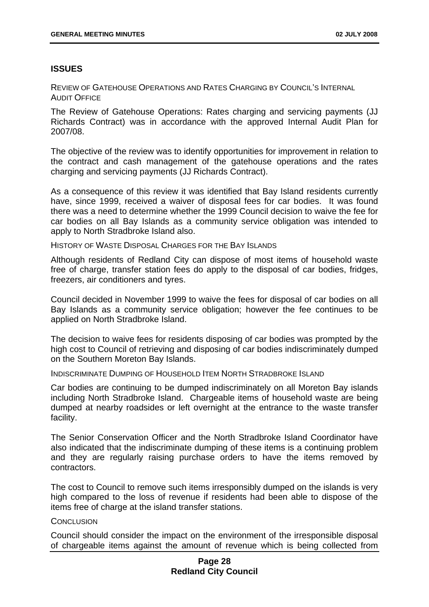#### **ISSUES**

REVIEW OF GATEHOUSE OPERATIONS AND RATES CHARGING BY COUNCIL'S INTERNAL AUDIT OFFICE

The Review of Gatehouse Operations: Rates charging and servicing payments (JJ Richards Contract) was in accordance with the approved Internal Audit Plan for 2007/08.

The objective of the review was to identify opportunities for improvement in relation to the contract and cash management of the gatehouse operations and the rates charging and servicing payments (JJ Richards Contract).

As a consequence of this review it was identified that Bay Island residents currently have, since 1999, received a waiver of disposal fees for car bodies. It was found there was a need to determine whether the 1999 Council decision to waive the fee for car bodies on all Bay Islands as a community service obligation was intended to apply to North Stradbroke Island also.

HISTORY OF WASTE DISPOSAL CHARGES FOR THE BAY ISLANDS

Although residents of Redland City can dispose of most items of household waste free of charge, transfer station fees do apply to the disposal of car bodies, fridges, freezers, air conditioners and tyres.

Council decided in November 1999 to waive the fees for disposal of car bodies on all Bay Islands as a community service obligation; however the fee continues to be applied on North Stradbroke Island.

The decision to waive fees for residents disposing of car bodies was prompted by the high cost to Council of retrieving and disposing of car bodies indiscriminately dumped on the Southern Moreton Bay Islands.

INDISCRIMINATE DUMPING OF HOUSEHOLD ITEM NORTH STRADBROKE ISLAND

Car bodies are continuing to be dumped indiscriminately on all Moreton Bay islands including North Stradbroke Island. Chargeable items of household waste are being dumped at nearby roadsides or left overnight at the entrance to the waste transfer facility.

The Senior Conservation Officer and the North Stradbroke Island Coordinator have also indicated that the indiscriminate dumping of these items is a continuing problem and they are regularly raising purchase orders to have the items removed by contractors.

The cost to Council to remove such items irresponsibly dumped on the islands is very high compared to the loss of revenue if residents had been able to dispose of the items free of charge at the island transfer stations.

#### **CONCLUSION**

Council should consider the impact on the environment of the irresponsible disposal of chargeable items against the amount of revenue which is being collected from

#### **Page 28 Redland City Council**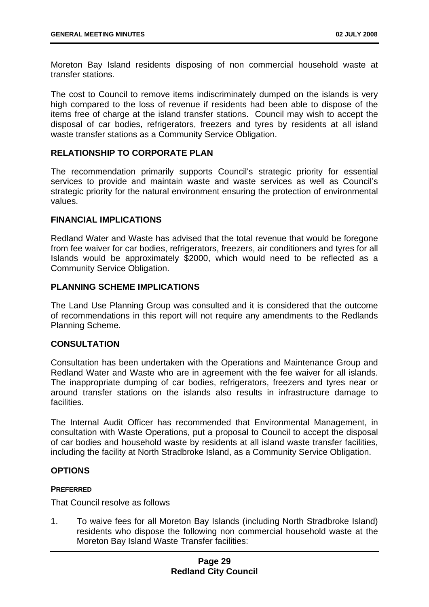Moreton Bay Island residents disposing of non commercial household waste at transfer stations.

The cost to Council to remove items indiscriminately dumped on the islands is very high compared to the loss of revenue if residents had been able to dispose of the items free of charge at the island transfer stations. Council may wish to accept the disposal of car bodies, refrigerators, freezers and tyres by residents at all island waste transfer stations as a Community Service Obligation.

#### **RELATIONSHIP TO CORPORATE PLAN**

The recommendation primarily supports Council's strategic priority for essential services to provide and maintain waste and waste services as well as Council's strategic priority for the natural environment ensuring the protection of environmental values.

#### **FINANCIAL IMPLICATIONS**

Redland Water and Waste has advised that the total revenue that would be foregone from fee waiver for car bodies, refrigerators, freezers, air conditioners and tyres for all Islands would be approximately \$2000, which would need to be reflected as a Community Service Obligation.

#### **PLANNING SCHEME IMPLICATIONS**

The Land Use Planning Group was consulted and it is considered that the outcome of recommendations in this report will not require any amendments to the Redlands Planning Scheme.

#### **CONSULTATION**

Consultation has been undertaken with the Operations and Maintenance Group and Redland Water and Waste who are in agreement with the fee waiver for all islands. The inappropriate dumping of car bodies, refrigerators, freezers and tyres near or around transfer stations on the islands also results in infrastructure damage to facilities.

The Internal Audit Officer has recommended that Environmental Management, in consultation with Waste Operations, put a proposal to Council to accept the disposal of car bodies and household waste by residents at all island waste transfer facilities, including the facility at North Stradbroke Island, as a Community Service Obligation.

#### **OPTIONS**

#### **PREFERRED**

That Council resolve as follows

1. To waive fees for all Moreton Bay Islands (including North Stradbroke Island) residents who dispose the following non commercial household waste at the Moreton Bay Island Waste Transfer facilities: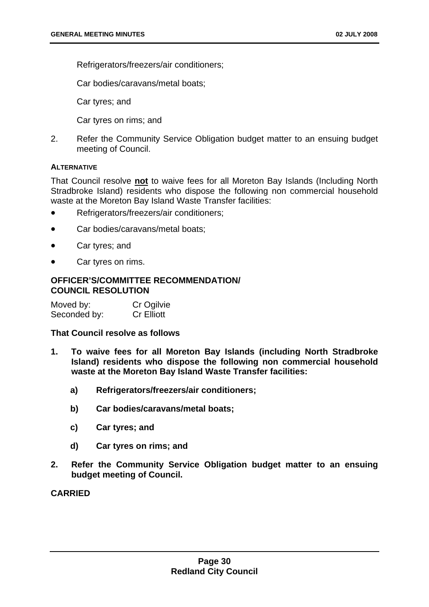Refrigerators/freezers/air conditioners;

Car bodies/caravans/metal boats;

Car tyres; and

Car tyres on rims; and

2. Refer the Community Service Obligation budget matter to an ensuing budget meeting of Council.

#### **ALTERNATIVE**

That Council resolve **not** to waive fees for all Moreton Bay Islands (Including North Stradbroke Island) residents who dispose the following non commercial household waste at the Moreton Bay Island Waste Transfer facilities:

- Refrigerators/freezers/air conditioners:
- Car bodies/caravans/metal boats;
- Car tyres; and
- Car tyres on rims.

#### **OFFICER'S/COMMITTEE RECOMMENDATION/ COUNCIL RESOLUTION**

| Moved by:    | Cr Ogilvie        |
|--------------|-------------------|
| Seconded by: | <b>Cr Elliott</b> |

#### **That Council resolve as follows**

- **1. To waive fees for all Moreton Bay Islands (including North Stradbroke Island) residents who dispose the following non commercial household waste at the Moreton Bay Island Waste Transfer facilities:** 
	- **a) Refrigerators/freezers/air conditioners;**
	- **b) Car bodies/caravans/metal boats;**
	- **c) Car tyres; and**
	- **d) Car tyres on rims; and**
- **2. Refer the Community Service Obligation budget matter to an ensuing budget meeting of Council.**

**CARRIED**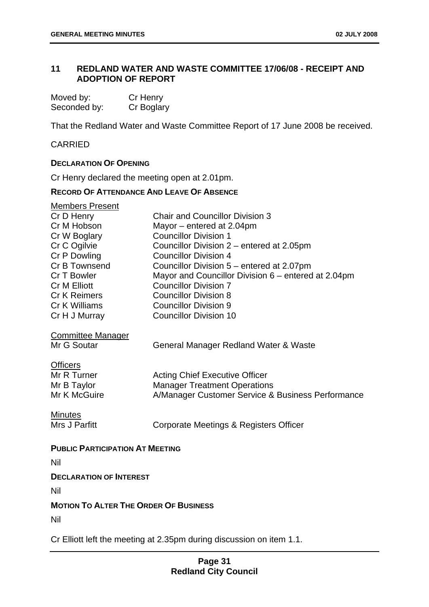# **11 REDLAND WATER AND WASTE COMMITTEE 17/06/08 - RECEIPT AND ADOPTION OF REPORT**

| Moved by:    | Cr Henry   |
|--------------|------------|
| Seconded by: | Cr Boglary |

That the Redland Water and Waste Committee Report of 17 June 2008 be received.

## CARRIED

## **DECLARATION OF OPENING**

Cr Henry declared the meeting open at 2.01pm.

## **RECORD OF ATTENDANCE AND LEAVE OF ABSENCE**

| <b>Members Present</b>                       |                                                     |
|----------------------------------------------|-----------------------------------------------------|
| Cr D Henry                                   | <b>Chair and Councillor Division 3</b>              |
| Cr M Hobson                                  | Mayor – entered at 2.04pm                           |
| Cr W Boglary                                 | <b>Councillor Division 1</b>                        |
| Cr C Ogilvie                                 | Councillor Division 2 – entered at 2.05pm           |
| Cr P Dowling                                 | <b>Councillor Division 4</b>                        |
| Cr B Townsend                                | Councillor Division 5 - entered at 2.07pm           |
| Cr T Bowler                                  | Mayor and Councillor Division 6 – entered at 2.04pm |
| <b>Cr M Elliott</b>                          | <b>Councillor Division 7</b>                        |
| <b>Cr K Reimers</b>                          | <b>Councillor Division 8</b>                        |
| Cr K Williams                                | <b>Councillor Division 9</b>                        |
| Cr H J Murray                                | <b>Councillor Division 10</b>                       |
| <b>Committee Manager</b>                     |                                                     |
| Mr G Soutar                                  | General Manager Redland Water & Waste               |
| <b>Officers</b>                              |                                                     |
| Mr R Turner                                  | <b>Acting Chief Executive Officer</b>               |
| Mr B Taylor                                  | <b>Manager Treatment Operations</b>                 |
| Mr K McGuire                                 | A/Manager Customer Service & Business Performance   |
| <b>Minutes</b>                               |                                                     |
| Mrs J Parfitt                                | Corporate Meetings & Registers Officer              |
| <b>PUBLIC PARTICIPATION AT MEETING</b>       |                                                     |
| Nil                                          |                                                     |
| <b>DECLARATION OF INTEREST</b>               |                                                     |
| Nil                                          |                                                     |
| <b>MOTION TO ALTER THE ORDER OF BUSINESS</b> |                                                     |
| Nil                                          |                                                     |

Cr Elliott left the meeting at 2.35pm during discussion on item 1.1.

# **Page 31 Redland City Council**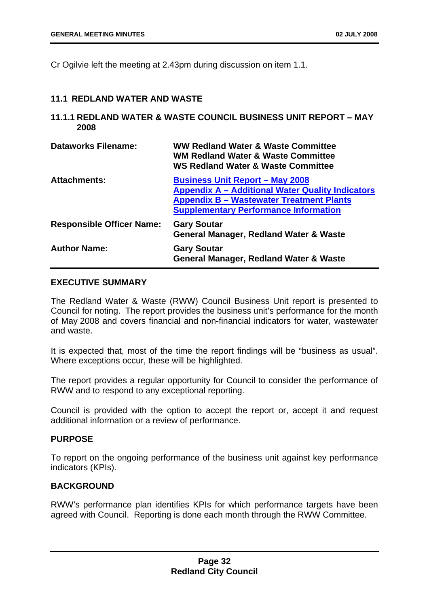Cr Ogilvie left the meeting at 2.43pm during discussion on item 1.1.

#### **11.1 REDLAND WATER AND WASTE**

## **11.1.1 REDLAND WATER & WASTE COUNCIL BUSINESS UNIT REPORT – MAY 2008**

| <b>Dataworks Filename:</b>       | <b>WW Redland Water &amp; Waste Committee</b><br><b>WM Redland Water &amp; Waste Committee</b><br><b>WS Redland Water &amp; Waste Committee</b>                                                      |
|----------------------------------|------------------------------------------------------------------------------------------------------------------------------------------------------------------------------------------------------|
| <b>Attachments:</b>              | <b>Business Unit Report - May 2008</b><br><b>Appendix A – Additional Water Quality Indicators</b><br><b>Appendix B - Wastewater Treatment Plants</b><br><b>Supplementary Performance Information</b> |
| <b>Responsible Officer Name:</b> | <b>Gary Soutar</b><br><b>General Manager, Redland Water &amp; Waste</b>                                                                                                                              |
| <b>Author Name:</b>              | <b>Gary Soutar</b><br><b>General Manager, Redland Water &amp; Waste</b>                                                                                                                              |

# **EXECUTIVE SUMMARY**

The Redland Water & Waste (RWW) Council Business Unit report is presented to Council for noting. The report provides the business unit's performance for the month of May 2008 and covers financial and non-financial indicators for water, wastewater and waste.

It is expected that, most of the time the report findings will be "business as usual". Where exceptions occur, these will be highlighted.

The report provides a regular opportunity for Council to consider the performance of RWW and to respond to any exceptional reporting.

Council is provided with the option to accept the report or, accept it and request additional information or a review of performance.

#### **PURPOSE**

To report on the ongoing performance of the business unit against key performance indicators (KPIs).

## **BACKGROUND**

RWW's performance plan identifies KPIs for which performance targets have been agreed with Council. Reporting is done each month through the RWW Committee.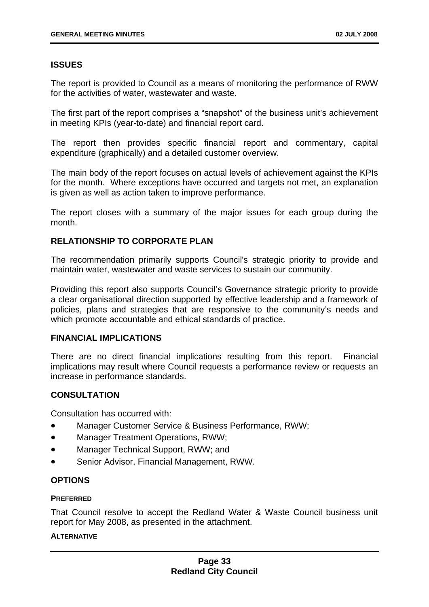# **ISSUES**

The report is provided to Council as a means of monitoring the performance of RWW for the activities of water, wastewater and waste.

The first part of the report comprises a "snapshot" of the business unit's achievement in meeting KPIs (year-to-date) and financial report card.

The report then provides specific financial report and commentary, capital expenditure (graphically) and a detailed customer overview.

The main body of the report focuses on actual levels of achievement against the KPIs for the month. Where exceptions have occurred and targets not met, an explanation is given as well as action taken to improve performance.

The report closes with a summary of the major issues for each group during the month.

# **RELATIONSHIP TO CORPORATE PLAN**

The recommendation primarily supports Council's strategic priority to provide and maintain water, wastewater and waste services to sustain our community.

Providing this report also supports Council's Governance strategic priority to provide a clear organisational direction supported by effective leadership and a framework of policies, plans and strategies that are responsive to the community's needs and which promote accountable and ethical standards of practice.

## **FINANCIAL IMPLICATIONS**

There are no direct financial implications resulting from this report. Financial implications may result where Council requests a performance review or requests an increase in performance standards.

# **CONSULTATION**

Consultation has occurred with:

- Manager Customer Service & Business Performance, RWW;
- Manager Treatment Operations, RWW;
- Manager Technical Support, RWW; and
- Senior Advisor, Financial Management, RWW.

## **OPTIONS**

## **PREFERRED**

That Council resolve to accept the Redland Water & Waste Council business unit report for May 2008, as presented in the attachment.

## **ALTERNATIVE**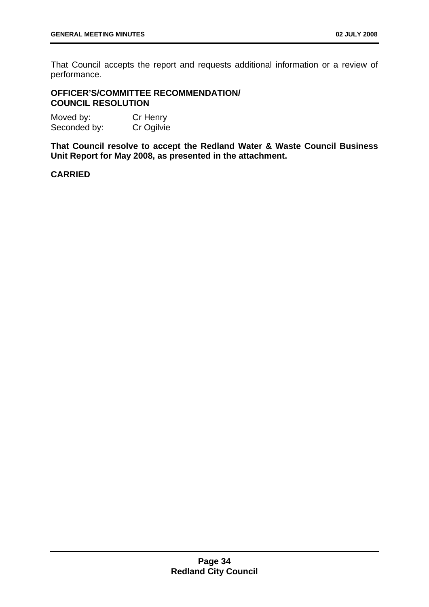That Council accepts the report and requests additional information or a review of performance.

## **OFFICER'S/COMMITTEE RECOMMENDATION/ COUNCIL RESOLUTION**

Moved by: Cr Henry Seconded by: Cr Ogilvie

**That Council resolve to accept the Redland Water & Waste Council Business Unit Report for May 2008, as presented in the attachment.** 

## **CARRIED**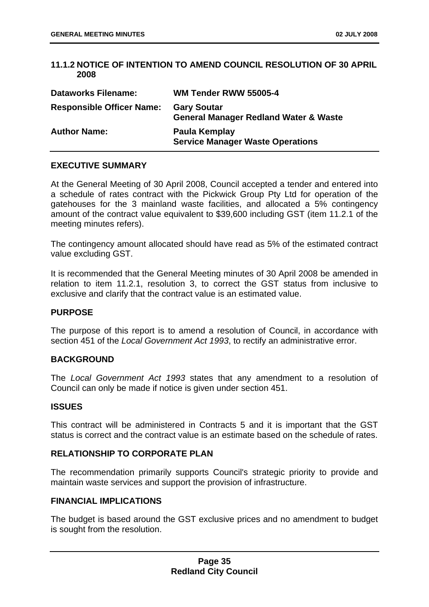## **11.1.2 NOTICE OF INTENTION TO AMEND COUNCIL RESOLUTION OF 30 APRIL 2008**

| <b>Dataworks Filename:</b>       | WM Tender RWW 55005-4                                                  |
|----------------------------------|------------------------------------------------------------------------|
| <b>Responsible Officer Name:</b> | <b>Gary Soutar</b><br><b>General Manager Redland Water &amp; Waste</b> |
| <b>Author Name:</b>              | Paula Kemplay<br><b>Service Manager Waste Operations</b>               |

## **EXECUTIVE SUMMARY**

At the General Meeting of 30 April 2008, Council accepted a tender and entered into a schedule of rates contract with the Pickwick Group Pty Ltd for operation of the gatehouses for the 3 mainland waste facilities, and allocated a 5% contingency amount of the contract value equivalent to \$39,600 including GST (item 11.2.1 of the meeting minutes refers).

The contingency amount allocated should have read as 5% of the estimated contract value excluding GST.

It is recommended that the General Meeting minutes of 30 April 2008 be amended in relation to item 11.2.1, resolution 3, to correct the GST status from inclusive to exclusive and clarify that the contract value is an estimated value.

## **PURPOSE**

The purpose of this report is to amend a resolution of Council, in accordance with section 451 of the *Local Government Act 1993*, to rectify an administrative error.

## **BACKGROUND**

The *Local Government Act 1993* states that any amendment to a resolution of Council can only be made if notice is given under section 451.

## **ISSUES**

This contract will be administered in Contracts 5 and it is important that the GST status is correct and the contract value is an estimate based on the schedule of rates.

## **RELATIONSHIP TO CORPORATE PLAN**

The recommendation primarily supports Council's strategic priority to provide and maintain waste services and support the provision of infrastructure.

## **FINANCIAL IMPLICATIONS**

The budget is based around the GST exclusive prices and no amendment to budget is sought from the resolution.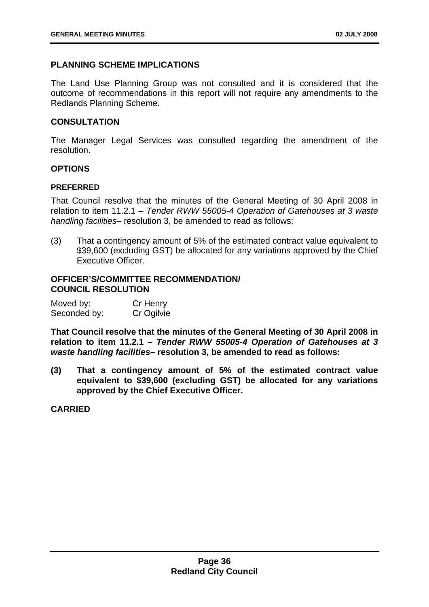## **PLANNING SCHEME IMPLICATIONS**

The Land Use Planning Group was not consulted and it is considered that the outcome of recommendations in this report will not require any amendments to the Redlands Planning Scheme.

## **CONSULTATION**

The Manager Legal Services was consulted regarding the amendment of the resolution.

## **OPTIONS**

#### **PREFERRED**

That Council resolve that the minutes of the General Meeting of 30 April 2008 in relation to item 11.2.1 – *Tender RWW 55005-4 Operation of Gatehouses at 3 waste handling facilities*– resolution 3, be amended to read as follows:

(3) That a contingency amount of 5% of the estimated contract value equivalent to \$39,600 (excluding GST) be allocated for any variations approved by the Chief Executive Officer.

## **OFFICER'S/COMMITTEE RECOMMENDATION/ COUNCIL RESOLUTION**

| Moved by:    | Cr Henry   |
|--------------|------------|
| Seconded by: | Cr Ogilvie |

**That Council resolve that the minutes of the General Meeting of 30 April 2008 in relation to item 11.2.1 –** *Tender RWW 55005-4 Operation of Gatehouses at 3 waste handling facilities***– resolution 3, be amended to read as follows:** 

**(3) That a contingency amount of 5% of the estimated contract value equivalent to \$39,600 (excluding GST) be allocated for any variations approved by the Chief Executive Officer.** 

**CARRIED**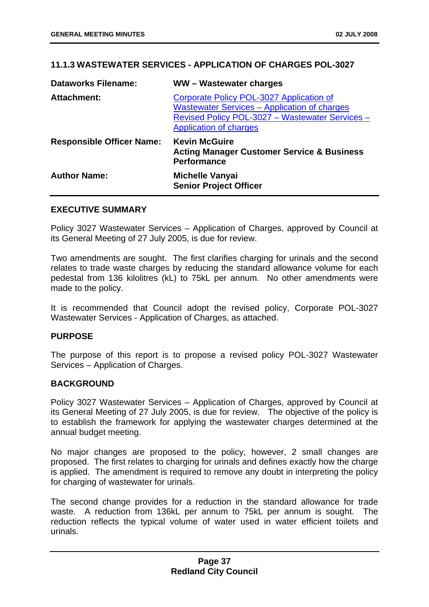## **11.1.3 WASTEWATER SERVICES - APPLICATION OF CHARGES POL-3027**

| <b>Dataworks Filename:</b>       | WW-Wastewater charges                                                                                                                                                        |
|----------------------------------|------------------------------------------------------------------------------------------------------------------------------------------------------------------------------|
| <b>Attachment:</b>               | Corporate Policy POL-3027 Application of<br>Wastewater Services - Application of charges<br>Revised Policy POL-3027 - Wastewater Services -<br><b>Application of charges</b> |
| <b>Responsible Officer Name:</b> | <b>Kevin McGuire</b><br><b>Acting Manager Customer Service &amp; Business</b><br><b>Performance</b>                                                                          |
| <b>Author Name:</b>              | <b>Michelle Vanyai</b><br><b>Senior Project Officer</b>                                                                                                                      |

#### **EXECUTIVE SUMMARY**

Policy 3027 Wastewater Services – Application of Charges, approved by Council at its General Meeting of 27 July 2005, is due for review.

Two amendments are sought. The first clarifies charging for urinals and the second relates to trade waste charges by reducing the standard allowance volume for each pedestal from 136 kilolitres (kL) to 75kL per annum. No other amendments were made to the policy.

It is recommended that Council adopt the revised policy, Corporate POL-3027 Wastewater Services - Application of Charges, as attached.

## **PURPOSE**

The purpose of this report is to propose a revised policy POL-3027 Wastewater Services – Application of Charges.

## **BACKGROUND**

Policy 3027 Wastewater Services – Application of Charges, approved by Council at its General Meeting of 27 July 2005, is due for review. The objective of the policy is to establish the framework for applying the wastewater charges determined at the annual budget meeting.

No major changes are proposed to the policy, however, 2 small changes are proposed. The first relates to charging for urinals and defines exactly how the charge is applied. The amendment is required to remove any doubt in interpreting the policy for charging of wastewater for urinals.

The second change provides for a reduction in the standard allowance for trade waste. A reduction from 136kL per annum to 75kL per annum is sought. The reduction reflects the typical volume of water used in water efficient toilets and urinals.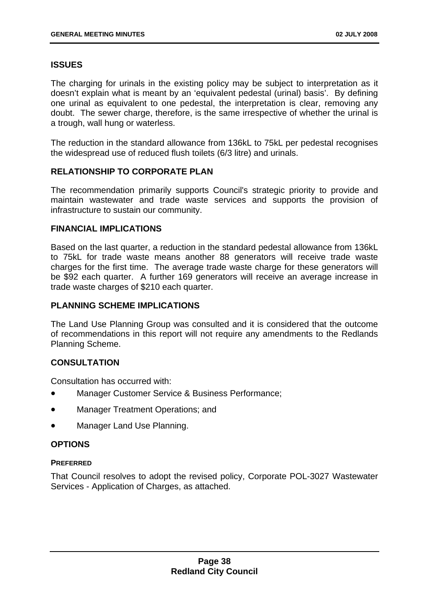# **ISSUES**

The charging for urinals in the existing policy may be subject to interpretation as it doesn't explain what is meant by an 'equivalent pedestal (urinal) basis'. By defining one urinal as equivalent to one pedestal, the interpretation is clear, removing any doubt. The sewer charge, therefore, is the same irrespective of whether the urinal is a trough, wall hung or waterless.

The reduction in the standard allowance from 136kL to 75kL per pedestal recognises the widespread use of reduced flush toilets (6/3 litre) and urinals.

# **RELATIONSHIP TO CORPORATE PLAN**

The recommendation primarily supports Council's strategic priority to provide and maintain wastewater and trade waste services and supports the provision of infrastructure to sustain our community.

## **FINANCIAL IMPLICATIONS**

Based on the last quarter, a reduction in the standard pedestal allowance from 136kL to 75kL for trade waste means another 88 generators will receive trade waste charges for the first time. The average trade waste charge for these generators will be \$92 each quarter. A further 169 generators will receive an average increase in trade waste charges of \$210 each quarter.

## **PLANNING SCHEME IMPLICATIONS**

The Land Use Planning Group was consulted and it is considered that the outcome of recommendations in this report will not require any amendments to the Redlands Planning Scheme.

# **CONSULTATION**

Consultation has occurred with:

- Manager Customer Service & Business Performance;
- Manager Treatment Operations; and
- Manager Land Use Planning.

# **OPTIONS**

## **PREFERRED**

That Council resolves to adopt the revised policy, Corporate POL-3027 Wastewater Services - Application of Charges, as attached.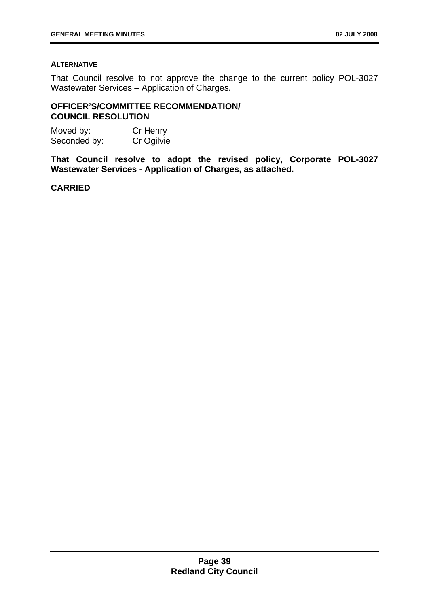#### **ALTERNATIVE**

That Council resolve to not approve the change to the current policy POL-3027 Wastewater Services – Application of Charges.

## **OFFICER'S/COMMITTEE RECOMMENDATION/ COUNCIL RESOLUTION**

| Moved by:    | Cr Henry   |
|--------------|------------|
| Seconded by: | Cr Ogilvie |

**That Council resolve to adopt the revised policy, Corporate POL-3027 Wastewater Services - Application of Charges, as attached.** 

## **CARRIED**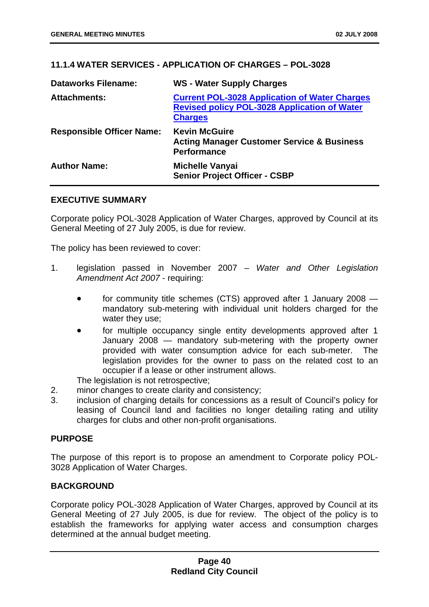# **11.1.4 WATER SERVICES - APPLICATION OF CHARGES – POL-3028**

| <b>Dataworks Filename:</b>       | <b>WS - Water Supply Charges</b>                                                                                              |
|----------------------------------|-------------------------------------------------------------------------------------------------------------------------------|
| <b>Attachments:</b>              | <b>Current POL-3028 Application of Water Charges</b><br><b>Revised policy POL-3028 Application of Water</b><br><b>Charges</b> |
| <b>Responsible Officer Name:</b> | <b>Kevin McGuire</b><br><b>Acting Manager Customer Service &amp; Business</b><br><b>Performance</b>                           |
| <b>Author Name:</b>              | <b>Michelle Vanyai</b><br><b>Senior Project Officer - CSBP</b>                                                                |

## **EXECUTIVE SUMMARY**

Corporate policy POL-3028 Application of Water Charges, approved by Council at its General Meeting of 27 July 2005, is due for review.

The policy has been reviewed to cover:

- 1. legislation passed in November 2007 *Water and Other Legislation Amendment Act 2007* - requiring:
	- for community title schemes (CTS) approved after 1 January 2008 mandatory sub-metering with individual unit holders charged for the water they use;
	- for multiple occupancy single entity developments approved after 1 January 2008 — mandatory sub-metering with the property owner provided with water consumption advice for each sub-meter. The legislation provides for the owner to pass on the related cost to an occupier if a lease or other instrument allows.

The legislation is not retrospective;

- 2. minor changes to create clarity and consistency;
- 3. inclusion of charging details for concessions as a result of Council's policy for leasing of Council land and facilities no longer detailing rating and utility charges for clubs and other non-profit organisations.

# **PURPOSE**

The purpose of this report is to propose an amendment to Corporate policy POL-3028 Application of Water Charges.

# **BACKGROUND**

Corporate policy POL-3028 Application of Water Charges, approved by Council at its General Meeting of 27 July 2005, is due for review. The object of the policy is to establish the frameworks for applying water access and consumption charges determined at the annual budget meeting.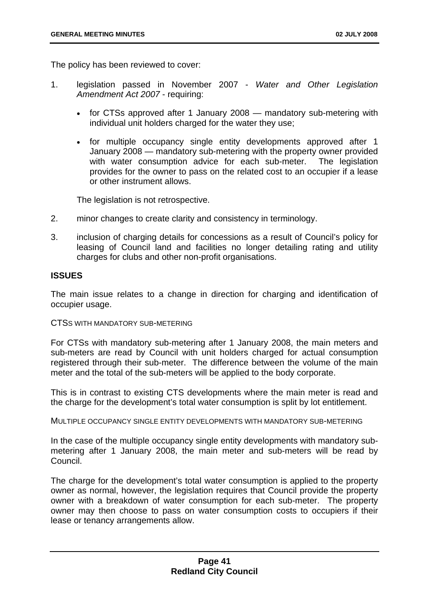The policy has been reviewed to cover:

- 1. legislation passed in November 2007 *Water and Other Legislation Amendment Act 2007* - requiring:
	- for CTSs approved after 1 January 2008 mandatory sub-metering with individual unit holders charged for the water they use;
	- for multiple occupancy single entity developments approved after 1 January 2008 — mandatory sub-metering with the property owner provided with water consumption advice for each sub-meter. The legislation provides for the owner to pass on the related cost to an occupier if a lease or other instrument allows.

The legislation is not retrospective.

- 2. minor changes to create clarity and consistency in terminology.
- 3. inclusion of charging details for concessions as a result of Council's policy for leasing of Council land and facilities no longer detailing rating and utility charges for clubs and other non-profit organisations.

## **ISSUES**

The main issue relates to a change in direction for charging and identification of occupier usage.

CTSS WITH MANDATORY SUB-METERING

For CTSs with mandatory sub-metering after 1 January 2008, the main meters and sub-meters are read by Council with unit holders charged for actual consumption registered through their sub-meter. The difference between the volume of the main meter and the total of the sub-meters will be applied to the body corporate.

This is in contrast to existing CTS developments where the main meter is read and the charge for the development's total water consumption is split by lot entitlement.

MULTIPLE OCCUPANCY SINGLE ENTITY DEVELOPMENTS WITH MANDATORY SUB-METERING

In the case of the multiple occupancy single entity developments with mandatory submetering after 1 January 2008, the main meter and sub-meters will be read by Council.

The charge for the development's total water consumption is applied to the property owner as normal, however, the legislation requires that Council provide the property owner with a breakdown of water consumption for each sub-meter. The property owner may then choose to pass on water consumption costs to occupiers if their lease or tenancy arrangements allow.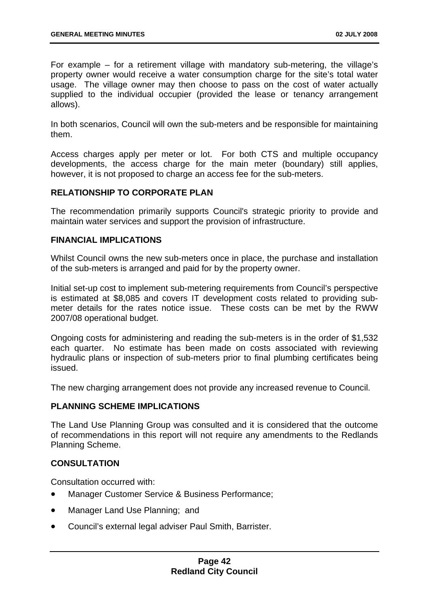For example – for a retirement village with mandatory sub-metering, the village's property owner would receive a water consumption charge for the site's total water usage. The village owner may then choose to pass on the cost of water actually supplied to the individual occupier (provided the lease or tenancy arrangement allows).

In both scenarios, Council will own the sub-meters and be responsible for maintaining them.

Access charges apply per meter or lot. For both CTS and multiple occupancy developments, the access charge for the main meter (boundary) still applies, however, it is not proposed to charge an access fee for the sub-meters.

# **RELATIONSHIP TO CORPORATE PLAN**

The recommendation primarily supports Council's strategic priority to provide and maintain water services and support the provision of infrastructure.

## **FINANCIAL IMPLICATIONS**

Whilst Council owns the new sub-meters once in place, the purchase and installation of the sub-meters is arranged and paid for by the property owner.

Initial set-up cost to implement sub-metering requirements from Council's perspective is estimated at \$8,085 and covers IT development costs related to providing submeter details for the rates notice issue. These costs can be met by the RWW 2007/08 operational budget.

Ongoing costs for administering and reading the sub-meters is in the order of \$1,532 each quarter. No estimate has been made on costs associated with reviewing hydraulic plans or inspection of sub-meters prior to final plumbing certificates being issued.

The new charging arrangement does not provide any increased revenue to Council.

## **PLANNING SCHEME IMPLICATIONS**

The Land Use Planning Group was consulted and it is considered that the outcome of recommendations in this report will not require any amendments to the Redlands Planning Scheme.

# **CONSULTATION**

Consultation occurred with:

- Manager Customer Service & Business Performance;
- Manager Land Use Planning; and
- Council's external legal adviser Paul Smith, Barrister.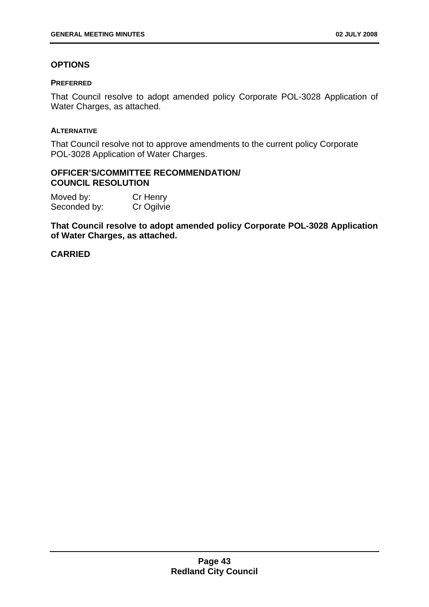# **OPTIONS**

## **PREFERRED**

That Council resolve to adopt amended policy Corporate POL-3028 Application of Water Charges, as attached.

## **ALTERNATIVE**

That Council resolve not to approve amendments to the current policy Corporate POL-3028 Application of Water Charges.

## **OFFICER'S/COMMITTEE RECOMMENDATION/ COUNCIL RESOLUTION**

Moved by: Cr Henry Seconded by: Cr Ogilvie

**That Council resolve to adopt amended policy Corporate POL-3028 Application of Water Charges, as attached.** 

# **CARRIED**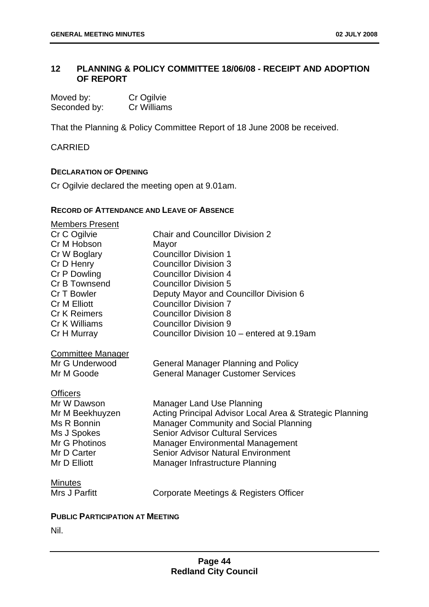# **12 PLANNING & POLICY COMMITTEE 18/06/08 - RECEIPT AND ADOPTION OF REPORT**

| Moved by:    | Cr Ogilvie  |
|--------------|-------------|
| Seconded by: | Cr Williams |

That the Planning & Policy Committee Report of 18 June 2008 be received.

CARRIED

## **DECLARATION OF OPENING**

Cr Ogilvie declared the meeting open at 9.01am.

## **RECORD OF ATTENDANCE AND LEAVE OF ABSENCE**

| <b>Members Present</b>   |                                                          |
|--------------------------|----------------------------------------------------------|
| Cr C Ogilvie             | <b>Chair and Councillor Division 2</b>                   |
| Cr M Hobson              | Mayor                                                    |
| Cr W Boglary             | <b>Councillor Division 1</b>                             |
| Cr D Henry               | <b>Councillor Division 3</b>                             |
| Cr P Dowling             | <b>Councillor Division 4</b>                             |
| Cr B Townsend            | <b>Councillor Division 5</b>                             |
| Cr T Bowler              | Deputy Mayor and Councillor Division 6                   |
| <b>Cr M Elliott</b>      | <b>Councillor Division 7</b>                             |
| Cr K Reimers             | <b>Councillor Division 8</b>                             |
| Cr K Williams            | <b>Councillor Division 9</b>                             |
| Cr H Murray              | Councillor Division 10 – entered at 9.19am               |
| <b>Committee Manager</b> |                                                          |
| Mr G Underwood           | <b>General Manager Planning and Policy</b>               |
| Mr M Goode               | <b>General Manager Customer Services</b>                 |
| <b>Officers</b>          |                                                          |
| Mr W Dawson              | <b>Manager Land Use Planning</b>                         |
| Mr M Beekhuyzen          | Acting Principal Advisor Local Area & Strategic Planning |
| Ms R Bonnin              | <b>Manager Community and Social Planning</b>             |
| Ms J Spokes              | <b>Senior Advisor Cultural Services</b>                  |
| Mr G Photinos            | <b>Manager Environmental Management</b>                  |
| Mr D Carter              | <b>Senior Advisor Natural Environment</b>                |
| Mr D Elliott             | Manager Infrastructure Planning                          |
| <b>Minutes</b>           |                                                          |
| Mrs J Parfitt            | Corporate Meetings & Registers Officer                   |
|                          |                                                          |

## **PUBLIC PARTICIPATION AT MEETING**

Nil.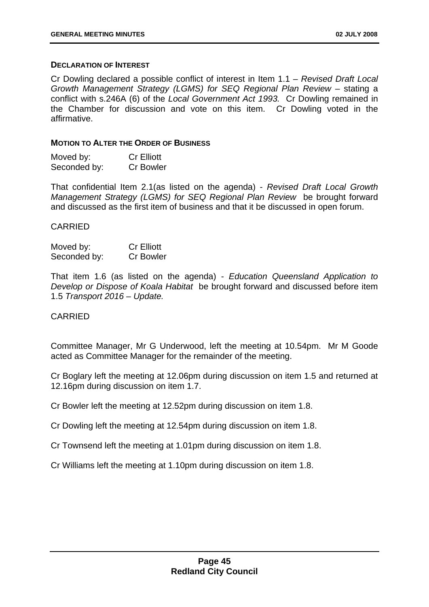#### **DECLARATION OF INTEREST**

Cr Dowling declared a possible conflict of interest in Item 1.1 – *Revised Draft Local Growth Management Strategy (LGMS) for SEQ Regional Plan Review* – stating a conflict with s.246A (6) of the *Local Government Act 1993.* Cr Dowling remained in the Chamber for discussion and vote on this item. Cr Dowling voted in the affirmative.

#### **MOTION TO ALTER THE ORDER OF BUSINESS**

| Moved by:    | <b>Cr Elliott</b> |
|--------------|-------------------|
| Seconded by: | <b>Cr Bowler</b>  |

That confidential Item 2.1(as listed on the agenda) - *Revised Draft Local Growth Management Strategy (LGMS) for SEQ Regional Plan Review* be brought forward and discussed as the first item of business and that it be discussed in open forum.

#### CARRIED

| Moved by:    | <b>Cr Elliott</b> |
|--------------|-------------------|
| Seconded by: | <b>Cr Bowler</b>  |

That item 1.6 (as listed on the agenda) - *Education Queensland Application to Develop or Dispose of Koala Habitat* be brought forward and discussed before item 1.5 *Transport 2016 – Update.* 

### CARRIED

Committee Manager, Mr G Underwood, left the meeting at 10.54pm. Mr M Goode acted as Committee Manager for the remainder of the meeting.

Cr Boglary left the meeting at 12.06pm during discussion on item 1.5 and returned at 12.16pm during discussion on item 1.7.

Cr Bowler left the meeting at 12.52pm during discussion on item 1.8.

Cr Dowling left the meeting at 12.54pm during discussion on item 1.8.

Cr Townsend left the meeting at 1.01pm during discussion on item 1.8.

Cr Williams left the meeting at 1.10pm during discussion on item 1.8.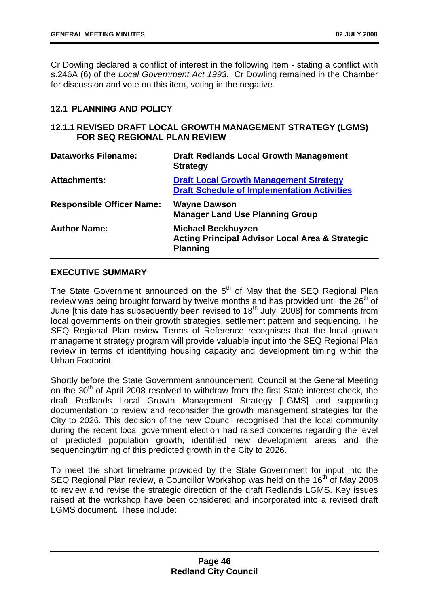Cr Dowling declared a conflict of interest in the following Item - stating a conflict with s.246A (6) of the *Local Government Act 1993.* Cr Dowling remained in the Chamber for discussion and vote on this item, voting in the negative.

# **12.1 PLANNING AND POLICY**

## **12.1.1 REVISED DRAFT LOCAL GROWTH MANAGEMENT STRATEGY (LGMS) FOR SEQ REGIONAL PLAN REVIEW**

| <b>Dataworks Filename:</b>       | <b>Draft Redlands Local Growth Management</b><br><b>Strategy</b>                                           |
|----------------------------------|------------------------------------------------------------------------------------------------------------|
| <b>Attachments:</b>              | <b>Draft Local Growth Management Strategy</b><br><b>Draft Schedule of Implementation Activities</b>        |
| <b>Responsible Officer Name:</b> | <b>Wayne Dawson</b><br><b>Manager Land Use Planning Group</b>                                              |
| <b>Author Name:</b>              | <b>Michael Beekhuyzen</b><br><b>Acting Principal Advisor Local Area &amp; Strategic</b><br><b>Planning</b> |

# **EXECUTIVE SUMMARY**

The State Government announced on the  $5<sup>th</sup>$  of May that the SEQ Regional Plan review was being brought forward by twelve months and has provided until the  $26<sup>th</sup>$  of June [this date has subsequently been revised to  $18<sup>th</sup>$  July, 2008] for comments from local governments on their growth strategies, settlement pattern and sequencing. The SEQ Regional Plan review Terms of Reference recognises that the local growth management strategy program will provide valuable input into the SEQ Regional Plan review in terms of identifying housing capacity and development timing within the Urban Footprint.

Shortly before the State Government announcement, Council at the General Meeting on the 30<sup>th</sup> of April 2008 resolved to withdraw from the first State interest check, the draft Redlands Local Growth Management Strategy [LGMS] and supporting documentation to review and reconsider the growth management strategies for the City to 2026. This decision of the new Council recognised that the local community during the recent local government election had raised concerns regarding the level of predicted population growth, identified new development areas and the sequencing/timing of this predicted growth in the City to 2026.

To meet the short timeframe provided by the State Government for input into the SEQ Regional Plan review, a Councillor Workshop was held on the 16<sup>th</sup> of May 2008 to review and revise the strategic direction of the draft Redlands LGMS. Key issues raised at the workshop have been considered and incorporated into a revised draft LGMS document. These include: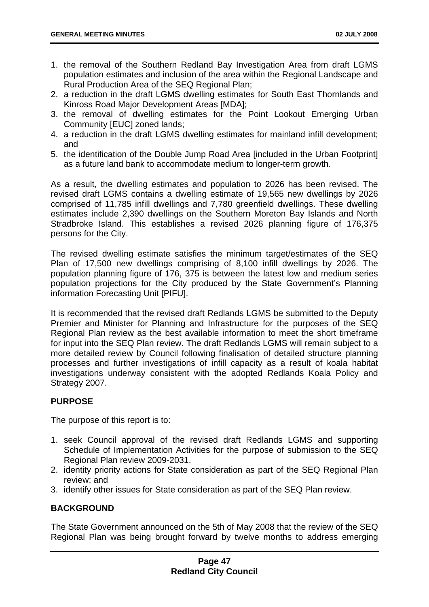- 1. the removal of the Southern Redland Bay Investigation Area from draft LGMS population estimates and inclusion of the area within the Regional Landscape and Rural Production Area of the SEQ Regional Plan;
- 2. a reduction in the draft LGMS dwelling estimates for South East Thornlands and Kinross Road Major Development Areas [MDA];
- 3. the removal of dwelling estimates for the Point Lookout Emerging Urban Community [EUC] zoned lands;
- 4. a reduction in the draft LGMS dwelling estimates for mainland infill development; and
- 5. the identification of the Double Jump Road Area [included in the Urban Footprint] as a future land bank to accommodate medium to longer-term growth.

As a result, the dwelling estimates and population to 2026 has been revised. The revised draft LGMS contains a dwelling estimate of 19,565 new dwellings by 2026 comprised of 11,785 infill dwellings and 7,780 greenfield dwellings. These dwelling estimates include 2,390 dwellings on the Southern Moreton Bay Islands and North Stradbroke Island. This establishes a revised 2026 planning figure of 176,375 persons for the City.

The revised dwelling estimate satisfies the minimum target/estimates of the SEQ Plan of 17,500 new dwellings comprising of 8,100 infill dwellings by 2026. The population planning figure of 176, 375 is between the latest low and medium series population projections for the City produced by the State Government's Planning information Forecasting Unit [PIFU].

It is recommended that the revised draft Redlands LGMS be submitted to the Deputy Premier and Minister for Planning and Infrastructure for the purposes of the SEQ Regional Plan review as the best available information to meet the short timeframe for input into the SEQ Plan review. The draft Redlands LGMS will remain subject to a more detailed review by Council following finalisation of detailed structure planning processes and further investigations of infill capacity as a result of koala habitat investigations underway consistent with the adopted Redlands Koala Policy and Strategy 2007.

# **PURPOSE**

The purpose of this report is to:

- 1. seek Council approval of the revised draft Redlands LGMS and supporting Schedule of Implementation Activities for the purpose of submission to the SEQ Regional Plan review 2009-2031.
- 2. identity priority actions for State consideration as part of the SEQ Regional Plan review; and
- 3. identify other issues for State consideration as part of the SEQ Plan review.

# **BACKGROUND**

The State Government announced on the 5th of May 2008 that the review of the SEQ Regional Plan was being brought forward by twelve months to address emerging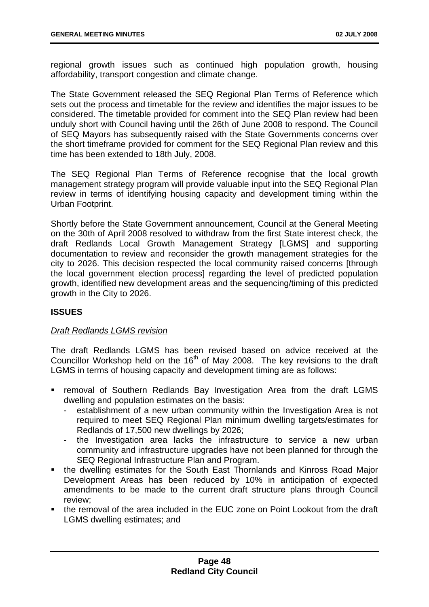regional growth issues such as continued high population growth, housing affordability, transport congestion and climate change.

The State Government released the SEQ Regional Plan Terms of Reference which sets out the process and timetable for the review and identifies the major issues to be considered. The timetable provided for comment into the SEQ Plan review had been unduly short with Council having until the 26th of June 2008 to respond. The Council of SEQ Mayors has subsequently raised with the State Governments concerns over the short timeframe provided for comment for the SEQ Regional Plan review and this time has been extended to 18th July, 2008.

The SEQ Regional Plan Terms of Reference recognise that the local growth management strategy program will provide valuable input into the SEQ Regional Plan review in terms of identifying housing capacity and development timing within the Urban Footprint.

Shortly before the State Government announcement, Council at the General Meeting on the 30th of April 2008 resolved to withdraw from the first State interest check, the draft Redlands Local Growth Management Strategy [LGMS] and supporting documentation to review and reconsider the growth management strategies for the city to 2026. This decision respected the local community raised concerns [through the local government election process] regarding the level of predicted population growth, identified new development areas and the sequencing/timing of this predicted growth in the City to 2026.

# **ISSUES**

# *Draft Redlands LGMS revision*

The draft Redlands LGMS has been revised based on advice received at the Councillor Workshop held on the  $16<sup>th</sup>$  of May 2008. The key revisions to the draft LGMS in terms of housing capacity and development timing are as follows:

- removal of Southern Redlands Bay Investigation Area from the draft LGMS dwelling and population estimates on the basis:
	- establishment of a new urban community within the Investigation Area is not required to meet SEQ Regional Plan minimum dwelling targets/estimates for Redlands of 17,500 new dwellings by 2026;
	- the Investigation area lacks the infrastructure to service a new urban community and infrastructure upgrades have not been planned for through the SEQ Regional Infrastructure Plan and Program.
- the dwelling estimates for the South East Thornlands and Kinross Road Major Development Areas has been reduced by 10% in anticipation of expected amendments to be made to the current draft structure plans through Council review;
- the removal of the area included in the EUC zone on Point Lookout from the draft LGMS dwelling estimates; and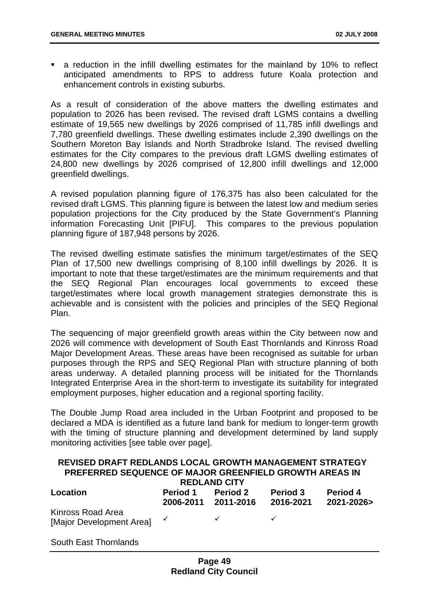a reduction in the infill dwelling estimates for the mainland by 10% to reflect anticipated amendments to RPS to address future Koala protection and enhancement controls in existing suburbs.

As a result of consideration of the above matters the dwelling estimates and population to 2026 has been revised. The revised draft LGMS contains a dwelling estimate of 19,565 new dwellings by 2026 comprised of 11,785 infill dwellings and 7,780 greenfield dwellings. These dwelling estimates include 2,390 dwellings on the Southern Moreton Bay Islands and North Stradbroke Island. The revised dwelling estimates for the City compares to the previous draft LGMS dwelling estimates of 24,800 new dwellings by 2026 comprised of 12,800 infill dwellings and 12,000 greenfield dwellings.

A revised population planning figure of 176,375 has also been calculated for the revised draft LGMS. This planning figure is between the latest low and medium series population projections for the City produced by the State Government's Planning information Forecasting Unit [PIFU]. This compares to the previous population planning figure of 187,948 persons by 2026.

The revised dwelling estimate satisfies the minimum target/estimates of the SEQ Plan of 17,500 new dwellings comprising of 8,100 infill dwellings by 2026. It is important to note that these target/estimates are the minimum requirements and that the SEQ Regional Plan encourages local governments to exceed these target/estimates where local growth management strategies demonstrate this is achievable and is consistent with the policies and principles of the SEQ Regional Plan.

The sequencing of major greenfield growth areas within the City between now and 2026 will commence with development of South East Thornlands and Kinross Road Major Development Areas. These areas have been recognised as suitable for urban purposes through the RPS and SEQ Regional Plan with structure planning of both areas underway. A detailed planning process will be initiated for the Thornlands Integrated Enterprise Area in the short-term to investigate its suitability for integrated employment purposes, higher education and a regional sporting facility.

The Double Jump Road area included in the Urban Footprint and proposed to be declared a MDA is identified as a future land bank for medium to longer-term growth with the timing of structure planning and development determined by land supply monitoring activities [see table over page].

| REVISED DRAFT REDLANDS LOCAL GROWTH MANAGEMENT STRATEGY<br>PREFERRED SEQUENCE OF MAJOR GREENFIELD GROWTH AREAS IN<br><b>REDLAND CITY</b> |                                        |                 |                              |                               |
|------------------------------------------------------------------------------------------------------------------------------------------|----------------------------------------|-----------------|------------------------------|-------------------------------|
| Location                                                                                                                                 | <b>Period 1</b><br>2006-2011 2011-2016 | <b>Period 2</b> | <b>Period 3</b><br>2016-2021 | <b>Period 4</b><br>2021-2026> |
| Kinross Road Area<br>[Major Development Areal                                                                                            | $\checkmark$                           |                 |                              |                               |

South East Thornlands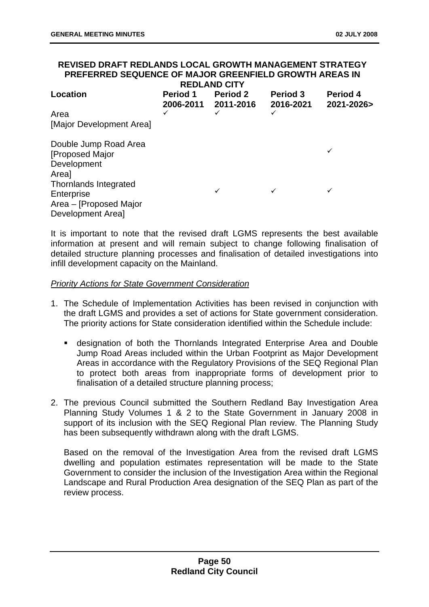#### **REVISED DRAFT REDLANDS LOCAL GROWTH MANAGEMENT STRATEGY PREFERRED SEQUENCE OF MAJOR GREENFIELD GROWTH AREAS IN REDLAND CITY**

|                                          |                              | 11 LULAI 10 VIII             |                              |                        |
|------------------------------------------|------------------------------|------------------------------|------------------------------|------------------------|
| Location                                 | <b>Period 1</b><br>2006-2011 | <b>Period 2</b><br>2011-2016 | <b>Period 3</b><br>2016-2021 | Period 4<br>2021-2026> |
| Area                                     |                              | ✓                            |                              |                        |
| [Major Development Area]                 |                              |                              |                              |                        |
| Double Jump Road Area<br>[Proposed Major |                              |                              |                              | ✓                      |
| Development<br>Area]                     |                              |                              |                              |                        |
| Thornlands Integrated                    |                              |                              |                              |                        |
| Enterprise                               |                              | ✓                            | ✓                            | ✓                      |
| Area - [Proposed Major                   |                              |                              |                              |                        |
| Development Area]                        |                              |                              |                              |                        |

It is important to note that the revised draft LGMS represents the best available information at present and will remain subject to change following finalisation of detailed structure planning processes and finalisation of detailed investigations into infill development capacity on the Mainland.

#### *Priority Actions for State Government Consideration*

- 1. The Schedule of Implementation Activities has been revised in conjunction with the draft LGMS and provides a set of actions for State government consideration. The priority actions for State consideration identified within the Schedule include:
	- designation of both the Thornlands Integrated Enterprise Area and Double Jump Road Areas included within the Urban Footprint as Major Development Areas in accordance with the Regulatory Provisions of the SEQ Regional Plan to protect both areas from inappropriate forms of development prior to finalisation of a detailed structure planning process;
- 2. The previous Council submitted the Southern Redland Bay Investigation Area Planning Study Volumes 1 & 2 to the State Government in January 2008 in support of its inclusion with the SEQ Regional Plan review. The Planning Study has been subsequently withdrawn along with the draft LGMS.

Based on the removal of the Investigation Area from the revised draft LGMS dwelling and population estimates representation will be made to the State Government to consider the inclusion of the Investigation Area within the Regional Landscape and Rural Production Area designation of the SEQ Plan as part of the review process.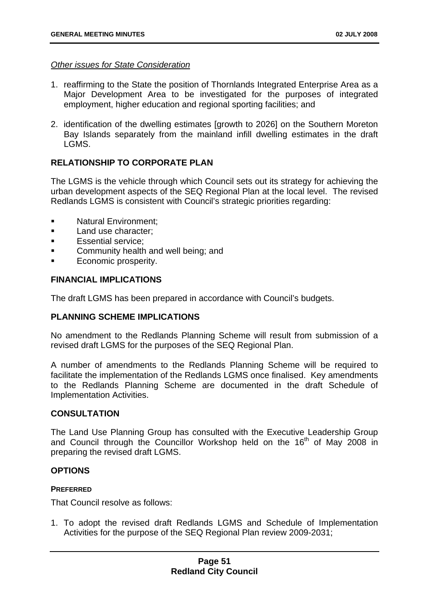#### *Other issues for State Consideration*

- 1. reaffirming to the State the position of Thornlands Integrated Enterprise Area as a Major Development Area to be investigated for the purposes of integrated employment, higher education and regional sporting facilities; and
- 2. identification of the dwelling estimates [growth to 2026] on the Southern Moreton Bay Islands separately from the mainland infill dwelling estimates in the draft LGMS.

# **RELATIONSHIP TO CORPORATE PLAN**

The LGMS is the vehicle through which Council sets out its strategy for achieving the urban development aspects of the SEQ Regional Plan at the local level. The revised Redlands LGMS is consistent with Council's strategic priorities regarding:

- Natural Environment;
- **Land use character:**
- Essential service;
- Community health and well being; and
- **Economic prosperity.**

## **FINANCIAL IMPLICATIONS**

The draft LGMS has been prepared in accordance with Council's budgets.

## **PLANNING SCHEME IMPLICATIONS**

No amendment to the Redlands Planning Scheme will result from submission of a revised draft LGMS for the purposes of the SEQ Regional Plan.

A number of amendments to the Redlands Planning Scheme will be required to facilitate the implementation of the Redlands LGMS once finalised. Key amendments to the Redlands Planning Scheme are documented in the draft Schedule of Implementation Activities.

## **CONSULTATION**

The Land Use Planning Group has consulted with the Executive Leadership Group and Council through the Councillor Workshop held on the 16<sup>th</sup> of May 2008 in preparing the revised draft LGMS.

## **OPTIONS**

#### **PREFERRED**

That Council resolve as follows:

1. To adopt the revised draft Redlands LGMS and Schedule of Implementation Activities for the purpose of the SEQ Regional Plan review 2009-2031;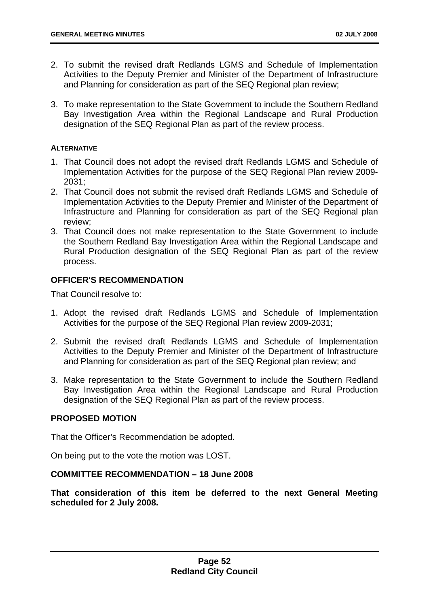- 2. To submit the revised draft Redlands LGMS and Schedule of Implementation Activities to the Deputy Premier and Minister of the Department of Infrastructure and Planning for consideration as part of the SEQ Regional plan review;
- 3. To make representation to the State Government to include the Southern Redland Bay Investigation Area within the Regional Landscape and Rural Production designation of the SEQ Regional Plan as part of the review process.

## **ALTERNATIVE**

- 1. That Council does not adopt the revised draft Redlands LGMS and Schedule of Implementation Activities for the purpose of the SEQ Regional Plan review 2009- 2031;
- 2. That Council does not submit the revised draft Redlands LGMS and Schedule of Implementation Activities to the Deputy Premier and Minister of the Department of Infrastructure and Planning for consideration as part of the SEQ Regional plan review;
- 3. That Council does not make representation to the State Government to include the Southern Redland Bay Investigation Area within the Regional Landscape and Rural Production designation of the SEQ Regional Plan as part of the review process.

# **OFFICER'S RECOMMENDATION**

That Council resolve to:

- 1. Adopt the revised draft Redlands LGMS and Schedule of Implementation Activities for the purpose of the SEQ Regional Plan review 2009-2031;
- 2. Submit the revised draft Redlands LGMS and Schedule of Implementation Activities to the Deputy Premier and Minister of the Department of Infrastructure and Planning for consideration as part of the SEQ Regional plan review; and
- 3. Make representation to the State Government to include the Southern Redland Bay Investigation Area within the Regional Landscape and Rural Production designation of the SEQ Regional Plan as part of the review process.

## **PROPOSED MOTION**

That the Officer's Recommendation be adopted.

On being put to the vote the motion was LOST.

## **COMMITTEE RECOMMENDATION – 18 June 2008**

**That consideration of this item be deferred to the next General Meeting scheduled for 2 July 2008.**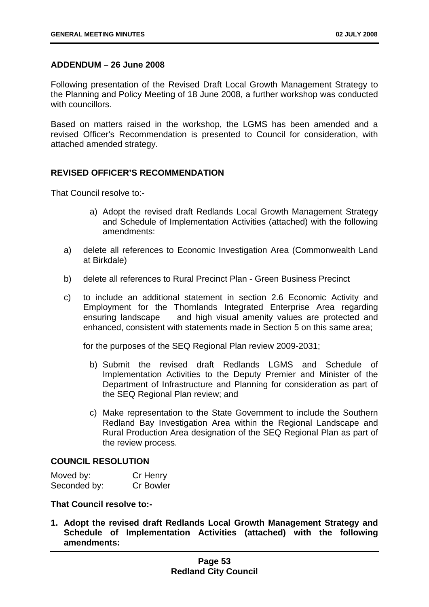## **ADDENDUM – 26 June 2008**

Following presentation of the Revised Draft Local Growth Management Strategy to the Planning and Policy Meeting of 18 June 2008, a further workshop was conducted with councillors.

Based on matters raised in the workshop, the LGMS has been amended and a revised Officer's Recommendation is presented to Council for consideration, with attached amended strategy.

## **REVISED OFFICER'S RECOMMENDATION**

That Council resolve to:-

- a) Adopt the revised draft Redlands Local Growth Management Strategy and Schedule of Implementation Activities (attached) with the following amendments:
- a) delete all references to Economic Investigation Area (Commonwealth Land at Birkdale)
- b) delete all references to Rural Precinct Plan Green Business Precinct
- c) to include an additional statement in section 2.6 Economic Activity and Employment for the Thornlands Integrated Enterprise Area regarding ensuring landscape and high visual amenity values are protected and enhanced, consistent with statements made in Section 5 on this same area;

for the purposes of the SEQ Regional Plan review 2009-2031;

- b) Submit the revised draft Redlands LGMS and Schedule of Implementation Activities to the Deputy Premier and Minister of the Department of Infrastructure and Planning for consideration as part of the SEQ Regional Plan review; and
- c) Make representation to the State Government to include the Southern Redland Bay Investigation Area within the Regional Landscape and Rural Production Area designation of the SEQ Regional Plan as part of the review process.

## **COUNCIL RESOLUTION**

| Moved by:    | Cr Henry         |
|--------------|------------------|
| Seconded by: | <b>Cr Bowler</b> |

## **That Council resolve to:-**

**1. Adopt the revised draft Redlands Local Growth Management Strategy and Schedule of Implementation Activities (attached) with the following amendments:**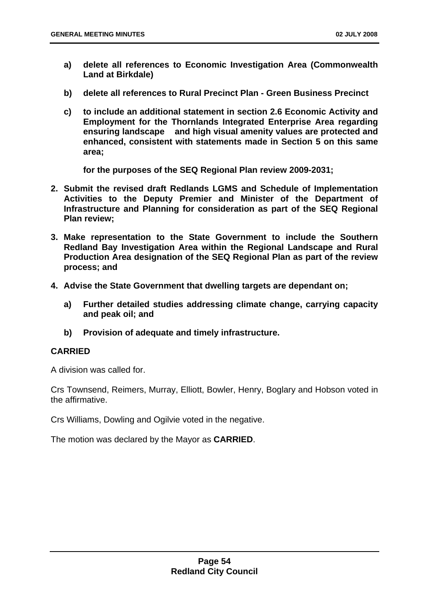- **a) delete all references to Economic Investigation Area (Commonwealth Land at Birkdale)**
- **b) delete all references to Rural Precinct Plan Green Business Precinct**
- **c) to include an additional statement in section 2.6 Economic Activity and Employment for the Thornlands Integrated Enterprise Area regarding ensuring landscape and high visual amenity values are protected and enhanced, consistent with statements made in Section 5 on this same area;**

**for the purposes of the SEQ Regional Plan review 2009-2031;** 

- **2. Submit the revised draft Redlands LGMS and Schedule of Implementation Activities to the Deputy Premier and Minister of the Department of Infrastructure and Planning for consideration as part of the SEQ Regional Plan review;**
- **3. Make representation to the State Government to include the Southern Redland Bay Investigation Area within the Regional Landscape and Rural Production Area designation of the SEQ Regional Plan as part of the review process; and**
- **4. Advise the State Government that dwelling targets are dependant on;** 
	- **a) Further detailed studies addressing climate change, carrying capacity and peak oil; and**
	- **b) Provision of adequate and timely infrastructure.**

## **CARRIED**

A division was called for.

Crs Townsend, Reimers, Murray, Elliott, Bowler, Henry, Boglary and Hobson voted in the affirmative.

Crs Williams, Dowling and Ogilvie voted in the negative.

The motion was declared by the Mayor as **CARRIED**.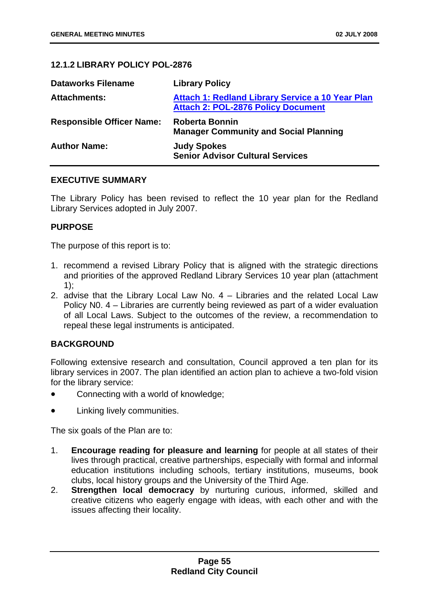# **12.1.2 LIBRARY POLICY POL-2876**

| <b>Dataworks Filename</b>        | <b>Library Policy</b>                                                                                |
|----------------------------------|------------------------------------------------------------------------------------------------------|
| <b>Attachments:</b>              | <b>Attach 1: Redland Library Service a 10 Year Plan</b><br><b>Attach 2: POL-2876 Policy Document</b> |
| <b>Responsible Officer Name:</b> | <b>Roberta Bonnin</b><br><b>Manager Community and Social Planning</b>                                |
| <b>Author Name:</b>              | <b>Judy Spokes</b><br><b>Senior Advisor Cultural Services</b>                                        |

## **EXECUTIVE SUMMARY**

The Library Policy has been revised to reflect the 10 year plan for the Redland Library Services adopted in July 2007.

## **PURPOSE**

The purpose of this report is to:

- 1. recommend a revised Library Policy that is aligned with the strategic directions and priorities of the approved Redland Library Services 10 year plan (attachment 1);
- 2. advise that the Library Local Law No. 4 Libraries and the related Local Law Policy N0. 4 – Libraries are currently being reviewed as part of a wider evaluation of all Local Laws. Subject to the outcomes of the review, a recommendation to repeal these legal instruments is anticipated.

# **BACKGROUND**

Following extensive research and consultation, Council approved a ten plan for its library services in 2007. The plan identified an action plan to achieve a two-fold vision for the library service:

- Connecting with a world of knowledge;
- Linking lively communities.

The six goals of the Plan are to:

- 1. **Encourage reading for pleasure and learning** for people at all states of their lives through practical, creative partnerships, especially with formal and informal education institutions including schools, tertiary institutions, museums, book clubs, local history groups and the University of the Third Age.
- 2. **Strengthen local democracy** by nurturing curious, informed, skilled and creative citizens who eagerly engage with ideas, with each other and with the issues affecting their locality.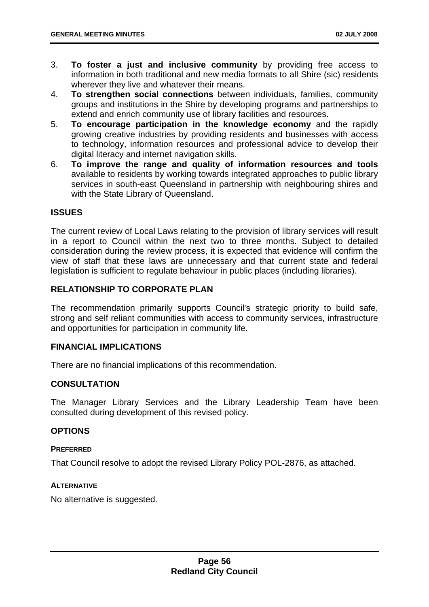- 3. **To foster a just and inclusive community** by providing free access to information in both traditional and new media formats to all Shire (sic) residents wherever they live and whatever their means.
- 4. **To strengthen social connections** between individuals, families, community groups and institutions in the Shire by developing programs and partnerships to extend and enrich community use of library facilities and resources.
- 5. **To encourage participation in the knowledge economy** and the rapidly growing creative industries by providing residents and businesses with access to technology, information resources and professional advice to develop their digital literacy and internet navigation skills.
- 6. **To improve the range and quality of information resources and tools**  available to residents by working towards integrated approaches to public library services in south-east Queensland in partnership with neighbouring shires and with the State Library of Queensland.

# **ISSUES**

The current review of Local Laws relating to the provision of library services will result in a report to Council within the next two to three months. Subject to detailed consideration during the review process, it is expected that evidence will confirm the view of staff that these laws are unnecessary and that current state and federal legislation is sufficient to regulate behaviour in public places (including libraries).

## **RELATIONSHIP TO CORPORATE PLAN**

The recommendation primarily supports Council's strategic priority to build safe, strong and self reliant communities with access to community services, infrastructure and opportunities for participation in community life.

## **FINANCIAL IMPLICATIONS**

There are no financial implications of this recommendation.

## **CONSULTATION**

The Manager Library Services and the Library Leadership Team have been consulted during development of this revised policy.

## **OPTIONS**

#### **PREFERRED**

That Council resolve to adopt the revised Library Policy POL-2876, as attached.

#### **ALTERNATIVE**

No alternative is suggested.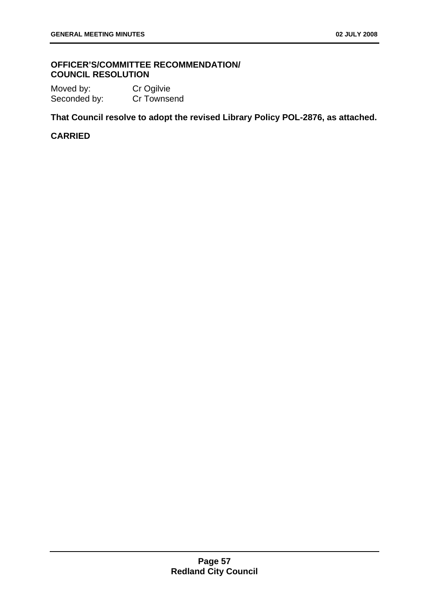## **OFFICER'S/COMMITTEE RECOMMENDATION/ COUNCIL RESOLUTION**

Moved by: Cr Ogilvie Seconded by: Cr Townsend

**That Council resolve to adopt the revised Library Policy POL-2876, as attached.** 

# **CARRIED**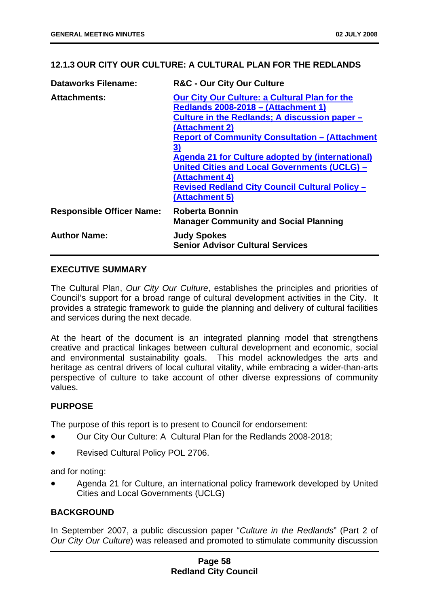## **12.1.3 OUR CITY OUR CULTURE: A CULTURAL PLAN FOR THE REDLANDS**

| <b>Dataworks Filename:</b>       | <b>R&amp;C - Our City Our Culture</b>                                                                                                                                                                                                                                                                                                                                                                                                                      |
|----------------------------------|------------------------------------------------------------------------------------------------------------------------------------------------------------------------------------------------------------------------------------------------------------------------------------------------------------------------------------------------------------------------------------------------------------------------------------------------------------|
| <b>Attachments:</b>              | <b>Our City Our Culture: a Cultural Plan for the</b><br><b>Redlands 2008-2018 - (Attachment 1)</b><br>Culture in the Redlands; A discussion paper -<br>(Attachment 2)<br><b>Report of Community Consultation - (Attachment</b><br><u>3)</u><br><b>Agenda 21 for Culture adopted by (international)</b><br><b>United Cities and Local Governments (UCLG) -</b><br>(Attachment 4)<br><b>Revised Redland City Council Cultural Policy -</b><br>(Attachment 5) |
| <b>Responsible Officer Name:</b> | <b>Roberta Bonnin</b><br><b>Manager Community and Social Planning</b>                                                                                                                                                                                                                                                                                                                                                                                      |
| <b>Author Name:</b>              | <b>Judy Spokes</b><br><b>Senior Advisor Cultural Services</b>                                                                                                                                                                                                                                                                                                                                                                                              |

## **EXECUTIVE SUMMARY**

The Cultural Plan, *Our City Our Culture*, establishes the principles and priorities of Council's support for a broad range of cultural development activities in the City. It provides a strategic framework to guide the planning and delivery of cultural facilities and services during the next decade.

At the heart of the document is an integrated planning model that strengthens creative and practical linkages between cultural development and economic, social and environmental sustainability goals. This model acknowledges the arts and heritage as central drivers of local cultural vitality, while embracing a wider-than-arts perspective of culture to take account of other diverse expressions of community values.

# **PURPOSE**

The purpose of this report is to present to Council for endorsement:

- Our City Our Culture: A Cultural Plan for the Redlands 2008-2018;
- Revised Cultural Policy POL 2706.

and for noting:

• Agenda 21 for Culture, an international policy framework developed by United Cities and Local Governments (UCLG)

# **BACKGROUND**

In September 2007, a public discussion paper "*Culture in the Redlands*" (Part 2 of *Our City Our Culture*) was released and promoted to stimulate community discussion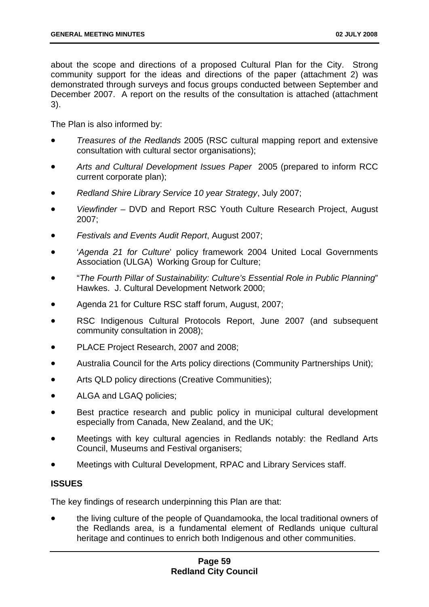about the scope and directions of a proposed Cultural Plan for the City. Strong community support for the ideas and directions of the paper (attachment 2) was demonstrated through surveys and focus groups conducted between September and December 2007. A report on the results of the consultation is attached (attachment 3).

The Plan is also informed by:

- *Treasures of the Redlands* 2005 (RSC cultural mapping report and extensive consultation with cultural sector organisations);
- *Arts and Cultural Development Issues Paper* 2005 (prepared to inform RCC current corporate plan);
- *Redland Shire Library Service 10 year Strategy*, July 2007;
- *Viewfinder* DVD and Report RSC Youth Culture Research Project, August 2007;
- *Festivals and Events Audit Report*, August 2007;
- '*Agenda 21 for Culture*' policy framework 2004 United Local Governments Association (ULGA) Working Group for Culture;
- "*The Fourth Pillar of Sustainability: Culture's Essential Role in Public Planning*" Hawkes. J. Cultural Development Network 2000;
- Agenda 21 for Culture RSC staff forum, August, 2007;
- RSC Indigenous Cultural Protocols Report, June 2007 (and subsequent community consultation in 2008);
- PLACE Project Research, 2007 and 2008;
- Australia Council for the Arts policy directions (Community Partnerships Unit);
- Arts QLD policy directions (Creative Communities);
- ALGA and LGAQ policies;
- Best practice research and public policy in municipal cultural development especially from Canada, New Zealand, and the UK;
- Meetings with key cultural agencies in Redlands notably: the Redland Arts Council, Museums and Festival organisers;
- Meetings with Cultural Development, RPAC and Library Services staff.

## **ISSUES**

The key findings of research underpinning this Plan are that:

• the living culture of the people of Quandamooka, the local traditional owners of the Redlands area, is a fundamental element of Redlands unique cultural heritage and continues to enrich both Indigenous and other communities.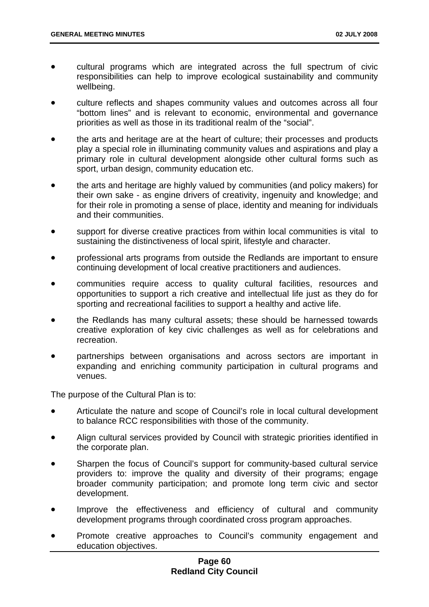- cultural programs which are integrated across the full spectrum of civic responsibilities can help to improve ecological sustainability and community wellbeing.
- culture reflects and shapes community values and outcomes across all four "bottom lines" and is relevant to economic, environmental and governance priorities as well as those in its traditional realm of the "social".
- the arts and heritage are at the heart of culture; their processes and products play a special role in illuminating community values and aspirations and play a primary role in cultural development alongside other cultural forms such as sport, urban design, community education etc.
- the arts and heritage are highly valued by communities (and policy makers) for their own sake - as engine drivers of creativity, ingenuity and knowledge; and for their role in promoting a sense of place, identity and meaning for individuals and their communities.
- support for diverse creative practices from within local communities is vital to sustaining the distinctiveness of local spirit, lifestyle and character.
- professional arts programs from outside the Redlands are important to ensure continuing development of local creative practitioners and audiences.
- communities require access to quality cultural facilities, resources and opportunities to support a rich creative and intellectual life just as they do for sporting and recreational facilities to support a healthy and active life.
- the Redlands has many cultural assets; these should be harnessed towards creative exploration of key civic challenges as well as for celebrations and recreation.
- partnerships between organisations and across sectors are important in expanding and enriching community participation in cultural programs and venues.

The purpose of the Cultural Plan is to:

- Articulate the nature and scope of Council's role in local cultural development to balance RCC responsibilities with those of the community.
- Align cultural services provided by Council with strategic priorities identified in the corporate plan.
- Sharpen the focus of Council's support for community-based cultural service providers to: improve the quality and diversity of their programs; engage broader community participation; and promote long term civic and sector development.
- Improve the effectiveness and efficiency of cultural and community development programs through coordinated cross program approaches.
- Promote creative approaches to Council's community engagement and education objectives.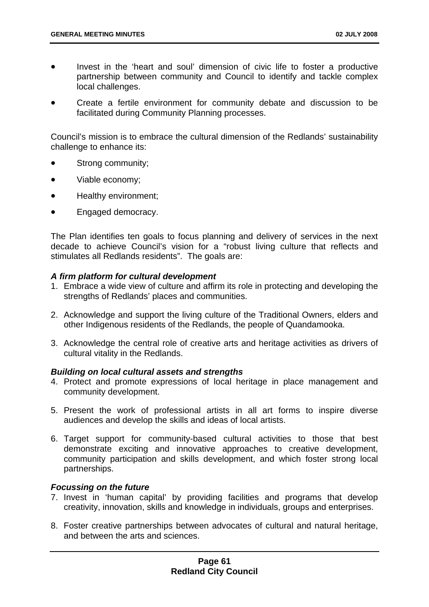- Invest in the 'heart and soul' dimension of civic life to foster a productive partnership between community and Council to identify and tackle complex local challenges.
- Create a fertile environment for community debate and discussion to be facilitated during Community Planning processes.

Council's mission is to embrace the cultural dimension of the Redlands' sustainability challenge to enhance its:

- Strong community;
- Viable economy;
- Healthy environment;
- Engaged democracy.

The Plan identifies ten goals to focus planning and delivery of services in the next decade to achieve Council's vision for a "robust living culture that reflects and stimulates all Redlands residents". The goals are:

## *A firm platform for cultural development*

- 1. Embrace a wide view of culture and affirm its role in protecting and developing the strengths of Redlands' places and communities.
- 2. Acknowledge and support the living culture of the Traditional Owners, elders and other Indigenous residents of the Redlands, the people of Quandamooka.
- 3. Acknowledge the central role of creative arts and heritage activities as drivers of cultural vitality in the Redlands.

## *Building on local cultural assets and strengths*

- 4. Protect and promote expressions of local heritage in place management and community development.
- 5. Present the work of professional artists in all art forms to inspire diverse audiences and develop the skills and ideas of local artists.
- 6. Target support for community-based cultural activities to those that best demonstrate exciting and innovative approaches to creative development, community participation and skills development, and which foster strong local partnerships.

## *Focussing on the future*

- 7. Invest in 'human capital' by providing facilities and programs that develop creativity, innovation, skills and knowledge in individuals, groups and enterprises.
- 8. Foster creative partnerships between advocates of cultural and natural heritage, and between the arts and sciences.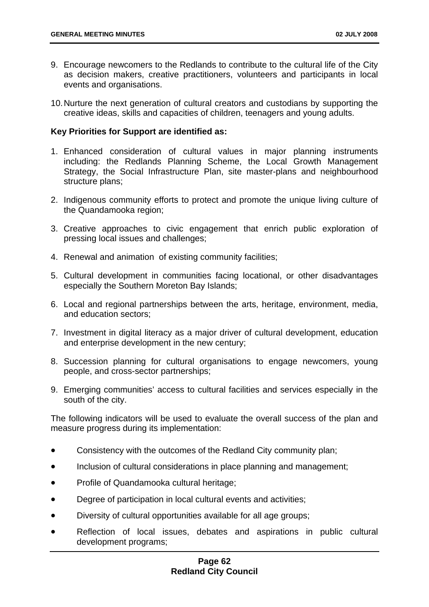- 9. Encourage newcomers to the Redlands to contribute to the cultural life of the City as decision makers, creative practitioners, volunteers and participants in local events and organisations.
- 10. Nurture the next generation of cultural creators and custodians by supporting the creative ideas, skills and capacities of children, teenagers and young adults.

#### **Key Priorities for Support are identified as:**

- 1. Enhanced consideration of cultural values in major planning instruments including: the Redlands Planning Scheme, the Local Growth Management Strategy, the Social Infrastructure Plan, site master-plans and neighbourhood structure plans;
- 2. Indigenous community efforts to protect and promote the unique living culture of the Quandamooka region;
- 3. Creative approaches to civic engagement that enrich public exploration of pressing local issues and challenges;
- 4. Renewal and animation of existing community facilities;
- 5. Cultural development in communities facing locational, or other disadvantages especially the Southern Moreton Bay Islands;
- 6. Local and regional partnerships between the arts, heritage, environment, media, and education sectors;
- 7. Investment in digital literacy as a major driver of cultural development, education and enterprise development in the new century;
- 8. Succession planning for cultural organisations to engage newcomers, young people, and cross-sector partnerships;
- 9. Emerging communities' access to cultural facilities and services especially in the south of the city.

The following indicators will be used to evaluate the overall success of the plan and measure progress during its implementation:

- Consistency with the outcomes of the Redland City community plan;
- Inclusion of cultural considerations in place planning and management;
- Profile of Quandamooka cultural heritage;
- Degree of participation in local cultural events and activities;
- Diversity of cultural opportunities available for all age groups;
- Reflection of local issues, debates and aspirations in public cultural development programs;

## **Page 62 Redland City Council**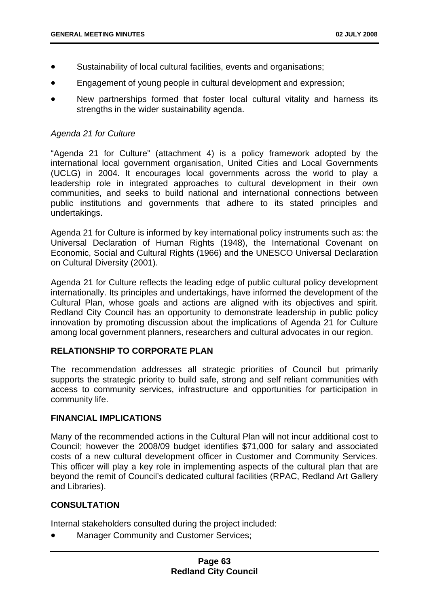- Sustainability of local cultural facilities, events and organisations;
- Engagement of young people in cultural development and expression;
- New partnerships formed that foster local cultural vitality and harness its strengths in the wider sustainability agenda.

## *Agenda 21 for Culture*

"Agenda 21 for Culture" (attachment 4) is a policy framework adopted by the international local government organisation, United Cities and Local Governments (UCLG) in 2004. It encourages local governments across the world to play a leadership role in integrated approaches to cultural development in their own communities, and seeks to build national and international connections between public institutions and governments that adhere to its stated principles and undertakings.

Agenda 21 for Culture is informed by key international policy instruments such as: the Universal Declaration of Human Rights (1948), the International Covenant on Economic, Social and Cultural Rights (1966) and the UNESCO Universal Declaration on Cultural Diversity (2001).

Agenda 21 for Culture reflects the leading edge of public cultural policy development internationally. Its principles and undertakings, have informed the development of the Cultural Plan, whose goals and actions are aligned with its objectives and spirit. Redland City Council has an opportunity to demonstrate leadership in public policy innovation by promoting discussion about the implications of Agenda 21 for Culture among local government planners, researchers and cultural advocates in our region.

# **RELATIONSHIP TO CORPORATE PLAN**

The recommendation addresses all strategic priorities of Council but primarily supports the strategic priority to build safe, strong and self reliant communities with access to community services, infrastructure and opportunities for participation in community life.

## **FINANCIAL IMPLICATIONS**

Many of the recommended actions in the Cultural Plan will not incur additional cost to Council; however the 2008/09 budget identifies \$71,000 for salary and associated costs of a new cultural development officer in Customer and Community Services. This officer will play a key role in implementing aspects of the cultural plan that are beyond the remit of Council's dedicated cultural facilities (RPAC, Redland Art Gallery and Libraries).

# **CONSULTATION**

Internal stakeholders consulted during the project included:

• Manager Community and Customer Services;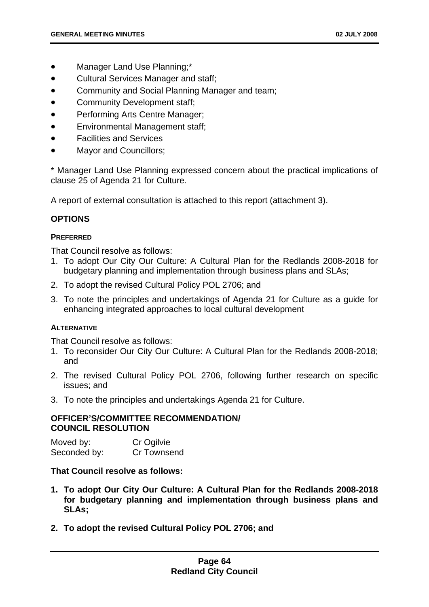- Manager Land Use Planning;\*
- Cultural Services Manager and staff;
- Community and Social Planning Manager and team;
- Community Development staff;
- Performing Arts Centre Manager;
- Environmental Management staff;
- Facilities and Services
- Mayor and Councillors;

\* Manager Land Use Planning expressed concern about the practical implications of clause 25 of Agenda 21 for Culture.

A report of external consultation is attached to this report (attachment 3).

## **OPTIONS**

#### **PREFERRED**

That Council resolve as follows:

- 1. To adopt Our City Our Culture: A Cultural Plan for the Redlands 2008-2018 for budgetary planning and implementation through business plans and SLAs;
- 2. To adopt the revised Cultural Policy POL 2706; and
- 3. To note the principles and undertakings of Agenda 21 for Culture as a guide for enhancing integrated approaches to local cultural development

## **ALTERNATIVE**

That Council resolve as follows:

- 1. To reconsider Our City Our Culture: A Cultural Plan for the Redlands 2008-2018; and
- 2. The revised Cultural Policy POL 2706, following further research on specific issues; and
- 3. To note the principles and undertakings Agenda 21 for Culture.

## **OFFICER'S/COMMITTEE RECOMMENDATION/ COUNCIL RESOLUTION**

Moved by: Cr Ogilvie Seconded by: Cr Townsend

## **That Council resolve as follows:**

- **1. To adopt Our City Our Culture: A Cultural Plan for the Redlands 2008-2018 for budgetary planning and implementation through business plans and SLAs;**
- **2. To adopt the revised Cultural Policy POL 2706; and**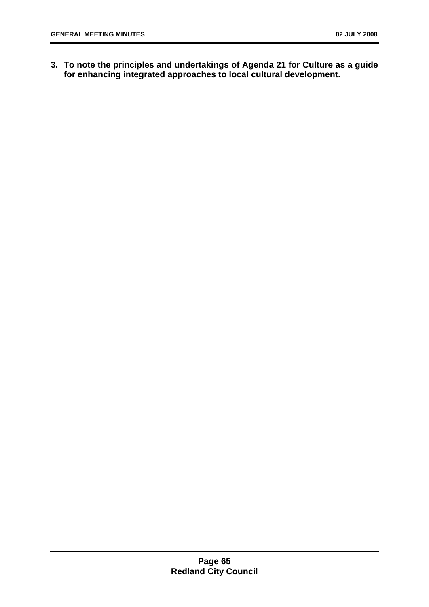**3. To note the principles and undertakings of Agenda 21 for Culture as a guide for enhancing integrated approaches to local cultural development.**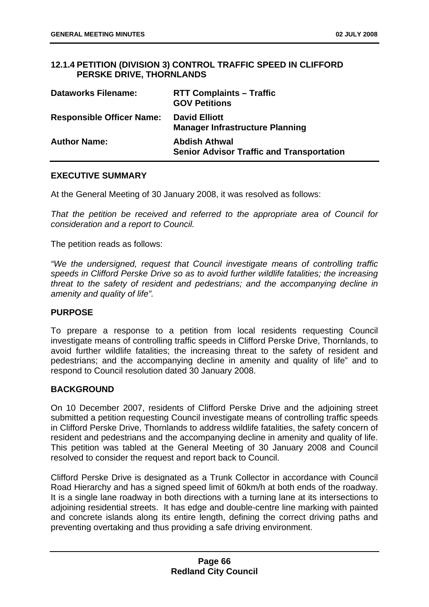## **12.1.4 PETITION (DIVISION 3) CONTROL TRAFFIC SPEED IN CLIFFORD PERSKE DRIVE, THORNLANDS**

| <b>Dataworks Filename:</b>       | <b>RTT Complaints - Traffic</b><br><b>GOV Petitions</b>                  |
|----------------------------------|--------------------------------------------------------------------------|
| <b>Responsible Officer Name:</b> | <b>David Elliott</b><br><b>Manager Infrastructure Planning</b>           |
| <b>Author Name:</b>              | <b>Abdish Athwal</b><br><b>Senior Advisor Traffic and Transportation</b> |

## **EXECUTIVE SUMMARY**

At the General Meeting of 30 January 2008, it was resolved as follows:

*That the petition be received and referred to the appropriate area of Council for consideration and a report to Council.* 

The petition reads as follows:

*"We the undersigned, request that Council investigate means of controlling traffic speeds in Clifford Perske Drive so as to avoid further wildlife fatalities; the increasing threat to the safety of resident and pedestrians; and the accompanying decline in amenity and quality of life".* 

## **PURPOSE**

To prepare a response to a petition from local residents requesting Council investigate means of controlling traffic speeds in Clifford Perske Drive, Thornlands, to avoid further wildlife fatalities; the increasing threat to the safety of resident and pedestrians; and the accompanying decline in amenity and quality of life" and to respond to Council resolution dated 30 January 2008.

## **BACKGROUND**

On 10 December 2007, residents of Clifford Perske Drive and the adjoining street submitted a petition requesting Council investigate means of controlling traffic speeds in Clifford Perske Drive, Thornlands to address wildlife fatalities, the safety concern of resident and pedestrians and the accompanying decline in amenity and quality of life. This petition was tabled at the General Meeting of 30 January 2008 and Council resolved to consider the request and report back to Council.

Clifford Perske Drive is designated as a Trunk Collector in accordance with Council Road Hierarchy and has a signed speed limit of 60km/h at both ends of the roadway. It is a single lane roadway in both directions with a turning lane at its intersections to adjoining residential streets. It has edge and double-centre line marking with painted and concrete islands along its entire length, defining the correct driving paths and preventing overtaking and thus providing a safe driving environment.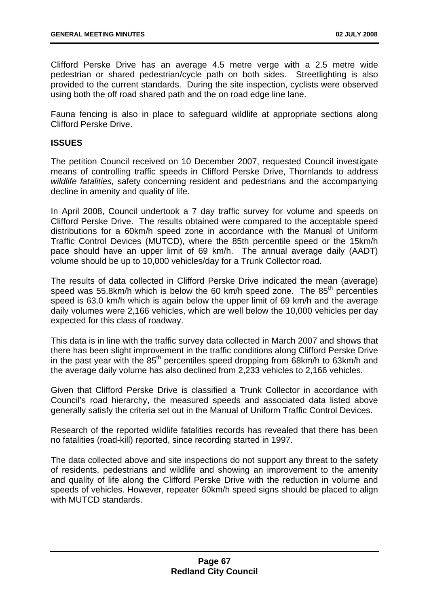Clifford Perske Drive has an average 4.5 metre verge with a 2.5 metre wide pedestrian or shared pedestrian/cycle path on both sides. Streetlighting is also provided to the current standards. During the site inspection, cyclists were observed using both the off road shared path and the on road edge line lane.

Fauna fencing is also in place to safeguard wildlife at appropriate sections along Clifford Perske Drive.

## **ISSUES**

The petition Council received on 10 December 2007, requested Council investigate means of controlling traffic speeds in Clifford Perske Drive, Thornlands to address *wildlife fatalities,* safety concerning resident and pedestrians and the accompanying decline in amenity and quality of life.

In April 2008, Council undertook a 7 day traffic survey for volume and speeds on Clifford Perske Drive. The results obtained were compared to the acceptable speed distributions for a 60km/h speed zone in accordance with the Manual of Uniform Traffic Control Devices (MUTCD), where the 85th percentile speed or the 15km/h pace should have an upper limit of 69 km/h. The annual average daily (AADT) volume should be up to 10,000 vehicles/day for a Trunk Collector road.

The results of data collected in Clifford Perske Drive indicated the mean (average) speed was 55.8km/h which is below the 60 km/h speed zone. The  $85<sup>th</sup>$  percentiles speed is 63.0 km/h which is again below the upper limit of 69 km/h and the average daily volumes were 2,166 vehicles, which are well below the 10,000 vehicles per day expected for this class of roadway.

This data is in line with the traffic survey data collected in March 2007 and shows that there has been slight improvement in the traffic conditions along Clifford Perske Drive in the past year with the  $85<sup>th</sup>$  percentiles speed dropping from 68km/h to 63km/h and the average daily volume has also declined from 2,233 vehicles to 2,166 vehicles.

Given that Clifford Perske Drive is classified a Trunk Collector in accordance with Council's road hierarchy, the measured speeds and associated data listed above generally satisfy the criteria set out in the Manual of Uniform Traffic Control Devices.

Research of the reported wildlife fatalities records has revealed that there has been no fatalities (road-kill) reported, since recording started in 1997.

The data collected above and site inspections do not support any threat to the safety of residents, pedestrians and wildlife and showing an improvement to the amenity and quality of life along the Clifford Perske Drive with the reduction in volume and speeds of vehicles. However, repeater 60km/h speed signs should be placed to align with MUTCD standards.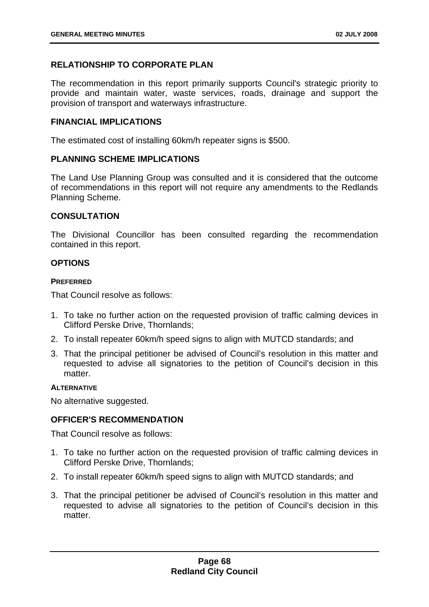# **RELATIONSHIP TO CORPORATE PLAN**

The recommendation in this report primarily supports Council's strategic priority to provide and maintain water, waste services, roads, drainage and support the provision of transport and waterways infrastructure.

## **FINANCIAL IMPLICATIONS**

The estimated cost of installing 60km/h repeater signs is \$500.

## **PLANNING SCHEME IMPLICATIONS**

The Land Use Planning Group was consulted and it is considered that the outcome of recommendations in this report will not require any amendments to the Redlands Planning Scheme.

## **CONSULTATION**

The Divisional Councillor has been consulted regarding the recommendation contained in this report.

## **OPTIONS**

### **PREFERRED**

That Council resolve as follows:

- 1. To take no further action on the requested provision of traffic calming devices in Clifford Perske Drive, Thornlands;
- 2. To install repeater 60km/h speed signs to align with MUTCD standards; and
- 3. That the principal petitioner be advised of Council's resolution in this matter and requested to advise all signatories to the petition of Council's decision in this matter.

### **ALTERNATIVE**

No alternative suggested.

# **OFFICER'S RECOMMENDATION**

That Council resolve as follows:

- 1. To take no further action on the requested provision of traffic calming devices in Clifford Perske Drive, Thornlands;
- 2. To install repeater 60km/h speed signs to align with MUTCD standards; and
- 3. That the principal petitioner be advised of Council's resolution in this matter and requested to advise all signatories to the petition of Council's decision in this matter.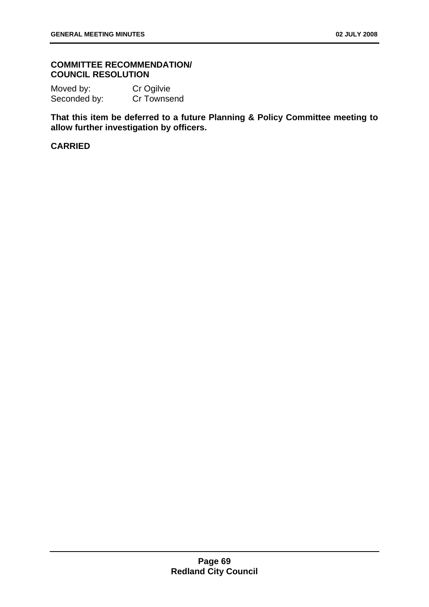## **COMMITTEE RECOMMENDATION/ COUNCIL RESOLUTION**

Moved by: Cr Ogilvie Seconded by: Cr Townsend

**That this item be deferred to a future Planning & Policy Committee meeting to allow further investigation by officers.** 

## **CARRIED**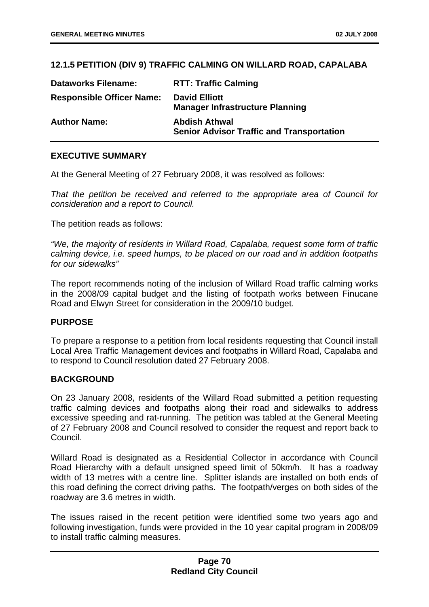# **12.1.5 PETITION (DIV 9) TRAFFIC CALMING ON WILLARD ROAD, CAPALABA**

| <b>Dataworks Filename:</b>       | <b>RTT: Traffic Calming</b>                                              |
|----------------------------------|--------------------------------------------------------------------------|
| <b>Responsible Officer Name:</b> | <b>David Elliott</b><br><b>Manager Infrastructure Planning</b>           |
| <b>Author Name:</b>              | <b>Abdish Athwal</b><br><b>Senior Advisor Traffic and Transportation</b> |

## **EXECUTIVE SUMMARY**

At the General Meeting of 27 February 2008, it was resolved as follows:

*That the petition be received and referred to the appropriate area of Council for consideration and a report to Council.* 

The petition reads as follows:

*"We, the majority of residents in Willard Road, Capalaba, request some form of traffic calming device, i.e. speed humps, to be placed on our road and in addition footpaths for our sidewalks"* 

The report recommends noting of the inclusion of Willard Road traffic calming works in the 2008/09 capital budget and the listing of footpath works between Finucane Road and Elwyn Street for consideration in the 2009/10 budget.

# **PURPOSE**

To prepare a response to a petition from local residents requesting that Council install Local Area Traffic Management devices and footpaths in Willard Road, Capalaba and to respond to Council resolution dated 27 February 2008.

### **BACKGROUND**

On 23 January 2008, residents of the Willard Road submitted a petition requesting traffic calming devices and footpaths along their road and sidewalks to address excessive speeding and rat-running. The petition was tabled at the General Meeting of 27 February 2008 and Council resolved to consider the request and report back to Council.

Willard Road is designated as a Residential Collector in accordance with Council Road Hierarchy with a default unsigned speed limit of 50km/h. It has a roadway width of 13 metres with a centre line. Splitter islands are installed on both ends of this road defining the correct driving paths. The footpath/verges on both sides of the roadway are 3.6 metres in width.

The issues raised in the recent petition were identified some two years ago and following investigation, funds were provided in the 10 year capital program in 2008/09 to install traffic calming measures.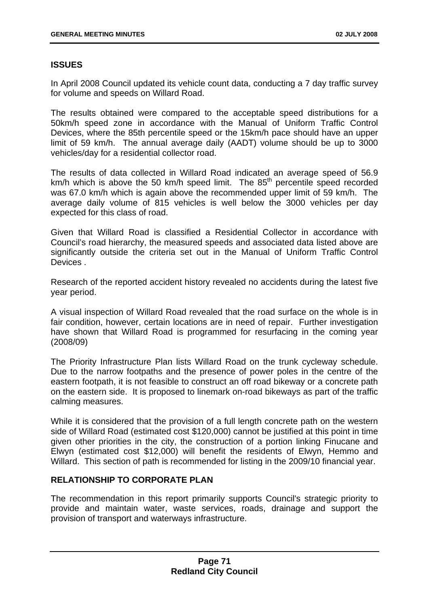# **ISSUES**

In April 2008 Council updated its vehicle count data, conducting a 7 day traffic survey for volume and speeds on Willard Road.

The results obtained were compared to the acceptable speed distributions for a 50km/h speed zone in accordance with the Manual of Uniform Traffic Control Devices, where the 85th percentile speed or the 15km/h pace should have an upper limit of 59 km/h. The annual average daily (AADT) volume should be up to 3000 vehicles/day for a residential collector road.

The results of data collected in Willard Road indicated an average speed of 56.9 km/h which is above the 50 km/h speed limit. The  $85<sup>th</sup>$  percentile speed recorded was 67.0 km/h which is again above the recommended upper limit of 59 km/h. The average daily volume of 815 vehicles is well below the 3000 vehicles per day expected for this class of road.

Given that Willard Road is classified a Residential Collector in accordance with Council's road hierarchy, the measured speeds and associated data listed above are significantly outside the criteria set out in the Manual of Uniform Traffic Control Devices .

Research of the reported accident history revealed no accidents during the latest five year period.

A visual inspection of Willard Road revealed that the road surface on the whole is in fair condition, however, certain locations are in need of repair. Further investigation have shown that Willard Road is programmed for resurfacing in the coming year (2008/09)

The Priority Infrastructure Plan lists Willard Road on the trunk cycleway schedule. Due to the narrow footpaths and the presence of power poles in the centre of the eastern footpath, it is not feasible to construct an off road bikeway or a concrete path on the eastern side. It is proposed to linemark on-road bikeways as part of the traffic calming measures.

While it is considered that the provision of a full length concrete path on the western side of Willard Road (estimated cost \$120,000) cannot be justified at this point in time given other priorities in the city, the construction of a portion linking Finucane and Elwyn (estimated cost \$12,000) will benefit the residents of Elwyn, Hemmo and Willard. This section of path is recommended for listing in the 2009/10 financial year.

# **RELATIONSHIP TO CORPORATE PLAN**

The recommendation in this report primarily supports Council's strategic priority to provide and maintain water, waste services, roads, drainage and support the provision of transport and waterways infrastructure.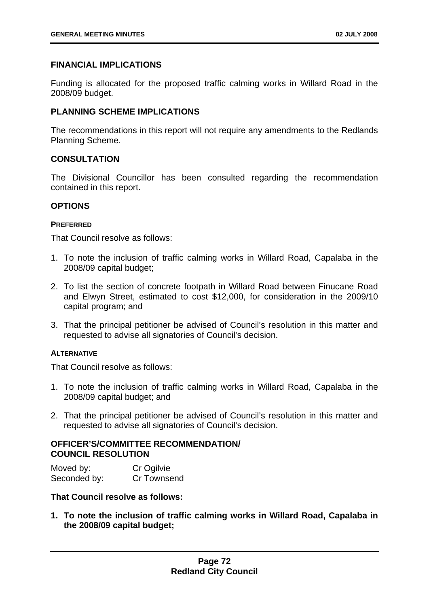# **FINANCIAL IMPLICATIONS**

Funding is allocated for the proposed traffic calming works in Willard Road in the 2008/09 budget.

# **PLANNING SCHEME IMPLICATIONS**

The recommendations in this report will not require any amendments to the Redlands Planning Scheme.

## **CONSULTATION**

The Divisional Councillor has been consulted regarding the recommendation contained in this report.

## **OPTIONS**

### **PREFERRED**

That Council resolve as follows:

- 1. To note the inclusion of traffic calming works in Willard Road, Capalaba in the 2008/09 capital budget;
- 2. To list the section of concrete footpath in Willard Road between Finucane Road and Elwyn Street, estimated to cost \$12,000, for consideration in the 2009/10 capital program; and
- 3. That the principal petitioner be advised of Council's resolution in this matter and requested to advise all signatories of Council's decision.

### **ALTERNATIVE**

That Council resolve as follows:

- 1. To note the inclusion of traffic calming works in Willard Road, Capalaba in the 2008/09 capital budget; and
- 2. That the principal petitioner be advised of Council's resolution in this matter and requested to advise all signatories of Council's decision.

## **OFFICER'S/COMMITTEE RECOMMENDATION/ COUNCIL RESOLUTION**

Moved by: Cr Ogilvie Seconded by: Cr Townsend

## **That Council resolve as follows:**

**1. To note the inclusion of traffic calming works in Willard Road, Capalaba in the 2008/09 capital budget;**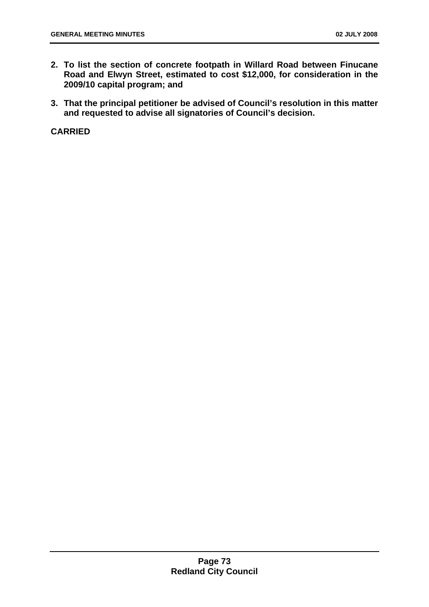- **2. To list the section of concrete footpath in Willard Road between Finucane Road and Elwyn Street, estimated to cost \$12,000, for consideration in the 2009/10 capital program; and**
- **3. That the principal petitioner be advised of Council's resolution in this matter and requested to advise all signatories of Council's decision.**

**CARRIED**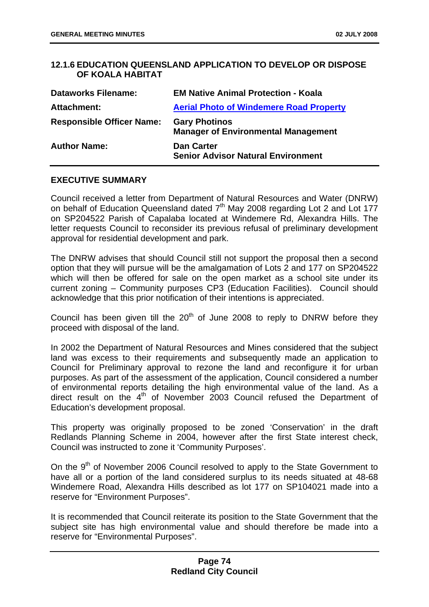# **12.1.6 EDUCATION QUEENSLAND APPLICATION TO DEVELOP OR DISPOSE OF KOALA HABITAT**

| <b>Dataworks Filename:</b>       | <b>EM Native Animal Protection - Koala</b>                         |
|----------------------------------|--------------------------------------------------------------------|
| Attachment:                      | <b>Aerial Photo of Windemere Road Property</b>                     |
| <b>Responsible Officer Name:</b> | <b>Gary Photinos</b><br><b>Manager of Environmental Management</b> |
| <b>Author Name:</b>              | <b>Dan Carter</b><br><b>Senior Advisor Natural Environment</b>     |

## **EXECUTIVE SUMMARY**

Council received a letter from Department of Natural Resources and Water (DNRW) on behalf of Education Queensland dated  $7<sup>th</sup>$  May 2008 regarding Lot 2 and Lot 177 on SP204522 Parish of Capalaba located at Windemere Rd, Alexandra Hills. The letter requests Council to reconsider its previous refusal of preliminary development approval for residential development and park.

The DNRW advises that should Council still not support the proposal then a second option that they will pursue will be the amalgamation of Lots 2 and 177 on SP204522 which will then be offered for sale on the open market as a school site under its current zoning – Community purposes CP3 (Education Facilities). Council should acknowledge that this prior notification of their intentions is appreciated.

Council has been given till the  $20<sup>th</sup>$  of June 2008 to reply to DNRW before they proceed with disposal of the land.

In 2002 the Department of Natural Resources and Mines considered that the subject land was excess to their requirements and subsequently made an application to Council for Preliminary approval to rezone the land and reconfigure it for urban purposes. As part of the assessment of the application, Council considered a number of environmental reports detailing the high environmental value of the land. As a direct result on the 4<sup>th</sup> of November 2003 Council refused the Department of Education's development proposal.

This property was originally proposed to be zoned 'Conservation' in the draft Redlands Planning Scheme in 2004, however after the first State interest check, Council was instructed to zone it 'Community Purposes'.

On the  $9<sup>th</sup>$  of November 2006 Council resolved to apply to the State Government to have all or a portion of the land considered surplus to its needs situated at 48-68 Windemere Road, Alexandra Hills described as lot 177 on SP104021 made into a reserve for "Environment Purposes".

It is recommended that Council reiterate its position to the State Government that the subject site has high environmental value and should therefore be made into a reserve for "Environmental Purposes".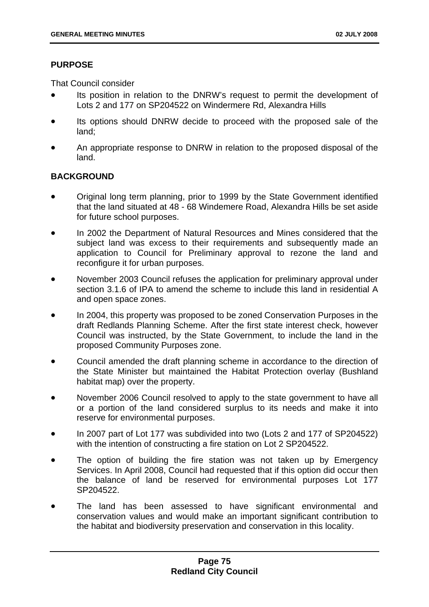# **PURPOSE**

That Council consider

- Its position in relation to the DNRW's request to permit the development of Lots 2 and 177 on SP204522 on Windermere Rd, Alexandra Hills
- Its options should DNRW decide to proceed with the proposed sale of the land;
- An appropriate response to DNRW in relation to the proposed disposal of the land.

# **BACKGROUND**

- Original long term planning, prior to 1999 by the State Government identified that the land situated at 48 - 68 Windemere Road, Alexandra Hills be set aside for future school purposes.
- In 2002 the Department of Natural Resources and Mines considered that the subject land was excess to their requirements and subsequently made an application to Council for Preliminary approval to rezone the land and reconfigure it for urban purposes.
- November 2003 Council refuses the application for preliminary approval under section 3.1.6 of IPA to amend the scheme to include this land in residential A and open space zones.
- In 2004, this property was proposed to be zoned Conservation Purposes in the draft Redlands Planning Scheme. After the first state interest check, however Council was instructed, by the State Government, to include the land in the proposed Community Purposes zone.
- Council amended the draft planning scheme in accordance to the direction of the State Minister but maintained the Habitat Protection overlay (Bushland habitat map) over the property.
- November 2006 Council resolved to apply to the state government to have all or a portion of the land considered surplus to its needs and make it into reserve for environmental purposes.
- In 2007 part of Lot 177 was subdivided into two (Lots 2 and 177 of SP204522) with the intention of constructing a fire station on Lot 2 SP204522.
- The option of building the fire station was not taken up by Emergency Services. In April 2008, Council had requested that if this option did occur then the balance of land be reserved for environmental purposes Lot 177 SP204522.
- The land has been assessed to have significant environmental and conservation values and would make an important significant contribution to the habitat and biodiversity preservation and conservation in this locality.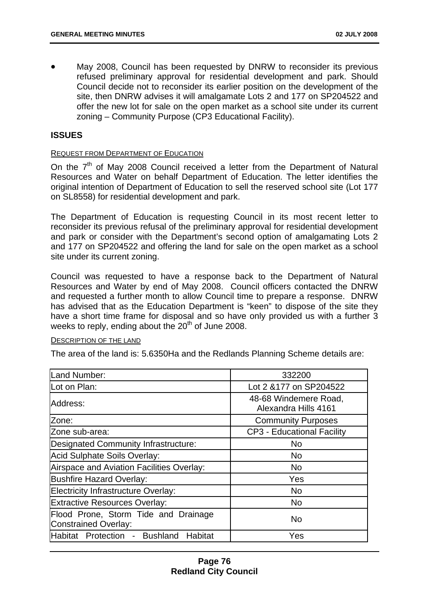• May 2008, Council has been requested by DNRW to reconsider its previous refused preliminary approval for residential development and park. Should Council decide not to reconsider its earlier position on the development of the site, then DNRW advises it will amalgamate Lots 2 and 177 on SP204522 and offer the new lot for sale on the open market as a school site under its current zoning – Community Purpose (CP3 Educational Facility).

### **ISSUES**

### REQUEST FROM DEPARTMENT OF EDUCATION

On the  $7<sup>th</sup>$  of May 2008 Council received a letter from the Department of Natural Resources and Water on behalf Department of Education. The letter identifies the original intention of Department of Education to sell the reserved school site (Lot 177 on SL8558) for residential development and park.

The Department of Education is requesting Council in its most recent letter to reconsider its previous refusal of the preliminary approval for residential development and park or consider with the Department's second option of amalgamating Lots 2 and 177 on SP204522 and offering the land for sale on the open market as a school site under its current zoning.

Council was requested to have a response back to the Department of Natural Resources and Water by end of May 2008. Council officers contacted the DNRW and requested a further month to allow Council time to prepare a response. DNRW has advised that as the Education Department is "keen" to dispose of the site they have a short time frame for disposal and so have only provided us with a further 3 weeks to reply, ending about the  $20<sup>th</sup>$  of June 2008.

#### DESCRIPTION OF THE LAND

The area of the land is: 5.6350Ha and the Redlands Planning Scheme details are:

| Land Number:                                                 | 332200                                        |
|--------------------------------------------------------------|-----------------------------------------------|
| Lot on Plan:                                                 | Lot 2 & 177 on SP204522                       |
| Address:                                                     | 48-68 Windemere Road,<br>Alexandra Hills 4161 |
| Zone:                                                        | <b>Community Purposes</b>                     |
| Zone sub-area:                                               | <b>CP3 - Educational Facility</b>             |
| Designated Community Infrastructure:                         | <b>No</b>                                     |
| <b>Acid Sulphate Soils Overlay:</b>                          | <b>No</b>                                     |
| Airspace and Aviation Facilities Overlay:                    | <b>No</b>                                     |
| <b>Bushfire Hazard Overlay:</b>                              | Yes                                           |
| Electricity Infrastructure Overlay:                          | <b>No</b>                                     |
| <b>Extractive Resources Overlay:</b>                         | <b>No</b>                                     |
| Flood Prone, Storm Tide and Drainage<br>Constrained Overlay: | <b>No</b>                                     |
| Habitat Protection - Bushland<br>Habitat                     | Yes                                           |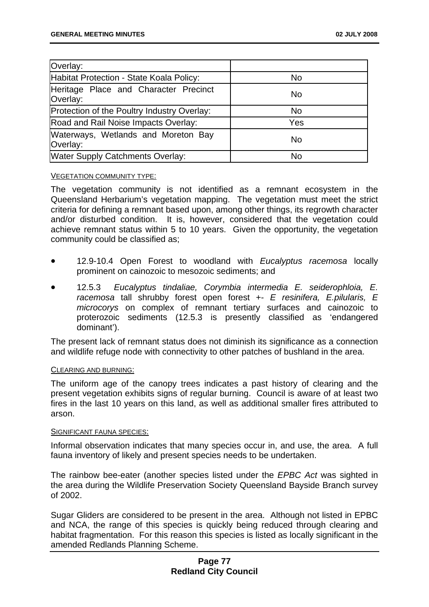| Overlay:                                          |           |
|---------------------------------------------------|-----------|
| Habitat Protection - State Koala Policy:          | <b>No</b> |
| Heritage Place and Character Precinct<br>Overlay: | No.       |
| Protection of the Poultry Industry Overlay:       | <b>No</b> |
| Road and Rail Noise Impacts Overlay:              | Yes       |
| Waterways, Wetlands and Moreton Bay<br>Overlay:   | No.       |
| <b>Water Supply Catchments Overlay:</b>           | No        |

#### VEGETATION COMMUNITY TYPE:

The vegetation community is not identified as a remnant ecosystem in the Queensland Herbarium's vegetation mapping. The vegetation must meet the strict criteria for defining a remnant based upon, among other things, its regrowth character and/or disturbed condition. It is, however, considered that the vegetation could achieve remnant status within 5 to 10 years. Given the opportunity, the vegetation community could be classified as;

- 12.9-10.4 Open Forest to woodland with *Eucalyptus racemosa* locally prominent on cainozoic to mesozoic sediments; and
- 12.5.3 *Eucalyptus tindaliae, Corymbia intermedia E. seiderophloia, E. racemosa* tall shrubby forest open forest +- *E resinifera, E.pilularis, E microcorys* on complex of remnant tertiary surfaces and cainozoic to proterozoic sediments (12.5.3 is presently classified as 'endangered dominant').

The present lack of remnant status does not diminish its significance as a connection and wildlife refuge node with connectivity to other patches of bushland in the area.

#### CLEARING AND BURNING:

The uniform age of the canopy trees indicates a past history of clearing and the present vegetation exhibits signs of regular burning. Council is aware of at least two fires in the last 10 years on this land, as well as additional smaller fires attributed to arson.

#### SIGNIFICANT FAUNA SPECIES:

Informal observation indicates that many species occur in, and use, the area. A full fauna inventory of likely and present species needs to be undertaken.

The rainbow bee-eater (another species listed under the *EPBC Act* was sighted in the area during the Wildlife Preservation Society Queensland Bayside Branch survey of 2002.

Sugar Gliders are considered to be present in the area. Although not listed in EPBC and NCA, the range of this species is quickly being reduced through clearing and habitat fragmentation. For this reason this species is listed as locally significant in the amended Redlands Planning Scheme.

## **Page 77 Redland City Council**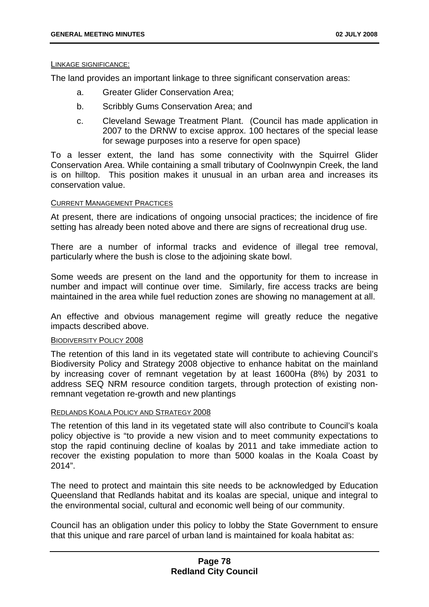#### LINKAGE SIGNIFICANCE:

The land provides an important linkage to three significant conservation areas:

- a. Greater Glider Conservation Area;
- b. Scribbly Gums Conservation Area; and
- c. Cleveland Sewage Treatment Plant. (Council has made application in 2007 to the DRNW to excise approx. 100 hectares of the special lease for sewage purposes into a reserve for open space)

To a lesser extent, the land has some connectivity with the Squirrel Glider Conservation Area. While containing a small tributary of Coolnwynpin Creek, the land is on hilltop. This position makes it unusual in an urban area and increases its conservation value.

### CURRENT MANAGEMENT PRACTICES

At present, there are indications of ongoing unsocial practices; the incidence of fire setting has already been noted above and there are signs of recreational drug use.

There are a number of informal tracks and evidence of illegal tree removal, particularly where the bush is close to the adjoining skate bowl.

Some weeds are present on the land and the opportunity for them to increase in number and impact will continue over time. Similarly, fire access tracks are being maintained in the area while fuel reduction zones are showing no management at all.

An effective and obvious management regime will greatly reduce the negative impacts described above.

### BIODIVERSITY POLICY 2008

The retention of this land in its vegetated state will contribute to achieving Council's Biodiversity Policy and Strategy 2008 objective to enhance habitat on the mainland by increasing cover of remnant vegetation by at least 1600Ha (8%) by 2031 to address SEQ NRM resource condition targets, through protection of existing nonremnant vegetation re-growth and new plantings

#### REDLANDS KOALA POLICY AND STRATEGY 2008

The retention of this land in its vegetated state will also contribute to Council's koala policy objective is "to provide a new vision and to meet community expectations to stop the rapid continuing decline of koalas by 2011 and take immediate action to recover the existing population to more than 5000 koalas in the Koala Coast by 2014".

The need to protect and maintain this site needs to be acknowledged by Education Queensland that Redlands habitat and its koalas are special, unique and integral to the environmental social, cultural and economic well being of our community.

Council has an obligation under this policy to lobby the State Government to ensure that this unique and rare parcel of urban land is maintained for koala habitat as: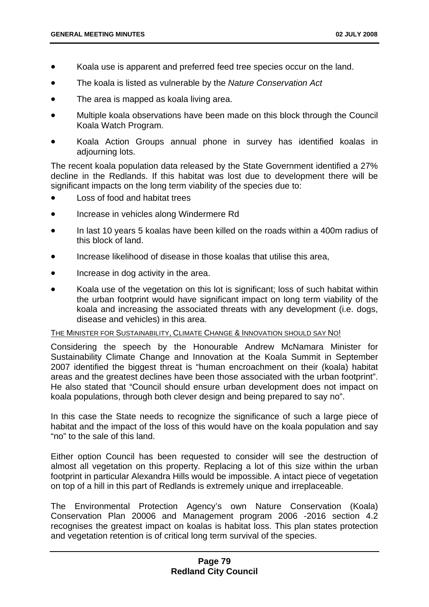- Koala use is apparent and preferred feed tree species occur on the land.
- The koala is listed as vulnerable by the *Nature Conservation Act*
- The area is mapped as koala living area.
- Multiple koala observations have been made on this block through the Council Koala Watch Program.
- Koala Action Groups annual phone in survey has identified koalas in adjourning lots.

The recent koala population data released by the State Government identified a 27% decline in the Redlands. If this habitat was lost due to development there will be significant impacts on the long term viability of the species due to:

- Loss of food and habitat trees
- Increase in vehicles along Windermere Rd
- In last 10 years 5 koalas have been killed on the roads within a 400m radius of this block of land.
- Increase likelihood of disease in those koalas that utilise this area,
- Increase in dog activity in the area.
- Koala use of the vegetation on this lot is significant; loss of such habitat within the urban footprint would have significant impact on long term viability of the koala and increasing the associated threats with any development (i.e. dogs, disease and vehicles) in this area.

#### THE MINISTER FOR SUSTAINABILITY, CLIMATE CHANGE & INNOVATION SHOULD SAY NO!

Considering the speech by the Honourable Andrew McNamara Minister for Sustainability Climate Change and Innovation at the Koala Summit in September 2007 identified the biggest threat is "human encroachment on their (koala) habitat areas and the greatest declines have been those associated with the urban footprint". He also stated that "Council should ensure urban development does not impact on koala populations, through both clever design and being prepared to say no".

In this case the State needs to recognize the significance of such a large piece of habitat and the impact of the loss of this would have on the koala population and say "no" to the sale of this land.

Either option Council has been requested to consider will see the destruction of almost all vegetation on this property. Replacing a lot of this size within the urban footprint in particular Alexandra Hills would be impossible. A intact piece of vegetation on top of a hill in this part of Redlands is extremely unique and irreplaceable.

The Environmental Protection Agency's own Nature Conservation (Koala) Conservation Plan 20006 and Management program 2006 -2016 section 4.2 recognises the greatest impact on koalas is habitat loss. This plan states protection and vegetation retention is of critical long term survival of the species.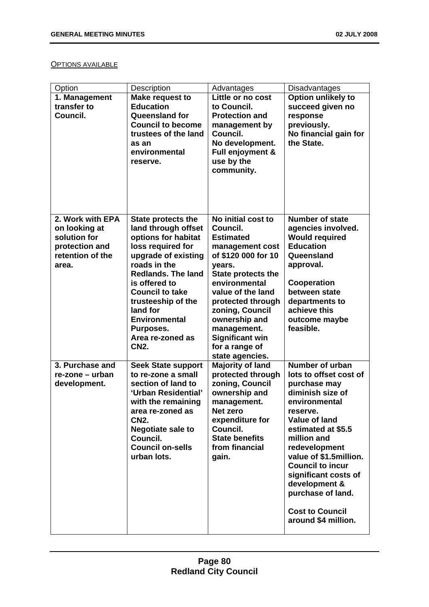### **OPTIONS AVAILABLE**

| Option             | Description                      | Advantages                            | Disadvantages                  |
|--------------------|----------------------------------|---------------------------------------|--------------------------------|
| 1. Management      | <b>Make request to</b>           | Little or no cost                     | Option unlikely to             |
| transfer to        | <b>Education</b>                 | to Council.                           | succeed given no               |
| Council.           | <b>Queensland for</b>            | <b>Protection and</b>                 | response                       |
|                    | <b>Council to become</b>         | management by                         | previously.                    |
|                    | trustees of the land             | Council.                              | No financial gain for          |
|                    | as an                            | No development.                       | the State.                     |
|                    | environmental                    | Full enjoyment &                      |                                |
|                    | reserve.                         | use by the                            |                                |
|                    |                                  | community.                            |                                |
|                    |                                  |                                       |                                |
|                    |                                  |                                       |                                |
|                    |                                  |                                       |                                |
|                    |                                  |                                       |                                |
| 2. Work with EPA   | <b>State protects the</b>        | No initial cost to                    | <b>Number of state</b>         |
| on looking at      | land through offset              | Council.                              | agencies involved.             |
| solution for       | options for habitat              | <b>Estimated</b>                      | <b>Would required</b>          |
| protection and     | loss required for                | management cost                       | <b>Education</b>               |
| retention of the   | upgrade of existing              | of \$120 000 for 10                   | Queensland                     |
| area.              | roads in the                     | years.                                | approval.                      |
|                    | <b>Redlands. The land</b>        | <b>State protects the</b>             |                                |
|                    | is offered to                    | environmental                         | Cooperation                    |
|                    | <b>Council to take</b>           | value of the land                     | between state                  |
|                    | trusteeship of the               | protected through                     | departments to<br>achieve this |
|                    | land for<br><b>Environmental</b> | zoning, Council                       |                                |
|                    |                                  | ownership and                         | outcome maybe<br>feasible.     |
|                    | Purposes.<br>Area re-zoned as    | management.<br><b>Significant win</b> |                                |
|                    | <b>CN2.</b>                      | for a range of                        |                                |
|                    |                                  | state agencies.                       |                                |
| 3. Purchase and    | <b>Seek State support</b>        | <b>Majority of land</b>               | Number of urban                |
| $re$ -zone – urban | to re-zone a small               | protected through                     | lots to offset cost of         |
| development.       | section of land to               | zoning, Council                       | purchase may                   |
|                    | 'Urban Residential'              | ownership and                         | diminish size of               |
|                    | with the remaining               | management.                           | environmental                  |
|                    | area re-zoned as                 | Net zero                              | reserve.                       |
|                    | <b>CN2.</b>                      | expenditure for                       | <b>Value of land</b>           |
|                    | <b>Negotiate sale to</b>         | Council.                              | estimated at \$5.5             |
|                    | Council.                         | <b>State benefits</b>                 | million and                    |
|                    | <b>Council on-sells</b>          | from financial                        | redevelopment                  |
|                    | urban lots.                      | gain.                                 | value of \$1.5million.         |
|                    |                                  |                                       | <b>Council to incur</b>        |
|                    |                                  |                                       | significant costs of           |
|                    |                                  |                                       | development &                  |
|                    |                                  |                                       | purchase of land.              |
|                    |                                  |                                       | <b>Cost to Council</b>         |
|                    |                                  |                                       | around \$4 million.            |
|                    |                                  |                                       |                                |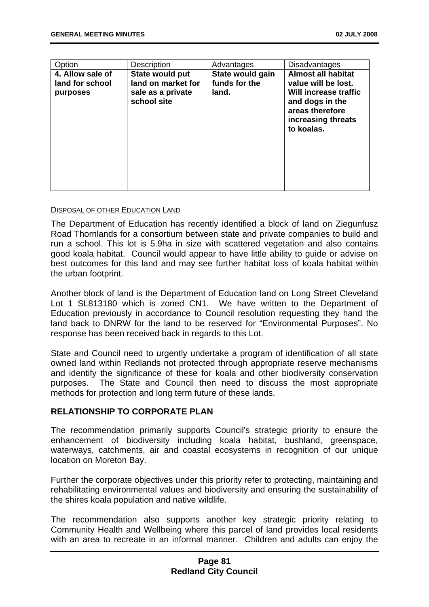| Option                                          | <b>Description</b>                                                        | Advantages                                 | <b>Disadvantages</b>                                                                                                                                |
|-------------------------------------------------|---------------------------------------------------------------------------|--------------------------------------------|-----------------------------------------------------------------------------------------------------------------------------------------------------|
| 4. Allow sale of<br>land for school<br>purposes | State would put<br>land on market for<br>sale as a private<br>school site | State would gain<br>funds for the<br>land. | <b>Almost all habitat</b><br>value will be lost.<br>Will increase traffic<br>and dogs in the<br>areas therefore<br>increasing threats<br>to koalas. |

#### DISPOSAL OF OTHER EDUCATION LAND

The Department of Education has recently identified a block of land on Ziegunfusz Road Thornlands for a consortium between state and private companies to build and run a school. This lot is 5.9ha in size with scattered vegetation and also contains good koala habitat. Council would appear to have little ability to guide or advise on best outcomes for this land and may see further habitat loss of koala habitat within the urban footprint.

Another block of land is the Department of Education land on Long Street Cleveland Lot 1 SL813180 which is zoned CN1. We have written to the Department of Education previously in accordance to Council resolution requesting they hand the land back to DNRW for the land to be reserved for "Environmental Purposes". No response has been received back in regards to this Lot.

State and Council need to urgently undertake a program of identification of all state owned land within Redlands not protected through appropriate reserve mechanisms and identify the significance of these for koala and other biodiversity conservation purposes. The State and Council then need to discuss the most appropriate methods for protection and long term future of these lands.

### **RELATIONSHIP TO CORPORATE PLAN**

The recommendation primarily supports Council's strategic priority to ensure the enhancement of biodiversity including koala habitat, bushland, greenspace, waterways, catchments, air and coastal ecosystems in recognition of our unique location on Moreton Bay.

Further the corporate objectives under this priority refer to protecting, maintaining and rehabilitating environmental values and biodiversity and ensuring the sustainability of the shires koala population and native wildlife.

The recommendation also supports another key strategic priority relating to Community Health and Wellbeing where this parcel of land provides local residents with an area to recreate in an informal manner. Children and adults can enjoy the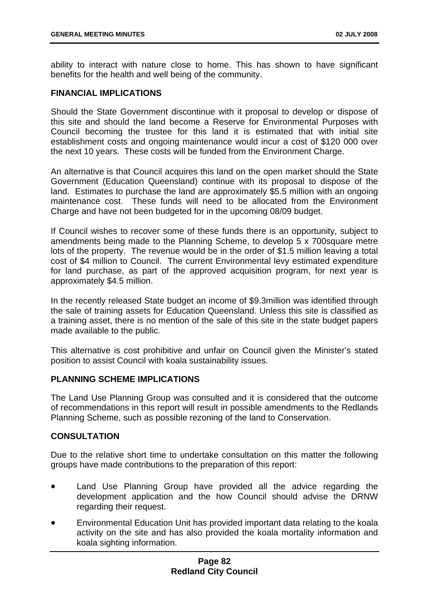ability to interact with nature close to home. This has shown to have significant benefits for the health and well being of the community.

## **FINANCIAL IMPLICATIONS**

Should the State Government discontinue with it proposal to develop or dispose of this site and should the land become a Reserve for Environmental Purposes with Council becoming the trustee for this land it is estimated that with initial site establishment costs and ongoing maintenance would incur a cost of \$120 000 over the next 10 years. These costs will be funded from the Environment Charge.

An alternative is that Council acquires this land on the open market should the State Government (Education Queensland) continue with its proposal to dispose of the land. Estimates to purchase the land are approximately \$5.5 million with an ongoing maintenance cost. These funds will need to be allocated from the Environment Charge and have not been budgeted for in the upcoming 08/09 budget.

If Council wishes to recover some of these funds there is an opportunity, subject to amendments being made to the Planning Scheme, to develop 5 x 700square metre lots of the property. The revenue would be in the order of \$1.5 million leaving a total cost of \$4 million to Council. The current Environmental levy estimated expenditure for land purchase, as part of the approved acquisition program, for next year is approximately \$4.5 million.

In the recently released State budget an income of \$9.3million was identified through the sale of training assets for Education Queensland. Unless this site is classified as a training asset, there is no mention of the sale of this site in the state budget papers made available to the public.

This alternative is cost prohibitive and unfair on Council given the Minister's stated position to assist Council with koala sustainability issues.

# **PLANNING SCHEME IMPLICATIONS**

The Land Use Planning Group was consulted and it is considered that the outcome of recommendations in this report will result in possible amendments to the Redlands Planning Scheme, such as possible rezoning of the land to Conservation.

### **CONSULTATION**

Due to the relative short time to undertake consultation on this matter the following groups have made contributions to the preparation of this report:

- Land Use Planning Group have provided all the advice regarding the development application and the how Council should advise the DRNW regarding their request.
- Environmental Education Unit has provided important data relating to the koala activity on the site and has also provided the koala mortality information and koala sighting information.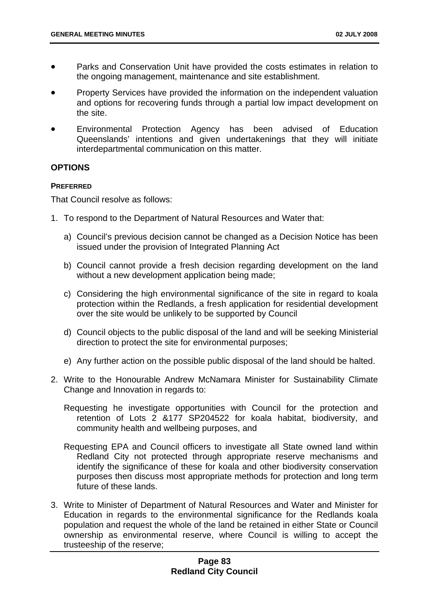- Parks and Conservation Unit have provided the costs estimates in relation to the ongoing management, maintenance and site establishment.
- Property Services have provided the information on the independent valuation and options for recovering funds through a partial low impact development on the site.
- Environmental Protection Agency has been advised of Education Queenslands' intentions and given undertakenings that they will initiate interdepartmental communication on this matter.

## **OPTIONS**

### **PREFERRED**

That Council resolve as follows:

- 1. To respond to the Department of Natural Resources and Water that:
	- a) Council's previous decision cannot be changed as a Decision Notice has been issued under the provision of Integrated Planning Act
	- b) Council cannot provide a fresh decision regarding development on the land without a new development application being made;
	- c) Considering the high environmental significance of the site in regard to koala protection within the Redlands, a fresh application for residential development over the site would be unlikely to be supported by Council
	- d) Council objects to the public disposal of the land and will be seeking Ministerial direction to protect the site for environmental purposes;
	- e) Any further action on the possible public disposal of the land should be halted.
- 2. Write to the Honourable Andrew McNamara Minister for Sustainability Climate Change and Innovation in regards to:
	- Requesting he investigate opportunities with Council for the protection and retention of Lots 2 &177 SP204522 for koala habitat, biodiversity, and community health and wellbeing purposes, and
	- Requesting EPA and Council officers to investigate all State owned land within Redland City not protected through appropriate reserve mechanisms and identify the significance of these for koala and other biodiversity conservation purposes then discuss most appropriate methods for protection and long term future of these lands.
- 3. Write to Minister of Department of Natural Resources and Water and Minister for Education in regards to the environmental significance for the Redlands koala population and request the whole of the land be retained in either State or Council ownership as environmental reserve, where Council is willing to accept the trusteeship of the reserve;

# **Page 83 Redland City Council**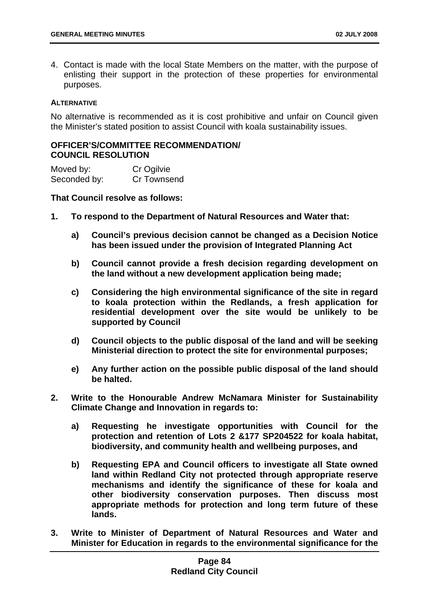4. Contact is made with the local State Members on the matter, with the purpose of enlisting their support in the protection of these properties for environmental purposes.

### **ALTERNATIVE**

No alternative is recommended as it is cost prohibitive and unfair on Council given the Minister's stated position to assist Council with koala sustainability issues.

## **OFFICER'S/COMMITTEE RECOMMENDATION/ COUNCIL RESOLUTION**

Moved by: Cr Ogilvie Seconded by: Cr Townsend

## **That Council resolve as follows:**

- **1. To respond to the Department of Natural Resources and Water that:** 
	- **a) Council's previous decision cannot be changed as a Decision Notice has been issued under the provision of Integrated Planning Act**
	- **b) Council cannot provide a fresh decision regarding development on the land without a new development application being made;**
	- **c) Considering the high environmental significance of the site in regard to koala protection within the Redlands, a fresh application for residential development over the site would be unlikely to be supported by Council**
	- **d) Council objects to the public disposal of the land and will be seeking Ministerial direction to protect the site for environmental purposes;**
	- **e) Any further action on the possible public disposal of the land should be halted.**
- **2. Write to the Honourable Andrew McNamara Minister for Sustainability Climate Change and Innovation in regards to:** 
	- **a) Requesting he investigate opportunities with Council for the protection and retention of Lots 2 &177 SP204522 for koala habitat, biodiversity, and community health and wellbeing purposes, and**
	- **b) Requesting EPA and Council officers to investigate all State owned land within Redland City not protected through appropriate reserve mechanisms and identify the significance of these for koala and other biodiversity conservation purposes. Then discuss most appropriate methods for protection and long term future of these lands.**
- **3. Write to Minister of Department of Natural Resources and Water and Minister for Education in regards to the environmental significance for the**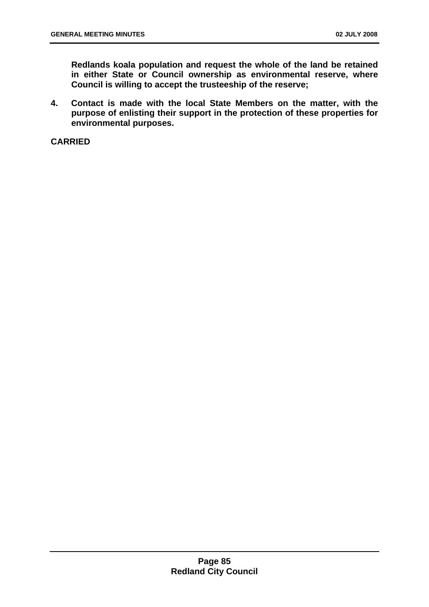**Redlands koala population and request the whole of the land be retained in either State or Council ownership as environmental reserve, where Council is willing to accept the trusteeship of the reserve;** 

**4. Contact is made with the local State Members on the matter, with the purpose of enlisting their support in the protection of these properties for environmental purposes.** 

**CARRIED**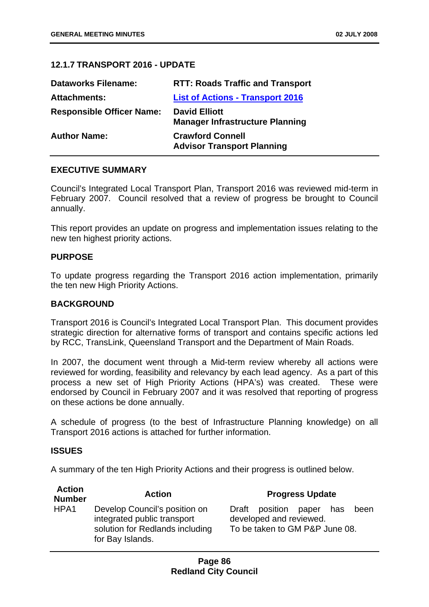# **12.1.7 TRANSPORT 2016 - UPDATE**

| <b>Dataworks Filename:</b>       | <b>RTT: Roads Traffic and Transport</b>                        |
|----------------------------------|----------------------------------------------------------------|
| <b>Attachments:</b>              | <b>List of Actions - Transport 2016</b>                        |
| <b>Responsible Officer Name:</b> | <b>David Elliott</b><br><b>Manager Infrastructure Planning</b> |
| <b>Author Name:</b>              | <b>Crawford Connell</b><br><b>Advisor Transport Planning</b>   |

# **EXECUTIVE SUMMARY**

Council's Integrated Local Transport Plan, Transport 2016 was reviewed mid-term in February 2007. Council resolved that a review of progress be brought to Council annually.

This report provides an update on progress and implementation issues relating to the new ten highest priority actions.

## **PURPOSE**

To update progress regarding the Transport 2016 action implementation, primarily the ten new High Priority Actions.

## **BACKGROUND**

Transport 2016 is Council's Integrated Local Transport Plan. This document provides strategic direction for alternative forms of transport and contains specific actions led by RCC, TransLink, Queensland Transport and the Department of Main Roads.

In 2007, the document went through a Mid-term review whereby all actions were reviewed for wording, feasibility and relevancy by each lead agency. As a part of this process a new set of High Priority Actions (HPA's) was created. These were endorsed by Council in February 2007 and it was resolved that reporting of progress on these actions be done annually.

A schedule of progress (to the best of Infrastructure Planning knowledge) on all Transport 2016 actions is attached for further information.

### **ISSUES**

**Action** 

A summary of the ten High Priority Actions and their progress is outlined below.

| <b>Action</b><br><b>Number</b> | <b>Action</b>                                                                                                       | <b>Progress Update</b>                                                                                 |
|--------------------------------|---------------------------------------------------------------------------------------------------------------------|--------------------------------------------------------------------------------------------------------|
| HPA1                           | Develop Council's position on<br>integrated public transport<br>solution for Redlands including<br>for Bay Islands. | position<br>Draft<br>paper<br>has<br>been<br>developed and reviewed.<br>To be taken to GM P&P June 08. |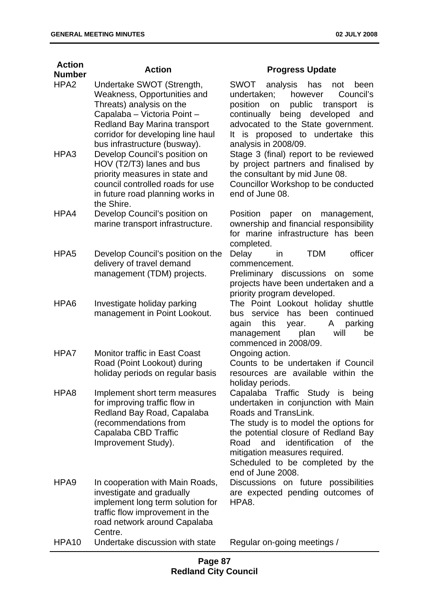| <b>Action</b>    | <b>Action</b>                                                                                                                                                                                                                   | <b>Progress Update</b>                                                                                                                                                                                                                                                                                                  |
|------------------|---------------------------------------------------------------------------------------------------------------------------------------------------------------------------------------------------------------------------------|-------------------------------------------------------------------------------------------------------------------------------------------------------------------------------------------------------------------------------------------------------------------------------------------------------------------------|
| <b>Number</b>    |                                                                                                                                                                                                                                 |                                                                                                                                                                                                                                                                                                                         |
| HPA <sub>2</sub> | Undertake SWOT (Strength,<br>Weakness, Opportunities and<br>Threats) analysis on the<br>Capalaba - Victoria Point -<br><b>Redland Bay Marina transport</b><br>corridor for developing line haul<br>bus infrastructure (busway). | SWOT<br>analysis<br>has<br>not<br>been<br>undertaken;<br>however<br>Council's<br>public<br>position<br>transport<br>on<br>is<br>continually<br>being developed<br>and<br>advocated to the State government.<br>It is proposed to undertake this<br>analysis in 2008/09.                                                 |
| HPA3             | Develop Council's position on<br>HOV (T2/T3) lanes and bus<br>priority measures in state and<br>council controlled roads for use<br>in future road planning works in<br>the Shire.                                              | Stage 3 (final) report to be reviewed<br>by project partners and finalised by<br>the consultant by mid June 08.<br>Councillor Workshop to be conducted<br>end of June 08.                                                                                                                                               |
| HPA4             | Develop Council's position on<br>marine transport infrastructure.                                                                                                                                                               | Position<br>paper<br>management,<br>on<br>ownership and financial responsibility<br>for marine infrastructure has been<br>completed.                                                                                                                                                                                    |
| HPA <sub>5</sub> | Develop Council's position on the<br>delivery of travel demand<br>management (TDM) projects.                                                                                                                                    | officer<br><b>TDM</b><br>Delay<br><i>in</i><br>commencement.<br>Preliminary discussions on<br>some<br>projects have been undertaken and a<br>priority program developed.                                                                                                                                                |
| HPA6             | Investigate holiday parking<br>management in Point Lookout.                                                                                                                                                                     | The Point Lookout holiday shuttle<br>has been continued<br>service<br>bus<br>this<br>parking<br>again<br>year.<br>A<br>will<br>plan<br>be<br>management<br>commenced in 2008/09.                                                                                                                                        |
| HPA7             | <b>Monitor traffic in East Coast</b><br>Road (Point Lookout) during<br>holiday periods on regular basis                                                                                                                         | Ongoing action.<br>Counts to be undertaken if Council<br>resources are available within the<br>holiday periods.                                                                                                                                                                                                         |
| HPA8             | Implement short term measures<br>for improving traffic flow in<br>Redland Bay Road, Capalaba<br>(recommendations from<br>Capalaba CBD Traffic<br>Improvement Study).                                                            | Capalaba Traffic Study is being<br>undertaken in conjunction with Main<br>Roads and TransLink.<br>The study is to model the options for<br>the potential closure of Redland Bay<br>identification<br>Road<br>and<br>of<br>the<br>mitigation measures required.<br>Scheduled to be completed by the<br>end of June 2008. |
| HPA <sub>9</sub> | In cooperation with Main Roads,<br>investigate and gradually<br>implement long term solution for<br>traffic flow improvement in the<br>road network around Capalaba<br>Centre.                                                  | Discussions on future possibilities<br>are expected pending outcomes of<br>HPA8.                                                                                                                                                                                                                                        |
| <b>HPA10</b>     | Undertake discussion with state                                                                                                                                                                                                 | Regular on-going meetings /                                                                                                                                                                                                                                                                                             |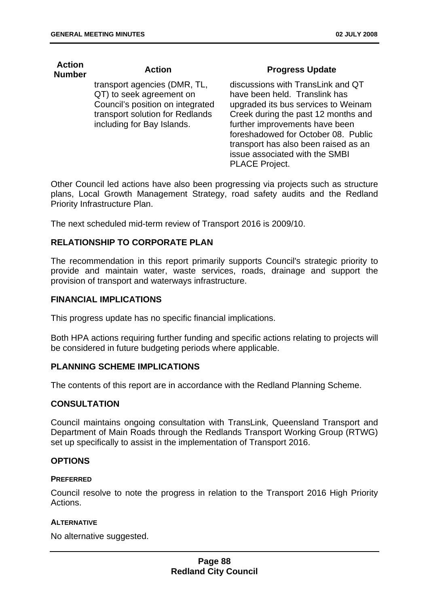**Action** 

| <b>Action</b><br><b>Number</b> | <b>Action</b>                                                                                                                                                 | <b>Progress Update</b>                                                                                                                                                                                                                                                                              |
|--------------------------------|---------------------------------------------------------------------------------------------------------------------------------------------------------------|-----------------------------------------------------------------------------------------------------------------------------------------------------------------------------------------------------------------------------------------------------------------------------------------------------|
|                                | transport agencies (DMR, TL,<br>QT) to seek agreement on<br>Council's position on integrated<br>transport solution for Redlands<br>including for Bay Islands. | discussions with TransLink and QT<br>have been held. Translink has<br>upgraded its bus services to Weinam<br>Creek during the past 12 months and<br>further improvements have been<br>foreshadowed for October 08. Public<br>transport has also been raised as an<br>issue associated with the SMBI |

Other Council led actions have also been progressing via projects such as structure plans, Local Growth Management Strategy, road safety audits and the Redland Priority Infrastructure Plan.

PLACE Project.

The next scheduled mid-term review of Transport 2016 is 2009/10.

### **RELATIONSHIP TO CORPORATE PLAN**

The recommendation in this report primarily supports Council's strategic priority to provide and maintain water, waste services, roads, drainage and support the provision of transport and waterways infrastructure.

### **FINANCIAL IMPLICATIONS**

This progress update has no specific financial implications.

Both HPA actions requiring further funding and specific actions relating to projects will be considered in future budgeting periods where applicable.

## **PLANNING SCHEME IMPLICATIONS**

The contents of this report are in accordance with the Redland Planning Scheme.

## **CONSULTATION**

Council maintains ongoing consultation with TransLink, Queensland Transport and Department of Main Roads through the Redlands Transport Working Group (RTWG) set up specifically to assist in the implementation of Transport 2016.

## **OPTIONS**

#### **PREFERRED**

Council resolve to note the progress in relation to the Transport 2016 High Priority Actions.

#### **ALTERNATIVE**

No alternative suggested.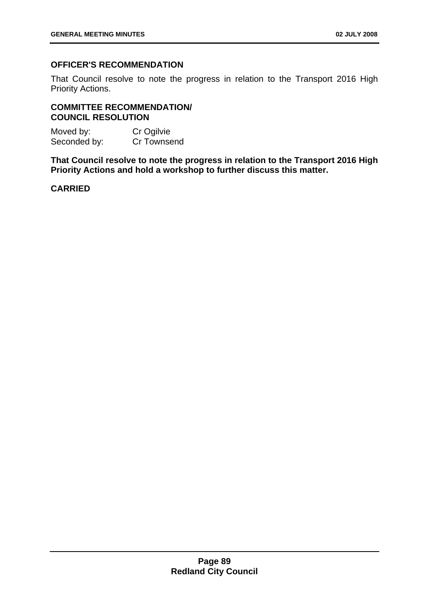# **OFFICER'S RECOMMENDATION**

That Council resolve to note the progress in relation to the Transport 2016 High Priority Actions.

# **COMMITTEE RECOMMENDATION/ COUNCIL RESOLUTION**

Moved by: Cr Ogilvie<br>
Seconded by: Cr Townsend Seconded by:

**That Council resolve to note the progress in relation to the Transport 2016 High Priority Actions and hold a workshop to further discuss this matter.** 

# **CARRIED**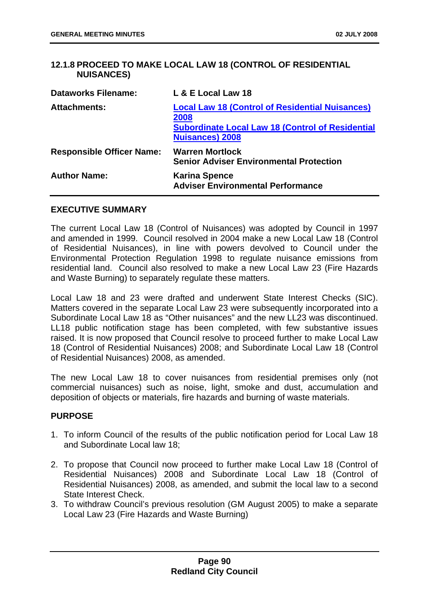# **12.1.8 PROCEED TO MAKE LOCAL LAW 18 (CONTROL OF RESIDENTIAL NUISANCES)**

| <b>Dataworks Filename:</b>       | L & E Local Law 18                                                                                                                                  |
|----------------------------------|-----------------------------------------------------------------------------------------------------------------------------------------------------|
| <b>Attachments:</b>              | <b>Local Law 18 (Control of Residential Nuisances)</b><br>2008<br><b>Subordinate Local Law 18 (Control of Residential</b><br><b>Nuisances) 2008</b> |
| <b>Responsible Officer Name:</b> | <b>Warren Mortlock</b><br><b>Senior Adviser Environmental Protection</b>                                                                            |
| <b>Author Name:</b>              | <b>Karina Spence</b><br><b>Adviser Environmental Performance</b>                                                                                    |

### **EXECUTIVE SUMMARY**

The current Local Law 18 (Control of Nuisances) was adopted by Council in 1997 and amended in 1999. Council resolved in 2004 make a new Local Law 18 (Control of Residential Nuisances), in line with powers devolved to Council under the Environmental Protection Regulation 1998 to regulate nuisance emissions from residential land. Council also resolved to make a new Local Law 23 (Fire Hazards and Waste Burning) to separately regulate these matters.

Local Law 18 and 23 were drafted and underwent State Interest Checks (SIC). Matters covered in the separate Local Law 23 were subsequently incorporated into a Subordinate Local Law 18 as "Other nuisances" and the new LL23 was discontinued. LL18 public notification stage has been completed, with few substantive issues raised. It is now proposed that Council resolve to proceed further to make Local Law 18 (Control of Residential Nuisances) 2008; and Subordinate Local Law 18 (Control of Residential Nuisances) 2008, as amended.

The new Local Law 18 to cover nuisances from residential premises only (not commercial nuisances) such as noise, light, smoke and dust, accumulation and deposition of objects or materials, fire hazards and burning of waste materials.

# **PURPOSE**

- 1. To inform Council of the results of the public notification period for Local Law 18 and Subordinate Local law 18;
- 2. To propose that Council now proceed to further make Local Law 18 (Control of Residential Nuisances) 2008 and Subordinate Local Law 18 (Control of Residential Nuisances) 2008, as amended, and submit the local law to a second State Interest Check.
- 3. To withdraw Council's previous resolution (GM August 2005) to make a separate Local Law 23 (Fire Hazards and Waste Burning)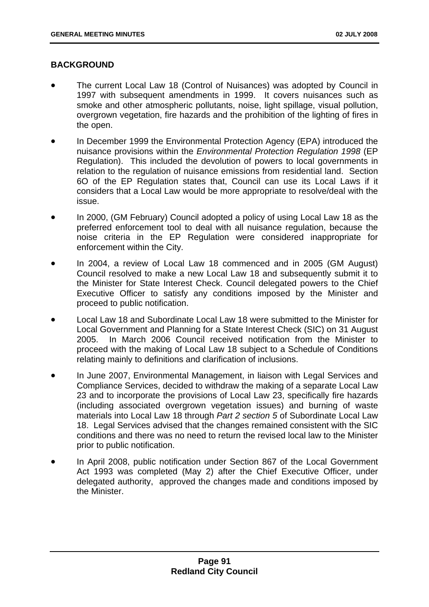# **BACKGROUND**

- The current Local Law 18 (Control of Nuisances) was adopted by Council in 1997 with subsequent amendments in 1999. It covers nuisances such as smoke and other atmospheric pollutants, noise, light spillage, visual pollution, overgrown vegetation, fire hazards and the prohibition of the lighting of fires in the open.
- In December 1999 the Environmental Protection Agency (EPA) introduced the nuisance provisions within the *Environmental Protection Regulation 1998* (EP Regulation). This included the devolution of powers to local governments in relation to the regulation of nuisance emissions from residential land. Section 6O of the EP Regulation states that, Council can use its Local Laws if it considers that a Local Law would be more appropriate to resolve/deal with the issue.
- In 2000, (GM February) Council adopted a policy of using Local Law 18 as the preferred enforcement tool to deal with all nuisance regulation, because the noise criteria in the EP Regulation were considered inappropriate for enforcement within the City.
- In 2004, a review of Local Law 18 commenced and in 2005 (GM August) Council resolved to make a new Local Law 18 and subsequently submit it to the Minister for State Interest Check. Council delegated powers to the Chief Executive Officer to satisfy any conditions imposed by the Minister and proceed to public notification.
- Local Law 18 and Subordinate Local Law 18 were submitted to the Minister for Local Government and Planning for a State Interest Check (SIC) on 31 August 2005. In March 2006 Council received notification from the Minister to proceed with the making of Local Law 18 subject to a Schedule of Conditions relating mainly to definitions and clarification of inclusions.
- In June 2007, Environmental Management, in liaison with Legal Services and Compliance Services, decided to withdraw the making of a separate Local Law 23 and to incorporate the provisions of Local Law 23, specifically fire hazards (including associated overgrown vegetation issues) and burning of waste materials into Local Law 18 through *Part 2 section 5* of Subordinate Local Law 18. Legal Services advised that the changes remained consistent with the SIC conditions and there was no need to return the revised local law to the Minister prior to public notification.
- In April 2008, public notification under Section 867 of the Local Government Act 1993 was completed (May 2) after the Chief Executive Officer, under delegated authority, approved the changes made and conditions imposed by the Minister.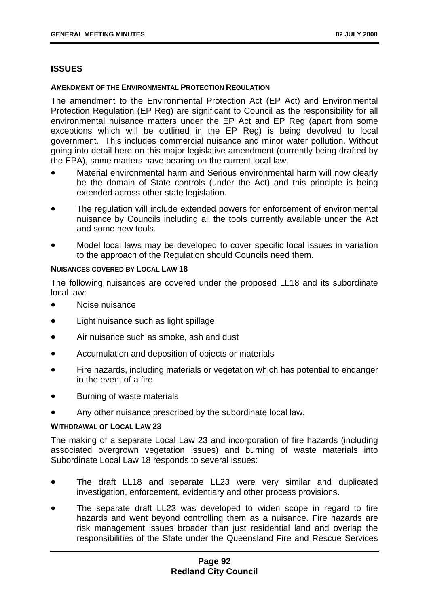### **ISSUES**

#### **AMENDMENT OF THE ENVIRONMENTAL PROTECTION REGULATION**

The amendment to the Environmental Protection Act (EP Act) and Environmental Protection Regulation (EP Reg) are significant to Council as the responsibility for all environmental nuisance matters under the EP Act and EP Reg (apart from some exceptions which will be outlined in the EP Reg) is being devolved to local government. This includes commercial nuisance and minor water pollution. Without going into detail here on this major legislative amendment (currently being drafted by the EPA), some matters have bearing on the current local law.

- Material environmental harm and Serious environmental harm will now clearly be the domain of State controls (under the Act) and this principle is being extended across other state legislation.
- The regulation will include extended powers for enforcement of environmental nuisance by Councils including all the tools currently available under the Act and some new tools.
- Model local laws may be developed to cover specific local issues in variation to the approach of the Regulation should Councils need them.

### **NUISANCES COVERED BY LOCAL LAW 18**

The following nuisances are covered under the proposed LL18 and its subordinate local law:

- Noise nuisance
- Light nuisance such as light spillage
- Air nuisance such as smoke, ash and dust
- Accumulation and deposition of objects or materials
- Fire hazards, including materials or vegetation which has potential to endanger in the event of a fire.
- Burning of waste materials
- Any other nuisance prescribed by the subordinate local law.

#### **WITHDRAWAL OF LOCAL LAW 23**

The making of a separate Local Law 23 and incorporation of fire hazards (including associated overgrown vegetation issues) and burning of waste materials into Subordinate Local Law 18 responds to several issues:

- The draft LL18 and separate LL23 were very similar and duplicated investigation, enforcement, evidentiary and other process provisions.
- The separate draft LL23 was developed to widen scope in regard to fire hazards and went beyond controlling them as a nuisance. Fire hazards are risk management issues broader than just residential land and overlap the responsibilities of the State under the Queensland Fire and Rescue Services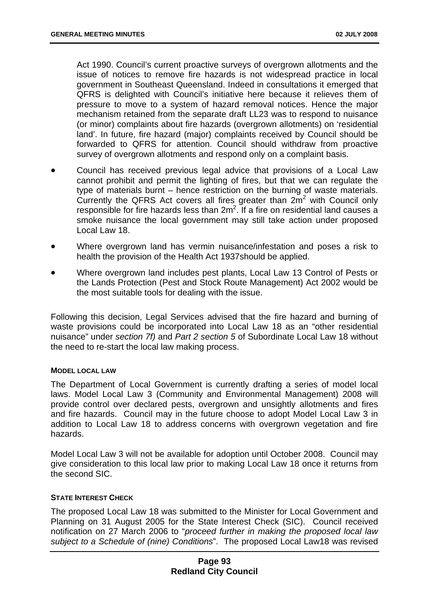Act 1990. Council's current proactive surveys of overgrown allotments and the issue of notices to remove fire hazards is not widespread practice in local government in Southeast Queensland. Indeed in consultations it emerged that QFRS is delighted with Council's initiative here because it relieves them of pressure to move to a system of hazard removal notices. Hence the major mechanism retained from the separate draft LL23 was to respond to nuisance (or minor) complaints about fire hazards (overgrown allotments) on 'residential land'. In future, fire hazard (major) complaints received by Council should be forwarded to QFRS for attention. Council should withdraw from proactive survey of overgrown allotments and respond only on a complaint basis.

- Council has received previous legal advice that provisions of a Local Law cannot prohibit and permit the lighting of fires, but that we can regulate the type of materials burnt – hence restriction on the burning of waste materials. Currently the QFRS Act covers all fires greater than  $2m^2$  with Council only responsible for fire hazards less than  $2m^2$ . If a fire on residential land causes a smoke nuisance the local government may still take action under proposed Local Law 18.
- Where overgrown land has vermin nuisance/infestation and poses a risk to health the provision of the Health Act 1937should be applied.
- Where overgrown land includes pest plants, Local Law 13 Control of Pests or the Lands Protection (Pest and Stock Route Management) Act 2002 would be the most suitable tools for dealing with the issue.

Following this decision, Legal Services advised that the fire hazard and burning of waste provisions could be incorporated into Local Law 18 as an "other residential nuisance" under *section 7f)* and *Part 2 section 5* of Subordinate Local Law 18 without the need to re-start the local law making process.

#### **MODEL LOCAL LAW**

The Department of Local Government is currently drafting a series of model local laws. Model Local Law 3 (Community and Environmental Management) 2008 will provide control over declared pests, overgrown and unsightly allotments and fires and fire hazards. Council may in the future choose to adopt Model Local Law 3 in addition to Local Law 18 to address concerns with overgrown vegetation and fire hazards.

Model Local Law 3 will not be available for adoption until October 2008. Council may give consideration to this local law prior to making Local Law 18 once it returns from the second SIC.

### **STATE INTEREST CHECK**

The proposed Local Law 18 was submitted to the Minister for Local Government and Planning on 31 August 2005 for the State Interest Check (SIC). Council received notification on 27 March 2006 to "*proceed further in making the proposed local law subject to a Schedule of (nine) Conditions*". The proposed Local Law18 was revised

## **Page 93 Redland City Council**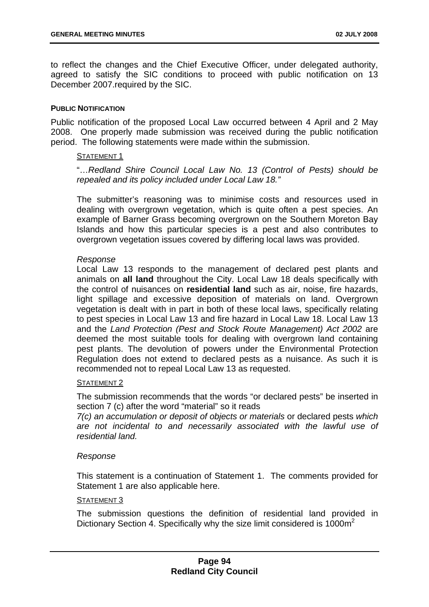to reflect the changes and the Chief Executive Officer, under delegated authority, agreed to satisfy the SIC conditions to proceed with public notification on 13 December 2007.required by the SIC.

### **PUBLIC NOTIFICATION**

Public notification of the proposed Local Law occurred between 4 April and 2 May 2008. One properly made submission was received during the public notification period. The following statements were made within the submission.

#### STATEMENT 1

"…*Redland Shire Council Local Law No. 13 (Control of Pests) should be repealed and its policy included under Local Law 18."* 

The submitter's reasoning was to minimise costs and resources used in dealing with overgrown vegetation, which is quite often a pest species. An example of Barner Grass becoming overgrown on the Southern Moreton Bay Islands and how this particular species is a pest and also contributes to overgrown vegetation issues covered by differing local laws was provided.

### *Response*

Local Law 13 responds to the management of declared pest plants and animals on **all land** throughout the City. Local Law 18 deals specifically with the control of nuisances on **residential land** such as air, noise, fire hazards, light spillage and excessive deposition of materials on land. Overgrown vegetation is dealt with in part in both of these local laws, specifically relating to pest species in Local Law 13 and fire hazard in Local Law 18. Local Law 13 and the *Land Protection (Pest and Stock Route Management) Act 2002* are deemed the most suitable tools for dealing with overgrown land containing pest plants. The devolution of powers under the Environmental Protection Regulation does not extend to declared pests as a nuisance. As such it is recommended not to repeal Local Law 13 as requested.

#### STATEMENT 2

The submission recommends that the words "or declared pests" be inserted in section 7 (c) after the word "material" so it reads

*7(c) an accumulation or deposit of objects or materials* or declared pests *which are not incidental to and necessarily associated with the lawful use of residential land.* 

### *Response*

This statement is a continuation of Statement 1. The comments provided for Statement 1 are also applicable here.

### STATEMENT<sub>3</sub>

The submission questions the definition of residential land provided in Dictionary Section 4. Specifically why the size limit considered is  $1000m^2$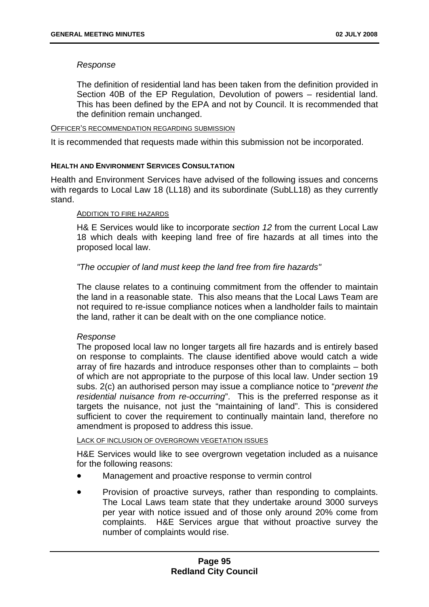### *Response*

The definition of residential land has been taken from the definition provided in Section 40B of the EP Regulation, Devolution of powers – residential land. This has been defined by the EPA and not by Council. It is recommended that the definition remain unchanged.

#### OFFICER'S RECOMMENDATION REGARDING SUBMISSION

It is recommended that requests made within this submission not be incorporated.

### **HEALTH AND ENVIRONMENT SERVICES CONSULTATION**

Health and Environment Services have advised of the following issues and concerns with regards to Local Law 18 (LL18) and its subordinate (SubLL18) as they currently stand.

### ADDITION TO FIRE HAZARDS

H& E Services would like to incorporate *section 12* from the current Local Law 18 which deals with keeping land free of fire hazards at all times into the proposed local law.

### *"The occupier of land must keep the land free from fire hazards"*

The clause relates to a continuing commitment from the offender to maintain the land in a reasonable state. This also means that the Local Laws Team are not required to re-issue compliance notices when a landholder fails to maintain the land, rather it can be dealt with on the one compliance notice.

### *Response*

The proposed local law no longer targets all fire hazards and is entirely based on response to complaints. The clause identified above would catch a wide array of fire hazards and introduce responses other than to complaints – both of which are not appropriate to the purpose of this local law. Under section 19 subs. 2(c) an authorised person may issue a compliance notice to "*prevent the residential nuisance from re-occurring*". This is the preferred response as it targets the nuisance, not just the "maintaining of land". This is considered sufficient to cover the requirement to continually maintain land, therefore no amendment is proposed to address this issue.

### LACK OF INCLUSION OF OVERGROWN VEGETATION ISSUES

H&E Services would like to see overgrown vegetation included as a nuisance for the following reasons:

- Management and proactive response to vermin control
- Provision of proactive surveys, rather than responding to complaints. The Local Laws team state that they undertake around 3000 surveys per year with notice issued and of those only around 20% come from complaints. H&E Services argue that without proactive survey the number of complaints would rise.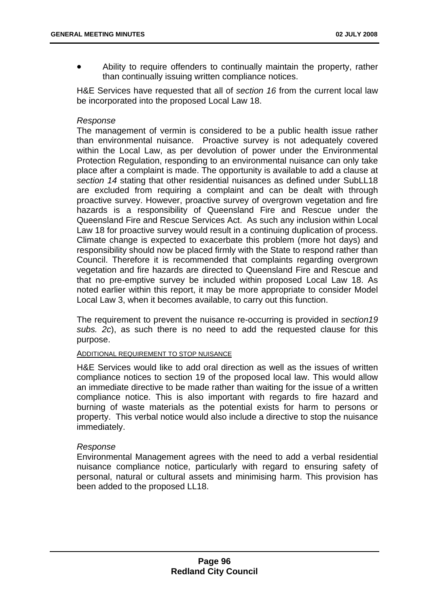Ability to require offenders to continually maintain the property, rather than continually issuing written compliance notices.

H&E Services have requested that all of *section 16* from the current local law be incorporated into the proposed Local Law 18.

### *Response*

The management of vermin is considered to be a public health issue rather than environmental nuisance. Proactive survey is not adequately covered within the Local Law, as per devolution of power under the Environmental Protection Regulation, responding to an environmental nuisance can only take place after a complaint is made. The opportunity is available to add a clause at *section 14* stating that other residential nuisances as defined under SubLL18 are excluded from requiring a complaint and can be dealt with through proactive survey. However, proactive survey of overgrown vegetation and fire hazards is a responsibility of Queensland Fire and Rescue under the Queensland Fire and Rescue Services Act. As such any inclusion within Local Law 18 for proactive survey would result in a continuing duplication of process. Climate change is expected to exacerbate this problem (more hot days) and responsibility should now be placed firmly with the State to respond rather than Council. Therefore it is recommended that complaints regarding overgrown vegetation and fire hazards are directed to Queensland Fire and Rescue and that no pre-emptive survey be included within proposed Local Law 18. As noted earlier within this report, it may be more appropriate to consider Model Local Law 3, when it becomes available, to carry out this function.

The requirement to prevent the nuisance re-occurring is provided in *section19 subs. 2c*), as such there is no need to add the requested clause for this purpose.

#### ADDITIONAL REQUIREMENT TO STOP NUISANCE

H&E Services would like to add oral direction as well as the issues of written compliance notices to section 19 of the proposed local law. This would allow an immediate directive to be made rather than waiting for the issue of a written compliance notice. This is also important with regards to fire hazard and burning of waste materials as the potential exists for harm to persons or property. This verbal notice would also include a directive to stop the nuisance immediately.

#### *Response*

Environmental Management agrees with the need to add a verbal residential nuisance compliance notice, particularly with regard to ensuring safety of personal, natural or cultural assets and minimising harm. This provision has been added to the proposed LL18.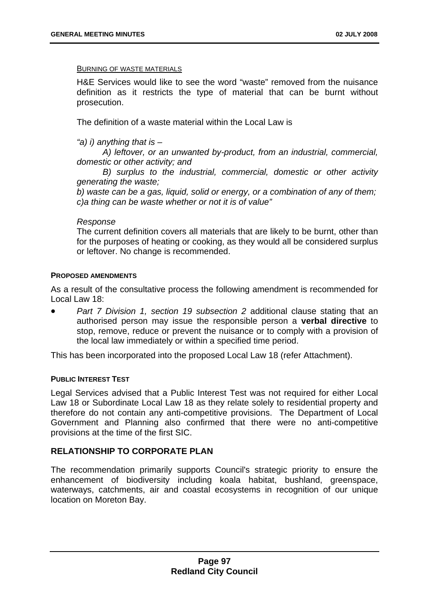#### BURNING OF WASTE MATERIALS

H&E Services would like to see the word "waste" removed from the nuisance definition as it restricts the type of material that can be burnt without prosecution.

The definition of a waste material within the Local Law is

*"a) i) anything that is –* 

 *A) leftover, or an unwanted by-product, from an industrial, commercial, domestic or other activity; and* 

*B) surplus to the industrial, commercial, domestic or other activity generating the waste;* 

*b) waste can be a gas, liquid, solid or energy, or a combination of any of them; c)a thing can be waste whether or not it is of value"* 

#### *Response*

The current definition covers all materials that are likely to be burnt, other than for the purposes of heating or cooking, as they would all be considered surplus or leftover. No change is recommended.

#### **PROPOSED AMENDMENTS**

As a result of the consultative process the following amendment is recommended for Local Law 18:

• *Part 7 Division 1, section 19 subsection 2* additional clause stating that an authorised person may issue the responsible person a **verbal directive** to stop, remove, reduce or prevent the nuisance or to comply with a provision of the local law immediately or within a specified time period.

This has been incorporated into the proposed Local Law 18 (refer Attachment).

#### **PUBLIC INTEREST TEST**

Legal Services advised that a Public Interest Test was not required for either Local Law 18 or Subordinate Local Law 18 as they relate solely to residential property and therefore do not contain any anti-competitive provisions. The Department of Local Government and Planning also confirmed that there were no anti-competitive provisions at the time of the first SIC.

### **RELATIONSHIP TO CORPORATE PLAN**

The recommendation primarily supports Council's strategic priority to ensure the enhancement of biodiversity including koala habitat, bushland, greenspace, waterways, catchments, air and coastal ecosystems in recognition of our unique location on Moreton Bay.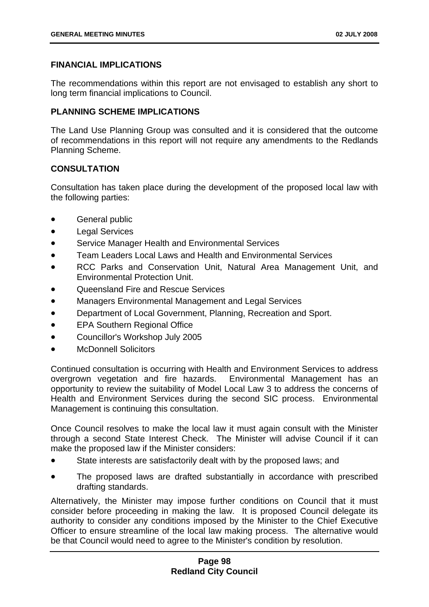# **FINANCIAL IMPLICATIONS**

The recommendations within this report are not envisaged to establish any short to long term financial implications to Council.

## **PLANNING SCHEME IMPLICATIONS**

The Land Use Planning Group was consulted and it is considered that the outcome of recommendations in this report will not require any amendments to the Redlands Planning Scheme.

# **CONSULTATION**

Consultation has taken place during the development of the proposed local law with the following parties:

- General public
- Legal Services
- Service Manager Health and Environmental Services
- Team Leaders Local Laws and Health and Environmental Services
- RCC Parks and Conservation Unit, Natural Area Management Unit, and Environmental Protection Unit.
- Queensland Fire and Rescue Services
- Managers Environmental Management and Legal Services
- Department of Local Government, Planning, Recreation and Sport.
- EPA Southern Regional Office
- Councillor's Workshop July 2005
- McDonnell Solicitors

Continued consultation is occurring with Health and Environment Services to address overgrown vegetation and fire hazards. Environmental Management has an opportunity to review the suitability of Model Local Law 3 to address the concerns of Health and Environment Services during the second SIC process. Environmental Management is continuing this consultation.

Once Council resolves to make the local law it must again consult with the Minister through a second State Interest Check. The Minister will advise Council if it can make the proposed law if the Minister considers:

- State interests are satisfactorily dealt with by the proposed laws; and
- The proposed laws are drafted substantially in accordance with prescribed drafting standards.

Alternatively, the Minister may impose further conditions on Council that it must consider before proceeding in making the law. It is proposed Council delegate its authority to consider any conditions imposed by the Minister to the Chief Executive Officer to ensure streamline of the local law making process. The alternative would be that Council would need to agree to the Minister's condition by resolution.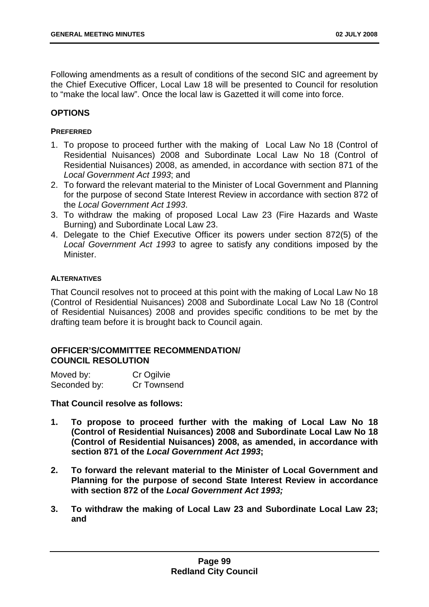Following amendments as a result of conditions of the second SIC and agreement by the Chief Executive Officer, Local Law 18 will be presented to Council for resolution to "make the local law". Once the local law is Gazetted it will come into force.

## **OPTIONS**

### **PREFERRED**

- 1. To propose to proceed further with the making of Local Law No 18 (Control of Residential Nuisances) 2008 and Subordinate Local Law No 18 (Control of Residential Nuisances) 2008, as amended, in accordance with section 871 of the *Local Government Act 1993*; and
- 2. To forward the relevant material to the Minister of Local Government and Planning for the purpose of second State Interest Review in accordance with section 872 of the *Local Government Act 1993*.
- 3. To withdraw the making of proposed Local Law 23 (Fire Hazards and Waste Burning) and Subordinate Local Law 23.
- 4. Delegate to the Chief Executive Officer its powers under section 872(5) of the *Local Government Act 1993* to agree to satisfy any conditions imposed by the Minister.

### **ALTERNATIVES**

That Council resolves not to proceed at this point with the making of Local Law No 18 (Control of Residential Nuisances) 2008 and Subordinate Local Law No 18 (Control of Residential Nuisances) 2008 and provides specific conditions to be met by the drafting team before it is brought back to Council again.

# **OFFICER'S/COMMITTEE RECOMMENDATION/ COUNCIL RESOLUTION**

| Moved by:    | Cr Ogilvie  |
|--------------|-------------|
| Seconded by: | Cr Townsend |

**That Council resolve as follows:** 

- **1. To propose to proceed further with the making of Local Law No 18 (Control of Residential Nuisances) 2008 and Subordinate Local Law No 18 (Control of Residential Nuisances) 2008, as amended, in accordance with section 871 of the** *Local Government Act 1993***;**
- **2. To forward the relevant material to the Minister of Local Government and Planning for the purpose of second State Interest Review in accordance with section 872 of the** *Local Government Act 1993;*
- **3. To withdraw the making of Local Law 23 and Subordinate Local Law 23; and**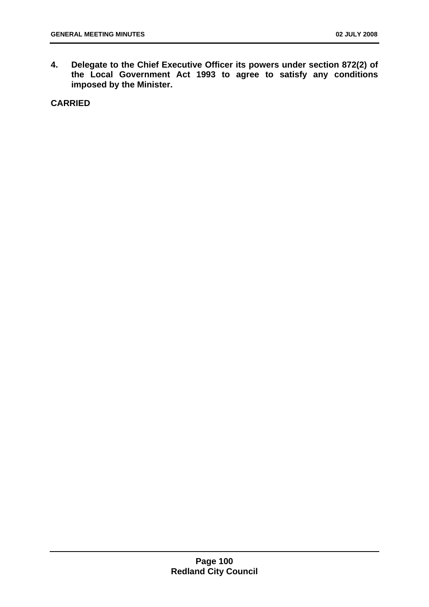**4. Delegate to the Chief Executive Officer its powers under section 872(2) of the Local Government Act 1993 to agree to satisfy any conditions imposed by the Minister.** 

**CARRIED**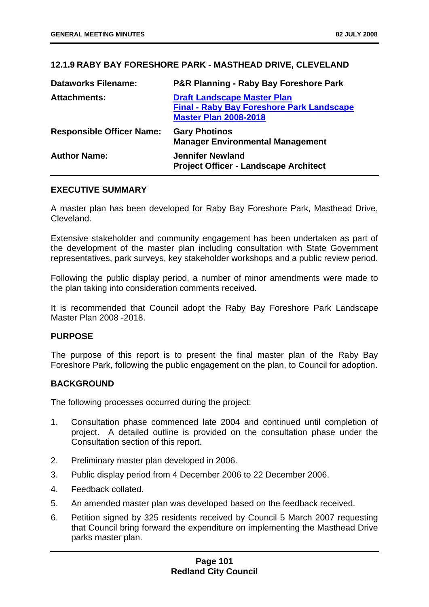# **12.1.9 RABY BAY FORESHORE PARK - MASTHEAD DRIVE, CLEVELAND**

| <b>Dataworks Filename:</b>       | <b>P&amp;R Planning - Raby Bay Foreshore Park</b>                                                                      |
|----------------------------------|------------------------------------------------------------------------------------------------------------------------|
| <b>Attachments:</b>              | <b>Draft Landscape Master Plan</b><br><b>Final - Raby Bay Foreshore Park Landscape</b><br><b>Master Plan 2008-2018</b> |
| <b>Responsible Officer Name:</b> | <b>Gary Photinos</b><br><b>Manager Environmental Management</b>                                                        |
| <b>Author Name:</b>              | <b>Jennifer Newland</b><br><b>Project Officer - Landscape Architect</b>                                                |

### **EXECUTIVE SUMMARY**

A master plan has been developed for Raby Bay Foreshore Park, Masthead Drive, Cleveland.

Extensive stakeholder and community engagement has been undertaken as part of the development of the master plan including consultation with State Government representatives, park surveys, key stakeholder workshops and a public review period.

Following the public display period, a number of minor amendments were made to the plan taking into consideration comments received.

It is recommended that Council adopt the Raby Bay Foreshore Park Landscape Master Plan 2008 -2018.

### **PURPOSE**

The purpose of this report is to present the final master plan of the Raby Bay Foreshore Park, following the public engagement on the plan, to Council for adoption.

### **BACKGROUND**

The following processes occurred during the project:

- 1. Consultation phase commenced late 2004 and continued until completion of project. A detailed outline is provided on the consultation phase under the Consultation section of this report.
- 2. Preliminary master plan developed in 2006.
- 3. Public display period from 4 December 2006 to 22 December 2006.
- 4. Feedback collated.
- 5. An amended master plan was developed based on the feedback received.
- 6. Petition signed by 325 residents received by Council 5 March 2007 requesting that Council bring forward the expenditure on implementing the Masthead Drive parks master plan.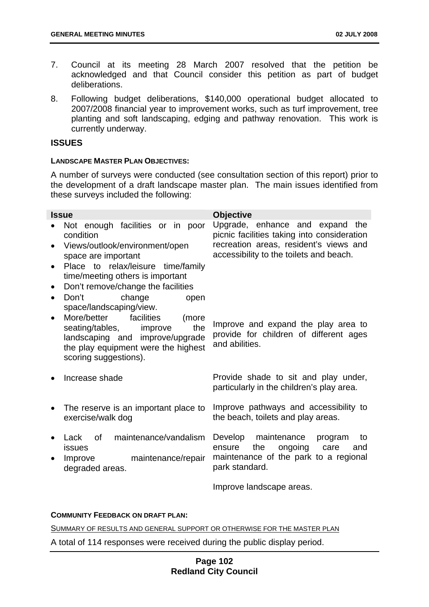- 7. Council at its meeting 28 March 2007 resolved that the petition be acknowledged and that Council consider this petition as part of budget deliberations.
- 8. Following budget deliberations, \$140,000 operational budget allocated to 2007/2008 financial year to improvement works, such as turf improvement, tree planting and soft landscaping, edging and pathway renovation. This work is currently underway.

## **ISSUES**

### **LANDSCAPE MASTER PLAN OBJECTIVES:**

A number of surveys were conducted (see consultation section of this report) prior to the development of a draft landscape master plan. The main issues identified from these surveys included the following:

| <b>Issue</b> |                                                                                                                                                                            | <b>Objective</b>                                                                                |
|--------------|----------------------------------------------------------------------------------------------------------------------------------------------------------------------------|-------------------------------------------------------------------------------------------------|
|              | Not enough facilities or in poor<br>condition                                                                                                                              | Upgrade, enhance and expand<br>the<br>picnic facilities taking into consideration               |
| $\bullet$    | Views/outlook/environment/open<br>space are important                                                                                                                      | recreation areas, resident's views and<br>accessibility to the toilets and beach.               |
| $\bullet$    | Place to relax/leisure time/family<br>time/meeting others is important                                                                                                     |                                                                                                 |
| $\bullet$    | Don't remove/change the facilities                                                                                                                                         |                                                                                                 |
| $\bullet$    | change<br>Don't<br>open<br>space/landscaping/view.                                                                                                                         |                                                                                                 |
| $\bullet$    | More/better<br>facilities<br>(more<br>seating/tables,<br>improve<br>the<br>landscaping and improve/upgrade<br>the play equipment were the highest<br>scoring suggestions). | Improve and expand the play area to<br>provide for children of different ages<br>and abilities. |
|              | Increase shade                                                                                                                                                             | Provide shade to sit and play under,<br>particularly in the children's play area.               |
| $\bullet$    | The reserve is an important place to<br>exercise/walk dog                                                                                                                  | Improve pathways and accessibility to<br>the beach, toilets and play areas.                     |
| $\bullet$    | of maintenance/vandalism<br>Lack<br><b>issues</b>                                                                                                                          | Develop maintenance<br>program<br>to<br>the<br>ongoing<br>ensure<br>care<br>and                 |
| $\bullet$    | maintenance/repair<br>Improve<br>degraded areas.                                                                                                                           | maintenance of the park to a regional<br>park standard.                                         |

Improve landscape areas.

#### **COMMUNITY FEEDBACK ON DRAFT PLAN:**

SUMMARY OF RESULTS AND GENERAL SUPPORT OR OTHERWISE FOR THE MASTER PLAN

A total of 114 responses were received during the public display period.

# **Page 102 Redland City Council**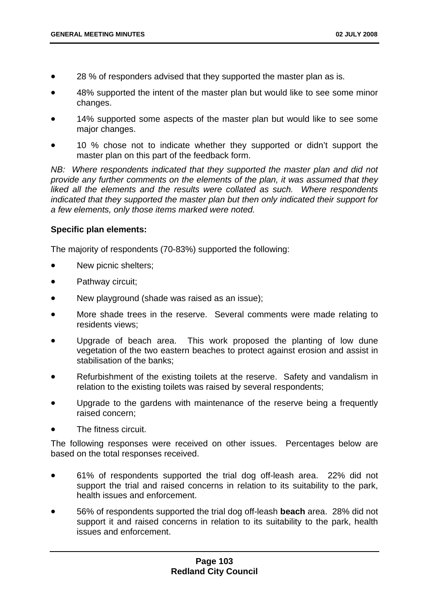- 28 % of responders advised that they supported the master plan as is.
- 48% supported the intent of the master plan but would like to see some minor changes.
- 14% supported some aspects of the master plan but would like to see some major changes.
- 10 % chose not to indicate whether they supported or didn't support the master plan on this part of the feedback form.

*NB: Where respondents indicated that they supported the master plan and did not provide any further comments on the elements of the plan, it was assumed that they liked all the elements and the results were collated as such. Where respondents indicated that they supported the master plan but then only indicated their support for a few elements, only those items marked were noted.* 

## **Specific plan elements:**

The majority of respondents (70-83%) supported the following:

- New picnic shelters;
- Pathway circuit;
- New playground (shade was raised as an issue);
- More shade trees in the reserve. Several comments were made relating to residents views;
- Upgrade of beach area. This work proposed the planting of low dune vegetation of the two eastern beaches to protect against erosion and assist in stabilisation of the banks;
- Refurbishment of the existing toilets at the reserve. Safety and vandalism in relation to the existing toilets was raised by several respondents;
- Upgrade to the gardens with maintenance of the reserve being a frequently raised concern;
- The fitness circuit.

The following responses were received on other issues. Percentages below are based on the total responses received.

- 61% of respondents supported the trial dog off-leash area. 22% did not support the trial and raised concerns in relation to its suitability to the park, health issues and enforcement.
- 56% of respondents supported the trial dog off-leash **beach** area. 28% did not support it and raised concerns in relation to its suitability to the park, health issues and enforcement.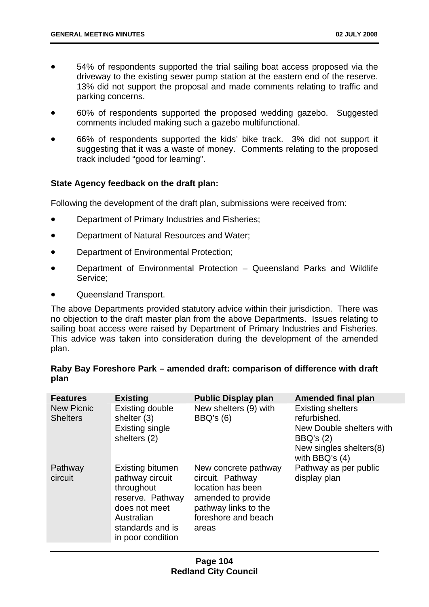- 54% of respondents supported the trial sailing boat access proposed via the driveway to the existing sewer pump station at the eastern end of the reserve. 13% did not support the proposal and made comments relating to traffic and parking concerns.
- 60% of respondents supported the proposed wedding gazebo. Suggested comments included making such a gazebo multifunctional.
- 66% of respondents supported the kids' bike track. 3% did not support it suggesting that it was a waste of money. Comments relating to the proposed track included "good for learning".

## **State Agency feedback on the draft plan:**

Following the development of the draft plan, submissions were received from:

- Department of Primary Industries and Fisheries;
- Department of Natural Resources and Water;
- Department of Environmental Protection;
- Department of Environmental Protection Queensland Parks and Wildlife Service;
- Queensland Transport.

The above Departments provided statutory advice within their jurisdiction. There was no objection to the draft master plan from the above Departments. Issues relating to sailing boat access were raised by Department of Primary Industries and Fisheries. This advice was taken into consideration during the development of the amended plan.

# **Raby Bay Foreshore Park – amended draft: comparison of difference with draft plan**

| <b>Features</b>                      | <b>Existing</b>                                                                                                                                      | <b>Public Display plan</b>                                                                                                                  | Amended final plan                                                                                                                 |
|--------------------------------------|------------------------------------------------------------------------------------------------------------------------------------------------------|---------------------------------------------------------------------------------------------------------------------------------------------|------------------------------------------------------------------------------------------------------------------------------------|
| <b>New Picnic</b><br><b>Shelters</b> | <b>Existing double</b><br>shelter (3)<br><b>Existing single</b><br>shelters (2)                                                                      | New shelters (9) with<br>BBQ's (6)                                                                                                          | <b>Existing shelters</b><br>refurbished.<br>New Double shelters with<br>BBQ's $(2)$<br>New singles shelters(8)<br>with BBQ's $(4)$ |
| Pathway<br>circuit                   | <b>Existing bitumen</b><br>pathway circuit<br>throughout<br>reserve. Pathway<br>does not meet<br>Australian<br>standards and is<br>in poor condition | New concrete pathway<br>circuit. Pathway<br>location has been<br>amended to provide<br>pathway links to the<br>foreshore and beach<br>areas | Pathway as per public<br>display plan                                                                                              |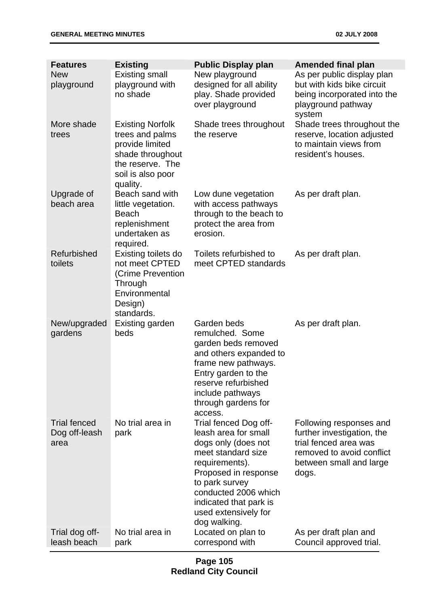| <b>Features</b><br><b>New</b><br>playground  | <b>Existing</b><br><b>Existing small</b><br>playground with<br>no shade                                                                | <b>Public Display plan</b><br>New playground<br>designed for all ability<br>play. Shade provided<br>over playground                                                                                                                              | <b>Amended final plan</b><br>As per public display plan<br>but with kids bike circuit<br>being incorporated into the<br>playground pathway<br>system |
|----------------------------------------------|----------------------------------------------------------------------------------------------------------------------------------------|--------------------------------------------------------------------------------------------------------------------------------------------------------------------------------------------------------------------------------------------------|------------------------------------------------------------------------------------------------------------------------------------------------------|
| More shade<br>trees                          | <b>Existing Norfolk</b><br>trees and palms<br>provide limited<br>shade throughout<br>the reserve. The<br>soil is also poor<br>quality. | Shade trees throughout<br>the reserve                                                                                                                                                                                                            | Shade trees throughout the<br>reserve, location adjusted<br>to maintain views from<br>resident's houses.                                             |
| Upgrade of<br>beach area                     | Beach sand with<br>little vegetation.<br><b>Beach</b><br>replenishment<br>undertaken as<br>required.                                   | Low dune vegetation<br>with access pathways<br>through to the beach to<br>protect the area from<br>erosion.                                                                                                                                      | As per draft plan.                                                                                                                                   |
| Refurbished<br>toilets                       | Existing toilets do<br>not meet CPTED<br>(Crime Prevention<br>Through<br>Environmental<br>Design)<br>standards.                        | Toilets refurbished to<br>meet CPTED standards                                                                                                                                                                                                   | As per draft plan.                                                                                                                                   |
| New/upgraded<br>gardens                      | Existing garden<br>beds                                                                                                                | Garden beds<br>remulched. Some<br>garden beds removed<br>and others expanded to<br>frame new pathways.<br>Entry garden to the<br>reserve refurbished<br>include pathways<br>through gardens for<br>access.                                       | As per draft plan.                                                                                                                                   |
| <b>Trial fenced</b><br>Dog off-leash<br>area | No trial area in<br>park                                                                                                               | Trial fenced Dog off-<br>leash area for small<br>dogs only (does not<br>meet standard size<br>requirements).<br>Proposed in response<br>to park survey<br>conducted 2006 which<br>indicated that park is<br>used extensively for<br>dog walking. | Following responses and<br>further investigation, the<br>trial fenced area was<br>removed to avoid conflict<br>between small and large<br>dogs.      |
| Trial dog off-<br>leash beach                | No trial area in<br>park                                                                                                               | Located on plan to<br>correspond with                                                                                                                                                                                                            | As per draft plan and<br>Council approved trial.                                                                                                     |

## **Page 105 Redland City Council**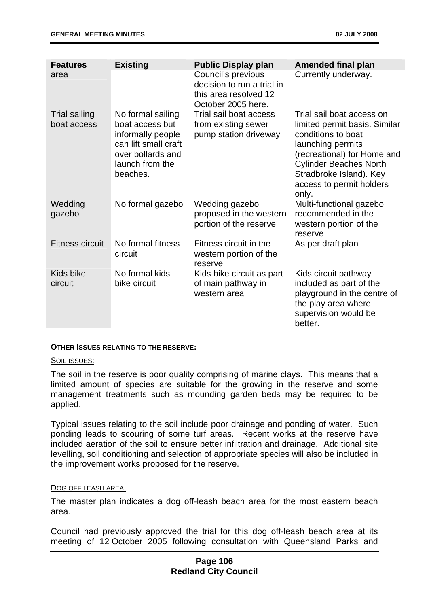| <b>Features</b>                     | <b>Existing</b>                                                                                                                       | <b>Public Display plan</b>                                                                      | <b>Amended final plan</b>                                                                                                                                                                                                             |
|-------------------------------------|---------------------------------------------------------------------------------------------------------------------------------------|-------------------------------------------------------------------------------------------------|---------------------------------------------------------------------------------------------------------------------------------------------------------------------------------------------------------------------------------------|
| area                                |                                                                                                                                       | Council's previous<br>decision to run a trial in<br>this area resolved 12<br>October 2005 here. | Currently underway.                                                                                                                                                                                                                   |
| <b>Trial sailing</b><br>boat access | No formal sailing<br>boat access but<br>informally people<br>can lift small craft<br>over bollards and<br>launch from the<br>beaches. | Trial sail boat access<br>from existing sewer<br>pump station driveway                          | Trial sail boat access on<br>limited permit basis. Similar<br>conditions to boat<br>launching permits<br>(recreational) for Home and<br><b>Cylinder Beaches North</b><br>Stradbroke Island). Key<br>access to permit holders<br>only. |
| Wedding<br>gazebo                   | No formal gazebo                                                                                                                      | Wedding gazebo<br>proposed in the western<br>portion of the reserve                             | Multi-functional gazebo<br>recommended in the<br>western portion of the<br>reserve                                                                                                                                                    |
| <b>Fitness circuit</b>              | No formal fitness<br>circuit                                                                                                          | Fitness circuit in the<br>western portion of the<br>reserve                                     | As per draft plan                                                                                                                                                                                                                     |
| Kids bike<br>circuit                | No formal kids<br>bike circuit                                                                                                        | Kids bike circuit as part<br>of main pathway in<br>western area                                 | Kids circuit pathway<br>included as part of the<br>playground in the centre of<br>the play area where<br>supervision would be<br>better.                                                                                              |

## **OTHER ISSUES RELATING TO THE RESERVE:**

#### SOIL ISSUES:

The soil in the reserve is poor quality comprising of marine clays. This means that a limited amount of species are suitable for the growing in the reserve and some management treatments such as mounding garden beds may be required to be applied.

Typical issues relating to the soil include poor drainage and ponding of water. Such ponding leads to scouring of some turf areas. Recent works at the reserve have included aeration of the soil to ensure better infiltration and drainage. Additional site levelling, soil conditioning and selection of appropriate species will also be included in the improvement works proposed for the reserve.

#### DOG OFF LEASH AREA:

The master plan indicates a dog off-leash beach area for the most eastern beach area.

Council had previously approved the trial for this dog off-leash beach area at its meeting of 12 October 2005 following consultation with Queensland Parks and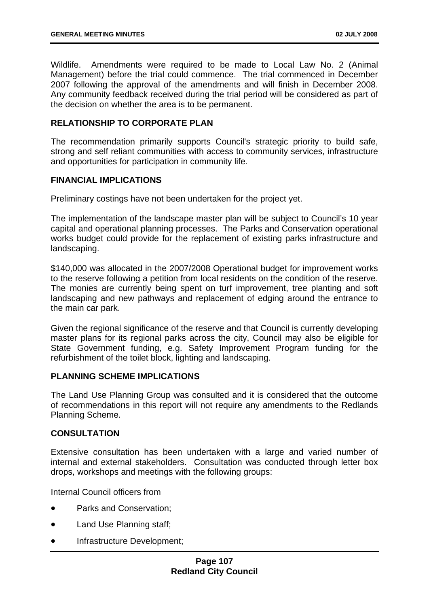Wildlife. Amendments were required to be made to Local Law No. 2 (Animal Management) before the trial could commence. The trial commenced in December 2007 following the approval of the amendments and will finish in December 2008. Any community feedback received during the trial period will be considered as part of the decision on whether the area is to be permanent.

# **RELATIONSHIP TO CORPORATE PLAN**

The recommendation primarily supports Council's strategic priority to build safe, strong and self reliant communities with access to community services, infrastructure and opportunities for participation in community life.

## **FINANCIAL IMPLICATIONS**

Preliminary costings have not been undertaken for the project yet.

The implementation of the landscape master plan will be subject to Council's 10 year capital and operational planning processes. The Parks and Conservation operational works budget could provide for the replacement of existing parks infrastructure and landscaping.

\$140,000 was allocated in the 2007/2008 Operational budget for improvement works to the reserve following a petition from local residents on the condition of the reserve. The monies are currently being spent on turf improvement, tree planting and soft landscaping and new pathways and replacement of edging around the entrance to the main car park.

Given the regional significance of the reserve and that Council is currently developing master plans for its regional parks across the city, Council may also be eligible for State Government funding, e.g. Safety Improvement Program funding for the refurbishment of the toilet block, lighting and landscaping.

## **PLANNING SCHEME IMPLICATIONS**

The Land Use Planning Group was consulted and it is considered that the outcome of recommendations in this report will not require any amendments to the Redlands Planning Scheme.

# **CONSULTATION**

Extensive consultation has been undertaken with a large and varied number of internal and external stakeholders. Consultation was conducted through letter box drops, workshops and meetings with the following groups:

Internal Council officers from

- Parks and Conservation;
- Land Use Planning staff;
- Infrastructure Development;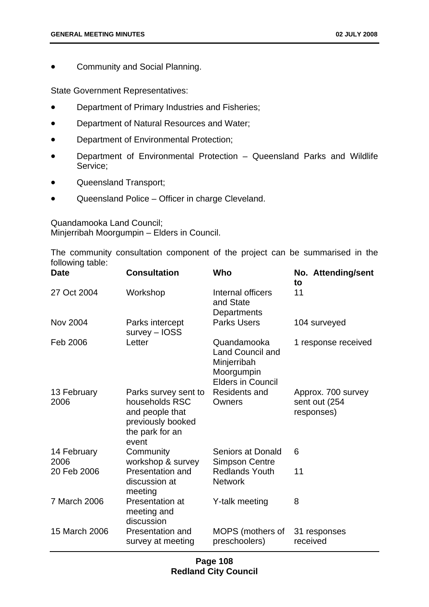• Community and Social Planning.

State Government Representatives:

- Department of Primary Industries and Fisheries;
- Department of Natural Resources and Water;
- Department of Environmental Protection;
- Department of Environmental Protection Queensland Parks and Wildlife Service;
- Queensland Transport;
- Queensland Police Officer in charge Cleveland.

Quandamooka Land Council; Minjerribah Moorgumpin – Elders in Council.

The community consultation component of the project can be summarised in the following table:

| Date                | <b>Consultation</b>                                                                                        | Who                                                                                             | No. Attending/sent<br>to                           |
|---------------------|------------------------------------------------------------------------------------------------------------|-------------------------------------------------------------------------------------------------|----------------------------------------------------|
| 27 Oct 2004         | Workshop                                                                                                   | Internal officers<br>and State<br>Departments                                                   | 11                                                 |
| <b>Nov 2004</b>     | Parks intercept<br>survey - IOSS                                                                           | <b>Parks Users</b>                                                                              | 104 surveyed                                       |
| Feb 2006            | Letter                                                                                                     | Quandamooka<br><b>Land Council and</b><br>Minjerribah<br>Moorgumpin<br><b>Elders in Council</b> | 1 response received                                |
| 13 February<br>2006 | Parks survey sent to<br>households RSC<br>and people that<br>previously booked<br>the park for an<br>event | Residents and<br>Owners                                                                         | Approx. 700 survey<br>sent out (254)<br>responses) |
| 14 February<br>2006 | Community<br>workshop & survey                                                                             | Seniors at Donald<br><b>Simpson Centre</b>                                                      | 6                                                  |
| 20 Feb 2006         | Presentation and<br>discussion at<br>meeting                                                               | <b>Redlands Youth</b><br><b>Network</b>                                                         | 11                                                 |
| 7 March 2006        | <b>Presentation at</b><br>meeting and<br>discussion                                                        | Y-talk meeting                                                                                  | 8                                                  |
| 15 March 2006       | Presentation and<br>survey at meeting                                                                      | MOPS (mothers of<br>preschoolers)                                                               | 31 responses<br>received                           |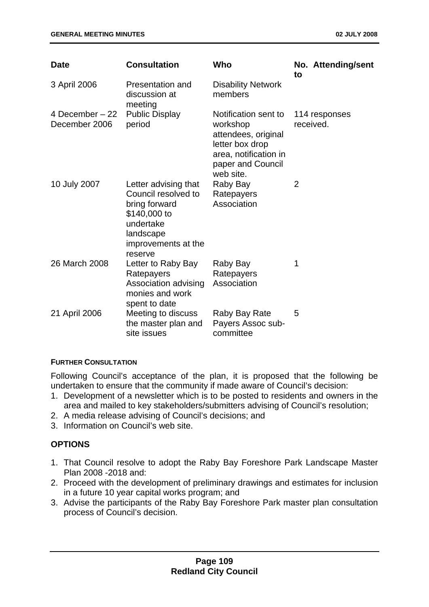| <b>Date</b>                       | <b>Consultation</b>                                                                                                                      | Who                                                                                                                                   | No. Attending/sent<br>to   |
|-----------------------------------|------------------------------------------------------------------------------------------------------------------------------------------|---------------------------------------------------------------------------------------------------------------------------------------|----------------------------|
| 3 April 2006                      | Presentation and<br>discussion at<br>meeting                                                                                             | <b>Disability Network</b><br>members                                                                                                  |                            |
| 4 December $-22$<br>December 2006 | <b>Public Display</b><br>period                                                                                                          | Notification sent to<br>workshop<br>attendees, original<br>letter box drop<br>area, notification in<br>paper and Council<br>web site. | 114 responses<br>received. |
| 10 July 2007                      | Letter advising that<br>Council resolved to<br>bring forward<br>\$140,000 to<br>undertake<br>landscape<br>improvements at the<br>reserve | Raby Bay<br>Ratepayers<br>Association                                                                                                 | 2                          |
| 26 March 2008                     | Letter to Raby Bay<br>Ratepayers<br>Association advising<br>monies and work<br>spent to date                                             | Raby Bay<br>Ratepayers<br>Association                                                                                                 | 1                          |
| 21 April 2006                     | Meeting to discuss<br>the master plan and<br>site issues                                                                                 | Raby Bay Rate<br>Payers Assoc sub-<br>committee                                                                                       | 5                          |

## **FURTHER CONSULTATION**

Following Council's acceptance of the plan, it is proposed that the following be undertaken to ensure that the community if made aware of Council's decision:

- 1. Development of a newsletter which is to be posted to residents and owners in the area and mailed to key stakeholders/submitters advising of Council's resolution;
- 2. A media release advising of Council's decisions; and
- 3. Information on Council's web site.

# **OPTIONS**

- 1. That Council resolve to adopt the Raby Bay Foreshore Park Landscape Master Plan 2008 -2018 and:
- 2. Proceed with the development of preliminary drawings and estimates for inclusion in a future 10 year capital works program; and
- 3. Advise the participants of the Raby Bay Foreshore Park master plan consultation process of Council's decision.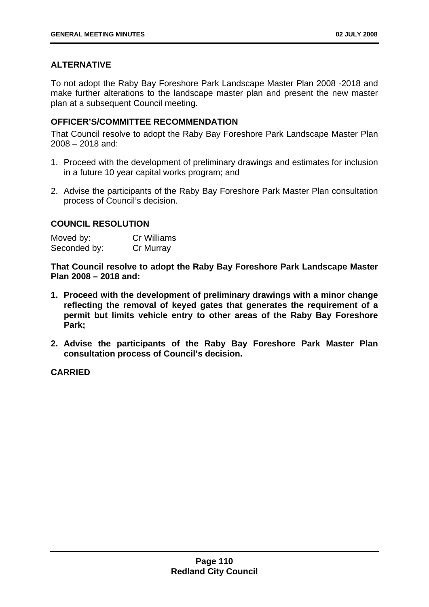# **ALTERNATIVE**

To not adopt the Raby Bay Foreshore Park Landscape Master Plan 2008 -2018 and make further alterations to the landscape master plan and present the new master plan at a subsequent Council meeting.

# **OFFICER'S/COMMITTEE RECOMMENDATION**

That Council resolve to adopt the Raby Bay Foreshore Park Landscape Master Plan 2008 – 2018 and:

- 1. Proceed with the development of preliminary drawings and estimates for inclusion in a future 10 year capital works program; and
- 2. Advise the participants of the Raby Bay Foreshore Park Master Plan consultation process of Council's decision.

## **COUNCIL RESOLUTION**

| Moved by:    | <b>Cr Williams</b> |
|--------------|--------------------|
| Seconded by: | Cr Murray          |

**That Council resolve to adopt the Raby Bay Foreshore Park Landscape Master Plan 2008 – 2018 and:** 

- **1. Proceed with the development of preliminary drawings with a minor change reflecting the removal of keyed gates that generates the requirement of a permit but limits vehicle entry to other areas of the Raby Bay Foreshore Park;**
- **2. Advise the participants of the Raby Bay Foreshore Park Master Plan consultation process of Council's decision.**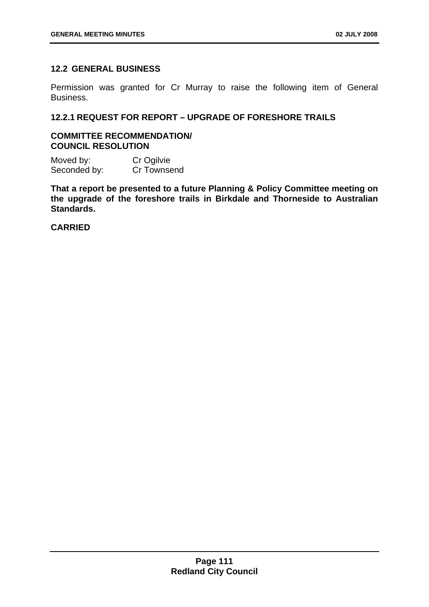## **12.2 GENERAL BUSINESS**

Permission was granted for Cr Murray to raise the following item of General Business.

# **12.2.1 REQUEST FOR REPORT – UPGRADE OF FORESHORE TRAILS**

## **COMMITTEE RECOMMENDATION/ COUNCIL RESOLUTION**

Moved by: Cr Ogilvie Seconded by: Cr Townsend

**That a report be presented to a future Planning & Policy Committee meeting on the upgrade of the foreshore trails in Birkdale and Thorneside to Australian Standards.**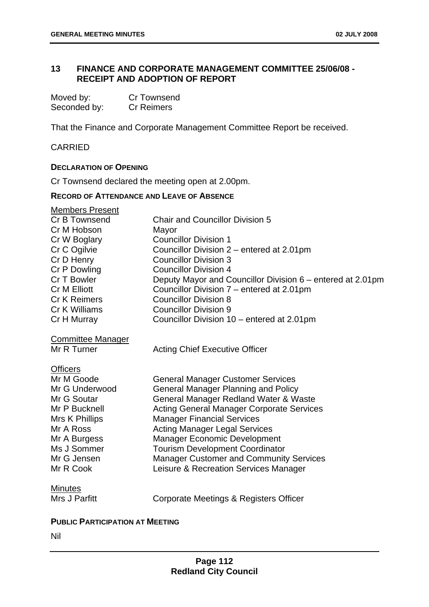# **13 FINANCE AND CORPORATE MANAGEMENT COMMITTEE 25/06/08 - RECEIPT AND ADOPTION OF REPORT**

| Moved by:    | <b>Cr Townsend</b> |
|--------------|--------------------|
| Seconded by: | <b>Cr Reimers</b>  |

That the Finance and Corporate Management Committee Report be received.

# CARRIED

#### **DECLARATION OF OPENING**

Cr Townsend declared the meeting open at 2.00pm.

## **RECORD OF ATTENDANCE AND LEAVE OF ABSENCE**

| <b>Members Present</b>   |                                                            |
|--------------------------|------------------------------------------------------------|
| Cr B Townsend            | <b>Chair and Councillor Division 5</b>                     |
| Cr M Hobson              | Mayor                                                      |
| Cr W Boglary             | <b>Councillor Division 1</b>                               |
| Cr C Ogilvie             | Councillor Division 2 - entered at 2.01pm                  |
| Cr D Henry               | <b>Councillor Division 3</b>                               |
| Cr P Dowling             | <b>Councillor Division 4</b>                               |
| Cr T Bowler              | Deputy Mayor and Councillor Division 6 – entered at 2.01pm |
| <b>Cr M Elliott</b>      | Councillor Division 7 – entered at 2.01pm                  |
| <b>Cr K Reimers</b>      | <b>Councillor Division 8</b>                               |
| Cr K Williams            | <b>Councillor Division 9</b>                               |
| Cr H Murray              | Councillor Division 10 – entered at 2.01pm                 |
| <b>Committee Manager</b> |                                                            |
| Mr R Turner              | <b>Acting Chief Executive Officer</b>                      |
| <b>Officers</b>          |                                                            |
| Mr M Goode               | <b>General Manager Customer Services</b>                   |
| Mr G Underwood           | <b>General Manager Planning and Policy</b>                 |
| Mr G Soutar              | General Manager Redland Water & Waste                      |
| Mr P Bucknell            | <b>Acting General Manager Corporate Services</b>           |
| Mrs K Phillips           | <b>Manager Financial Services</b>                          |
| Mr A Ross                | <b>Acting Manager Legal Services</b>                       |
| Mr A Burgess             | <b>Manager Economic Development</b>                        |
| Ms J Sommer              | <b>Tourism Development Coordinator</b>                     |
| Mr G Jensen              | <b>Manager Customer and Community Services</b>             |
| Mr R Cook                | Leisure & Recreation Services Manager                      |
| <b>Minutes</b>           |                                                            |
| Mrs J Parfitt            | Corporate Meetings & Registers Officer                     |

## **PUBLIC PARTICIPATION AT MEETING**

Nil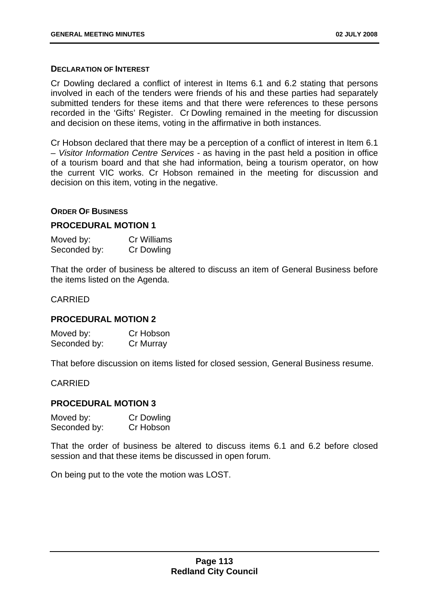#### **DECLARATION OF INTEREST**

Cr Dowling declared a conflict of interest in Items 6.1 and 6.2 stating that persons involved in each of the tenders were friends of his and these parties had separately submitted tenders for these items and that there were references to these persons recorded in the 'Gifts' Register. Cr Dowling remained in the meeting for discussion and decision on these items, voting in the affirmative in both instances.

Cr Hobson declared that there may be a perception of a conflict of interest in Item 6.1 – *Visitor Information Centre Services -* as having in the past held a position in office of a tourism board and that she had information, being a tourism operator, on how the current VIC works. Cr Hobson remained in the meeting for discussion and decision on this item, voting in the negative.

#### **ORDER OF BUSINESS**

#### **PROCEDURAL MOTION 1**

| Moved by:    | Cr Williams |
|--------------|-------------|
| Seconded by: | Cr Dowling  |

That the order of business be altered to discuss an item of General Business before the items listed on the Agenda.

#### CARRIED

#### **PROCEDURAL MOTION 2**

Moved by: Cr Hobson Seconded by: Cr Murray

That before discussion on items listed for closed session, General Business resume.

CARRIED

#### **PROCEDURAL MOTION 3**

| Moved by:    | Cr Dowling |
|--------------|------------|
| Seconded by: | Cr Hobson  |

That the order of business be altered to discuss items 6.1 and 6.2 before closed session and that these items be discussed in open forum.

On being put to the vote the motion was LOST.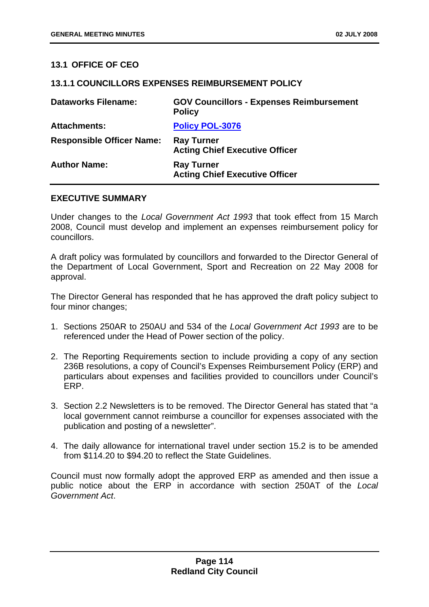## **13.1 OFFICE OF CEO**

#### **13.1.1 COUNCILLORS EXPENSES REIMBURSEMENT POLICY**

| <b>Dataworks Filename:</b>       | <b>GOV Councillors - Expenses Reimbursement</b><br><b>Policy</b> |
|----------------------------------|------------------------------------------------------------------|
| <b>Attachments:</b>              | <b>Policy POL-3076</b>                                           |
| <b>Responsible Officer Name:</b> | <b>Ray Turner</b><br><b>Acting Chief Executive Officer</b>       |
| <b>Author Name:</b>              | <b>Ray Turner</b><br><b>Acting Chief Executive Officer</b>       |

## **EXECUTIVE SUMMARY**

Under changes to the *Local Government Act 1993* that took effect from 15 March 2008, Council must develop and implement an expenses reimbursement policy for councillors.

A draft policy was formulated by councillors and forwarded to the Director General of the Department of Local Government, Sport and Recreation on 22 May 2008 for approval.

The Director General has responded that he has approved the draft policy subject to four minor changes;

- 1. Sections 250AR to 250AU and 534 of the *Local Government Act 1993* are to be referenced under the Head of Power section of the policy.
- 2. The Reporting Requirements section to include providing a copy of any section 236B resolutions, a copy of Council's Expenses Reimbursement Policy (ERP) and particulars about expenses and facilities provided to councillors under Council's ERP.
- 3. Section 2.2 Newsletters is to be removed. The Director General has stated that "a local government cannot reimburse a councillor for expenses associated with the publication and posting of a newsletter".
- 4. The daily allowance for international travel under section 15.2 is to be amended from \$114.20 to \$94.20 to reflect the State Guidelines.

Council must now formally adopt the approved ERP as amended and then issue a public notice about the ERP in accordance with section 250AT of the *Local Government Act*.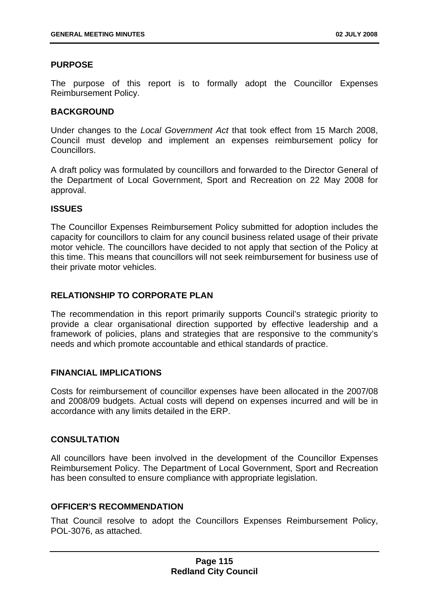## **PURPOSE**

The purpose of this report is to formally adopt the Councillor Expenses Reimbursement Policy.

## **BACKGROUND**

Under changes to the *Local Government Act* that took effect from 15 March 2008, Council must develop and implement an expenses reimbursement policy for **Councillors** 

A draft policy was formulated by councillors and forwarded to the Director General of the Department of Local Government, Sport and Recreation on 22 May 2008 for approval.

## **ISSUES**

The Councillor Expenses Reimbursement Policy submitted for adoption includes the capacity for councillors to claim for any council business related usage of their private motor vehicle. The councillors have decided to not apply that section of the Policy at this time. This means that councillors will not seek reimbursement for business use of their private motor vehicles.

## **RELATIONSHIP TO CORPORATE PLAN**

The recommendation in this report primarily supports Council's strategic priority to provide a clear organisational direction supported by effective leadership and a framework of policies, plans and strategies that are responsive to the community's needs and which promote accountable and ethical standards of practice.

## **FINANCIAL IMPLICATIONS**

Costs for reimbursement of councillor expenses have been allocated in the 2007/08 and 2008/09 budgets. Actual costs will depend on expenses incurred and will be in accordance with any limits detailed in the ERP.

## **CONSULTATION**

All councillors have been involved in the development of the Councillor Expenses Reimbursement Policy. The Department of Local Government, Sport and Recreation has been consulted to ensure compliance with appropriate legislation.

## **OFFICER'S RECOMMENDATION**

That Council resolve to adopt the Councillors Expenses Reimbursement Policy, POL-3076, as attached.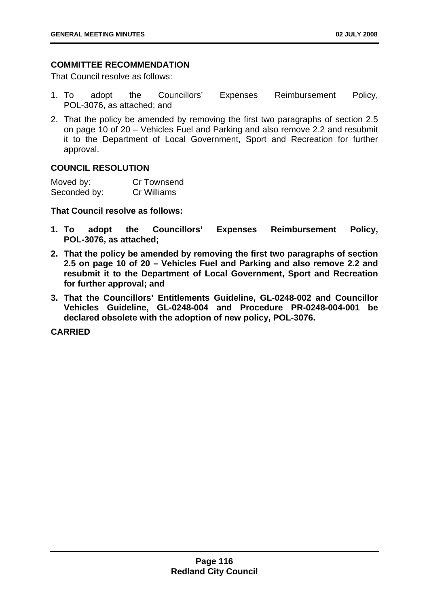## **COMMITTEE RECOMMENDATION**

That Council resolve as follows:

- 1. To adopt the Councillors' Expenses Reimbursement Policy, POL-3076, as attached; and
- 2. That the policy be amended by removing the first two paragraphs of section 2.5 on page 10 of 20 – Vehicles Fuel and Parking and also remove 2.2 and resubmit it to the Department of Local Government, Sport and Recreation for further approval.

## **COUNCIL RESOLUTION**

| Moved by:    | Cr Townsend |
|--------------|-------------|
| Seconded by: | Cr Williams |

**That Council resolve as follows:** 

- **1. To adopt the Councillors' Expenses Reimbursement Policy, POL-3076, as attached;**
- **2. That the policy be amended by removing the first two paragraphs of section 2.5 on page 10 of 20 – Vehicles Fuel and Parking and also remove 2.2 and resubmit it to the Department of Local Government, Sport and Recreation for further approval; and**
- **3. That the Councillors' Entitlements Guideline, GL-0248-002 and Councillor Vehicles Guideline, GL-0248-004 and Procedure PR-0248-004-001 be declared obsolete with the adoption of new policy, POL-3076.**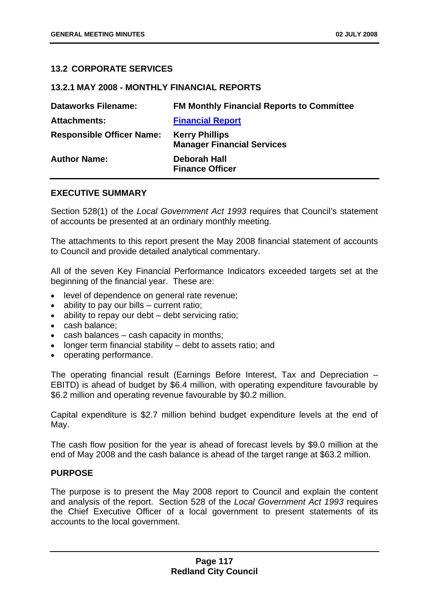## **13.2 CORPORATE SERVICES**

## **13.2.1 MAY 2008 - MONTHLY FINANCIAL REPORTS**

| <b>Dataworks Filename:</b>       | <b>FM Monthly Financial Reports to Committee</b>           |
|----------------------------------|------------------------------------------------------------|
| <b>Attachments:</b>              | <b>Financial Report</b>                                    |
| <b>Responsible Officer Name:</b> | <b>Kerry Phillips</b><br><b>Manager Financial Services</b> |
| <b>Author Name:</b>              | Deborah Hall<br><b>Finance Officer</b>                     |

## **EXECUTIVE SUMMARY**

Section 528(1) of the *Local Government Act 1993* requires that Council's statement of accounts be presented at an ordinary monthly meeting.

The attachments to this report present the May 2008 financial statement of accounts to Council and provide detailed analytical commentary.

All of the seven Key Financial Performance Indicators exceeded targets set at the beginning of the financial year. These are:

- level of dependence on general rate revenue;
- ability to pay our bills current ratio:
- ability to repay our debt debt servicing ratio;
- cash balance;
- cash balances cash capacity in months;
- longer term financial stability debt to assets ratio; and
- operating performance.

The operating financial result (Earnings Before Interest, Tax and Depreciation – EBITD) is ahead of budget by \$6.4 million, with operating expenditure favourable by \$6.2 million and operating revenue favourable by \$0.2 million.

Capital expenditure is \$2.7 million behind budget expenditure levels at the end of May.

The cash flow position for the year is ahead of forecast levels by \$9.0 million at the end of May 2008 and the cash balance is ahead of the target range at \$63.2 million.

#### **PURPOSE**

The purpose is to present the May 2008 report to Council and explain the content and analysis of the report. Section 528 of the *Local Government Act 1993* requires the Chief Executive Officer of a local government to present statements of its accounts to the local government.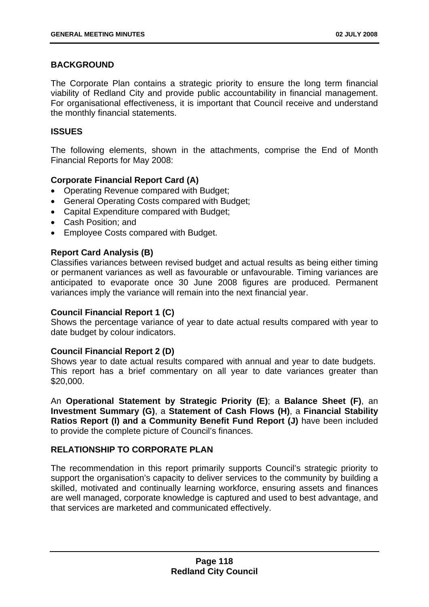# **BACKGROUND**

The Corporate Plan contains a strategic priority to ensure the long term financial viability of Redland City and provide public accountability in financial management. For organisational effectiveness, it is important that Council receive and understand the monthly financial statements.

## **ISSUES**

The following elements, shown in the attachments, comprise the End of Month Financial Reports for May 2008:

# **Corporate Financial Report Card (A)**

- Operating Revenue compared with Budget;
- General Operating Costs compared with Budget;
- Capital Expenditure compared with Budget;
- Cash Position; and
- Employee Costs compared with Budget.

## **Report Card Analysis (B)**

Classifies variances between revised budget and actual results as being either timing or permanent variances as well as favourable or unfavourable. Timing variances are anticipated to evaporate once 30 June 2008 figures are produced. Permanent variances imply the variance will remain into the next financial year.

# **Council Financial Report 1 (C)**

Shows the percentage variance of year to date actual results compared with year to date budget by colour indicators.

## **Council Financial Report 2 (D)**

Shows year to date actual results compared with annual and year to date budgets. This report has a brief commentary on all year to date variances greater than \$20,000.

An **Operational Statement by Strategic Priority (E)**; a **Balance Sheet (F)**, an **Investment Summary (G)**, a **Statement of Cash Flows (H)**, a **Financial Stability Ratios Report (I) and a Community Benefit Fund Report (J)** have been included to provide the complete picture of Council's finances.

# **RELATIONSHIP TO CORPORATE PLAN**

The recommendation in this report primarily supports Council's strategic priority to support the organisation's capacity to deliver services to the community by building a skilled, motivated and continually learning workforce, ensuring assets and finances are well managed, corporate knowledge is captured and used to best advantage, and that services are marketed and communicated effectively.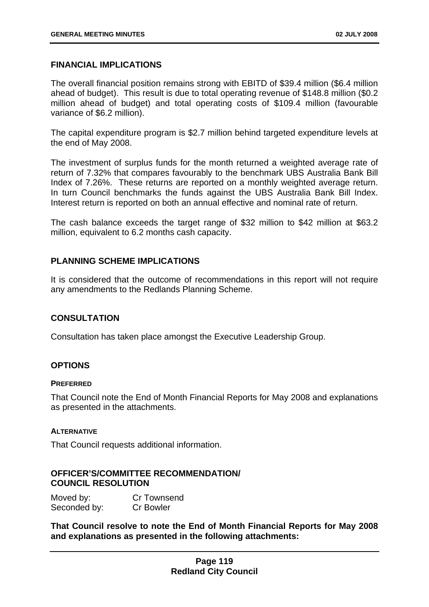## **FINANCIAL IMPLICATIONS**

The overall financial position remains strong with EBITD of \$39.4 million (\$6.4 million ahead of budget). This result is due to total operating revenue of \$148.8 million (\$0.2 million ahead of budget) and total operating costs of \$109.4 million (favourable variance of \$6.2 million).

The capital expenditure program is \$2.7 million behind targeted expenditure levels at the end of May 2008.

The investment of surplus funds for the month returned a weighted average rate of return of 7.32% that compares favourably to the benchmark UBS Australia Bank Bill Index of 7.26%. These returns are reported on a monthly weighted average return. In turn Council benchmarks the funds against the UBS Australia Bank Bill Index. Interest return is reported on both an annual effective and nominal rate of return.

The cash balance exceeds the target range of \$32 million to \$42 million at \$63.2 million, equivalent to 6.2 months cash capacity.

## **PLANNING SCHEME IMPLICATIONS**

It is considered that the outcome of recommendations in this report will not require any amendments to the Redlands Planning Scheme.

## **CONSULTATION**

Consultation has taken place amongst the Executive Leadership Group.

## **OPTIONS**

#### **PREFERRED**

That Council note the End of Month Financial Reports for May 2008 and explanations as presented in the attachments.

#### **ALTERNATIVE**

That Council requests additional information.

## **OFFICER'S/COMMITTEE RECOMMENDATION/ COUNCIL RESOLUTION**

Moved by: Cr Townsend Seconded by: Cr Bowler

**That Council resolve to note the End of Month Financial Reports for May 2008 and explanations as presented in the following attachments:**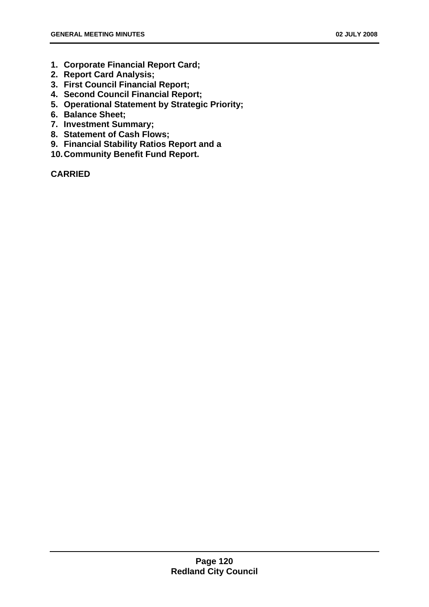- **1. Corporate Financial Report Card;**
- **2. Report Card Analysis;**
- **3. First Council Financial Report;**
- **4. Second Council Financial Report;**
- **5. Operational Statement by Strategic Priority;**
- **6. Balance Sheet;**
- **7. Investment Summary;**
- **8. Statement of Cash Flows;**
- **9. Financial Stability Ratios Report and a**
- **10. Community Benefit Fund Report.**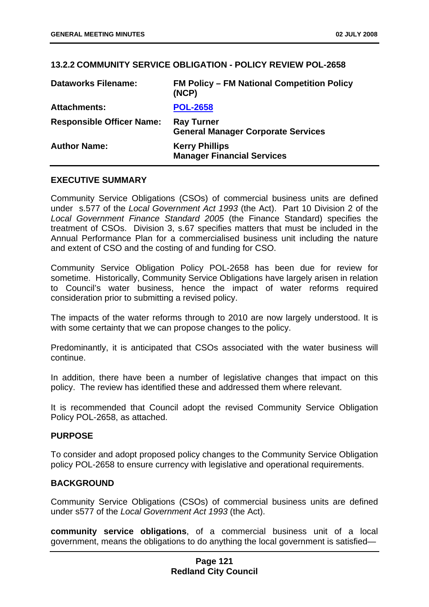## **13.2.2 COMMUNITY SERVICE OBLIGATION - POLICY REVIEW POL-2658**

| <b>Dataworks Filename:</b>       | <b>FM Policy – FM National Competition Policy</b><br>(NCP)     |
|----------------------------------|----------------------------------------------------------------|
| <b>Attachments:</b>              | <b>POL-2658</b>                                                |
| <b>Responsible Officer Name:</b> | <b>Ray Turner</b><br><b>General Manager Corporate Services</b> |
| <b>Author Name:</b>              | <b>Kerry Phillips</b><br><b>Manager Financial Services</b>     |

## **EXECUTIVE SUMMARY**

Community Service Obligations (CSOs) of commercial business units are defined under s.577 of the *Local Government Act 1993* (the Act). Part 10 Division 2 of the *Local Government Finance Standard 2005* (the Finance Standard) specifies the treatment of CSOs. Division 3, s.67 specifies matters that must be included in the Annual Performance Plan for a commercialised business unit including the nature and extent of CSO and the costing of and funding for CSO.

Community Service Obligation Policy POL-2658 has been due for review for sometime. Historically, Community Service Obligations have largely arisen in relation to Council's water business, hence the impact of water reforms required consideration prior to submitting a revised policy.

The impacts of the water reforms through to 2010 are now largely understood. It is with some certainty that we can propose changes to the policy.

Predominantly, it is anticipated that CSOs associated with the water business will continue.

In addition, there have been a number of legislative changes that impact on this policy. The review has identified these and addressed them where relevant.

It is recommended that Council adopt the revised Community Service Obligation Policy POL-2658, as attached.

## **PURPOSE**

To consider and adopt proposed policy changes to the Community Service Obligation policy POL-2658 to ensure currency with legislative and operational requirements.

## **BACKGROUND**

Community Service Obligations (CSOs) of commercial business units are defined under s577 of the *Local Government Act 1993* (the Act).

**community service obligations**, of a commercial business unit of a local government, means the obligations to do anything the local government is satisfied—

## **Page 121 Redland City Council**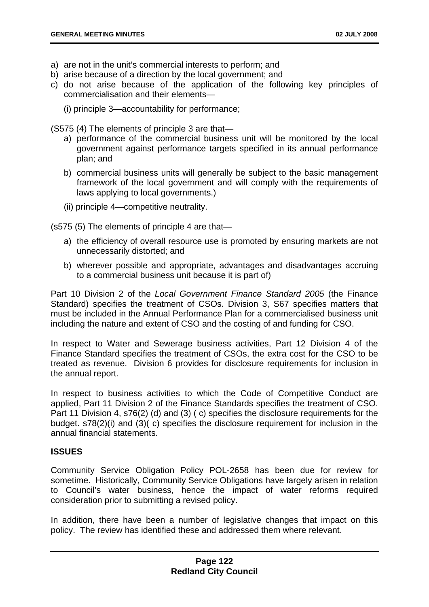- a) are not in the unit's commercial interests to perform; and
- b) arise because of a direction by the local government; and
- c) do not arise because of the application of the following key principles of commercialisation and their elements—
	- (i) principle 3—accountability for performance;

(S575 (4) The elements of principle 3 are that—

- a) performance of the commercial business unit will be monitored by the local government against performance targets specified in its annual performance plan; and
- b) commercial business units will generally be subject to the basic management framework of the local government and will comply with the requirements of laws applying to local governments.)
- (ii) principle 4—competitive neutrality.

(s575 (5) The elements of principle 4 are that—

- a) the efficiency of overall resource use is promoted by ensuring markets are not unnecessarily distorted; and
- b) wherever possible and appropriate, advantages and disadvantages accruing to a commercial business unit because it is part of)

Part 10 Division 2 of the *Local Government Finance Standard 2005* (the Finance Standard) specifies the treatment of CSOs. Division 3, S67 specifies matters that must be included in the Annual Performance Plan for a commercialised business unit including the nature and extent of CSO and the costing of and funding for CSO.

In respect to Water and Sewerage business activities, Part 12 Division 4 of the Finance Standard specifies the treatment of CSOs, the extra cost for the CSO to be treated as revenue. Division 6 provides for disclosure requirements for inclusion in the annual report.

In respect to business activities to which the Code of Competitive Conduct are applied, Part 11 Division 2 of the Finance Standards specifies the treatment of CSO. Part 11 Division 4, s76(2) (d) and (3) ( c) specifies the disclosure requirements for the budget. s78(2)(i) and (3)( c) specifies the disclosure requirement for inclusion in the annual financial statements.

#### **ISSUES**

Community Service Obligation Policy POL-2658 has been due for review for sometime. Historically, Community Service Obligations have largely arisen in relation to Council's water business, hence the impact of water reforms required consideration prior to submitting a revised policy.

In addition, there have been a number of legislative changes that impact on this policy. The review has identified these and addressed them where relevant.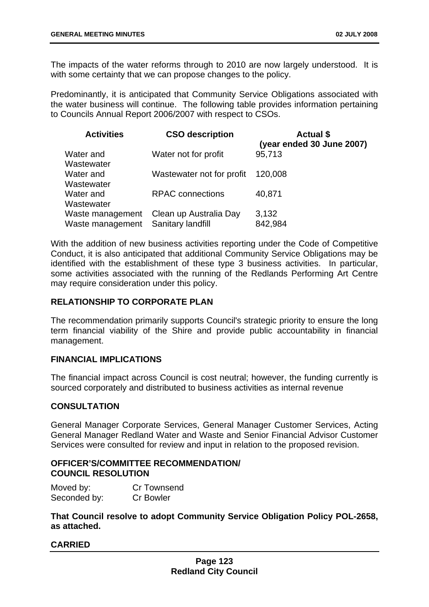The impacts of the water reforms through to 2010 are now largely understood. It is with some certainty that we can propose changes to the policy.

Predominantly, it is anticipated that Community Service Obligations associated with the water business will continue. The following table provides information pertaining to Councils Annual Report 2006/2007 with respect to CSOs.

| <b>Activities</b>                    | <b>CSO description</b>                      | <b>Actual \$</b><br>(year ended 30 June 2007) |
|--------------------------------------|---------------------------------------------|-----------------------------------------------|
| Water and<br>Wastewater              | Water not for profit                        | 95,713                                        |
| Water and<br>Wastewater              | Wastewater not for profit                   | 120,008                                       |
| Water and<br>Wastewater              | <b>RPAC</b> connections                     | 40,871                                        |
| Waste management<br>Waste management | Clean up Australia Day<br>Sanitary landfill | 3,132<br>842,984                              |

With the addition of new business activities reporting under the Code of Competitive Conduct, it is also anticipated that additional Community Service Obligations may be identified with the establishment of these type 3 business activities. In particular, some activities associated with the running of the Redlands Performing Art Centre may require consideration under this policy.

# **RELATIONSHIP TO CORPORATE PLAN**

The recommendation primarily supports Council's strategic priority to ensure the long term financial viability of the Shire and provide public accountability in financial management.

## **FINANCIAL IMPLICATIONS**

The financial impact across Council is cost neutral; however, the funding currently is sourced corporately and distributed to business activities as internal revenue

# **CONSULTATION**

General Manager Corporate Services, General Manager Customer Services, Acting General Manager Redland Water and Waste and Senior Financial Advisor Customer Services were consulted for review and input in relation to the proposed revision.

## **OFFICER'S/COMMITTEE RECOMMENDATION/ COUNCIL RESOLUTION**

| Moved by:    | Cr Townsend      |
|--------------|------------------|
| Seconded by: | <b>Cr Bowler</b> |

**That Council resolve to adopt Community Service Obligation Policy POL-2658, as attached.**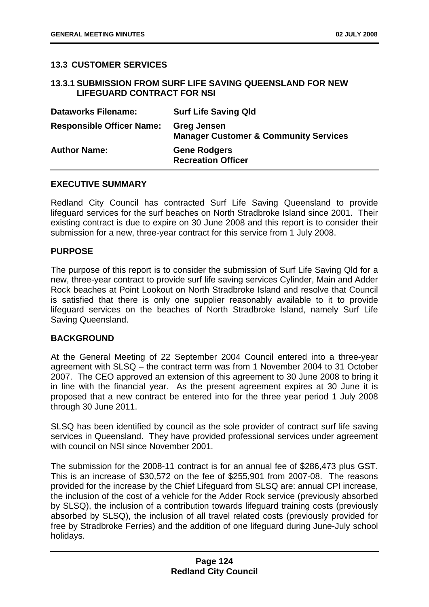# **13.3 CUSTOMER SERVICES**

## **13.3.1 SUBMISSION FROM SURF LIFE SAVING QUEENSLAND FOR NEW LIFEGUARD CONTRACT FOR NSI**

| <b>Dataworks Filename:</b>       | <b>Surf Life Saving Qld</b>                                            |
|----------------------------------|------------------------------------------------------------------------|
| <b>Responsible Officer Name:</b> | <b>Greg Jensen</b><br><b>Manager Customer &amp; Community Services</b> |
| <b>Author Name:</b>              | <b>Gene Rodgers</b><br><b>Recreation Officer</b>                       |

## **EXECUTIVE SUMMARY**

Redland City Council has contracted Surf Life Saving Queensland to provide lifeguard services for the surf beaches on North Stradbroke Island since 2001. Their existing contract is due to expire on 30 June 2008 and this report is to consider their submission for a new, three-year contract for this service from 1 July 2008.

#### **PURPOSE**

The purpose of this report is to consider the submission of Surf Life Saving Qld for a new, three-year contract to provide surf life saving services Cylinder, Main and Adder Rock beaches at Point Lookout on North Stradbroke Island and resolve that Council is satisfied that there is only one supplier reasonably available to it to provide lifeguard services on the beaches of North Stradbroke Island, namely Surf Life Saving Queensland.

## **BACKGROUND**

At the General Meeting of 22 September 2004 Council entered into a three-year agreement with SLSQ – the contract term was from 1 November 2004 to 31 October 2007. The CEO approved an extension of this agreement to 30 June 2008 to bring it in line with the financial year. As the present agreement expires at 30 June it is proposed that a new contract be entered into for the three year period 1 July 2008 through 30 June 2011.

SLSQ has been identified by council as the sole provider of contract surf life saving services in Queensland. They have provided professional services under agreement with council on NSI since November 2001.

The submission for the 2008-11 contract is for an annual fee of \$286,473 plus GST. This is an increase of \$30,572 on the fee of \$255,901 from 2007-08. The reasons provided for the increase by the Chief Lifeguard from SLSQ are: annual CPI increase, the inclusion of the cost of a vehicle for the Adder Rock service (previously absorbed by SLSQ), the inclusion of a contribution towards lifeguard training costs (previously absorbed by SLSQ), the inclusion of all travel related costs (previously provided for free by Stradbroke Ferries) and the addition of one lifeguard during June-July school holidays.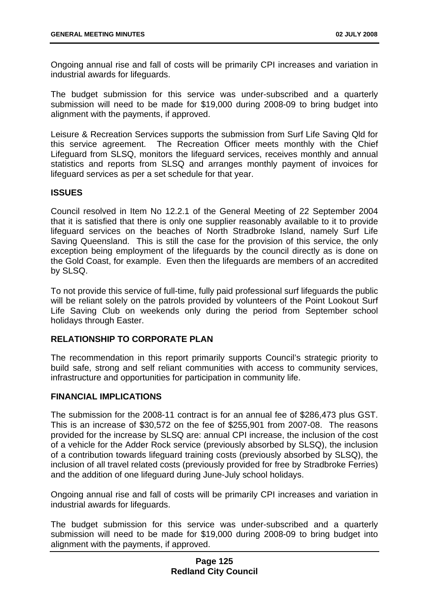Ongoing annual rise and fall of costs will be primarily CPI increases and variation in industrial awards for lifeguards.

The budget submission for this service was under-subscribed and a quarterly submission will need to be made for \$19,000 during 2008-09 to bring budget into alignment with the payments, if approved.

Leisure & Recreation Services supports the submission from Surf Life Saving Qld for this service agreement. The Recreation Officer meets monthly with the Chief Lifeguard from SLSQ, monitors the lifeguard services, receives monthly and annual statistics and reports from SLSQ and arranges monthly payment of invoices for lifeguard services as per a set schedule for that year.

## **ISSUES**

Council resolved in Item No 12.2.1 of the General Meeting of 22 September 2004 that it is satisfied that there is only one supplier reasonably available to it to provide lifeguard services on the beaches of North Stradbroke Island, namely Surf Life Saving Queensland. This is still the case for the provision of this service, the only exception being employment of the lifeguards by the council directly as is done on the Gold Coast, for example. Even then the lifeguards are members of an accredited by SLSQ.

To not provide this service of full-time, fully paid professional surf lifeguards the public will be reliant solely on the patrols provided by volunteers of the Point Lookout Surf Life Saving Club on weekends only during the period from September school holidays through Easter.

## **RELATIONSHIP TO CORPORATE PLAN**

The recommendation in this report primarily supports Council's strategic priority to build safe, strong and self reliant communities with access to community services, infrastructure and opportunities for participation in community life.

## **FINANCIAL IMPLICATIONS**

The submission for the 2008-11 contract is for an annual fee of \$286,473 plus GST. This is an increase of \$30,572 on the fee of \$255,901 from 2007-08. The reasons provided for the increase by SLSQ are: annual CPI increase, the inclusion of the cost of a vehicle for the Adder Rock service (previously absorbed by SLSQ), the inclusion of a contribution towards lifeguard training costs (previously absorbed by SLSQ), the inclusion of all travel related costs (previously provided for free by Stradbroke Ferries) and the addition of one lifeguard during June-July school holidays.

Ongoing annual rise and fall of costs will be primarily CPI increases and variation in industrial awards for lifeguards.

The budget submission for this service was under-subscribed and a quarterly submission will need to be made for \$19,000 during 2008-09 to bring budget into alignment with the payments, if approved.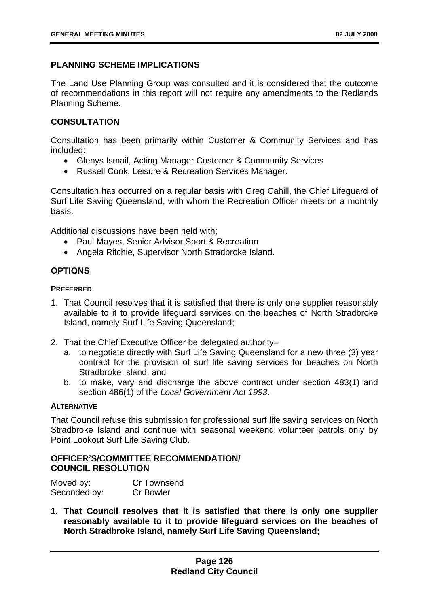# **PLANNING SCHEME IMPLICATIONS**

The Land Use Planning Group was consulted and it is considered that the outcome of recommendations in this report will not require any amendments to the Redlands Planning Scheme.

# **CONSULTATION**

Consultation has been primarily within Customer & Community Services and has included:

- Glenys Ismail, Acting Manager Customer & Community Services
- Russell Cook, Leisure & Recreation Services Manager.

Consultation has occurred on a regular basis with Greg Cahill, the Chief Lifeguard of Surf Life Saving Queensland, with whom the Recreation Officer meets on a monthly basis.

Additional discussions have been held with;

- Paul Mayes, Senior Advisor Sport & Recreation
- Angela Ritchie, Supervisor North Stradbroke Island.

# **OPTIONS**

## **PREFERRED**

- 1. That Council resolves that it is satisfied that there is only one supplier reasonably available to it to provide lifeguard services on the beaches of North Stradbroke Island, namely Surf Life Saving Queensland;
- 2. That the Chief Executive Officer be delegated authority–
	- a. to negotiate directly with Surf Life Saving Queensland for a new three (3) year contract for the provision of surf life saving services for beaches on North Stradbroke Island; and
	- b. to make, vary and discharge the above contract under section 483(1) and section 486(1) of the *Local Government Act 1993*.

## **ALTERNATIVE**

That Council refuse this submission for professional surf life saving services on North Stradbroke Island and continue with seasonal weekend volunteer patrols only by Point Lookout Surf Life Saving Club.

## **OFFICER'S/COMMITTEE RECOMMENDATION/ COUNCIL RESOLUTION**

| Moved by:    | Cr Townsend      |
|--------------|------------------|
| Seconded by: | <b>Cr Bowler</b> |

**1. That Council resolves that it is satisfied that there is only one supplier reasonably available to it to provide lifeguard services on the beaches of North Stradbroke Island, namely Surf Life Saving Queensland;**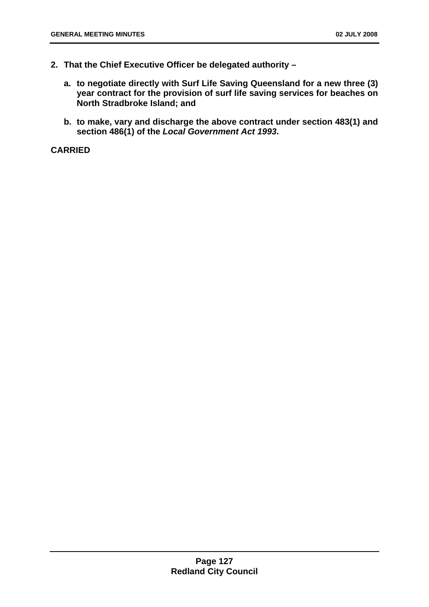- **2. That the Chief Executive Officer be delegated authority** 
	- **a. to negotiate directly with Surf Life Saving Queensland for a new three (3) year contract for the provision of surf life saving services for beaches on North Stradbroke Island; and**
	- **b. to make, vary and discharge the above contract under section 483(1) and section 486(1) of the** *Local Government Act 1993***.**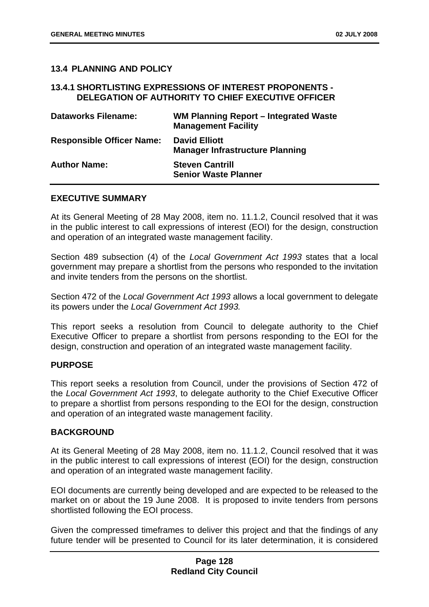## **13.4 PLANNING AND POLICY**

#### **13.4.1 SHORTLISTING EXPRESSIONS OF INTEREST PROPONENTS - DELEGATION OF AUTHORITY TO CHIEF EXECUTIVE OFFICER**

| <b>Dataworks Filename:</b>       | WM Planning Report – Integrated Waste<br><b>Management Facility</b> |
|----------------------------------|---------------------------------------------------------------------|
| <b>Responsible Officer Name:</b> | <b>David Elliott</b><br><b>Manager Infrastructure Planning</b>      |
| <b>Author Name:</b>              | <b>Steven Cantrill</b><br><b>Senior Waste Planner</b>               |

#### **EXECUTIVE SUMMARY**

At its General Meeting of 28 May 2008, item no. 11.1.2, Council resolved that it was in the public interest to call expressions of interest (EOI) for the design, construction and operation of an integrated waste management facility.

Section 489 subsection (4) of the *Local Government Act 1993* states that a local government may prepare a shortlist from the persons who responded to the invitation and invite tenders from the persons on the shortlist.

Section 472 of the *Local Government Act 1993* allows a local government to delegate its powers under the *Local Government Act 1993.*

This report seeks a resolution from Council to delegate authority to the Chief Executive Officer to prepare a shortlist from persons responding to the EOI for the design, construction and operation of an integrated waste management facility.

## **PURPOSE**

This report seeks a resolution from Council, under the provisions of Section 472 of the *Local Government Act 1993*, to delegate authority to the Chief Executive Officer to prepare a shortlist from persons responding to the EOI for the design, construction and operation of an integrated waste management facility.

## **BACKGROUND**

At its General Meeting of 28 May 2008, item no. 11.1.2, Council resolved that it was in the public interest to call expressions of interest (EOI) for the design, construction and operation of an integrated waste management facility.

EOI documents are currently being developed and are expected to be released to the market on or about the 19 June 2008. It is proposed to invite tenders from persons shortlisted following the EOI process.

Given the compressed timeframes to deliver this project and that the findings of any future tender will be presented to Council for its later determination, it is considered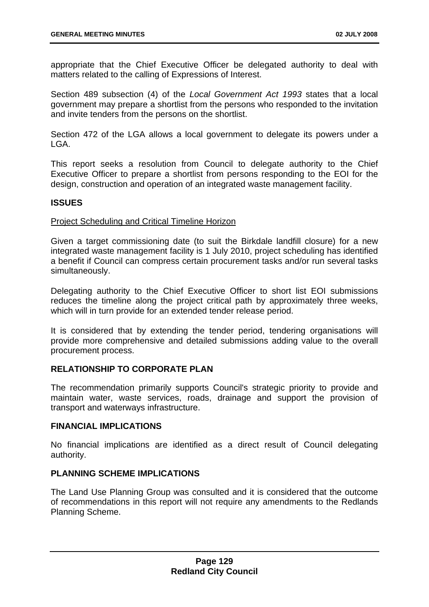appropriate that the Chief Executive Officer be delegated authority to deal with matters related to the calling of Expressions of Interest.

Section 489 subsection (4) of the *Local Government Act 1993* states that a local government may prepare a shortlist from the persons who responded to the invitation and invite tenders from the persons on the shortlist.

Section 472 of the LGA allows a local government to delegate its powers under a LGA.

This report seeks a resolution from Council to delegate authority to the Chief Executive Officer to prepare a shortlist from persons responding to the EOI for the design, construction and operation of an integrated waste management facility.

## **ISSUES**

## Project Scheduling and Critical Timeline Horizon

Given a target commissioning date (to suit the Birkdale landfill closure) for a new integrated waste management facility is 1 July 2010, project scheduling has identified a benefit if Council can compress certain procurement tasks and/or run several tasks simultaneously.

Delegating authority to the Chief Executive Officer to short list EOI submissions reduces the timeline along the project critical path by approximately three weeks, which will in turn provide for an extended tender release period.

It is considered that by extending the tender period, tendering organisations will provide more comprehensive and detailed submissions adding value to the overall procurement process.

## **RELATIONSHIP TO CORPORATE PLAN**

The recommendation primarily supports Council's strategic priority to provide and maintain water, waste services, roads, drainage and support the provision of transport and waterways infrastructure.

## **FINANCIAL IMPLICATIONS**

No financial implications are identified as a direct result of Council delegating authority.

# **PLANNING SCHEME IMPLICATIONS**

The Land Use Planning Group was consulted and it is considered that the outcome of recommendations in this report will not require any amendments to the Redlands Planning Scheme.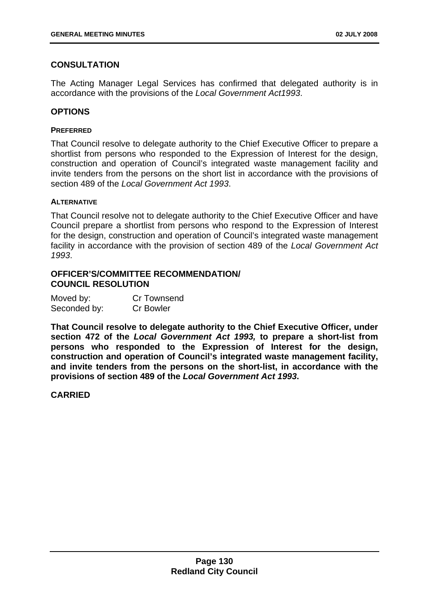# **CONSULTATION**

The Acting Manager Legal Services has confirmed that delegated authority is in accordance with the provisions of the *Local Government Act1993*.

## **OPTIONS**

#### **PREFERRED**

That Council resolve to delegate authority to the Chief Executive Officer to prepare a shortlist from persons who responded to the Expression of Interest for the design, construction and operation of Council's integrated waste management facility and invite tenders from the persons on the short list in accordance with the provisions of section 489 of the *Local Government Act 1993*.

#### **ALTERNATIVE**

That Council resolve not to delegate authority to the Chief Executive Officer and have Council prepare a shortlist from persons who respond to the Expression of Interest for the design, construction and operation of Council's integrated waste management facility in accordance with the provision of section 489 of the *Local Government Act 1993*.

## **OFFICER'S/COMMITTEE RECOMMENDATION/ COUNCIL RESOLUTION**

| Moved by:    | Cr Townsend      |
|--------------|------------------|
| Seconded by: | <b>Cr Bowler</b> |

**That Council resolve to delegate authority to the Chief Executive Officer, under section 472 of the** *Local Government Act 1993,* **to prepare a short-list from persons who responded to the Expression of Interest for the design, construction and operation of Council's integrated waste management facility, and invite tenders from the persons on the short-list, in accordance with the provisions of section 489 of the** *Local Government Act 1993***.**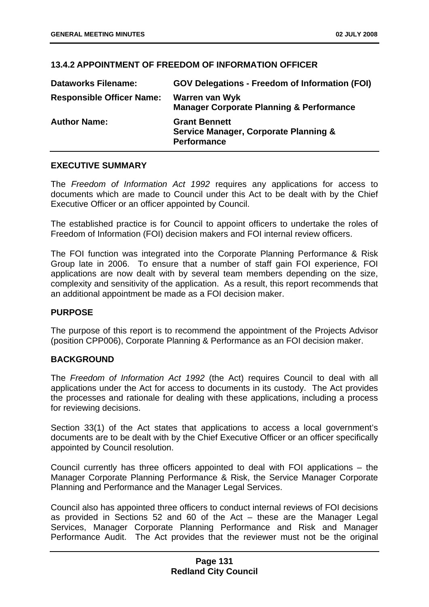# **13.4.2 APPOINTMENT OF FREEDOM OF INFORMATION OFFICER**

| <b>Dataworks Filename:</b>       | <b>GOV Delegations - Freedom of Information (FOI)</b>                                          |
|----------------------------------|------------------------------------------------------------------------------------------------|
| <b>Responsible Officer Name:</b> | Warren van Wyk<br><b>Manager Corporate Planning &amp; Performance</b>                          |
| <b>Author Name:</b>              | <b>Grant Bennett</b><br><b>Service Manager, Corporate Planning &amp;</b><br><b>Performance</b> |

## **EXECUTIVE SUMMARY**

The *Freedom of Information Act 1992* requires any applications for access to documents which are made to Council under this Act to be dealt with by the Chief Executive Officer or an officer appointed by Council.

The established practice is for Council to appoint officers to undertake the roles of Freedom of Information (FOI) decision makers and FOI internal review officers.

The FOI function was integrated into the Corporate Planning Performance & Risk Group late in 2006. To ensure that a number of staff gain FOI experience, FOI applications are now dealt with by several team members depending on the size, complexity and sensitivity of the application. As a result, this report recommends that an additional appointment be made as a FOI decision maker.

## **PURPOSE**

The purpose of this report is to recommend the appointment of the Projects Advisor (position CPP006), Corporate Planning & Performance as an FOI decision maker.

## **BACKGROUND**

The *Freedom of Information Act 1992* (the Act) requires Council to deal with all applications under the Act for access to documents in its custody. The Act provides the processes and rationale for dealing with these applications, including a process for reviewing decisions.

Section 33(1) of the Act states that applications to access a local government's documents are to be dealt with by the Chief Executive Officer or an officer specifically appointed by Council resolution.

Council currently has three officers appointed to deal with FOI applications – the Manager Corporate Planning Performance & Risk, the Service Manager Corporate Planning and Performance and the Manager Legal Services.

Council also has appointed three officers to conduct internal reviews of FOI decisions as provided in Sections 52 and 60 of the Act – these are the Manager Legal Services, Manager Corporate Planning Performance and Risk and Manager Performance Audit. The Act provides that the reviewer must not be the original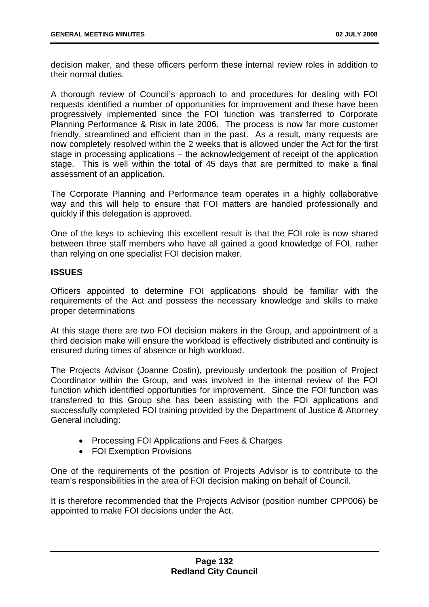decision maker, and these officers perform these internal review roles in addition to their normal duties.

A thorough review of Council's approach to and procedures for dealing with FOI requests identified a number of opportunities for improvement and these have been progressively implemented since the FOI function was transferred to Corporate Planning Performance & Risk in late 2006. The process is now far more customer friendly, streamlined and efficient than in the past. As a result, many requests are now completely resolved within the 2 weeks that is allowed under the Act for the first stage in processing applications – the acknowledgement of receipt of the application stage. This is well within the total of 45 days that are permitted to make a final assessment of an application.

The Corporate Planning and Performance team operates in a highly collaborative way and this will help to ensure that FOI matters are handled professionally and quickly if this delegation is approved.

One of the keys to achieving this excellent result is that the FOI role is now shared between three staff members who have all gained a good knowledge of FOI, rather than relying on one specialist FOI decision maker.

## **ISSUES**

Officers appointed to determine FOI applications should be familiar with the requirements of the Act and possess the necessary knowledge and skills to make proper determinations

At this stage there are two FOI decision makers in the Group, and appointment of a third decision make will ensure the workload is effectively distributed and continuity is ensured during times of absence or high workload.

The Projects Advisor (Joanne Costin), previously undertook the position of Project Coordinator within the Group, and was involved in the internal review of the FOI function which identified opportunities for improvement. Since the FOI function was transferred to this Group she has been assisting with the FOI applications and successfully completed FOI training provided by the Department of Justice & Attorney General including:

- Processing FOI Applications and Fees & Charges
- FOI Exemption Provisions

One of the requirements of the position of Projects Advisor is to contribute to the team's responsibilities in the area of FOI decision making on behalf of Council.

It is therefore recommended that the Projects Advisor (position number CPP006) be appointed to make FOI decisions under the Act.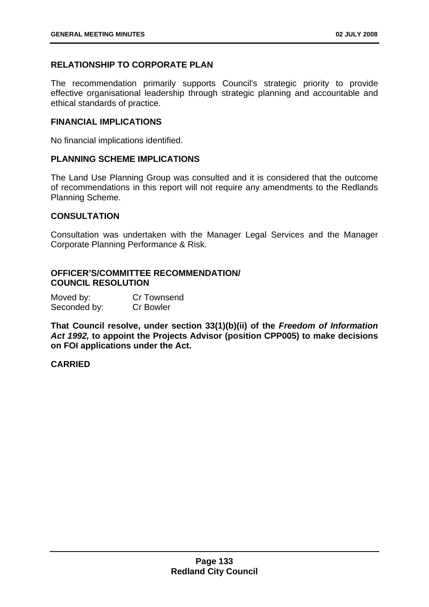# **RELATIONSHIP TO CORPORATE PLAN**

The recommendation primarily supports Council's strategic priority to provide effective organisational leadership through strategic planning and accountable and ethical standards of practice.

#### **FINANCIAL IMPLICATIONS**

No financial implications identified.

#### **PLANNING SCHEME IMPLICATIONS**

The Land Use Planning Group was consulted and it is considered that the outcome of recommendations in this report will not require any amendments to the Redlands Planning Scheme.

#### **CONSULTATION**

Consultation was undertaken with the Manager Legal Services and the Manager Corporate Planning Performance & Risk.

## **OFFICER'S/COMMITTEE RECOMMENDATION/ COUNCIL RESOLUTION**

| Moved by:    | Cr Townsend      |
|--------------|------------------|
| Seconded by: | <b>Cr Bowler</b> |

**That Council resolve, under section 33(1)(b)(ii) of the** *Freedom of Information Act 1992,* **to appoint the Projects Advisor (position CPP005) to make decisions on FOI applications under the Act.**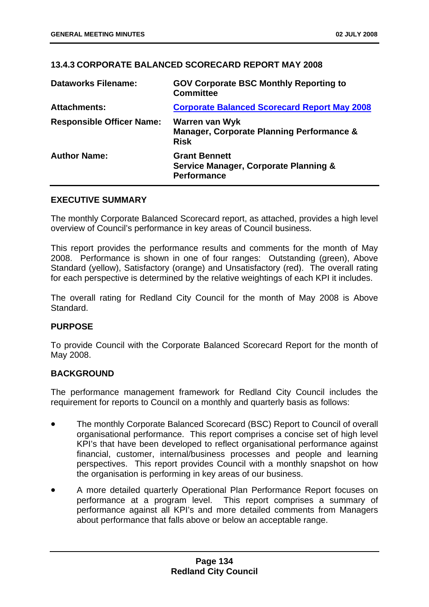# **13.4.3 CORPORATE BALANCED SCORECARD REPORT MAY 2008**

| <b>Dataworks Filename:</b>       | <b>GOV Corporate BSC Monthly Reporting to</b><br><b>Committee</b>                              |
|----------------------------------|------------------------------------------------------------------------------------------------|
| <b>Attachments:</b>              | <b>Corporate Balanced Scorecard Report May 2008</b>                                            |
| <b>Responsible Officer Name:</b> | Warren van Wyk<br><b>Manager, Corporate Planning Performance &amp;</b><br><b>Risk</b>          |
| <b>Author Name:</b>              | <b>Grant Bennett</b><br><b>Service Manager, Corporate Planning &amp;</b><br><b>Performance</b> |

## **EXECUTIVE SUMMARY**

The monthly Corporate Balanced Scorecard report, as attached, provides a high level overview of Council's performance in key areas of Council business.

This report provides the performance results and comments for the month of May 2008. Performance is shown in one of four ranges: Outstanding (green), Above Standard (yellow), Satisfactory (orange) and Unsatisfactory (red). The overall rating for each perspective is determined by the relative weightings of each KPI it includes.

The overall rating for Redland City Council for the month of May 2008 is Above Standard.

## **PURPOSE**

To provide Council with the Corporate Balanced Scorecard Report for the month of May 2008.

## **BACKGROUND**

The performance management framework for Redland City Council includes the requirement for reports to Council on a monthly and quarterly basis as follows:

- The monthly Corporate Balanced Scorecard (BSC) Report to Council of overall organisational performance. This report comprises a concise set of high level KPI's that have been developed to reflect organisational performance against financial, customer, internal/business processes and people and learning perspectives. This report provides Council with a monthly snapshot on how the organisation is performing in key areas of our business.
- A more detailed quarterly Operational Plan Performance Report focuses on performance at a program level. This report comprises a summary of performance against all KPI's and more detailed comments from Managers about performance that falls above or below an acceptable range.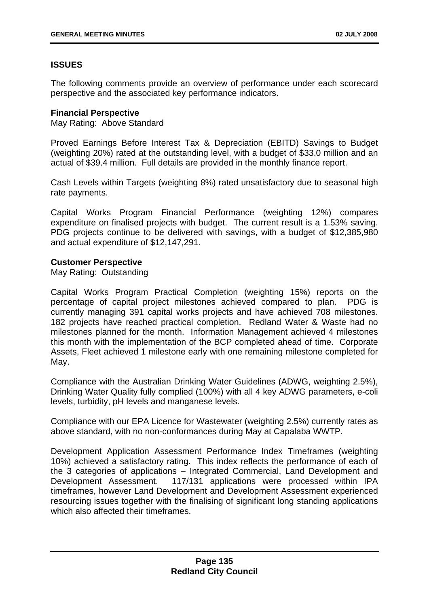# **ISSUES**

The following comments provide an overview of performance under each scorecard perspective and the associated key performance indicators.

## **Financial Perspective**

May Rating: Above Standard

Proved Earnings Before Interest Tax & Depreciation (EBITD) Savings to Budget (weighting 20%) rated at the outstanding level, with a budget of \$33.0 million and an actual of \$39.4 million. Full details are provided in the monthly finance report.

Cash Levels within Targets (weighting 8%) rated unsatisfactory due to seasonal high rate payments.

Capital Works Program Financial Performance (weighting 12%) compares expenditure on finalised projects with budget. The current result is a 1.53% saving. PDG projects continue to be delivered with savings, with a budget of \$12,385,980 and actual expenditure of \$12,147,291.

## **Customer Perspective**

May Rating: Outstanding

Capital Works Program Practical Completion (weighting 15%) reports on the percentage of capital project milestones achieved compared to plan. PDG is currently managing 391 capital works projects and have achieved 708 milestones. 182 projects have reached practical completion. Redland Water & Waste had no milestones planned for the month. Information Management achieved 4 milestones this month with the implementation of the BCP completed ahead of time. Corporate Assets, Fleet achieved 1 milestone early with one remaining milestone completed for May.

Compliance with the Australian Drinking Water Guidelines (ADWG, weighting 2.5%), Drinking Water Quality fully complied (100%) with all 4 key ADWG parameters, e-coli levels, turbidity, pH levels and manganese levels.

Compliance with our EPA Licence for Wastewater (weighting 2.5%) currently rates as above standard, with no non-conformances during May at Capalaba WWTP.

Development Application Assessment Performance Index Timeframes (weighting 10%) achieved a satisfactory rating. This index reflects the performance of each of the 3 categories of applications – Integrated Commercial, Land Development and Development Assessment. 117/131 applications were processed within IPA timeframes, however Land Development and Development Assessment experienced resourcing issues together with the finalising of significant long standing applications which also affected their timeframes.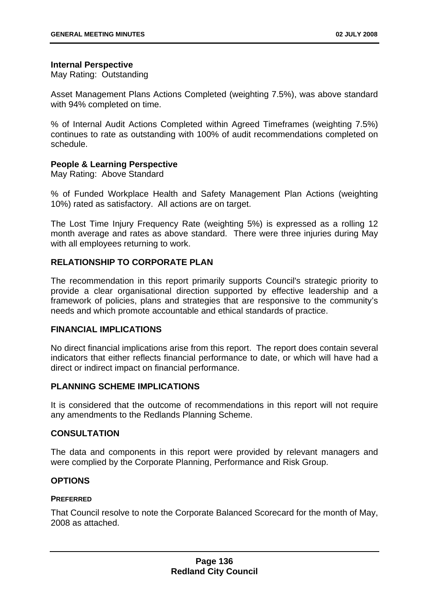## **Internal Perspective**

May Rating: Outstanding

Asset Management Plans Actions Completed (weighting 7.5%), was above standard with 94% completed on time.

% of Internal Audit Actions Completed within Agreed Timeframes (weighting 7.5%) continues to rate as outstanding with 100% of audit recommendations completed on schedule.

## **People & Learning Perspective**

May Rating: Above Standard

% of Funded Workplace Health and Safety Management Plan Actions (weighting 10%) rated as satisfactory. All actions are on target.

The Lost Time Injury Frequency Rate (weighting 5%) is expressed as a rolling 12 month average and rates as above standard. There were three injuries during May with all employees returning to work.

# **RELATIONSHIP TO CORPORATE PLAN**

The recommendation in this report primarily supports Council's strategic priority to provide a clear organisational direction supported by effective leadership and a framework of policies, plans and strategies that are responsive to the community's needs and which promote accountable and ethical standards of practice.

# **FINANCIAL IMPLICATIONS**

No direct financial implications arise from this report. The report does contain several indicators that either reflects financial performance to date, or which will have had a direct or indirect impact on financial performance.

## **PLANNING SCHEME IMPLICATIONS**

It is considered that the outcome of recommendations in this report will not require any amendments to the Redlands Planning Scheme.

# **CONSULTATION**

The data and components in this report were provided by relevant managers and were complied by the Corporate Planning, Performance and Risk Group.

## **OPTIONS**

## **PREFERRED**

That Council resolve to note the Corporate Balanced Scorecard for the month of May, 2008 as attached.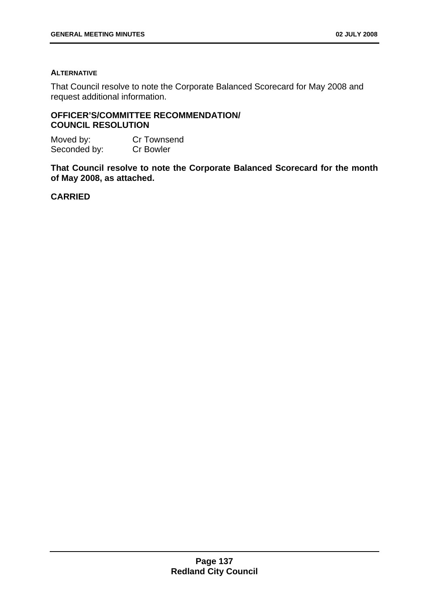#### **ALTERNATIVE**

That Council resolve to note the Corporate Balanced Scorecard for May 2008 and request additional information.

# **OFFICER'S/COMMITTEE RECOMMENDATION/ COUNCIL RESOLUTION**

| Moved by:    | <b>Cr Townsend</b> |
|--------------|--------------------|
| Seconded by: | <b>Cr Bowler</b>   |

**That Council resolve to note the Corporate Balanced Scorecard for the month of May 2008, as attached.**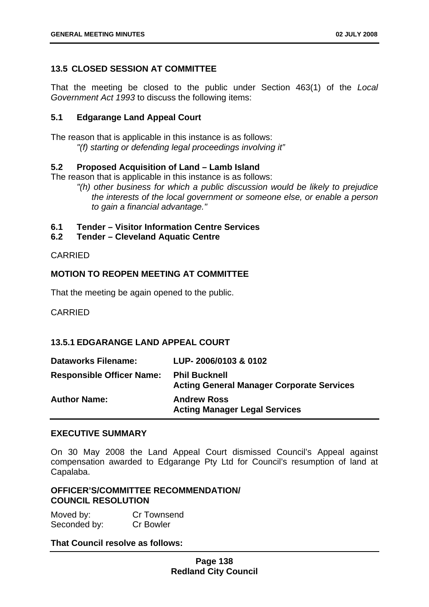## **13.5 CLOSED SESSION AT COMMITTEE**

That the meeting be closed to the public under Section 463(1) of the *Local Government Act 1993* to discuss the following items:

# **5.1 Edgarange Land Appeal Court**

The reason that is applicable in this instance is as follows: *"(f) starting or defending legal proceedings involving it"*

## **5.2 Proposed Acquisition of Land – Lamb Island**

The reason that is applicable in this instance is as follows:

*"(h) other business for which a public discussion would be likely to prejudice the interests of the local government or someone else, or enable a person to gain a financial advantage."* 

## **6.1 Tender – Visitor Information Centre Services**

## **6.2 Tender – Cleveland Aquatic Centre**

## CARRIED

## **MOTION TO REOPEN MEETING AT COMMITTEE**

That the meeting be again opened to the public.

CARRIED

## **13.5.1 EDGARANGE LAND APPEAL COURT**

| <b>Dataworks Filename:</b>       | LUP-2006/0103 & 0102                                                     |
|----------------------------------|--------------------------------------------------------------------------|
| <b>Responsible Officer Name:</b> | <b>Phil Bucknell</b><br><b>Acting General Manager Corporate Services</b> |
| <b>Author Name:</b>              | <b>Andrew Ross</b><br><b>Acting Manager Legal Services</b>               |

## **EXECUTIVE SUMMARY**

On 30 May 2008 the Land Appeal Court dismissed Council's Appeal against compensation awarded to Edgarange Pty Ltd for Council's resumption of land at Capalaba.

## **OFFICER'S/COMMITTEE RECOMMENDATION/ COUNCIL RESOLUTION**

Moved by: Cr Townsend Seconded by: Cr Bowler

## **That Council resolve as follows:**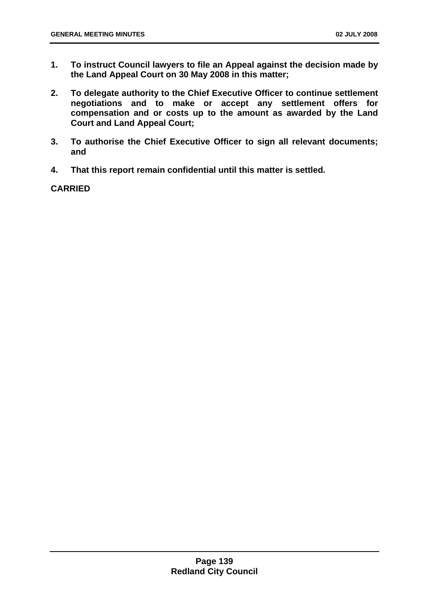- **1. To instruct Council lawyers to file an Appeal against the decision made by the Land Appeal Court on 30 May 2008 in this matter;**
- **2. To delegate authority to the Chief Executive Officer to continue settlement negotiations and to make or accept any settlement offers for compensation and or costs up to the amount as awarded by the Land Court and Land Appeal Court;**
- **3. To authorise the Chief Executive Officer to sign all relevant documents; and**
- **4. That this report remain confidential until this matter is settled.**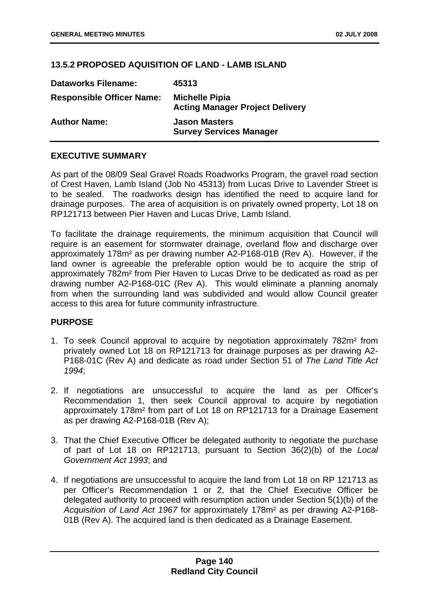## **13.5.2 PROPOSED AQUISITION OF LAND - LAMB ISLAND**

| <b>Dataworks Filename:</b>       | 45313                                                           |
|----------------------------------|-----------------------------------------------------------------|
| <b>Responsible Officer Name:</b> | <b>Michelle Pipia</b><br><b>Acting Manager Project Delivery</b> |
| <b>Author Name:</b>              | <b>Jason Masters</b><br><b>Survey Services Manager</b>          |

## **EXECUTIVE SUMMARY**

As part of the 08/09 Seal Gravel Roads Roadworks Program, the gravel road section of Crest Haven, Lamb Island (Job No 45313) from Lucas Drive to Lavender Street is to be sealed. The roadworks design has identified the need to acquire land for drainage purposes. The area of acquisition is on privately owned property, Lot 18 on RP121713 between Pier Haven and Lucas Drive, Lamb Island.

To facilitate the drainage requirements, the minimum acquisition that Council will require is an easement for stormwater drainage, overland flow and discharge over approximately 178m² as per drawing number A2-P168-01B (Rev A). However, if the land owner is agreeable the preferable option would be to acquire the strip of approximately 782m² from Pier Haven to Lucas Drive to be dedicated as road as per drawing number A2-P168-01C (Rev A). This would eliminate a planning anomaly from when the surrounding land was subdivided and would allow Council greater access to this area for future community infrastructure.

# **PURPOSE**

- 1. To seek Council approval to acquire by negotiation approximately 782m² from privately owned Lot 18 on RP121713 for drainage purposes as per drawing A2- P168-01C (Rev A) and dedicate as road under Section 51 of *The Land Title Act 1994*;
- 2. If negotiations are unsuccessful to acquire the land as per Officer's Recommendation 1, then seek Council approval to acquire by negotiation approximately 178m² from part of Lot 18 on RP121713 for a Drainage Easement as per drawing A2-P168-01B (Rev A);
- 3. That the Chief Executive Officer be delegated authority to negotiate the purchase of part of Lot 18 on RP121713, pursuant to Section 36(2)(b) of the *Local Government Act 1993*; and
- 4. If negotiations are unsuccessful to acquire the land from Lot 18 on RP 121713 as per Officer's Recommendation 1 or 2, that the Chief Executive Officer be delegated authority to proceed with resumption action under Section 5(1)(b) of the *Acquisition of Land Act 1967* for approximately 178m² as per drawing A2-P168- 01B (Rev A). The acquired land is then dedicated as a Drainage Easement.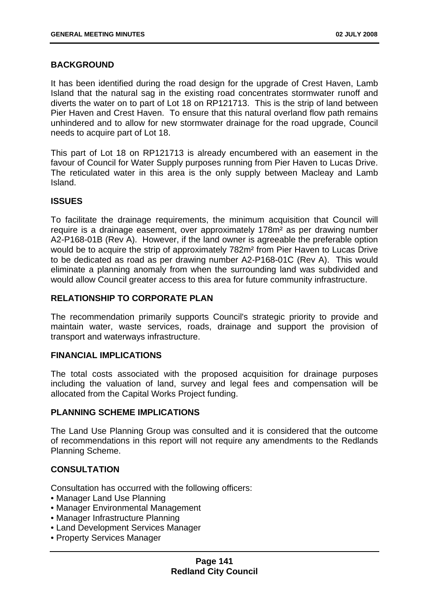## **BACKGROUND**

It has been identified during the road design for the upgrade of Crest Haven, Lamb Island that the natural sag in the existing road concentrates stormwater runoff and diverts the water on to part of Lot 18 on RP121713. This is the strip of land between Pier Haven and Crest Haven. To ensure that this natural overland flow path remains unhindered and to allow for new stormwater drainage for the road upgrade, Council needs to acquire part of Lot 18.

This part of Lot 18 on RP121713 is already encumbered with an easement in the favour of Council for Water Supply purposes running from Pier Haven to Lucas Drive. The reticulated water in this area is the only supply between Macleay and Lamb Island.

## **ISSUES**

To facilitate the drainage requirements, the minimum acquisition that Council will require is a drainage easement, over approximately 178m² as per drawing number A2-P168-01B (Rev A). However, if the land owner is agreeable the preferable option would be to acquire the strip of approximately 782m² from Pier Haven to Lucas Drive to be dedicated as road as per drawing number A2-P168-01C (Rev A). This would eliminate a planning anomaly from when the surrounding land was subdivided and would allow Council greater access to this area for future community infrastructure.

## **RELATIONSHIP TO CORPORATE PLAN**

The recommendation primarily supports Council's strategic priority to provide and maintain water, waste services, roads, drainage and support the provision of transport and waterways infrastructure.

## **FINANCIAL IMPLICATIONS**

The total costs associated with the proposed acquisition for drainage purposes including the valuation of land, survey and legal fees and compensation will be allocated from the Capital Works Project funding.

## **PLANNING SCHEME IMPLICATIONS**

The Land Use Planning Group was consulted and it is considered that the outcome of recommendations in this report will not require any amendments to the Redlands Planning Scheme.

## **CONSULTATION**

Consultation has occurred with the following officers:

- Manager Land Use Planning
- Manager Environmental Management
- Manager Infrastructure Planning
- Land Development Services Manager
- Property Services Manager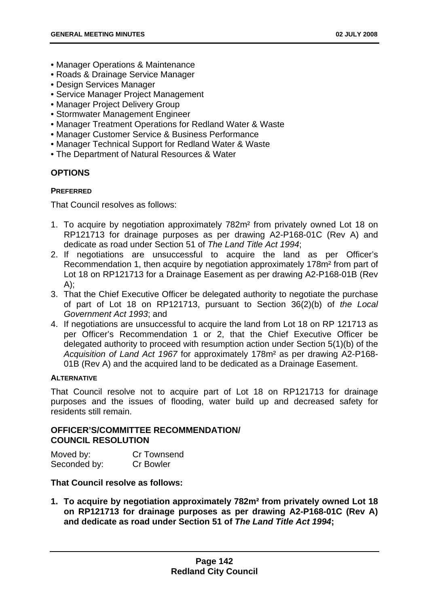- Manager Operations & Maintenance
- Roads & Drainage Service Manager
- Design Services Manager
- Service Manager Project Management
- Manager Project Delivery Group
- Stormwater Management Engineer
- Manager Treatment Operations for Redland Water & Waste
- Manager Customer Service & Business Performance
- Manager Technical Support for Redland Water & Waste
- The Department of Natural Resources & Water

# **OPTIONS**

## **PREFERRED**

That Council resolves as follows:

- 1. To acquire by negotiation approximately 782m² from privately owned Lot 18 on RP121713 for drainage purposes as per drawing A2-P168-01C (Rev A) and dedicate as road under Section 51 of *The Land Title Act 1994*;
- 2. If negotiations are unsuccessful to acquire the land as per Officer's Recommendation 1, then acquire by negotiation approximately 178m² from part of Lot 18 on RP121713 for a Drainage Easement as per drawing A2-P168-01B (Rev A);
- 3. That the Chief Executive Officer be delegated authority to negotiate the purchase of part of Lot 18 on RP121713, pursuant to Section 36(2)(b) of *the Local Government Act 1993*; and
- 4. If negotiations are unsuccessful to acquire the land from Lot 18 on RP 121713 as per Officer's Recommendation 1 or 2, that the Chief Executive Officer be delegated authority to proceed with resumption action under Section 5(1)(b) of the *Acquisition of Land Act 1967* for approximately 178m² as per drawing A2-P168- 01B (Rev A) and the acquired land to be dedicated as a Drainage Easement.

## **ALTERNATIVE**

That Council resolve not to acquire part of Lot 18 on RP121713 for drainage purposes and the issues of flooding, water build up and decreased safety for residents still remain.

# **OFFICER'S/COMMITTEE RECOMMENDATION/ COUNCIL RESOLUTION**

| Moved by:    | Cr Townsend      |
|--------------|------------------|
| Seconded by: | <b>Cr Bowler</b> |

# **That Council resolve as follows:**

**1. To acquire by negotiation approximately 782m² from privately owned Lot 18 on RP121713 for drainage purposes as per drawing A2-P168-01C (Rev A) and dedicate as road under Section 51 of** *The Land Title Act 1994***;**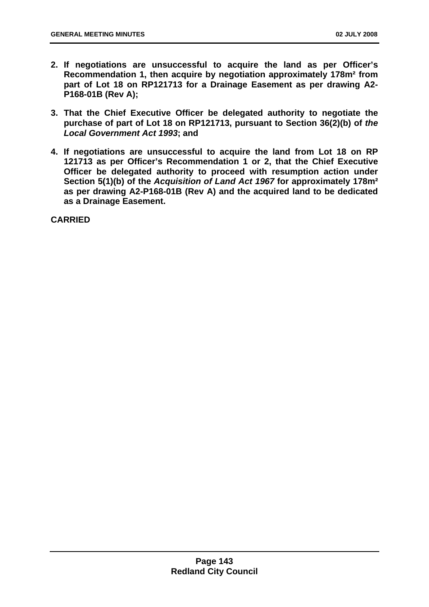- **2. If negotiations are unsuccessful to acquire the land as per Officer's Recommendation 1, then acquire by negotiation approximately 178m² from part of Lot 18 on RP121713 for a Drainage Easement as per drawing A2- P168-01B (Rev A);**
- **3. That the Chief Executive Officer be delegated authority to negotiate the purchase of part of Lot 18 on RP121713, pursuant to Section 36(2)(b) of** *the Local Government Act 1993***; and**
- **4. If negotiations are unsuccessful to acquire the land from Lot 18 on RP 121713 as per Officer's Recommendation 1 or 2, that the Chief Executive Officer be delegated authority to proceed with resumption action under Section 5(1)(b) of the** *Acquisition of Land Act 1967* **for approximately 178m² as per drawing A2-P168-01B (Rev A) and the acquired land to be dedicated as a Drainage Easement.**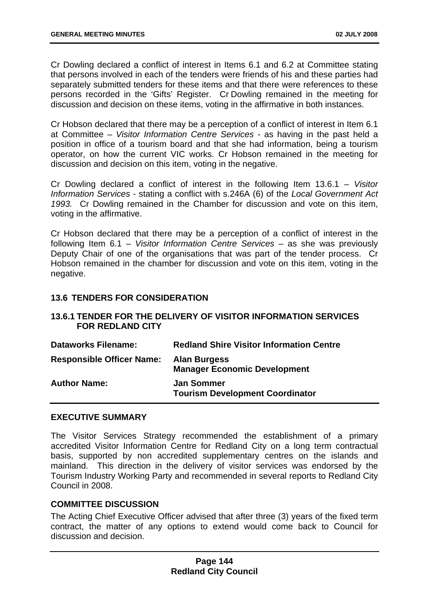Cr Dowling declared a conflict of interest in Items 6.1 and 6.2 at Committee stating that persons involved in each of the tenders were friends of his and these parties had separately submitted tenders for these items and that there were references to these persons recorded in the 'Gifts' Register. Cr Dowling remained in the meeting for discussion and decision on these items, voting in the affirmative in both instances.

Cr Hobson declared that there may be a perception of a conflict of interest in Item 6.1 at Committee – *Visitor Information Centre Services -* as having in the past held a position in office of a tourism board and that she had information, being a tourism operator, on how the current VIC works. Cr Hobson remained in the meeting for discussion and decision on this item, voting in the negative.

Cr Dowling declared a conflict of interest in the following Item 13.6.1 – *Visitor Information Services* - stating a conflict with s.246A (6) of the *Local Government Act 1993.* Cr Dowling remained in the Chamber for discussion and vote on this item, voting in the affirmative.

Cr Hobson declared that there may be a perception of a conflict of interest in the following Item 6.1 – *Visitor Information Centre Services –* as she was previously Deputy Chair of one of the organisations that was part of the tender process. Cr Hobson remained in the chamber for discussion and vote on this item, voting in the negative.

## **13.6 TENDERS FOR CONSIDERATION**

## **13.6.1 TENDER FOR THE DELIVERY OF VISITOR INFORMATION SERVICES FOR REDLAND CITY**

| <b>Dataworks Filename:</b>       | <b>Redland Shire Visitor Information Centre</b>             |
|----------------------------------|-------------------------------------------------------------|
| <b>Responsible Officer Name:</b> | <b>Alan Burgess</b><br><b>Manager Economic Development</b>  |
| <b>Author Name:</b>              | <b>Jan Sommer</b><br><b>Tourism Development Coordinator</b> |

## **EXECUTIVE SUMMARY**

The Visitor Services Strategy recommended the establishment of a primary accredited Visitor Information Centre for Redland City on a long term contractual basis, supported by non accredited supplementary centres on the islands and mainland. This direction in the delivery of visitor services was endorsed by the Tourism Industry Working Party and recommended in several reports to Redland City Council in 2008.

## **COMMITTEE DISCUSSION**

The Acting Chief Executive Officer advised that after three (3) years of the fixed term contract, the matter of any options to extend would come back to Council for discussion and decision.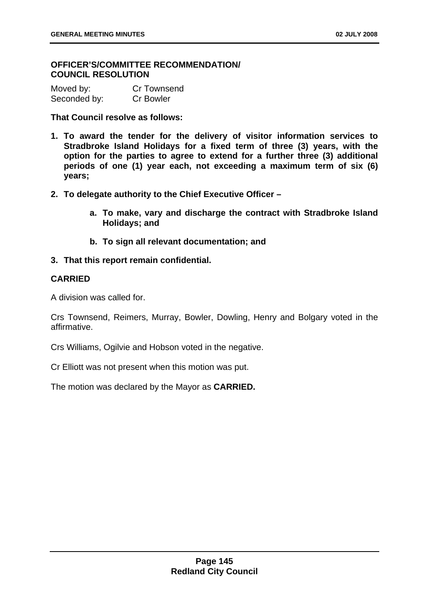## **OFFICER'S/COMMITTEE RECOMMENDATION/ COUNCIL RESOLUTION**

| Moved by:    | Cr Townsend      |
|--------------|------------------|
| Seconded by: | <b>Cr Bowler</b> |

**That Council resolve as follows:** 

- **1. To award the tender for the delivery of visitor information services to Stradbroke Island Holidays for a fixed term of three (3) years, with the option for the parties to agree to extend for a further three (3) additional periods of one (1) year each, not exceeding a maximum term of six (6) years;**
- **2. To delegate authority to the Chief Executive Officer** 
	- **a. To make, vary and discharge the contract with Stradbroke Island Holidays; and**
	- **b. To sign all relevant documentation; and**
- **3. That this report remain confidential.**

## **CARRIED**

A division was called for.

Crs Townsend, Reimers, Murray, Bowler, Dowling, Henry and Bolgary voted in the affirmative.

Crs Williams, Ogilvie and Hobson voted in the negative.

Cr Elliott was not present when this motion was put.

The motion was declared by the Mayor as **CARRIED.**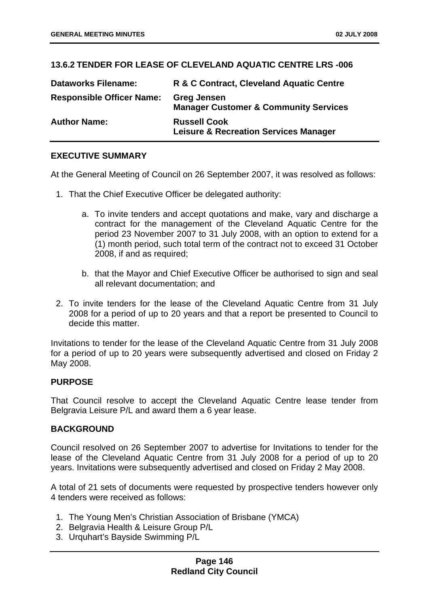# **13.6.2 TENDER FOR LEASE OF CLEVELAND AQUATIC CENTRE LRS -006**

| <b>Dataworks Filename:</b>       | R & C Contract, Cleveland Aquatic Centre                                |
|----------------------------------|-------------------------------------------------------------------------|
| <b>Responsible Officer Name:</b> | <b>Greg Jensen</b><br><b>Manager Customer &amp; Community Services</b>  |
| <b>Author Name:</b>              | <b>Russell Cook</b><br><b>Leisure &amp; Recreation Services Manager</b> |

# **EXECUTIVE SUMMARY**

At the General Meeting of Council on 26 September 2007, it was resolved as follows:

- 1. That the Chief Executive Officer be delegated authority:
	- a. To invite tenders and accept quotations and make, vary and discharge a contract for the management of the Cleveland Aquatic Centre for the period 23 November 2007 to 31 July 2008, with an option to extend for a (1) month period, such total term of the contract not to exceed 31 October 2008, if and as required;
	- b. that the Mayor and Chief Executive Officer be authorised to sign and seal all relevant documentation; and
- 2. To invite tenders for the lease of the Cleveland Aquatic Centre from 31 July 2008 for a period of up to 20 years and that a report be presented to Council to decide this matter.

Invitations to tender for the lease of the Cleveland Aquatic Centre from 31 July 2008 for a period of up to 20 years were subsequently advertised and closed on Friday 2 May 2008.

## **PURPOSE**

That Council resolve to accept the Cleveland Aquatic Centre lease tender from Belgravia Leisure P/L and award them a 6 year lease.

## **BACKGROUND**

Council resolved on 26 September 2007 to advertise for Invitations to tender for the lease of the Cleveland Aquatic Centre from 31 July 2008 for a period of up to 20 years. Invitations were subsequently advertised and closed on Friday 2 May 2008.

A total of 21 sets of documents were requested by prospective tenders however only 4 tenders were received as follows:

- 1. The Young Men's Christian Association of Brisbane (YMCA)
- 2. Belgravia Health & Leisure Group P/L
- 3. Urquhart's Bayside Swimming P/L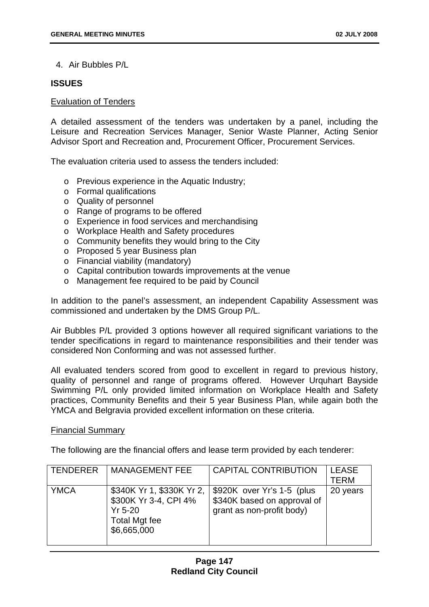4. Air Bubbles P/L

## **ISSUES**

#### Evaluation of Tenders

A detailed assessment of the tenders was undertaken by a panel, including the Leisure and Recreation Services Manager, Senior Waste Planner, Acting Senior Advisor Sport and Recreation and, Procurement Officer, Procurement Services.

The evaluation criteria used to assess the tenders included:

- o Previous experience in the Aquatic Industry;
- o Formal qualifications
- o Quality of personnel
- o Range of programs to be offered
- o Experience in food services and merchandising
- o Workplace Health and Safety procedures
- o Community benefits they would bring to the City
- o Proposed 5 year Business plan
- o Financial viability (mandatory)
- o Capital contribution towards improvements at the venue
- o Management fee required to be paid by Council

In addition to the panel's assessment, an independent Capability Assessment was commissioned and undertaken by the DMS Group P/L.

Air Bubbles P/L provided 3 options however all required significant variations to the tender specifications in regard to maintenance responsibilities and their tender was considered Non Conforming and was not assessed further.

All evaluated tenders scored from good to excellent in regard to previous history, quality of personnel and range of programs offered. However Urquhart Bayside Swimming P/L only provided limited information on Workplace Health and Safety practices, Community Benefits and their 5 year Business Plan, while again both the YMCA and Belgravia provided excellent information on these criteria.

## Financial Summary

The following are the financial offers and lease term provided by each tenderer:

| <b>TENDERER</b> | <b>MANAGEMENT FEE</b>                                                                                    | <b>CAPITAL CONTRIBUTION</b>                                                            | <b>LEASE</b><br>TERM |
|-----------------|----------------------------------------------------------------------------------------------------------|----------------------------------------------------------------------------------------|----------------------|
| <b>YMCA</b>     | \$340K Yr 1, \$330K Yr 2,  <br>\$300K Yr 3-4, CPI 4%<br>$Yr$ 5-20<br><b>Total Mgt fee</b><br>\$6,665,000 | \$920K over Yr's 1-5 (plus<br>\$340K based on approval of<br>grant as non-profit body) | 20 years             |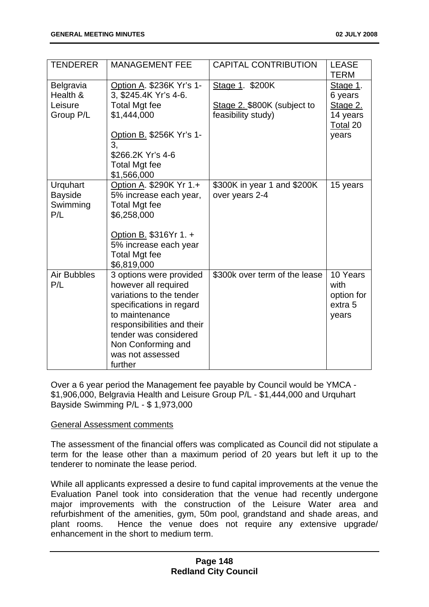| <b>TENDERER</b>                               | <b>MANAGEMENT FEE</b>                                                                                                                                                                                                                 | <b>CAPITAL CONTRIBUTION</b>                       | <b>LEASE</b><br><b>TERM</b>                        |
|-----------------------------------------------|---------------------------------------------------------------------------------------------------------------------------------------------------------------------------------------------------------------------------------------|---------------------------------------------------|----------------------------------------------------|
| Belgravia<br>Health &                         | Option A. \$236K Yr's 1-<br>3, \$245.4K Yr's 4-6.                                                                                                                                                                                     | Stage 1. \$200K                                   | Stage 1.<br>6 years                                |
| Leisure<br>Group P/L                          | <b>Total Mgt fee</b><br>\$1,444,000                                                                                                                                                                                                   | Stage 2. \$800K (subject to<br>feasibility study) | Stage 2.<br>14 years<br>Total <sub>20</sub>        |
|                                               | Option B. \$256K Yr's 1-<br>3,<br>\$266.2K Yr's 4-6<br>Total Mgt fee<br>\$1,566,000                                                                                                                                                   |                                                   | years                                              |
| Urquhart<br><b>Bayside</b><br>Swimming<br>P/L | Option A. \$290K Yr 1.+<br>5% increase each year,<br><b>Total Mgt fee</b><br>\$6,258,000<br>Option B. \$316Yr 1. +<br>5% increase each year<br><b>Total Mgt fee</b><br>\$6,819,000                                                    | \$300K in year 1 and \$200K<br>over years 2-4     | 15 years                                           |
| <b>Air Bubbles</b><br>P/L                     | 3 options were provided<br>however all required<br>variations to the tender<br>specifications in regard<br>to maintenance<br>responsibilities and their<br>tender was considered<br>Non Conforming and<br>was not assessed<br>further | \$300k over term of the lease                     | 10 Years<br>with<br>option for<br>extra 5<br>years |

Over a 6 year period the Management fee payable by Council would be YMCA - \$1,906,000, Belgravia Health and Leisure Group P/L - \$1,444,000 and Urquhart Bayside Swimming P/L - \$ 1,973,000

## General Assessment comments

The assessment of the financial offers was complicated as Council did not stipulate a term for the lease other than a maximum period of 20 years but left it up to the tenderer to nominate the lease period.

While all applicants expressed a desire to fund capital improvements at the venue the Evaluation Panel took into consideration that the venue had recently undergone major improvements with the construction of the Leisure Water area and refurbishment of the amenities, gym, 50m pool, grandstand and shade areas, and plant rooms. Hence the venue does not require any extensive upgrade/ enhancement in the short to medium term.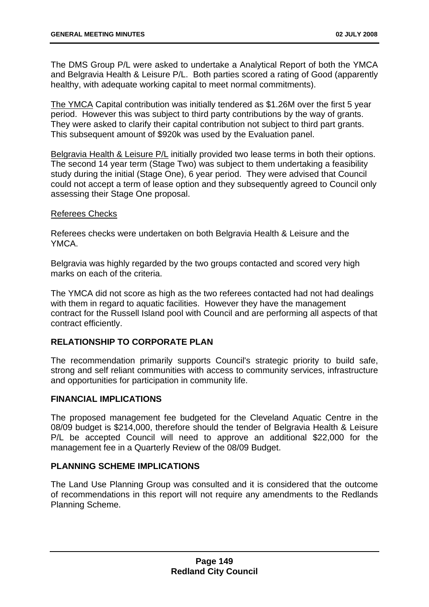The DMS Group P/L were asked to undertake a Analytical Report of both the YMCA and Belgravia Health & Leisure P/L. Both parties scored a rating of Good (apparently healthy, with adequate working capital to meet normal commitments).

The YMCA Capital contribution was initially tendered as \$1.26M over the first 5 year period. However this was subject to third party contributions by the way of grants. They were asked to clarify their capital contribution not subject to third part grants. This subsequent amount of \$920k was used by the Evaluation panel.

Belgravia Health & Leisure P/L initially provided two lease terms in both their options. The second 14 year term (Stage Two) was subject to them undertaking a feasibility study during the initial (Stage One), 6 year period. They were advised that Council could not accept a term of lease option and they subsequently agreed to Council only assessing their Stage One proposal.

## Referees Checks

Referees checks were undertaken on both Belgravia Health & Leisure and the YMCA.

Belgravia was highly regarded by the two groups contacted and scored very high marks on each of the criteria.

The YMCA did not score as high as the two referees contacted had not had dealings with them in regard to aquatic facilities. However they have the management contract for the Russell Island pool with Council and are performing all aspects of that contract efficiently.

# **RELATIONSHIP TO CORPORATE PLAN**

The recommendation primarily supports Council's strategic priority to build safe, strong and self reliant communities with access to community services, infrastructure and opportunities for participation in community life.

# **FINANCIAL IMPLICATIONS**

The proposed management fee budgeted for the Cleveland Aquatic Centre in the 08/09 budget is \$214,000, therefore should the tender of Belgravia Health & Leisure P/L be accepted Council will need to approve an additional \$22,000 for the management fee in a Quarterly Review of the 08/09 Budget.

# **PLANNING SCHEME IMPLICATIONS**

The Land Use Planning Group was consulted and it is considered that the outcome of recommendations in this report will not require any amendments to the Redlands Planning Scheme.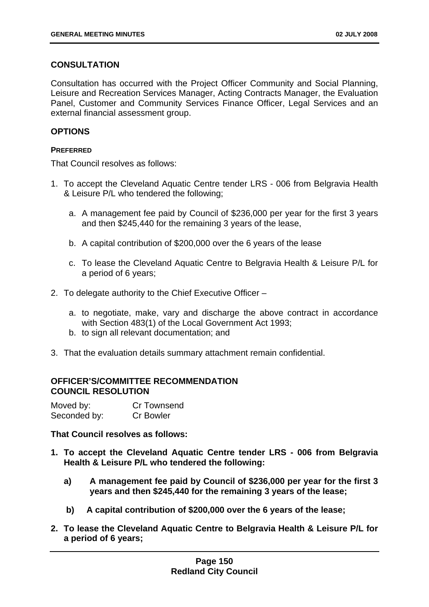# **CONSULTATION**

Consultation has occurred with the Project Officer Community and Social Planning, Leisure and Recreation Services Manager, Acting Contracts Manager, the Evaluation Panel, Customer and Community Services Finance Officer, Legal Services and an external financial assessment group.

## **OPTIONS**

## **PREFERRED**

That Council resolves as follows:

- 1. To accept the Cleveland Aquatic Centre tender LRS 006 from Belgravia Health & Leisure P/L who tendered the following;
	- a. A management fee paid by Council of \$236,000 per year for the first 3 years and then \$245,440 for the remaining 3 years of the lease,
	- b. A capital contribution of \$200,000 over the 6 years of the lease
	- c. To lease the Cleveland Aquatic Centre to Belgravia Health & Leisure P/L for a period of 6 years;
- 2. To delegate authority to the Chief Executive Officer
	- a. to negotiate, make, vary and discharge the above contract in accordance with Section 483(1) of the Local Government Act 1993;
	- b. to sign all relevant documentation; and
- 3. That the evaluation details summary attachment remain confidential.

## **OFFICER'S/COMMITTEE RECOMMENDATION COUNCIL RESOLUTION**

| Moved by:    | Cr Townsend      |
|--------------|------------------|
| Seconded by: | <b>Cr Bowler</b> |

**That Council resolves as follows:** 

- **1. To accept the Cleveland Aquatic Centre tender LRS 006 from Belgravia Health & Leisure P/L who tendered the following:** 
	- **a) A management fee paid by Council of \$236,000 per year for the first 3 years and then \$245,440 for the remaining 3 years of the lease;**
	- **b) A capital contribution of \$200,000 over the 6 years of the lease;**
- **2. To lease the Cleveland Aquatic Centre to Belgravia Health & Leisure P/L for a period of 6 years;**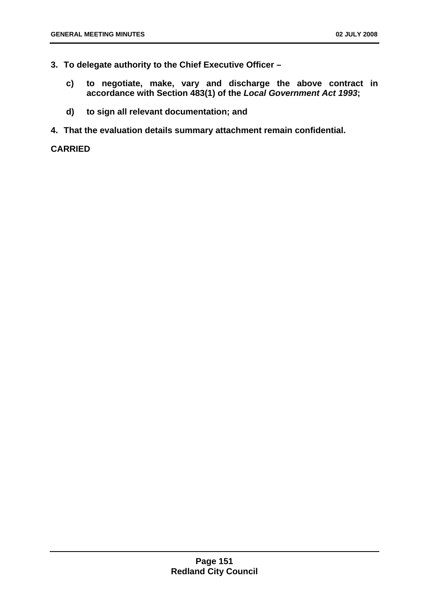- **3. To delegate authority to the Chief Executive Officer** 
	- **c) to negotiate, make, vary and discharge the above contract in accordance with Section 483(1) of the** *Local Government Act 1993***;**
	- **d) to sign all relevant documentation; and**
- **4. That the evaluation details summary attachment remain confidential.**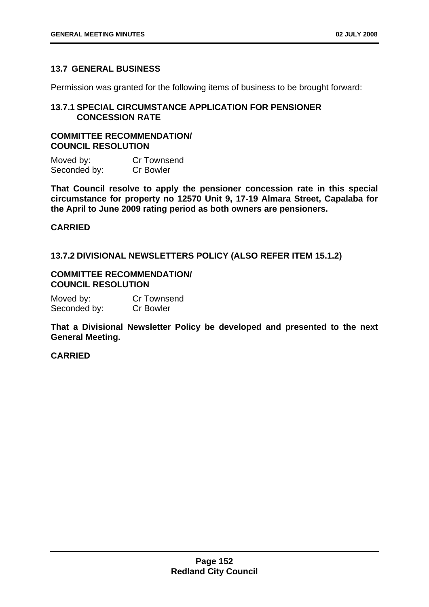## **13.7 GENERAL BUSINESS**

Permission was granted for the following items of business to be brought forward:

## **13.7.1 SPECIAL CIRCUMSTANCE APPLICATION FOR PENSIONER CONCESSION RATE**

# **COMMITTEE RECOMMENDATION/ COUNCIL RESOLUTION**

Moved by: Cr Townsend Seconded by: Cr Bowler

**That Council resolve to apply the pensioner concession rate in this special circumstance for property no 12570 Unit 9, 17-19 Almara Street, Capalaba for the April to June 2009 rating period as both owners are pensioners.** 

## **CARRIED**

**13.7.2 DIVISIONAL NEWSLETTERS POLICY (ALSO REFER ITEM 15.1.2)** 

## **COMMITTEE RECOMMENDATION/ COUNCIL RESOLUTION**

| Moved by:    | <b>Cr Townsend</b> |
|--------------|--------------------|
| Seconded by: | <b>Cr Bowler</b>   |

**That a Divisional Newsletter Policy be developed and presented to the next General Meeting.**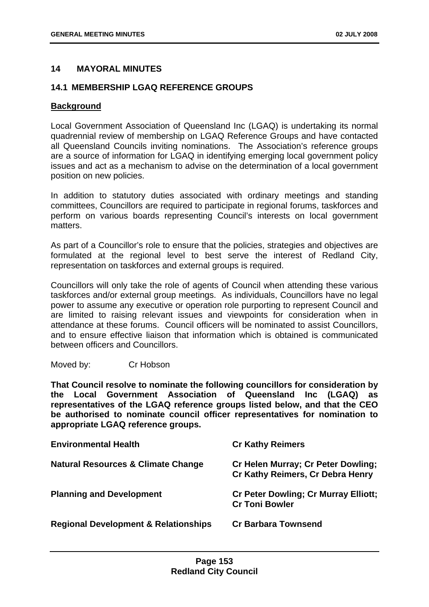## **14 MAYORAL MINUTES**

## **14.1 MEMBERSHIP LGAQ REFERENCE GROUPS**

## **Background**

Local Government Association of Queensland Inc (LGAQ) is undertaking its normal quadrennial review of membership on LGAQ Reference Groups and have contacted all Queensland Councils inviting nominations. The Association's reference groups are a source of information for LGAQ in identifying emerging local government policy issues and act as a mechanism to advise on the determination of a local government position on new policies.

In addition to statutory duties associated with ordinary meetings and standing committees, Councillors are required to participate in regional forums, taskforces and perform on various boards representing Council's interests on local government matters.

As part of a Councillor's role to ensure that the policies, strategies and objectives are formulated at the regional level to best serve the interest of Redland City, representation on taskforces and external groups is required.

Councillors will only take the role of agents of Council when attending these various taskforces and/or external group meetings. As individuals, Councillors have no legal power to assume any executive or operation role purporting to represent Council and are limited to raising relevant issues and viewpoints for consideration when in attendance at these forums. Council officers will be nominated to assist Councillors, and to ensure effective liaison that information which is obtained is communicated between officers and Councillors.

Moved by: Cr Hobson

**That Council resolve to nominate the following councillors for consideration by the Local Government Association of Queensland Inc (LGAQ) as representatives of the LGAQ reference groups listed below, and that the CEO be authorised to nominate council officer representatives for nomination to appropriate LGAQ reference groups.** 

| <b>Environmental Health</b>                     | <b>Cr Kathy Reimers</b>                                                |
|-------------------------------------------------|------------------------------------------------------------------------|
| <b>Natural Resources &amp; Climate Change</b>   | Cr Helen Murray; Cr Peter Dowling;<br>Cr Kathy Reimers, Cr Debra Henry |
| <b>Planning and Development</b>                 | <b>Cr Peter Dowling; Cr Murray Elliott;</b><br><b>Cr Toni Bowler</b>   |
| <b>Regional Development &amp; Relationships</b> | <b>Cr Barbara Townsend</b>                                             |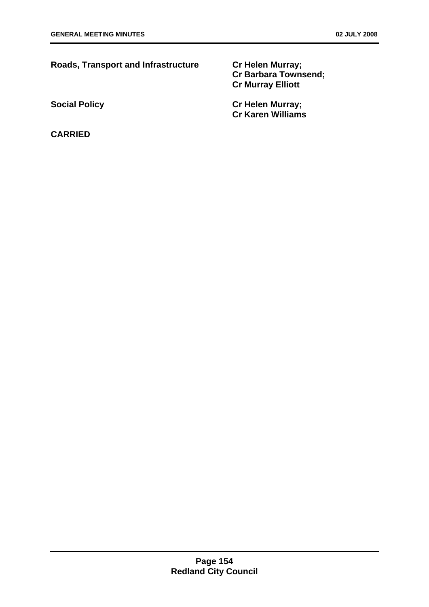| <b>Roads, Transport and Infrastructure</b> | <b>Cr Helen Murray;</b><br><b>Cr Barbara Townsend:</b><br><b>Cr Murray Elliott</b> |
|--------------------------------------------|------------------------------------------------------------------------------------|
| <b>Social Policy</b>                       | <b>Cr Helen Murray;</b>                                                            |
|                                            | <b>Cr Karen Williams</b>                                                           |
| <b>CARRIED</b>                             |                                                                                    |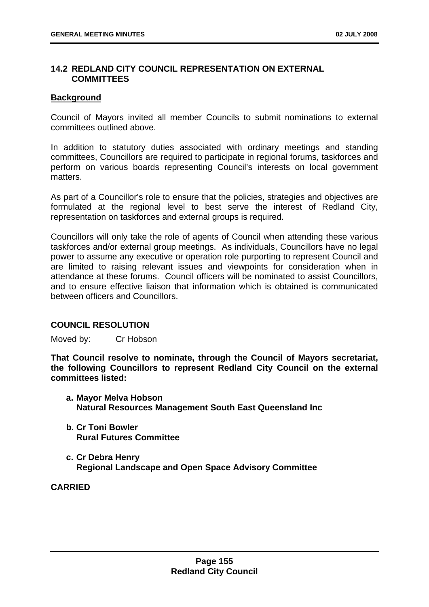## **14.2 REDLAND CITY COUNCIL REPRESENTATION ON EXTERNAL COMMITTEES**

## **Background**

Council of Mayors invited all member Councils to submit nominations to external committees outlined above.

In addition to statutory duties associated with ordinary meetings and standing committees, Councillors are required to participate in regional forums, taskforces and perform on various boards representing Council's interests on local government matters.

As part of a Councillor's role to ensure that the policies, strategies and objectives are formulated at the regional level to best serve the interest of Redland City, representation on taskforces and external groups is required.

Councillors will only take the role of agents of Council when attending these various taskforces and/or external group meetings. As individuals, Councillors have no legal power to assume any executive or operation role purporting to represent Council and are limited to raising relevant issues and viewpoints for consideration when in attendance at these forums. Council officers will be nominated to assist Councillors, and to ensure effective liaison that information which is obtained is communicated between officers and Councillors.

## **COUNCIL RESOLUTION**

Moved by: Cr Hobson

**That Council resolve to nominate, through the Council of Mayors secretariat, the following Councillors to represent Redland City Council on the external committees listed:** 

- **a. Mayor Melva Hobson Natural Resources Management South East Queensland Inc**
- **b. Cr Toni Bowler Rural Futures Committee**
- **c. Cr Debra Henry Regional Landscape and Open Space Advisory Committee**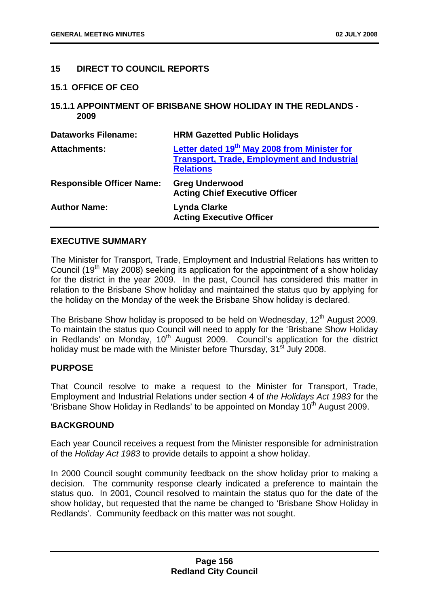## **15 DIRECT TO COUNCIL REPORTS**

#### **15.1 OFFICE OF CEO**

**15.1.1 APPOINTMENT OF BRISBANE SHOW HOLIDAY IN THE REDLANDS - 2009** 

| <b>Dataworks Filename:</b>       | <b>HRM Gazetted Public Holidays</b>                                                                                                |
|----------------------------------|------------------------------------------------------------------------------------------------------------------------------------|
| <b>Attachments:</b>              | Letter dated 19 <sup>th</sup> May 2008 from Minister for<br><b>Transport, Trade, Employment and Industrial</b><br><b>Relations</b> |
| <b>Responsible Officer Name:</b> | <b>Greg Underwood</b><br><b>Acting Chief Executive Officer</b>                                                                     |
| <b>Author Name:</b>              | <b>Lynda Clarke</b><br><b>Acting Executive Officer</b>                                                                             |

## **EXECUTIVE SUMMARY**

The Minister for Transport, Trade, Employment and Industrial Relations has written to Council (19<sup>th</sup> May 2008) seeking its application for the appointment of a show holiday for the district in the year 2009. In the past, Council has considered this matter in relation to the Brisbane Show holiday and maintained the status quo by applying for the holiday on the Monday of the week the Brisbane Show holiday is declared.

The Brisbane Show holiday is proposed to be held on Wednesday, 12<sup>th</sup> August 2009. To maintain the status quo Council will need to apply for the 'Brisbane Show Holiday in Redlands' on Monday,  $10^{th}$  August 2009. Council's application for the district holiday must be made with the Minister before Thursday, 31<sup>st</sup> July 2008.

## **PURPOSE**

That Council resolve to make a request to the Minister for Transport, Trade, Employment and Industrial Relations under section 4 of *the Holidays Act 1983* for the 'Brisbane Show Holiday in Redlands' to be appointed on Monday  $10<sup>th</sup>$  August 2009.

## **BACKGROUND**

Each year Council receives a request from the Minister responsible for administration of the *Holiday Act 1983* to provide details to appoint a show holiday.

In 2000 Council sought community feedback on the show holiday prior to making a decision. The community response clearly indicated a preference to maintain the status quo. In 2001, Council resolved to maintain the status quo for the date of the show holiday, but requested that the name be changed to 'Brisbane Show Holiday in Redlands'. Community feedback on this matter was not sought.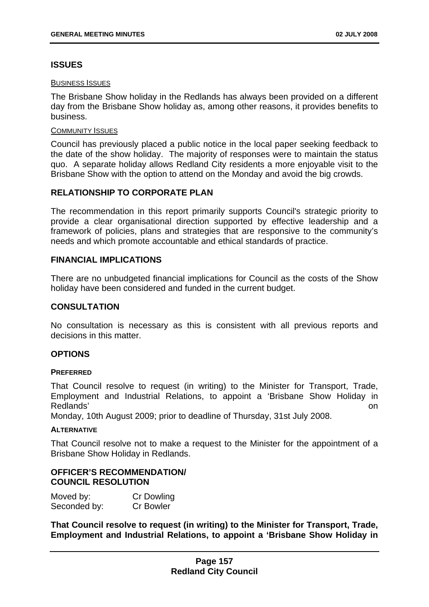# **ISSUES**

#### BUSINESS ISSUES

The Brisbane Show holiday in the Redlands has always been provided on a different day from the Brisbane Show holiday as, among other reasons, it provides benefits to business.

#### COMMUNITY ISSUES

Council has previously placed a public notice in the local paper seeking feedback to the date of the show holiday. The majority of responses were to maintain the status quo. A separate holiday allows Redland City residents a more enjoyable visit to the Brisbane Show with the option to attend on the Monday and avoid the big crowds.

## **RELATIONSHIP TO CORPORATE PLAN**

The recommendation in this report primarily supports Council's strategic priority to provide a clear organisational direction supported by effective leadership and a framework of policies, plans and strategies that are responsive to the community's needs and which promote accountable and ethical standards of practice.

## **FINANCIAL IMPLICATIONS**

There are no unbudgeted financial implications for Council as the costs of the Show holiday have been considered and funded in the current budget.

## **CONSULTATION**

No consultation is necessary as this is consistent with all previous reports and decisions in this matter.

## **OPTIONS**

## **PREFERRED**

That Council resolve to request (in writing) to the Minister for Transport, Trade, Employment and Industrial Relations, to appoint a 'Brisbane Show Holiday in Redlands' on

Monday, 10th August 2009; prior to deadline of Thursday, 31st July 2008.

#### **ALTERNATIVE**

That Council resolve not to make a request to the Minister for the appointment of a Brisbane Show Holiday in Redlands.

## **OFFICER'S RECOMMENDATION/ COUNCIL RESOLUTION**

| Moved by:    | <b>Cr Dowling</b> |
|--------------|-------------------|
| Seconded by: | <b>Cr Bowler</b>  |

**That Council resolve to request (in writing) to the Minister for Transport, Trade, Employment and Industrial Relations, to appoint a 'Brisbane Show Holiday in**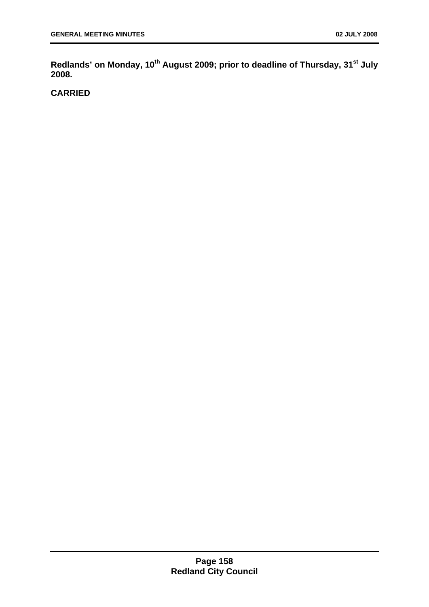Redlands' on Monday, 10<sup>th</sup> August 2009; prior to deadline of Thursday, 31<sup>st</sup> July **2008.**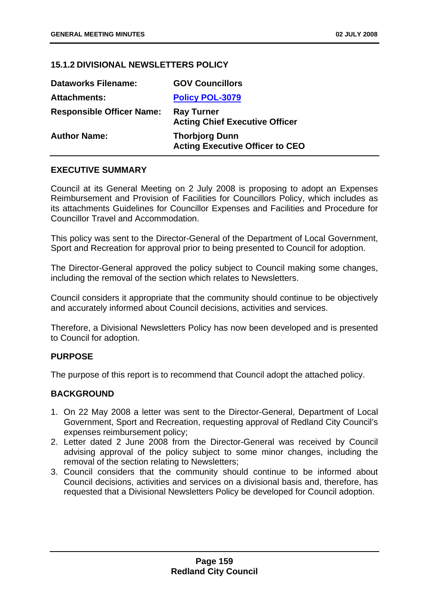## **15.1.2 DIVISIONAL NEWSLETTERS POLICY**

| <b>Dataworks Filename:</b>       | <b>GOV Councillors</b>                                          |
|----------------------------------|-----------------------------------------------------------------|
| <b>Attachments:</b>              | <b>Policy POL-3079</b>                                          |
| <b>Responsible Officer Name:</b> | <b>Ray Turner</b><br><b>Acting Chief Executive Officer</b>      |
| <b>Author Name:</b>              | <b>Thorbjorg Dunn</b><br><b>Acting Executive Officer to CEO</b> |

## **EXECUTIVE SUMMARY**

Council at its General Meeting on 2 July 2008 is proposing to adopt an Expenses Reimbursement and Provision of Facilities for Councillors Policy, which includes as its attachments Guidelines for Councillor Expenses and Facilities and Procedure for Councillor Travel and Accommodation.

This policy was sent to the Director-General of the Department of Local Government, Sport and Recreation for approval prior to being presented to Council for adoption.

The Director-General approved the policy subject to Council making some changes, including the removal of the section which relates to Newsletters.

Council considers it appropriate that the community should continue to be objectively and accurately informed about Council decisions, activities and services.

Therefore, a Divisional Newsletters Policy has now been developed and is presented to Council for adoption.

## **PURPOSE**

The purpose of this report is to recommend that Council adopt the attached policy.

## **BACKGROUND**

- 1. On 22 May 2008 a letter was sent to the Director-General, Department of Local Government, Sport and Recreation, requesting approval of Redland City Council's expenses reimbursement policy;
- 2. Letter dated 2 June 2008 from the Director-General was received by Council advising approval of the policy subject to some minor changes, including the removal of the section relating to Newsletters;
- 3. Council considers that the community should continue to be informed about Council decisions, activities and services on a divisional basis and, therefore, has requested that a Divisional Newsletters Policy be developed for Council adoption.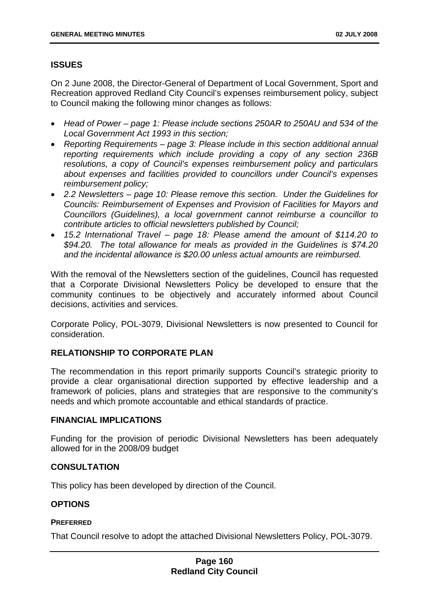# **ISSUES**

On 2 June 2008, the Director-General of Department of Local Government, Sport and Recreation approved Redland City Council's expenses reimbursement policy, subject to Council making the following minor changes as follows:

- *Head of Power page 1: Please include sections 250AR to 250AU and 534 of the Local Government Act 1993 in this section;*
- *Reporting Requirements page 3: Please include in this section additional annual reporting requirements which include providing a copy of any section 236B resolutions, a copy of Council's expenses reimbursement policy and particulars about expenses and facilities provided to councillors under Council's expenses reimbursement policy;*
- *2.2 Newsletters page 10: Please remove this section. Under the Guidelines for Councils: Reimbursement of Expenses and Provision of Facilities for Mayors and Councillors (Guidelines), a local government cannot reimburse a councillor to contribute articles to official newsletters published by Council;*
- *15.2 International Travel page 18: Please amend the amount of \$114.20 to \$94.20. The total allowance for meals as provided in the Guidelines is \$74.20 and the incidental allowance is \$20.00 unless actual amounts are reimbursed.*

With the removal of the Newsletters section of the guidelines, Council has requested that a Corporate Divisional Newsletters Policy be developed to ensure that the community continues to be objectively and accurately informed about Council decisions, activities and services.

Corporate Policy, POL-3079, Divisional Newsletters is now presented to Council for consideration.

# **RELATIONSHIP TO CORPORATE PLAN**

The recommendation in this report primarily supports Council's strategic priority to provide a clear organisational direction supported by effective leadership and a framework of policies, plans and strategies that are responsive to the community's needs and which promote accountable and ethical standards of practice.

# **FINANCIAL IMPLICATIONS**

Funding for the provision of periodic Divisional Newsletters has been adequately allowed for in the 2008/09 budget

# **CONSULTATION**

This policy has been developed by direction of the Council.

# **OPTIONS**

## **PREFERRED**

That Council resolve to adopt the attached Divisional Newsletters Policy, POL-3079.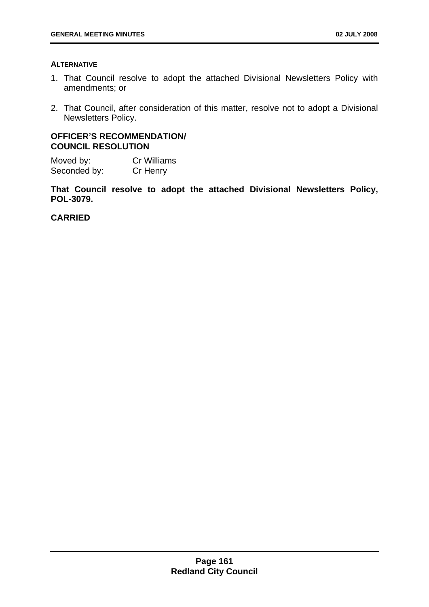#### **ALTERNATIVE**

- 1. That Council resolve to adopt the attached Divisional Newsletters Policy with amendments; or
- 2. That Council, after consideration of this matter, resolve not to adopt a Divisional Newsletters Policy.

## **OFFICER'S RECOMMENDATION/ COUNCIL RESOLUTION**

Moved by: Cr Williams Seconded by: Cr Henry

**That Council resolve to adopt the attached Divisional Newsletters Policy, POL-3079.**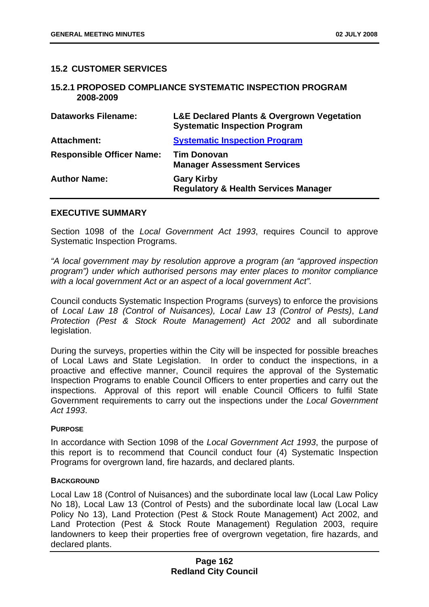## **15.2 CUSTOMER SERVICES**

#### **15.2.1 PROPOSED COMPLIANCE SYSTEMATIC INSPECTION PROGRAM 2008-2009**

| <b>Dataworks Filename:</b>       | <b>L&amp;E Declared Plants &amp; Overgrown Vegetation</b><br><b>Systematic Inspection Program</b> |
|----------------------------------|---------------------------------------------------------------------------------------------------|
| <b>Attachment:</b>               | <b>Systematic Inspection Program</b>                                                              |
| <b>Responsible Officer Name:</b> | <b>Tim Donovan</b><br><b>Manager Assessment Services</b>                                          |
| <b>Author Name:</b>              | <b>Gary Kirby</b><br><b>Regulatory &amp; Health Services Manager</b>                              |

#### **EXECUTIVE SUMMARY**

Section 1098 of the *Local Government Act 1993*, requires Council to approve Systematic Inspection Programs.

*"A local government may by resolution approve a program (an "approved inspection program") under which authorised persons may enter places to monitor compliance with a local government Act or an aspect of a local government Act".*

Council conducts Systematic Inspection Programs (surveys) to enforce the provisions of *Local Law 18 (Control of Nuisances), Local Law 13 (Control of Pests)*, *Land Protection (Pest & Stock Route Management) Act 2002* and all subordinate legislation.

During the surveys, properties within the City will be inspected for possible breaches of Local Laws and State Legislation. In order to conduct the inspections, in a proactive and effective manner, Council requires the approval of the Systematic Inspection Programs to enable Council Officers to enter properties and carry out the inspections. Approval of this report will enable Council Officers to fulfil State Government requirements to carry out the inspections under the *Local Government Act 1993*.

#### **PURPOSE**

In accordance with Section 1098 of the *Local Government Act 1993*, the purpose of this report is to recommend that Council conduct four (4) Systematic Inspection Programs for overgrown land, fire hazards, and declared plants.

#### **BACKGROUND**

Local Law 18 (Control of Nuisances) and the subordinate local law (Local Law Policy No 18), Local Law 13 (Control of Pests) and the subordinate local law (Local Law Policy No 13), Land Protection (Pest & Stock Route Management) Act 2002, and Land Protection (Pest & Stock Route Management) Regulation 2003, require landowners to keep their properties free of overgrown vegetation, fire hazards, and declared plants.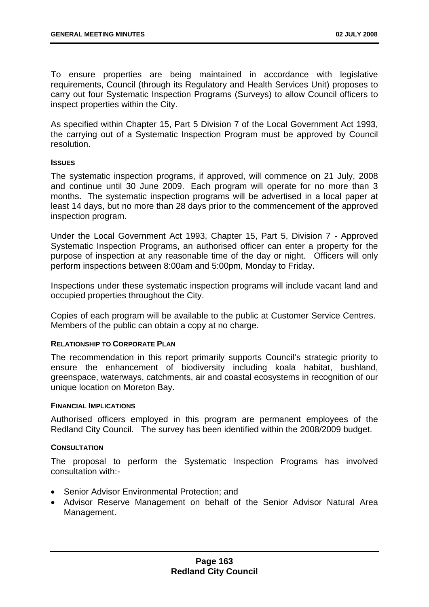To ensure properties are being maintained in accordance with legislative requirements, Council (through its Regulatory and Health Services Unit) proposes to carry out four Systematic Inspection Programs (Surveys) to allow Council officers to inspect properties within the City.

As specified within Chapter 15, Part 5 Division 7 of the Local Government Act 1993, the carrying out of a Systematic Inspection Program must be approved by Council resolution.

#### **ISSUES**

The systematic inspection programs, if approved, will commence on 21 July, 2008 and continue until 30 June 2009. Each program will operate for no more than 3 months. The systematic inspection programs will be advertised in a local paper at least 14 days, but no more than 28 days prior to the commencement of the approved inspection program.

Under the Local Government Act 1993, Chapter 15, Part 5, Division 7 - Approved Systematic Inspection Programs, an authorised officer can enter a property for the purpose of inspection at any reasonable time of the day or night. Officers will only perform inspections between 8:00am and 5:00pm, Monday to Friday.

Inspections under these systematic inspection programs will include vacant land and occupied properties throughout the City.

Copies of each program will be available to the public at Customer Service Centres. Members of the public can obtain a copy at no charge.

## **RELATIONSHIP TO CORPORATE PLAN**

The recommendation in this report primarily supports Council's strategic priority to ensure the enhancement of biodiversity including koala habitat, bushland, greenspace, waterways, catchments, air and coastal ecosystems in recognition of our unique location on Moreton Bay.

#### **FINANCIAL IMPLICATIONS**

Authorised officers employed in this program are permanent employees of the Redland City Council. The survey has been identified within the 2008/2009 budget.

## **CONSULTATION**

The proposal to perform the Systematic Inspection Programs has involved consultation with:-

- Senior Advisor Environmental Protection; and
- Advisor Reserve Management on behalf of the Senior Advisor Natural Area Management.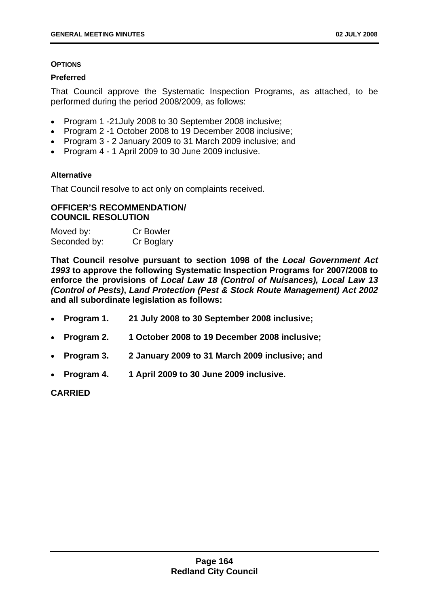#### **OPTIONS**

### **Preferred**

That Council approve the Systematic Inspection Programs, as attached, to be performed during the period 2008/2009, as follows:

- Program 1 -21July 2008 to 30 September 2008 inclusive;
- Program 2 -1 October 2008 to 19 December 2008 inclusive;
- Program 3 2 January 2009 to 31 March 2009 inclusive; and
- Program 4 1 April 2009 to 30 June 2009 inclusive.

## **Alternative**

That Council resolve to act only on complaints received.

## **OFFICER'S RECOMMENDATION/ COUNCIL RESOLUTION**

| Moved by:    | <b>Cr Bowler</b> |
|--------------|------------------|
| Seconded by: | Cr Boglary       |

**That Council resolve pursuant to section 1098 of the** *Local Government Act 1993* **to approve the following Systematic Inspection Programs for 2007/2008 to enforce the provisions of** *Local Law 18 (Control of Nuisances), Local Law 13 (Control of Pests)***,** *Land Protection (Pest & Stock Route Management) Act 2002*  **and all subordinate legislation as follows:** 

- **Program 1. 21 July 2008 to 30 September 2008 inclusive;**
- **Program 2. 1 October 2008 to 19 December 2008 inclusive;**
- **Program 3. 2 January 2009 to 31 March 2009 inclusive; and**
- **Program 4. 1 April 2009 to 30 June 2009 inclusive.**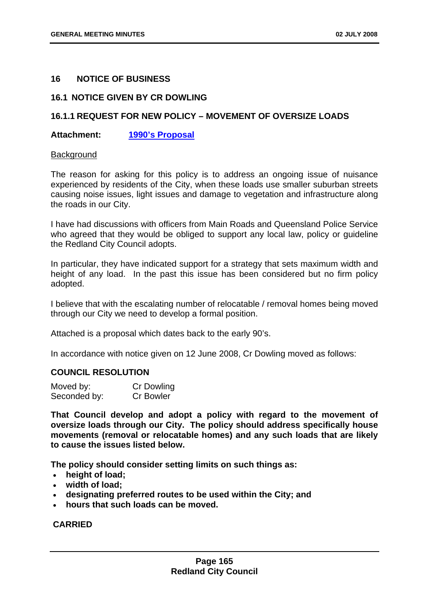## **16 NOTICE OF BUSINESS**

## **16.1 NOTICE GIVEN BY CR DOWLING**

## **16.1.1 REQUEST FOR NEW POLICY – MOVEMENT OF OVERSIZE LOADS**

## **Attachment: 1990's Proposal**

#### **Background**

The reason for asking for this policy is to address an ongoing issue of nuisance experienced by residents of the City, when these loads use smaller suburban streets causing noise issues, light issues and damage to vegetation and infrastructure along the roads in our City.

I have had discussions with officers from Main Roads and Queensland Police Service who agreed that they would be obliged to support any local law, policy or guideline the Redland City Council adopts.

In particular, they have indicated support for a strategy that sets maximum width and height of any load. In the past this issue has been considered but no firm policy adopted.

I believe that with the escalating number of relocatable / removal homes being moved through our City we need to develop a formal position.

Attached is a proposal which dates back to the early 90's.

In accordance with notice given on 12 June 2008, Cr Dowling moved as follows:

## **COUNCIL RESOLUTION**

| Moved by:    | <b>Cr Dowling</b> |
|--------------|-------------------|
| Seconded by: | <b>Cr Bowler</b>  |

**That Council develop and adopt a policy with regard to the movement of oversize loads through our City. The policy should address specifically house movements (removal or relocatable homes) and any such loads that are likely to cause the issues listed below.** 

**The policy should consider setting limits on such things as:** 

- **height of load;**
- **width of load;**
- **designating preferred routes to be used within the City; and**
- **hours that such loads can be moved.**